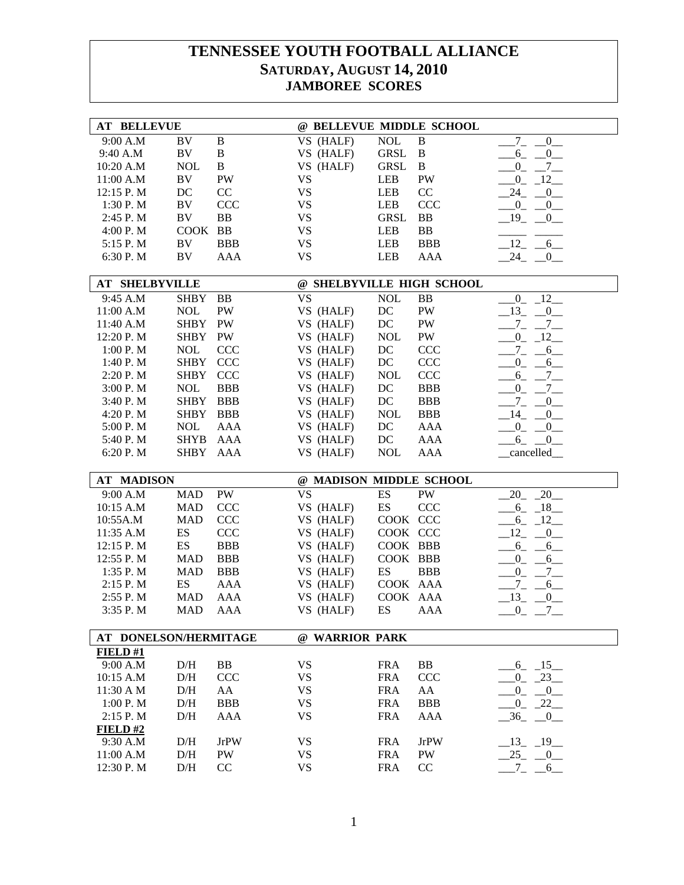| <b>AT BELLEVUE</b>     |                          |                          | @ BELLEVUE MIDDLE SCHOOL  |                          |              |                                              |
|------------------------|--------------------------|--------------------------|---------------------------|--------------------------|--------------|----------------------------------------------|
| 9:00 A.M               | BV                       | $\, {\bf B}$             | VS (HALF)                 | <b>NOL</b>               | $\, {\bf B}$ | $7\overline{)}$<br>$^{0}$                    |
| 9:40 A.M               | BV                       | $\, {\bf B}$             | VS (HALF)                 | <b>GRSL</b>              | $\bf{B}$     | $6 - 0$                                      |
| 10:20 A.M              | <b>NOL</b>               | $\bf{B}$                 | VS (HALF)                 | <b>GRSL</b>              | $\bf{B}$     | $-0 - 7$                                     |
| 11:00 A.M              | <b>BV</b>                | PW                       | <b>VS</b>                 | <b>LEB</b>               | <b>PW</b>    | $0 - 12$                                     |
| 12:15 P.M              | DC                       | CC                       | <b>VS</b>                 | LEB                      | CC           | $24 - 0$                                     |
| 1:30 P. M              | BV                       | <b>CCC</b>               | VS                        | <b>LEB</b>               | <b>CCC</b>   | $-0$ $-0$                                    |
| 2:45 P.M               | <b>BV</b>                | <b>BB</b>                | <b>VS</b>                 | <b>GRSL</b>              | BB           | $19 - 0$                                     |
| 4:00 P.M               | COOK BB                  |                          | <b>VS</b>                 | LEB                      | <b>BB</b>    |                                              |
| 5:15 P.M               | BV                       | <b>BBB</b>               | VS                        | LEB                      | <b>BBB</b>   | $12 - 6$                                     |
| 6:30 P.M               | BV                       | AAA                      | <b>VS</b>                 | <b>LEB</b>               | AAA          | $24 - 0$                                     |
|                        |                          |                          |                           |                          |              |                                              |
| <b>AT SHELBYVILLE</b>  |                          |                          | @ SHELBYVILLE HIGH SCHOOL |                          |              |                                              |
| 9:45 A.M               | <b>SHBY</b>              | <b>BB</b>                | <b>VS</b>                 | $\rm NOL$                | BB           | $_{0}$<br>$-12$                              |
| 11:00 A.M              | <b>NOL</b>               | PW                       | VS (HALF)                 | $\rm DC$                 | PW           | $13 - 0$                                     |
| 11:40 A.M              | <b>SHBY</b>              | $\mathbf{P}\mathbf{W}$   | VS (HALF)                 | $\rm DC$                 | PW           | $-7$<br>$-7$                                 |
| 12:20 P.M              | <b>SHBY</b>              | PW                       | VS (HALF)                 | <b>NOL</b>               | PW           | $0 - 12$                                     |
| 1:00 P.M               | <b>NOL</b>               | <b>CCC</b>               | VS (HALF)                 | DC                       | <b>CCC</b>   | $-6$<br>$7_{-}$                              |
| 1:40 P.M               | <b>SHBY</b>              | <b>CCC</b>               | VS (HALF)                 | DC                       | CCC          | $^{0}$<br>$6$ <sub>—</sub>                   |
| 2:20 P.M               | <b>SHBY</b>              | <b>CCC</b>               | VS (HALF)                 | <b>NOL</b>               | CCC          | $6 -$<br>$-7$                                |
| 3:00 P.M               | <b>NOL</b>               | <b>BBB</b>               | VS (HALF)                 | DC                       | <b>BBB</b>   | $-7$<br>$0 -$                                |
| 3:40 P. M              | <b>SHBY</b>              | <b>BBB</b>               | VS (HALF)                 | DC                       | <b>BBB</b>   | $7 - -$<br>$_{0-}$                           |
| 4:20 P.M               | <b>SHBY</b>              | <b>BBB</b>               | VS (HALF)                 | <b>NOL</b>               | <b>BBB</b>   | $-14$ $-0$                                   |
| 5:00 P.M               | <b>NOL</b>               | <b>AAA</b>               | VS (HALF)                 | DC                       | AAA          | $0 - 0$                                      |
| 5:40 P.M               | <b>SHYB</b>              | AAA                      | VS (HALF)                 | DC                       | AAA          | $-6 - 0$                                     |
| 6:20 P.M               | <b>SHBY</b>              | <b>AAA</b>               | VS (HALF)                 | <b>NOL</b>               | AAA          | cancelled                                    |
|                        |                          |                          |                           |                          |              |                                              |
|                        |                          |                          |                           |                          |              |                                              |
| <b>AT MADISON</b>      |                          |                          | @ MADISON MIDDLE SCHOOL   |                          |              |                                              |
| 9:00 A.M               | <b>MAD</b>               | PW                       | <b>VS</b>                 | ES                       | PW           | $-20$<br>20                                  |
| 10:15 A.M              | <b>MAD</b>               | CCC                      | VS (HALF)                 | ES                       | <b>CCC</b>   | $6 - 18$                                     |
| 10:55A.M               | <b>MAD</b>               | <b>CCC</b>               | VS (HALF)                 | COOK CCC                 |              | $6 - 12$                                     |
| 11:35 A.M              | ES                       | CCC                      | VS (HALF)                 | COOK CCC                 |              | 12<br>$-0$                                   |
| 12:15 P.M              | ES                       |                          |                           | COOK BBB                 |              |                                              |
|                        | <b>MAD</b>               | <b>BBB</b>               | VS (HALF)                 | COOK BBB                 |              | $6 - 6$                                      |
| 12:55 P.M              |                          | <b>BBB</b>               | VS (HALF)<br>VS (HALF)    |                          |              | $0_{-}$<br>$6_{-}$                           |
| 1:35 P.M               | <b>MAD</b>               | <b>BBB</b>               |                           | $\mathop{\hbox{\rm ES}}$ | <b>BBB</b>   | $7\overline{)}$<br>$_{0}^{0}$                |
| 2:15 P.M               | ES                       | <b>AAA</b>               | VS (HALF)                 | COOK AAA                 |              | $7_{-}$<br>$6$ <sub>—</sub>                  |
| 2:55 P.M<br>3:35 P.M   | <b>MAD</b><br><b>MAD</b> | <b>AAA</b><br><b>AAA</b> | VS (HALF)<br>VS (HALF)    | COOK AAA<br>ES           | AAA          | 13<br>$0$ <sub>—</sub><br>$7_{-}$<br>$0_{-}$ |
|                        |                          |                          |                           |                          |              |                                              |
| AT DONELSON/HERMITAGE  |                          |                          | @ WARRIOR PARK            |                          |              |                                              |
| FIELD#1                |                          |                          |                           |                          |              |                                              |
| 9:00 A.M               | D/H                      | <b>BB</b>                | <b>VS</b>                 | <b>FRA</b>               | <b>BB</b>    | $6 - 15$                                     |
| 10:15 A.M              | $\rm{D/H}$               | <b>CCC</b>               | <b>VS</b>                 | <b>FRA</b>               | <b>CCC</b>   | $0 - 23$                                     |
| 11:30 A M              | D/H                      | AA                       | VS                        | <b>FRA</b>               | AA           | $0_{-}$<br>$\overline{\phantom{0}}$          |
| 1:00 P.M               | D/H                      | <b>BBB</b>               | VS                        | <b>FRA</b>               | <b>BBB</b>   | $-22$<br>$0_{-}$                             |
| 2:15 P.M               | D/H                      | <b>AAA</b>               | <b>VS</b>                 | <b>FRA</b>               | <b>AAA</b>   | $-36$ $-0$                                   |
| FIELD#2                |                          |                          |                           |                          |              |                                              |
| 9:30 A.M               | D/H                      | <b>JrPW</b>              | VS                        | <b>FRA</b>               | <b>JrPW</b>  | $-13 - 19$                                   |
| 11:00 A.M<br>12:30 P.M | D/H<br>$\rm{D/H}$        | PW<br>CC                 | VS<br><b>VS</b>           | <b>FRA</b><br><b>FRA</b> | PW<br>CC     | $25 - 0$                                     |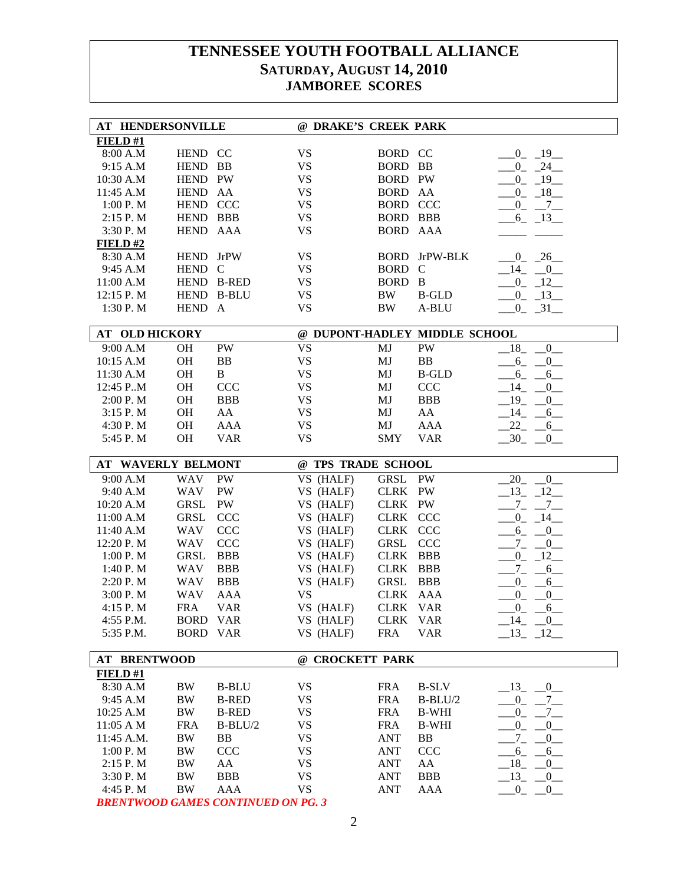| <b>AT HENDERSONVILLE</b>  |                 |              | @ DRAKE'S CREEK PARK |                        |                               |                                         |
|---------------------------|-----------------|--------------|----------------------|------------------------|-------------------------------|-----------------------------------------|
| FIELD#1                   |                 |              |                      |                        |                               |                                         |
| 8:00 A.M                  | HEND CC         |              | <b>VS</b>            | BORD CC                |                               | $-0$ $-19$                              |
| 9:15 A.M                  | HEND BB         |              | VS                   | BORD BB                |                               | $-0$ $-24$                              |
| 10:30 A.M                 | HEND PW         |              | <b>VS</b>            | <b>BORD PW</b>         |                               | $-0$ $-19$                              |
| 11:45 A.M                 | HEND AA         |              | <b>VS</b>            | <b>BORD</b>            | AA                            | $-0$ $-18$                              |
| 1:00 P.M                  | HEND CCC        |              | <b>VS</b>            | <b>BORD CCC</b>        |                               | $-0$ $-7$                               |
| 2:15 P.M                  | HEND BBB        |              | <b>VS</b>            | <b>BORD BBB</b>        |                               | $-6 - 13$                               |
| 3:30 P.M                  | HEND AAA        |              | <b>VS</b>            | BORD AAA               |                               |                                         |
| FIELD#2                   |                 |              |                      |                        |                               |                                         |
| 8:30 A.M                  | HEND JrPW       |              | <b>VS</b>            |                        | <b>BORD</b> JrPW-BLK          | $0 \quad 26$                            |
| 9:45 A.M                  | HEND C          |              | <b>VS</b>            | BORD C                 |                               | $-14$ $-0$                              |
| 11:00 A.M                 |                 | HEND B-RED   | <b>VS</b>            | BORD B                 |                               | $-0$ $-12$                              |
| 12:15 P.M                 |                 | HEND B-BLU   | <b>VS</b>            | BW                     | <b>B-GLD</b>                  | $-0$ $-13$                              |
| 1:30 P.M                  | HEND A          |              | <b>VS</b>            | <b>BW</b>              | A-BLU                         | $-0$ $-31$                              |
|                           |                 |              |                      |                        |                               |                                         |
| <b>AT OLD HICKORY</b>     |                 |              |                      |                        | @ DUPONT-HADLEY MIDDLE SCHOOL |                                         |
| 9:00 A.M                  | <b>OH</b>       | PW           | <b>VS</b>            | MJ                     | PW                            | $-18$ $-0$                              |
| 10:15 A.M                 | <b>OH</b>       | BB           | <b>VS</b>            | MJ                     | <b>BB</b>                     | $-6$ $-0$                               |
| 11:30 A.M                 | <b>OH</b>       | B            | <b>VS</b>            | MJ                     | <b>B-GLD</b>                  | $-6 - -6$                               |
| 12:45 P.M                 | OH              | CCC          | <b>VS</b>            | MJ                     | CCC                           | $-14$ $-0$                              |
| 2:00 P.M                  | <b>OH</b>       | <b>BBB</b>   | <b>VS</b>            | MJ                     | <b>BBB</b>                    | $-19$ $-0$                              |
| 3:15 P.M                  | <b>OH</b>       | AA           | <b>VS</b>            | MJ                     | AA                            | $-14$ $-6$                              |
| 4:30 P.M                  | <b>OH</b>       | <b>AAA</b>   | <b>VS</b>            | $\mathbf{M}\mathbf{J}$ | AAA                           | $-22 - -6$                              |
| 5:45 P.M                  | <b>OH</b>       | <b>VAR</b>   | <b>VS</b>            | <b>SMY</b>             | <b>VAR</b>                    | $-30 - 0$                               |
| <b>AT WAVERLY BELMONT</b> |                 |              | @ TPS TRADE SCHOOL   |                        |                               |                                         |
| 9:00 A.M                  | <b>WAV</b>      | PW           | VS (HALF)            | GRSL                   | PW                            | $-20$ $-0$                              |
| 9:40 A.M                  | WAV             | PW           | VS (HALF)            | CLRK PW                |                               | $13 - 12$                               |
| 10:20 A.M                 | <b>GRSL</b>     | PW           | VS (HALF)            | CLRK PW                |                               | $-7 - -7$                               |
| 11:00 A.M                 | <b>GRSL</b>     | <b>CCC</b>   | VS (HALF)            | CLRK CCC               |                               | $-0$ $-14$                              |
| 11:40 A.M                 | WAV             | <b>CCC</b>   | VS (HALF)            | CLRK CCC               |                               | $-6 - 0$                                |
| 12:20 P.M                 | WAV             | CCC          | VS (HALF)            | GRSL                   | <b>CCC</b>                    | $-7$ - $-0$                             |
| 1:00 P. M                 | <b>GRSL</b>     | <b>BBB</b>   | VS (HALF)            | CLRK BBB               |                               | $-0$ $-12$                              |
| 1:40 P.M                  | WAV             | <b>BBB</b>   | VS (HALF)            | CLRK BBB               |                               | $-7 - 6$                                |
| 2:20 P.M                  | <b>WAV</b>      | <b>BBB</b>   | VS (HALF)            | GRSL                   | <b>BBB</b>                    | $-0$ $-6$                               |
| 3:00 P.M                  | <b>WAV</b>      | <b>AAA</b>   | <b>VS</b>            | CLRK AAA               |                               | $-0$ $-0$                               |
| 4:15 P.M                  | <b>FRA</b>      | <b>VAR</b>   | VS (HALF)            | CLRK VAR               |                               | $0 - 6$                                 |
| 4:55 P.M.                 | <b>BORD VAR</b> |              | VS (HALF)            | CLRK VAR               |                               | $-14$ $-0$                              |
| 5:35 P.M.                 | <b>BORD VAR</b> |              | VS (HALF)            | <b>FRA</b>             | <b>VAR</b>                    | $-13 - 12$                              |
|                           |                 |              |                      |                        |                               |                                         |
| <b>AT BRENTWOOD</b>       |                 |              | @ CROCKETT PARK      |                        |                               |                                         |
| FIELD #1                  |                 |              |                      |                        |                               |                                         |
| 8:30 A.M                  | BW              | <b>B-BLU</b> | <b>VS</b>            | <b>FRA</b>             | <b>B-SLV</b>                  | $-13$ $-0$                              |
| 9:45 A.M                  | BW              | <b>B-RED</b> | VS                   | <b>FRA</b>             | $B-BLU/2$                     | $0_{-}$<br>$-7$                         |
| 10:25 A.M                 | BW              | <b>B-RED</b> | <b>VS</b>            | <b>FRA</b>             | <b>B-WHI</b>                  | $-7$<br>$_{0_{-}}$                      |
| 11:05 A M                 | <b>FRA</b>      | $B-BLU/2$    | <b>VS</b>            | <b>FRA</b>             | <b>B-WHI</b>                  | $^{0}$<br>$_{0_{-}}$                    |
| 11:45 A.M.                | BW              | BB           | VS                   | <b>ANT</b>             | BB                            | $7 - -$<br>$_{-0}$                      |
| 1:00 P.M                  | BW              | CCC          | VS                   | <b>ANT</b>             | <b>CCC</b>                    | $-6 - -6$                               |
| 2:15 P.M                  | BW              | AA           | <b>VS</b>            | <b>ANT</b>             | AA                            | $-18$ <sub>-</sub> $-0$                 |
| 3:30 P.M                  | BW              | <b>BBB</b>   | VS                   | <b>ANT</b>             | <b>BBB</b>                    | $-13$ $-0$                              |
| 4:45 P.M                  | BW              | AAA          | <b>VS</b>            | <b>ANT</b>             | AAA                           | $\begin{array}{cc} 0 & \_0 \end{array}$ |

*BRENTWOOD GAMES CONTINUED ON PG. 3*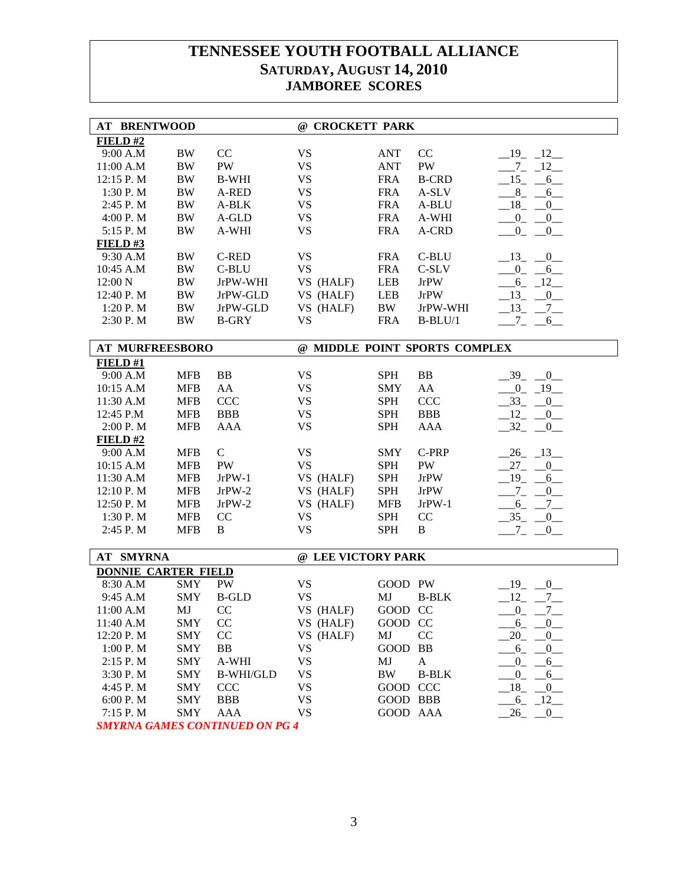| <b>AT BRENTWOOD</b>        |            |                                                                     | @ CROCKETT PARK    |             |                               |                             |
|----------------------------|------------|---------------------------------------------------------------------|--------------------|-------------|-------------------------------|-----------------------------|
| FIELD#2                    |            |                                                                     |                    |             |                               |                             |
| 9:00 A.M                   | <b>BW</b>  | CC                                                                  | <b>VS</b>          | <b>ANT</b>  | CC                            | $-19$ $-12$                 |
| 11:00 A.M                  | <b>BW</b>  | PW                                                                  | <b>VS</b>          | <b>ANT</b>  | PW                            | $-7 - 12$                   |
| 12:15 P.M                  | <b>BW</b>  | <b>B-WHI</b>                                                        | <b>VS</b>          | <b>FRA</b>  | <b>B-CRD</b>                  | $-15$ -<br>$-6$             |
| 1:30 P. M                  | <b>BW</b>  | A-RED                                                               | <b>VS</b>          | <b>FRA</b>  | A-SLV                         | $8 - 8$<br>$6$ <sub>—</sub> |
| 2:45 P.M                   | BW         | A-BLK                                                               | <b>VS</b>          | <b>FRA</b>  | A-BLU                         | $-18$ $-$<br>$_{0-}$        |
| 4:00 P.M                   | BW         | A-GLD                                                               | <b>VS</b>          | <b>FRA</b>  | A-WHI                         | $-0$ $-0$ $-$               |
| 5:15 P.M                   | <b>BW</b>  | A-WHI                                                               | <b>VS</b>          | <b>FRA</b>  | A-CRD                         | $-0$ $-0$                   |
| FIELD#3                    |            |                                                                     |                    |             |                               |                             |
| 9:30 A.M                   | <b>BW</b>  | <b>C-RED</b>                                                        | <b>VS</b>          | <b>FRA</b>  | C-BLU                         | $-13$ $-0$                  |
| 10:45 A.M                  | <b>BW</b>  | C-BLU                                                               | <b>VS</b>          | <b>FRA</b>  | C-SLV                         | $-0$ $-6$                   |
| 12:00 N                    | <b>BW</b>  | JrPW-WHI                                                            | VS (HALF)          | LEB         | <b>JrPW</b>                   | $-6 - 12$                   |
| 12:40 P.M                  | BW         | JrPW-GLD                                                            | VS (HALF)          | LEB         | <b>JrPW</b>                   | $-13$ $-0$                  |
| 1:20 P.M                   | BW         | JrPW-GLD                                                            | VS (HALF)          | BW          | JrPW-WHI                      | $-13$ $-7$ $-$              |
| 2:30 P.M                   | <b>BW</b>  | <b>B-GRY</b>                                                        | <b>VS</b>          | <b>FRA</b>  | $B-BLU/1$                     | $-7 - 6$                    |
| <b>AT MURFREESBORO</b>     |            |                                                                     |                    |             | @ MIDDLE POINT SPORTS COMPLEX |                             |
| FIELD#1                    |            |                                                                     |                    |             |                               |                             |
| 9:00 A.M                   | <b>MFB</b> | BB                                                                  | <b>VS</b>          | <b>SPH</b>  | BB                            | $-39$ $-0$                  |
| 10:15 A.M                  | <b>MFB</b> | AA                                                                  | <b>VS</b>          | <b>SMY</b>  | AA                            | $-0$ $-19$                  |
| 11:30 A.M                  | <b>MFB</b> | CCC                                                                 | <b>VS</b>          | <b>SPH</b>  | CCC                           | $-33$ $-$<br>$_{0-}$        |
| 12:45 P.M                  | <b>MFB</b> | <b>BBB</b>                                                          | <b>VS</b>          | <b>SPH</b>  | <b>BBB</b>                    | $12 - 0$                    |
| 2:00 P.M                   | <b>MFB</b> | <b>AAA</b>                                                          | <b>VS</b>          | <b>SPH</b>  | <b>AAA</b>                    | $-32 - 0$                   |
| $FIED$ #2                  |            |                                                                     |                    |             |                               |                             |
| 9:00 A.M                   | <b>MFB</b> | $\mathbf C$                                                         | <b>VS</b>          | SMY         | C-PRP                         | $-26$ $-13$                 |
| 10:15 A.M                  | <b>MFB</b> | PW                                                                  | <b>VS</b>          | <b>SPH</b>  | PW                            | $27 - 0$                    |
| 11:30 A.M                  | <b>MFB</b> | $JrPW-1$                                                            | VS (HALF)          | SPH         | <b>JrPW</b>                   | $-19$ -<br>$-6$             |
| $12:10$ P. M               | <b>MFB</b> | $JrPW-2$                                                            | VS (HALF)          | <b>SPH</b>  | <b>JrPW</b>                   | $-7 -$<br>$_{0-}$           |
| 12:50 P.M                  | <b>MFB</b> | $JrPW-2$                                                            | VS (HALF)          | <b>MFB</b>  | $JrPW-1$                      | $-6 - 7$                    |
| 1:30 P.M                   | <b>MFB</b> | CC                                                                  | <b>VS</b>          | <b>SPH</b>  | CC                            | $-35$ $-0$                  |
| 2:45 P.M                   | <b>MFB</b> | B                                                                   | <b>VS</b>          | <b>SPH</b>  | B                             | $-7 - 0$                    |
| AT SMYRNA                  |            |                                                                     | @ LEE VICTORY PARK |             |                               |                             |
| <b>DONNIE CARTER FIELD</b> |            |                                                                     |                    |             |                               |                             |
| 8:30 A.M                   | <b>SMY</b> | PW                                                                  | <b>VS</b>          | GOOD PW     |                               | $-19$ -<br>0                |
| 9:45 A.M                   | <b>SMY</b> | <b>B-GLD</b>                                                        | <b>VS</b>          | MJ          | <b>B-BLK</b>                  | $-12$ -<br>$-7$             |
| 11:00 A.M                  | MJ         | CC                                                                  | VS (HALF)          | GOOD CC     |                               | $\overline{0}$<br>7         |
| 11:40 A.M                  | <b>SMY</b> | CC                                                                  | VS (HALF)          | GOOD CC     |                               | $6 - 0$                     |
| 12:20 P.M                  | <b>SMY</b> | CC                                                                  | VS (HALF)          | MJ          | CC                            | 20<br>0                     |
| 1:00 P.M                   | <b>SMY</b> | BB                                                                  | <b>VS</b>          | <b>GOOD</b> | BB                            | $6_{-}$<br>$^{0}$           |
| 2:15 P.M                   | <b>SMY</b> | A-WHI                                                               | <b>VS</b>          | MJ          | $\mathbf{A}$                  | $0_{-}$<br>$6\_\_$          |
| 3:30 P.M                   | <b>SMY</b> | <b>B-WHI/GLD</b>                                                    | <b>VS</b>          | $\rm BW$    | <b>B-BLK</b>                  | $^{0}$<br>$6$ <sub>—</sub>  |
| 4:45 P.M                   | <b>SMY</b> | <b>CCC</b>                                                          | <b>VS</b>          | GOOD CCC    |                               | $18 -$<br>$_{0}$            |
| 6:00 P.M                   | <b>SMY</b> | <b>BBB</b>                                                          | <b>VS</b>          | GOOD BBB    |                               | $-6 - 12$                   |
| 7:15 P.M                   | <b>SMY</b> | <b>AAA</b>                                                          | <b>VS</b>          | GOOD AAA    |                               | $-26$ $-0$                  |
|                            |            | $\alpha$ <i>NITINIHED <math>\alpha</math>N D<math>\alpha</math></i> |                    |             |                               |                             |

*SMYRNA GAMES CONTINUED ON PG 4*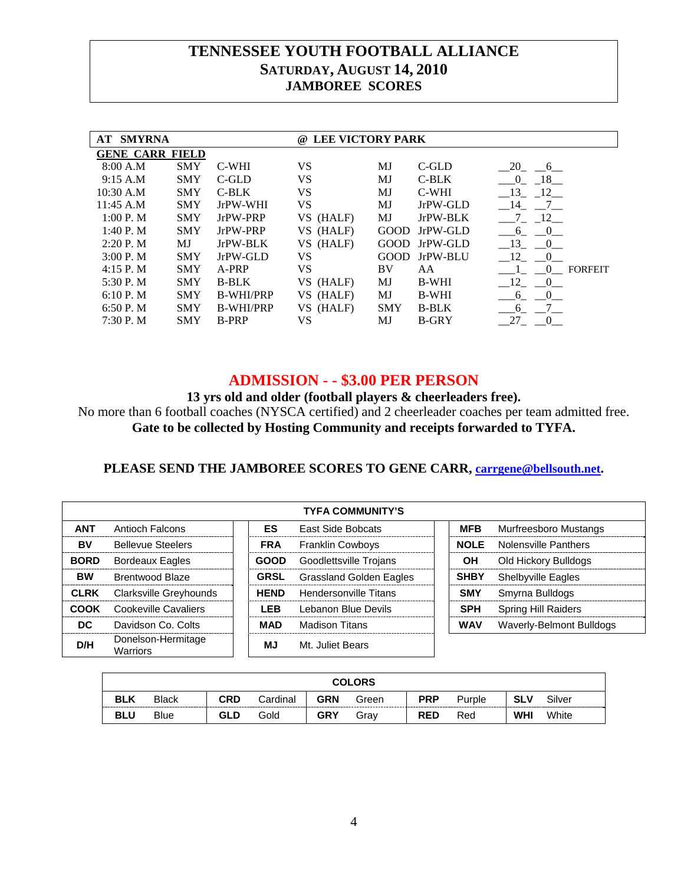| AT | <b>SMYRNA</b>          |            |                  | <b>LEE VICTORY PARK</b><br>$\omega$ |             |              |                       |                |
|----|------------------------|------------|------------------|-------------------------------------|-------------|--------------|-----------------------|----------------|
|    | <b>GENE CARR FIELD</b> |            |                  |                                     |             |              |                       |                |
|    | 8:00 A.M               | <b>SMY</b> | <b>C-WHI</b>     | VS                                  | MJ          | $C$ -GLD     | 20<br>$6\overline{6}$ |                |
|    | 9:15 A.M               | <b>SMY</b> | $C$ -GLD         | VS                                  | MJ          | C-BLK        | 18<br>$\Omega$        |                |
|    | 10:30 A.M              | <b>SMY</b> | $C-BLK$          | VS                                  | MJ          | C-WHI        | - 13<br>12            |                |
|    | 11:45 A.M              | <b>SMY</b> | JrPW-WHI         | VS                                  | MJ          | JrPW-GLD     | - 14<br>7             |                |
|    | 1:00 P. M              | <b>SMY</b> | JrPW-PRP         | VS (HALF)                           | MJ          | JrPW-BLK     | 12                    |                |
|    | $1:40P$ . M            | <b>SMY</b> | JrPW-PRP         | VS (HALF)                           | <b>GOOD</b> | JrPW-GLD     | $\mathbf{0}$<br>6     |                |
|    | 2:20P. M               | MJ         | JrPW-BLK         | VS (HALF)                           | <b>GOOD</b> | JrPW-GLD     | 13<br>$\sqrt{0}$      |                |
|    | 3:00 P. M              | <b>SMY</b> | JrPW-GLD         | VS                                  | GOOD.       | JrPW-BLU     | 12<br>$\Omega$        |                |
|    | 4:15 P. M              | <b>SMY</b> | A-PRP            | VS                                  | BV          | AA           | $\Omega$              | <b>FORFEIT</b> |
|    | 5:30 P.M               | <b>SMY</b> | <b>B-BLK</b>     | VS (HALF)                           | MJ          | <b>B-WHI</b> | - 12<br>$\sim 0$      |                |
|    | $6:10P$ . M            | <b>SMY</b> | <b>B-WHI/PRP</b> | (HALF)<br>VS.                       | MJ          | <b>B-WHI</b> | $\Omega$<br>6         |                |
|    | 6:50P. M               | <b>SMY</b> | <b>B-WHI/PRP</b> | VS (HALF)                           | <b>SMY</b>  | <b>B-BLK</b> | 6                     |                |
|    | 7:30P. M               | <b>SMY</b> | <b>B-PRP</b>     | VS                                  | MJ          | <b>B-GRY</b> | 27<br>$\theta$        |                |
|    |                        |            |                  |                                     |             |              |                       |                |

### **ADMISSION - - \$3.00 PER PERSON**

**13 yrs old and older (football players & cheerleaders free).** 

No more than 6 football coaches (NYSCA certified) and 2 cheerleader coaches per team admitted free. **Gate to be collected by Hosting Community and receipts forwarded to TYFA.**

### **PLEASE SEND THE JAMBOREE SCORES TO GENE CARR, carrgene@bellsouth.net.**

|             | <b>TYFA COMMUNITY'S</b>        |  |             |                                |  |             |                             |  |  |  |
|-------------|--------------------------------|--|-------------|--------------------------------|--|-------------|-----------------------------|--|--|--|
| <b>ANT</b>  | Antioch Falcons                |  | ES.         | East Side Bobcats              |  | <b>MFB</b>  | Murfreesboro Mustangs       |  |  |  |
| BV          | <b>Bellevue Steelers</b>       |  | <b>FRA</b>  | <b>Franklin Cowboys</b>        |  | <b>NOLE</b> | <b>Nolensville Panthers</b> |  |  |  |
| <b>BORD</b> | <b>Bordeaux Eagles</b>         |  | GOOD        | Goodlettsville Trojans         |  | OН          | Old Hickory Bulldogs        |  |  |  |
| <b>BW</b>   | Brentwood Blaze                |  | <b>GRSL</b> | <b>Grassland Golden Eagles</b> |  | <b>SHBY</b> | <b>Shelbyville Eagles</b>   |  |  |  |
| <b>CLRK</b> | Clarksville Greyhounds         |  | <b>HFND</b> | Hendersonville Titans          |  | <b>SMY</b>  | Smyrna Bulldogs             |  |  |  |
| COOK        | Cookeville Cavaliers           |  | I FR        | Lebanon Blue Devils            |  | <b>SPH</b>  | <b>Spring Hill Raiders</b>  |  |  |  |
| DC.         | Davidson Co. Colts             |  | MAD         | Madison Titans                 |  | <b>WAV</b>  | Waverly-Belmont Bulldogs    |  |  |  |
| D/H         | Donelson-Hermitage<br>Warriors |  | ΜJ          | Mt. Juliet Bears               |  |             |                             |  |  |  |

| <b>COLORS</b> |              |            |          |            |       |            |        |            |        |
|---------------|--------------|------------|----------|------------|-------|------------|--------|------------|--------|
| <b>BLK</b>    | <b>Black</b> | CRD        | Cardinal | <b>GRN</b> | Green | <b>PRP</b> | Purple | <b>SLV</b> | Silver |
| <b>BLU</b>    | <b>Blue</b>  | <b>GLD</b> | Gold     | <b>GRY</b> | Grav  | <b>RED</b> | Red    | <b>WHI</b> | White  |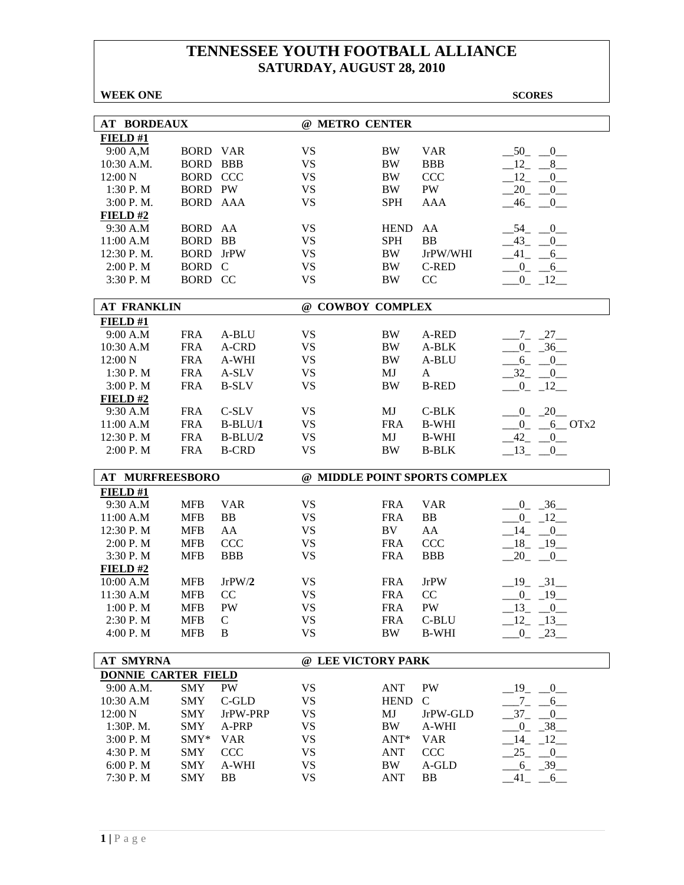| <b>WEEK ONE</b>            |                 |              |                    |             |                               | <b>SCORES</b>                       |
|----------------------------|-----------------|--------------|--------------------|-------------|-------------------------------|-------------------------------------|
|                            |                 |              |                    |             |                               |                                     |
| <b>AT BORDEAUX</b>         |                 |              | @ METRO CENTER     |             |                               |                                     |
| FIELD#1                    |                 |              |                    |             |                               |                                     |
| 9:00 A,M                   | <b>BORD VAR</b> |              | <b>VS</b>          | <b>BW</b>   | <b>VAR</b>                    | 50<br>0                             |
| 10:30 A.M.                 | <b>BORD</b>     | <b>BBB</b>   | <b>VS</b>          | <b>BW</b>   | <b>BBB</b>                    | 12<br>8                             |
| 12:00 N                    | <b>BORD</b>     | <b>CCC</b>   | <b>VS</b>          | <b>BW</b>   | <b>CCC</b>                    | 12<br>$\overline{0}$                |
| 1:30 P.M                   | <b>BORD PW</b>  |              | <b>VS</b>          | <b>BW</b>   | PW                            | 20<br>$_{0-}$                       |
| 3:00 P.M.                  | <b>BORD AAA</b> |              | <b>VS</b>          | <b>SPH</b>  | <b>AAA</b>                    | 46<br>$_{-0}$                       |
| FIELD#2                    |                 |              |                    |             |                               |                                     |
| 9:30 A.M                   | <b>BORD</b>     | AA           | <b>VS</b>          | <b>HEND</b> | AA                            | 54<br>$\overline{0}$                |
| 11:00 A.M                  | <b>BORD</b>     | <b>BB</b>    | <b>VS</b>          | <b>SPH</b>  | <b>BB</b>                     | $43$ <sub>-</sub> -<br>$\mathbf{0}$ |
| 12:30 P.M.                 | <b>BORD</b>     | <b>JrPW</b>  | <b>VS</b>          | <b>BW</b>   | JrPW/WHI                      | $-41 - -6$                          |
| 2:00 P. M                  | <b>BORD</b>     | C            | <b>VS</b>          | BW          | C-RED                         | $-0$ $-6$                           |
| 3:30 P.M                   | BORD CC         |              | <b>VS</b>          | <b>BW</b>   | CC                            | $-0$ $-12$ $-$                      |
|                            |                 |              |                    |             |                               |                                     |
| <b>AT FRANKLIN</b>         |                 |              | @ COWBOY COMPLEX   |             |                               |                                     |
| FIELD#1                    |                 |              |                    |             |                               |                                     |
| 9:00 A.M                   | <b>FRA</b>      | A-BLU        | <b>VS</b>          | BW          | A-RED                         | $-7 - 27$                           |
| 10:30 A.M                  | <b>FRA</b>      | A-CRD        | <b>VS</b>          | <b>BW</b>   | A-BLK                         | $0 - 36$                            |
| 12:00 N                    | <b>FRA</b>      | A-WHI        | <b>VS</b>          | <b>BW</b>   | A-BLU                         | $6_{-}$<br>$-0$                     |
| 1:30 P.M                   | <b>FRA</b>      | A-SLV        | <b>VS</b>          | MJ          | A                             | $-32$<br>$\overline{0}$             |
| 3:00 P.M                   | <b>FRA</b>      | <b>B-SLV</b> | <b>VS</b>          | <b>BW</b>   | <b>B-RED</b>                  | $_{0}$<br>$-12$                     |
| FIELD#2                    |                 |              |                    |             |                               |                                     |
| 9:30 A.M                   | <b>FRA</b>      | C-SLV        | <b>VS</b>          | MJ          | C-BLK                         | $-20$<br>0                          |
| 11:00 A.M                  | <b>FRA</b>      | $B-BLU/1$    | <b>VS</b>          | <b>FRA</b>  | <b>B-WHI</b>                  | $\overline{0}$<br>$-6$ OTx2         |
| 12:30 P.M                  | <b>FRA</b>      | $B-BLU/2$    | <b>VS</b>          | MJ          | <b>B-WHI</b>                  | $-42$<br>$_{0-}$                    |
| 2:00 P.M                   | <b>FRA</b>      | <b>B-CRD</b> | <b>VS</b>          | <b>BW</b>   | <b>B-BLK</b>                  | $-13$<br>0                          |
| AT MURFREESBORO            |                 |              |                    |             | @ MIDDLE POINT SPORTS COMPLEX |                                     |
| FIELD#1                    |                 |              |                    |             |                               |                                     |
| 9:30 A.M                   | <b>MFB</b>      | <b>VAR</b>   | <b>VS</b>          | <b>FRA</b>  | <b>VAR</b>                    | $0 - 36$                            |
| 11:00 A.M                  | <b>MFB</b>      | <b>BB</b>    | <b>VS</b>          | <b>FRA</b>  | <b>BB</b>                     | $0 - 12$                            |
| 12:30 P.M                  | <b>MFB</b>      | AA           | <b>VS</b>          | BV          | AA                            | 14<br>$-0$                          |
| 2:00 P. M                  | <b>MFB</b>      | <b>CCC</b>   | <b>VS</b>          | <b>FRA</b>  | <b>CCC</b>                    | $18 - 19$                           |
| 3:30 P.M                   | <b>MFB</b>      | <b>BBB</b>   | <b>VS</b>          | <b>FRA</b>  | <b>BBB</b>                    | 20<br>$\sqrt{0}$                    |
| FIELD#2                    |                 |              |                    |             |                               |                                     |
| 10:00 A.M                  | <b>MFB</b>      | JrPW/2       | <b>VS</b>          | <b>FRA</b>  | <b>JrPW</b>                   | $-19$ $-31$                         |
| 11:30 A.M                  | <b>MFB</b>      | CC           | VS                 | FRA         | CC                            | $-0$ $-19$ $-$                      |
| 1:00 P.M                   | <b>MFB</b>      | PW           | <b>VS</b>          | <b>FRA</b>  | PW                            | $-13$<br>$-0$                       |
| 2:30 P.M                   | <b>MFB</b>      | $\mathsf{C}$ | <b>VS</b>          | <b>FRA</b>  | C-BLU                         | 12<br>$-13$                         |
| 4:00 P.M                   | <b>MFB</b>      | B            | <b>VS</b>          | <b>BW</b>   | <b>B-WHI</b>                  | $\overline{0}$<br>$-23$             |
|                            |                 |              |                    |             |                               |                                     |
| <b>AT SMYRNA</b>           |                 |              | @ LEE VICTORY PARK |             |                               |                                     |
| <b>DONNIE CARTER FIELD</b> |                 |              |                    |             |                               |                                     |
| 9:00 A.M.                  | <b>SMY</b>      | PW           | <b>VS</b>          | <b>ANT</b>  | PW                            | $19$ <sub>-</sub><br>0              |
| 10:30 A.M                  | <b>SMY</b>      | C-GLD        | <b>VS</b>          | <b>HEND</b> | $\mathsf{C}$                  | $7_{-}$<br>6                        |
| 12:00 N                    | <b>SMY</b>      | JrPW-PRP     | <b>VS</b>          | MJ          | JrPW-GLD                      | $37_{-}$<br>$\overline{0}$          |
| 1:30P.M.                   | <b>SMY</b>      | A-PRP        | <b>VS</b>          | <b>BW</b>   | A-WHI                         | $\overline{0}$<br>$-38$             |
| 3:00 P.M                   | SMY*            | <b>VAR</b>   | <b>VS</b>          | ANT*        | <b>VAR</b>                    | 14<br>12                            |
| 4:30 P.M                   | SMY             | CCC          | <b>VS</b>          | ANT         | <b>CCC</b>                    | 25<br>$_{-0}$                       |
| 6:00 P.M                   | <b>SMY</b>      | A-WHI        | <b>VS</b>          | BW          | A-GLD                         | $-39$<br>$6_{-}$                    |
| 7:30 P.M                   | <b>SMY</b>      | BB           | <b>VS</b>          | <b>ANT</b>  | <b>BB</b>                     | 41<br>$-6$                          |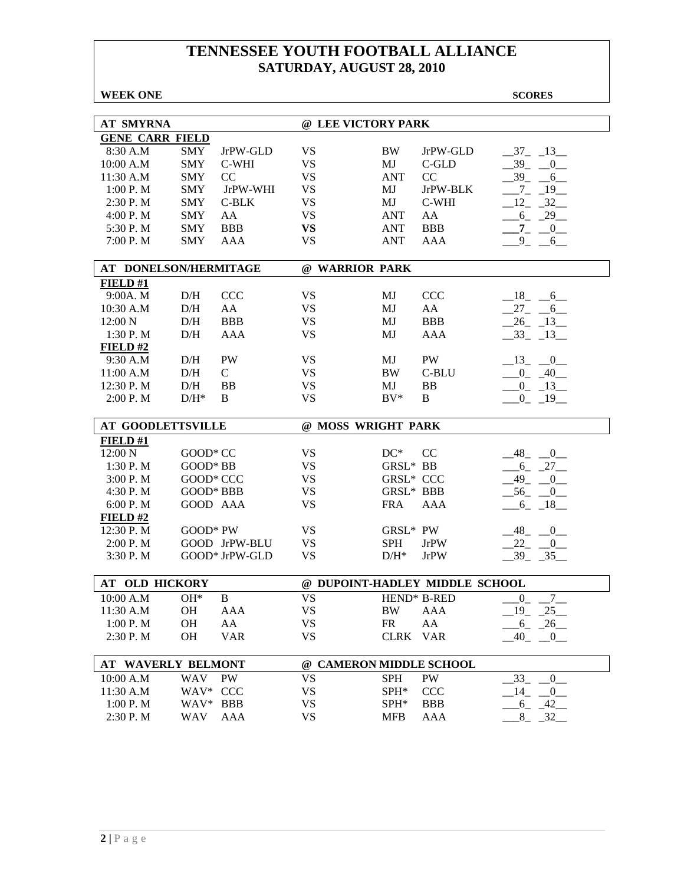| <b>WEEK ONE</b>          |                           |           |                                |             | <b>SCORES</b>                             |
|--------------------------|---------------------------|-----------|--------------------------------|-------------|-------------------------------------------|
|                          |                           |           |                                |             |                                           |
| <b>AT SMYRNA</b>         |                           |           | @ LEE VICTORY PARK             |             |                                           |
| <b>GENE CARR FIELD</b>   |                           |           |                                |             |                                           |
| 8:30 A.M                 | <b>SMY</b><br>JrPW-GLD    | <b>VS</b> | <b>BW</b>                      | JrPW-GLD    | $-37 - 13$                                |
| 10:00 A.M                | <b>SMY</b><br>C-WHI       | <b>VS</b> | MJ                             | C-GLD       | $39_{-}$<br>0                             |
| 11:30 A.M                | <b>SMY</b><br>CC          | <b>VS</b> | <b>ANT</b>                     | CC          | $39_$<br>6                                |
| 1:00 P.M                 | <b>SMY</b><br>JrPW-WHI    | <b>VS</b> | MJ                             | JrPW-BLK    | 19<br>$7\overline{ }$                     |
| 2:30 P.M                 | <b>SMY</b><br>$C-BLK$     | <b>VS</b> | MJ                             | C-WHI       | 12<br>32                                  |
| 4:00 P.M                 | <b>SMY</b><br>AA          | <b>VS</b> | <b>ANT</b>                     | AA          | $6 - 29$                                  |
| 5:30 P.M                 | <b>SMY</b><br><b>BBB</b>  | <b>VS</b> | <b>ANT</b>                     | <b>BBB</b>  | $-7 - 0$                                  |
| 7:00 P.M                 | <b>SMY</b><br>AAA         | <b>VS</b> | <b>ANT</b>                     | AAA         | $9 - 6$                                   |
|                          | AT DONELSON/HERMITAGE     |           | @ WARRIOR PARK                 |             |                                           |
| FIELD#1                  |                           |           |                                |             |                                           |
| 9:00A. M                 | D/H<br><b>CCC</b>         | <b>VS</b> | MJ                             | <b>CCC</b>  | $-18$ <sub>-</sub> $-6$                   |
| 10:30 A.M                | D/H<br>AA                 | <b>VS</b> | MJ                             | AA          | $27 - 6$                                  |
| 12:00 N                  | D/H<br><b>BBB</b>         | <b>VS</b> | MJ                             | <b>BBB</b>  | $26 - 13$                                 |
| $1:30$ P. M              | D/H<br>AAA                | <b>VS</b> | MJ                             | AAA         | $-33$ $-13$                               |
| FIELD#2                  |                           |           |                                |             |                                           |
| 9:30 A.M                 | <b>PW</b><br>D/H          | <b>VS</b> | MJ                             | PW          | $-13$ $-0$                                |
| 11:00 A.M                | D/H<br>$\mathsf{C}$       | <b>VS</b> | <b>BW</b>                      | C-BLU       | $-0$ $-40$                                |
| 12:30 P.M                | D/H<br><b>BB</b>          | <b>VS</b> | MJ                             | <b>BB</b>   | $-0$ $-13$                                |
| 2:00 P.M                 | $D/H^*$<br>B              | <b>VS</b> | $BV^*$                         | B           | $0 - 19$                                  |
|                          |                           |           |                                |             |                                           |
| <b>AT GOODLETTSVILLE</b> |                           |           | @ MOSS WRIGHT PARK             |             |                                           |
| FIELD#1                  |                           |           |                                |             |                                           |
| 12:00 N                  | GOOD* CC                  | <b>VS</b> | $DC^*$                         | CC          | $-48$<br>$\overline{0}$                   |
| 1:30 P.M                 | GOOD* BB                  | <b>VS</b> | GRSL* BB                       |             | $-6 - 27$                                 |
| 3:00 P. M                | GOOD* CCC                 | <b>VS</b> | <b>GRSL* CCC</b>               |             | 49<br>$\overline{0}$                      |
| 4:30 P.M                 | GOOD* BBB                 | <b>VS</b> | GRSL* BBB                      |             | $-56$<br>$\overline{0}$                   |
| 6:00 P. M                | GOOD AAA                  | <b>VS</b> | <b>FRA</b>                     | AAA         | $-6 - 18$                                 |
| FIELD#2                  |                           |           |                                |             |                                           |
| 12:30 P.M                | GOOD* PW                  | <b>VS</b> | GRSL* PW                       |             | $-48$<br>$\begin{array}{c} 0 \end{array}$ |
| 2:00 P.M                 | GOOD JrPW-BLU             | <b>VS</b> | <b>SPH</b>                     | JrPW        | 22<br>$^{\circ}$ 0                        |
| 3:30 P.M                 | GOOD* JrPW-GLD            | <b>VS</b> | $D/H^*$                        | <b>JrPW</b> | $39 - 35$                                 |
| <b>AT OLD HICKORY</b>    |                           |           | @ DUPOINT-HADLEY MIDDLE SCHOOL |             |                                           |
| 10:00 A.M                | $OH*$<br>B                | <b>VS</b> |                                | HEND* B-RED |                                           |
|                          |                           | <b>VS</b> |                                |             | $_{-0}$<br>$-7$<br>25<br>19               |
| 11:30 A.M                | <b>OH</b><br>AAA          |           | <b>BW</b>                      | AAA         |                                           |
| 1:00 P.M                 | OH<br>AA                  | <b>VS</b> | <b>FR</b>                      | AA          | $6 - 26$                                  |
| 2:30 P.M                 | OH<br><b>VAR</b>          | <b>VS</b> | <b>CLRK</b>                    | <b>VAR</b>  | 40<br>$\sqrt{0}$                          |
|                          | <b>AT WAVERLY BELMONT</b> |           | @ CAMERON MIDDLE SCHOOL        |             |                                           |
| 10:00 A.M                | WAV<br>PW                 | <b>VS</b> | <b>SPH</b>                     | PW          | 33<br>$\overline{0}$                      |
| 11:30 A.M                | WAV* CCC                  | <b>VS</b> | SPH*                           | <b>CCC</b>  | 14<br>$\overline{0}$                      |
| 1:00 P.M                 | WAV* BBB                  | <b>VS</b> | SPH <sup>*</sup>               | <b>BBB</b>  | $-42$<br>$6_{-}$                          |
| 2:30 P.M                 | WAV<br>AAA                | <b>VS</b> | <b>MFB</b>                     | AAA         | $8_{-}$<br>$-32$                          |
|                          |                           |           |                                |             |                                           |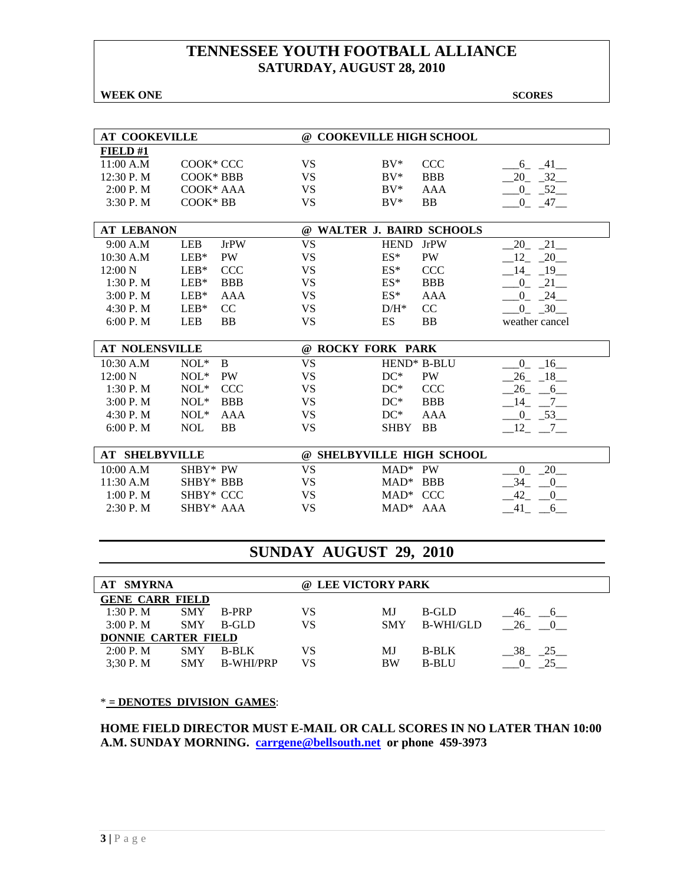#### **WEEK ONE** SCORES

| <b>AT COOKEVILLE</b> |                    | Q) | <b>COOKEVILLE HIGH SCHOOL</b> |             |                    |  |  |
|----------------------|--------------------|----|-------------------------------|-------------|--------------------|--|--|
| FIELD#1              |                    |    |                               |             |                    |  |  |
| 11:00 A.M            | COOK* CCC          | VS | $\rm BV^*$                    | CCC         | 41<br><sub>0</sub> |  |  |
| 12:30 P. M           | $COOK*BBB$         | VS | $BV^*$                        | <b>BBB</b>  | 32<br>20           |  |  |
| 2:00 P. M            | $COOK*AAA$         | VS | $BV^*$                        | AAA         | 52                 |  |  |
| 3:30P. M             | $COOK*BB$          | VS | $\rm BV^*$                    | BB          | 47                 |  |  |
|                      |                    |    |                               |             |                    |  |  |
| <b>AT LEBANON</b>    |                    | @  | WALTER J. BAIRD SCHOOLS       |             |                    |  |  |
| 9:00 A.M             | <b>LEB</b><br>JrPW | VS | <b>HEND</b>                   | <b>JrPW</b> | 21                 |  |  |
| 10:30 A.M            | LEB*<br><b>PW</b>  | VS | $ES*$                         | <b>PW</b>   |                    |  |  |

| 12:00 N   | LEB <sup>*</sup> CCC |            | VS | $ES^*$     | <b>CCC</b> | 14             |
|-----------|----------------------|------------|----|------------|------------|----------------|
| 1:30 P. M | $IER*$               | <b>BBB</b> | VS | $ES^*$     | <b>BBB</b> |                |
| 3:00P M   | $LER*$               | AAA        | VS | $ES^*$     | AAA        | 24             |
| 4:30 P. M | $LEB*$ CC            |            | VS | $D/H^*$ CC |            | 30 F           |
| 6:00 P. M | LEB                  | <b>BB</b>  | VS | ES         | ΒB         | weather cancel |

| <b>AT NOLENSVILLE</b> |         |            | $\omega$ | <b>ROCKY FORK PARK</b>   |            |    |
|-----------------------|---------|------------|----------|--------------------------|------------|----|
| $10:30$ A.M           | $NOL^*$ | - B        | VS       | HEND <sup>*</sup> B-BLU  |            |    |
| $12:00\ N$            | $NOL^*$ | <b>PW</b>  | VS       | $DC^*$<br><b>PW</b>      |            |    |
| $1:30$ P. M           | $NOL^*$ | - CCC      | VS       | $DC^*$                   | CCC.       |    |
| 3:00 P. M             | $NOL^*$ | <b>BBB</b> | VS       | $DC^*$                   | <b>BBB</b> | 14 |
| 4:30 P.M              | $NOL^*$ | AAA        | VS       | $DC^*$                   | AAA        |    |
| 6:00 P. M             | NOL.    | <b>BB</b>  | VS       | <b>BB</b><br><b>SHRY</b> |            |    |

| <b>AT SHELBYVILLE</b> |             |    | @ SHELBYVILLE HIGH SCHOOL |  |
|-----------------------|-------------|----|---------------------------|--|
| 10:00 A.M             | $SHBY*PW$   |    | $MAP^*$ PW                |  |
| 11:30 A.M             | SHBY* BBB   | VS | $MAD^*$ BBB               |  |
| 1:00 P. M             | SHBY* CCC   | VS | $MAP^*$ CCC               |  |
| 2:30P. M              | $SHBY* AAA$ | VS | $MAD^*$ $AAA$             |  |

# **SUNDAY AUGUST 29, 2010**

| <b>AT SMYRNA</b>           |            |                  |    | @ LEE VICTORY PARK |              |             |  |  |  |
|----------------------------|------------|------------------|----|--------------------|--------------|-------------|--|--|--|
| <b>GENE CARR FIELD</b>     |            |                  |    |                    |              |             |  |  |  |
| 1:30P M                    | <b>SMY</b> | B-PRP            | VS | МJ                 | B-GLD        | 46<br>$6-1$ |  |  |  |
| 3:00 P. M                  | <b>SMY</b> | B-GLD            | VS | <b>SMY</b>         | B-WHI/GLD    | 26          |  |  |  |
| <b>DONNIE CARTER FIELD</b> |            |                  |    |                    |              |             |  |  |  |
| 2:00 P. M                  | <b>SMY</b> | <b>B-BLK</b>     | VS | MJ                 | <b>B-BLK</b> | 38<br>25    |  |  |  |
| 3:30P. M                   | <b>SMY</b> | <b>B-WHI/PRP</b> | VS | <b>BW</b>          | <b>B-BLU</b> |             |  |  |  |

#### \* **= DENOTES DIVISION GAMES**:

**HOME FIELD DIRECTOR MUST E-MAIL OR CALL SCORES IN NO LATER THAN 10:00 A.M. SUNDAY MORNING. carrgene@bellsouth.net or phone 459-3973**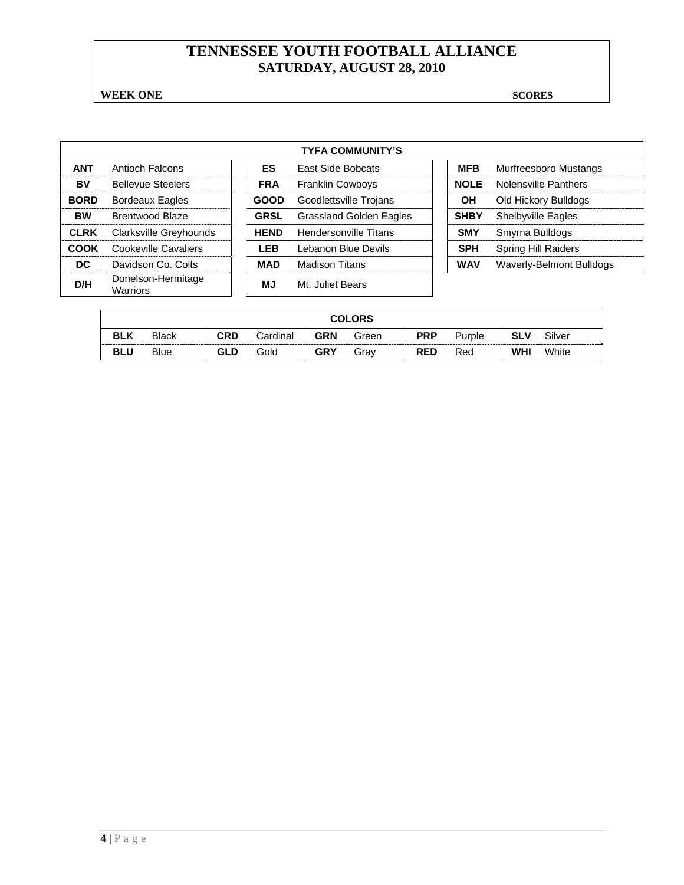**WEEK ONE** SCORES

|             | <b>TYFA COMMUNITY'S</b>               |  |             |                                |  |             |                            |  |  |  |  |
|-------------|---------------------------------------|--|-------------|--------------------------------|--|-------------|----------------------------|--|--|--|--|
| <b>ANT</b>  | Antioch Falcons                       |  | ES.         | <b>East Side Bobcats</b>       |  | <b>MFB</b>  | Murfreesboro Mustangs      |  |  |  |  |
| BV          | <b>Bellevue Steelers</b>              |  | <b>FRA</b>  | <b>Franklin Cowboys</b>        |  | <b>NOLE</b> | Nolensville Panthers       |  |  |  |  |
| <b>BORD</b> | <b>Bordeaux Eagles</b>                |  | <b>GOOD</b> | Goodlettsville Trojans         |  | OН          | Old Hickory Bulldogs       |  |  |  |  |
| <b>BW</b>   | Brentwood Blaze                       |  | <b>GRSL</b> | <b>Grassland Golden Eagles</b> |  | <b>SHBY</b> | <b>Shelbyville Eagles</b>  |  |  |  |  |
| <b>CLRK</b> | Clarksville Greyhounds                |  | <b>HEND</b> | Hendersonville Titans          |  | <b>SMY</b>  | Smyrna Bulldogs            |  |  |  |  |
| COOK        | Cookeville Cavaliers                  |  | LEB         | Lebanon Blue Devils            |  | <b>SPH</b>  | <b>Spring Hill Raiders</b> |  |  |  |  |
| DC.         | Davidson Co. Colts                    |  | MAD         | <b>Madison Titans</b>          |  | <b>WAV</b>  | Waverly-Belmont Bulldogs   |  |  |  |  |
| D/H         | Donelson-Hermitage<br><b>Warriors</b> |  | MJ          | Mt. Juliet Bears               |  |             |                            |  |  |  |  |

|            | <b>COLORS</b> |     |          |            |       |            |        |            |        |
|------------|---------------|-----|----------|------------|-------|------------|--------|------------|--------|
| <b>BLK</b> | <b>Black</b>  | CRD | Cardinal | <b>GRN</b> | Green | <b>PRP</b> | Purple | <b>SLV</b> | Silver |
| <b>BLU</b> | <b>Blue</b>   | GLD | Gold     | <b>GRY</b> | Grav  | <b>RED</b> | Red    | WHI        | White  |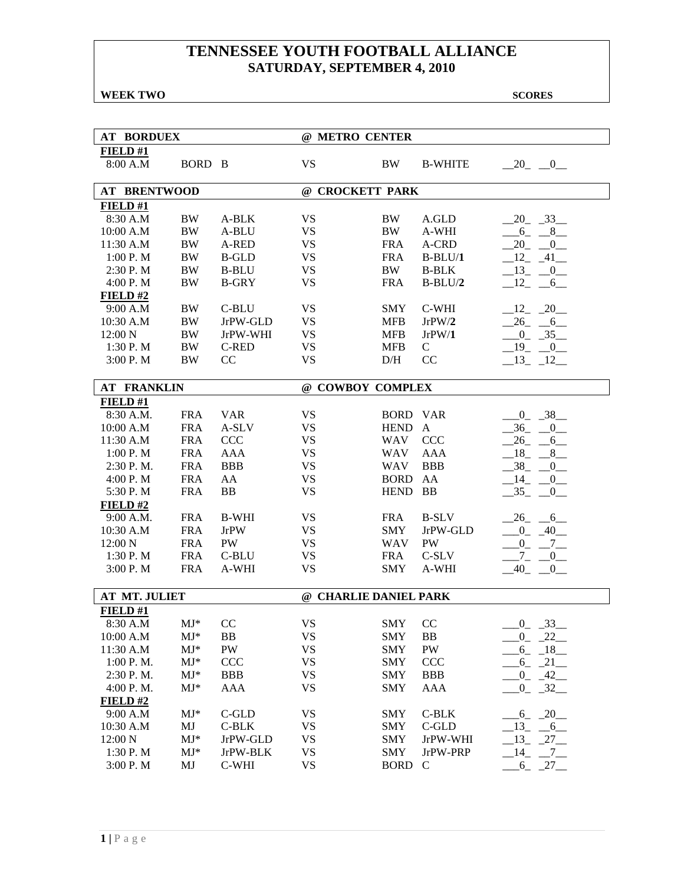**WEEK TWO SCORES** 

| <b>AT BORDUEX</b>   |                          |              | @ METRO CENTER        |                 |                |                      |
|---------------------|--------------------------|--------------|-----------------------|-----------------|----------------|----------------------|
| FIELD#1             |                          |              |                       |                 |                |                      |
| 8:00 A.M            | BORD B                   |              | <b>VS</b>             | BW              | <b>B-WHITE</b> | $-20$ $-0$           |
| <b>AT BRENTWOOD</b> |                          |              | @ CROCKETT PARK       |                 |                |                      |
| FIELD#1             |                          |              |                       |                 |                |                      |
| 8:30 A.M            | BW                       | A-BLK        | <b>VS</b>             | BW              | A.GLD          | $20 - 33$            |
| 10:00 A.M           | BW                       | A-BLU        | <b>VS</b>             | BW              | A-WHI          | $-6 - 8$             |
| 11:30 A.M           | BW                       | A-RED        | <b>VS</b>             | <b>FRA</b>      | A-CRD          | $-20$ $-0$           |
| 1:00 P. M           | BW                       | <b>B-GLD</b> | <b>VS</b>             | <b>FRA</b>      | $B-BLU/1$      | $12 - 41$            |
| 2:30 P.M            | <b>BW</b>                | <b>B-BLU</b> | <b>VS</b>             | <b>BW</b>       | <b>B-BLK</b>   | $-13$ $-0$           |
| 4:00 P.M            | BW                       | <b>B-GRY</b> | <b>VS</b>             | <b>FRA</b>      | $B-BLU/2$      | $-12$ $-6$           |
| $FIED$ #2           |                          |              |                       |                 |                |                      |
| 9:00 A.M            | <b>BW</b>                | C-BLU        | <b>VS</b>             | <b>SMY</b>      | C-WHI          | $-12$ $-20$          |
| 10:30 A.M           | <b>BW</b>                | JrPW-GLD     | <b>VS</b>             | <b>MFB</b>      | JrPW/2         | $26 - 6$             |
| 12:00 N             | $\rm BW$                 | JrPW-WHI     | <b>VS</b>             | <b>MFB</b>      | JrPW/1         | $-0$ $-35$           |
| 1:30 P.M            | <b>BW</b>                | <b>C-RED</b> | <b>VS</b>             | <b>MFB</b>      | $\mathbf C$    | 19<br>$-0$           |
| 3:00 P.M            | <b>BW</b>                | CC           | <b>VS</b>             | D/H             | CC             | $-13 - 12$           |
|                     |                          |              |                       |                 |                |                      |
| <b>AT FRANKLIN</b>  |                          |              | @ COWBOY COMPLEX      |                 |                |                      |
| FIELD#1             |                          |              |                       |                 |                |                      |
| 8:30 A.M.           | <b>FRA</b>               | <b>VAR</b>   | <b>VS</b>             | <b>BORD VAR</b> |                | $-38$<br>$0_{-}$     |
| 10:00 A.M           | <b>FRA</b>               | A-SLV        | <b>VS</b>             | <b>HEND</b>     | $\mathbf{A}$   | $-36$<br>0           |
| 11:30 A.M           | <b>FRA</b>               | <b>CCC</b>   | <b>VS</b>             | WAV             | <b>CCC</b>     | 26<br>6              |
| 1:00 P. M           | <b>FRA</b>               | <b>AAA</b>   | <b>VS</b>             | <b>WAV</b>      | <b>AAA</b>     | 18<br>8              |
| 2:30 P.M.           | <b>FRA</b>               | <b>BBB</b>   | <b>VS</b>             | WAV             | <b>BBB</b>     | $-38$<br>$_{0}^{-}$  |
| 4:00 P.M            | <b>FRA</b>               | AA           | <b>VS</b>             | <b>BORD</b>     | AA             | $-14$<br>$-0$        |
| 5:30 P.M            | <b>FRA</b>               | <b>BB</b>    | <b>VS</b>             | <b>HEND</b>     | <b>BB</b>      | $-35 - 0$            |
| $FIED$ #2           |                          |              |                       |                 |                |                      |
| 9:00 A.M.           | <b>FRA</b>               | <b>B-WHI</b> | <b>VS</b>             | <b>FRA</b>      | <b>B-SLV</b>   | $-26$ $-6$           |
| 10:30 A.M           | <b>FRA</b>               | <b>JrPW</b>  | <b>VS</b>             | <b>SMY</b>      | JrPW-GLD       | $-0$ $-40$           |
| 12:00 N             | <b>FRA</b>               | <b>PW</b>    | <b>VS</b>             | WAV             | <b>PW</b>      | $-0$ $-7$ $-$        |
| 1:30 P.M            | <b>FRA</b>               | C-BLU        | <b>VS</b>             | <b>FRA</b>      | C-SLV          | $-7 - -0$            |
| 3:00 P. M           | <b>FRA</b>               | A-WHI        | <b>VS</b>             | <b>SMY</b>      | A-WHI          | $-40$<br>0           |
| AT MT. JULIET       |                          |              | @ CHARLIE DANIEL PARK |                 |                |                      |
| FIELD#1             |                          |              |                       |                 |                |                      |
| 8:30 A.M            | $\mathbf{M}\mathbf{J}^*$ | CC           | <b>VS</b>             | <b>SMY</b>      | CC             | 33<br>$\overline{0}$ |
| 10:00 A.M           | $MJ*$                    | BB           | <b>VS</b>             | <b>SMY</b>      | BB             | $0 - 22$             |
| 11:30 A.M           | $MJ^*$                   | PW           | <b>VS</b>             | <b>SMY</b>      | ${\rm PW}$     | $6_{-}$<br>$-18$     |
| 1:00 P.M.           | $MJ*$                    | <b>CCC</b>   | <b>VS</b>             | <b>SMY</b>      | <b>CCC</b>     | $-6 - 21$            |
| 2:30 P.M.           | $MJ*$                    | <b>BBB</b>   | <b>VS</b>             | <b>SMY</b>      | <b>BBB</b>     | $^{0}$<br>$-42$      |
| 4:00 P.M.           | $MJ*$                    | <b>AAA</b>   | <b>VS</b>             | <b>SMY</b>      | AAA            | $-32$<br>$^{0}$      |
| $FIED$ #2           |                          |              |                       |                 |                |                      |
| 9:00 A.M            | $\mathrm{MJ}^*$          | $C$ -GLD     | <b>VS</b>             | SMY             | $C-BLK$        | $-6 - 20$            |
| 10:30 A.M           | MJ                       | C-BLK        | <b>VS</b>             | <b>SMY</b>      | $C$ -GLD       | $-13 - 6$            |
| 12:00 N             | $MJ*$                    | JrPW-GLD     | <b>VS</b>             | <b>SMY</b>      | JrPW-WHI       | $-13$ $-27$          |
| 1:30 P.M            | $MJ^*$                   | JrPW-BLK     | <b>VS</b>             | <b>SMY</b>      | JrPW-PRP       | $-14$ $-7$           |
| 3:00 P.M            | MJ                       | C-WHI        | <b>VS</b>             | <b>BORD</b>     | $\mathsf{C}$   | $-6 - 27$            |
|                     |                          |              |                       |                 |                |                      |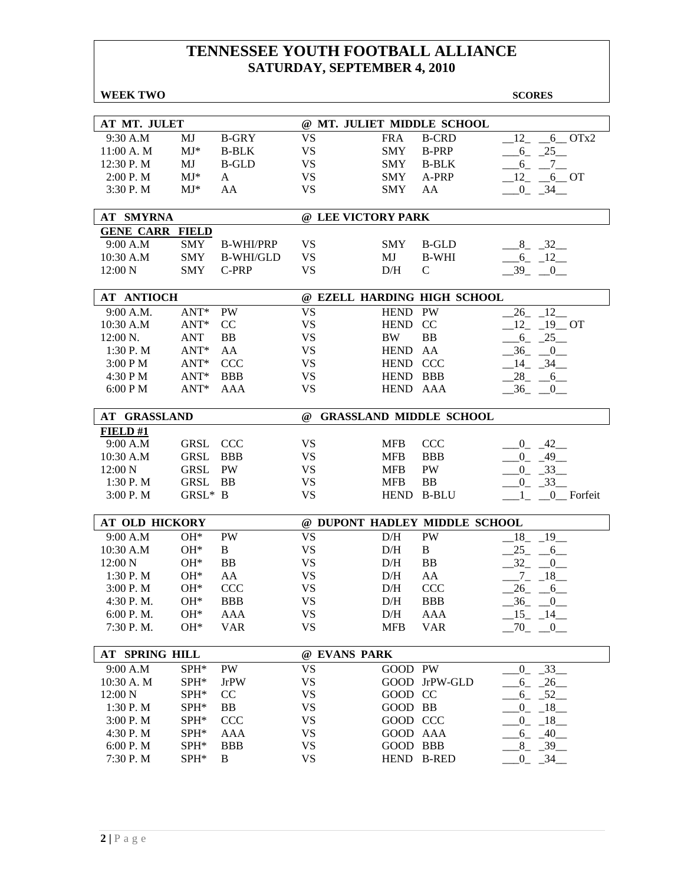| <b>WEEK TWO</b>        |                  |                  |              |                    |                                | <b>SCORES</b>                       |
|------------------------|------------------|------------------|--------------|--------------------|--------------------------------|-------------------------------------|
|                        |                  |                  |              |                    |                                |                                     |
| AT MT. JULET           |                  |                  |              |                    | @ MT. JULIET MIDDLE SCHOOL     |                                     |
| 9:30 A.M               | MJ               | <b>B-GRY</b>     | <b>VS</b>    | <b>FRA</b>         | <b>B-CRD</b>                   | $6$ OTx2<br>12                      |
| 11:00 A.M              | $MJ^*$           | <b>B-BLK</b>     | <b>VS</b>    | <b>SMY</b>         | <b>B-PRP</b>                   | 25<br>6                             |
| 12:30 P.M              | MJ               | <b>B-GLD</b>     | <b>VS</b>    | <b>SMY</b>         | <b>B-BLK</b>                   | $-6 - -7$                           |
| 2:00 P. M              | $MJ*$            | A                | <b>VS</b>    | <b>SMY</b>         | A-PRP                          | $12 - 6$ OT                         |
| 3:30 P.M               | $MJ^*$           | AA               | <b>VS</b>    | <b>SMY</b>         | AA                             | $-0$ $-34$ $-$                      |
| <b>AT SMYRNA</b>       |                  |                  |              | @ LEE VICTORY PARK |                                |                                     |
| <b>GENE CARR FIELD</b> |                  |                  |              |                    |                                |                                     |
| 9:00 A.M               | SMY              | <b>B-WHI/PRP</b> | <b>VS</b>    | <b>SMY</b>         | <b>B-GLD</b>                   | $8 - 32$                            |
| 10:30 A.M              | <b>SMY</b>       | <b>B-WHI/GLD</b> | <b>VS</b>    | MJ                 | <b>B-WHI</b>                   | $-6 - 12$                           |
| 12:00 N                | <b>SMY</b>       | C-PRP            | <b>VS</b>    | D/H                | $\mathsf{C}$                   | $-39 - 0$                           |
| <b>AT ANTIOCH</b>      |                  |                  |              |                    | @ EZELL HARDING HIGH SCHOOL    |                                     |
| 9:00 A.M.              | $ANT*$           | <b>PW</b>        | <b>VS</b>    | <b>HEND</b>        | PW                             | 26<br>12                            |
| 10:30 A.M              | $ANT*$           | CC               | <b>VS</b>    | <b>HEND</b>        | <sub>CC</sub>                  | $12 - 19$ OT                        |
| 12:00 N.               | <b>ANT</b>       | <b>BB</b>        | <b>VS</b>    | <b>BW</b>          | <b>BB</b>                      | $6 - 25$                            |
| 1:30 P. M              | $ANT*$           | AA               | <b>VS</b>    | <b>HEND</b>        | AA                             | $-36$ $-0$                          |
| 3:00 PM                | $ANT*$           | <b>CCC</b>       | <b>VS</b>    | HEND CCC           |                                | $-14$ $-34$                         |
| 4:30 P M               | $ANT*$           | <b>BBB</b>       | <b>VS</b>    | HEND BBB           |                                | $-28$ <sub>-</sub> $-6$             |
| 6:00 P M               | $ANT*$           | AAA              | <b>VS</b>    | <b>HEND</b>        | AAA                            | $-36$ $-0$                          |
|                        |                  |                  |              |                    |                                |                                     |
| AT GRASSLAND           |                  |                  | $\omega$     |                    | <b>GRASSLAND MIDDLE SCHOOL</b> |                                     |
| FIELD#1                |                  |                  |              |                    |                                |                                     |
| 9:00 A.M               | GRSL             | <b>CCC</b>       | <b>VS</b>    | <b>MFB</b>         | <b>CCC</b>                     | $-0$ $-42$ $-$                      |
| 10:30 A.M              | <b>GRSL</b>      | <b>BBB</b>       | <b>VS</b>    | <b>MFB</b>         | <b>BBB</b>                     | $-0$ $-49$ $-$                      |
| 12:00 N                | <b>GRSL</b>      | PW               | <b>VS</b>    | <b>MFB</b>         | PW                             | $-0$ $-33$                          |
| 1:30P. M               | <b>GRSL</b>      | BB               | <b>VS</b>    | <b>MFB</b>         | <b>BB</b>                      | $-0$ $-33$                          |
| 3:00 P. M              | GRSL* B          |                  | <b>VS</b>    | <b>HEND</b>        | <b>B-BLU</b>                   | 0 Forfeit<br>1                      |
| <b>AT OLD HICKORY</b>  |                  |                  |              |                    | @ DUPONT HADLEY MIDDLE SCHOOL  |                                     |
| 9:00 A.M               | $OH*$            | PW               | <b>VS</b>    | D/H                | PW                             | $18 - 19$                           |
| 10:30 A.M              | $OH*$            | B                | <b>VS</b>    | D/H                | B                              | $25 - 6$                            |
| 12:00 N                | $OH*$            | <b>BB</b>        | <b>VS</b>    | D/H                | <b>BB</b>                      | $-32$<br>$\overline{0}$             |
| 1:30 P.M               | $OH*$            | AA               | <b>VS</b>    | D/H                | AA                             | $7_{-}$<br>$-18$                    |
| 3:00 P.M               | $OH*$            | <b>CCC</b>       | <b>VS</b>    | D/H CCC            |                                | $-26$<br>$-6$                       |
| 4:30 P.M.              | $OH*$            | <b>BBB</b>       | <b>VS</b>    | D/H                | <b>BBB</b>                     | $-36$<br>$_{-0}$                    |
| 6:00 P.M.              | OH*              | AAA              | <b>VS</b>    | D/H                | AAA                            | 15<br>$-14$                         |
| 7:30 P.M.              | OH*              | <b>VAR</b>       | <b>VS</b>    | <b>MFB</b>         | <b>VAR</b>                     | $-70$<br>$\overline{\phantom{0}}^0$ |
| <b>AT SPRING HILL</b>  |                  |                  | @ EVANS PARK |                    |                                |                                     |
| 9:00 A.M               | SPH*             | PW               | <b>VS</b>    | GOOD PW            |                                | $-33$<br>$0_{-}$                    |
| 10:30 A. M             | SPH*             | <b>JrPW</b>      | <b>VS</b>    |                    | GOOD JrPW-GLD                  | $-26$<br>$6_{-}$                    |
| 12:00 N                | SPH <sup>*</sup> | CC               | <b>VS</b>    | GOOD CC            |                                | $-52$<br>6                          |
| 1:30 P.M               | SPH*             | BB               | <b>VS</b>    | GOOD BB            |                                | $-18$<br>$0_{-}$                    |
| 3:00 P.M               | SPH*             | <b>CCC</b>       | <b>VS</b>    | GOOD CCC           |                                | $-18$<br>$0_{-}$                    |
| 4:30 P.M               | SPH*             | AAA              | <b>VS</b>    | GOOD AAA           |                                | $-40$<br>$6_{-}$                    |
| 6:00 P.M               | SPH*             | <b>BBB</b>       | <b>VS</b>    | GOOD BBB           |                                | $-39$<br>$8_{-}$                    |
|                        |                  |                  |              |                    |                                |                                     |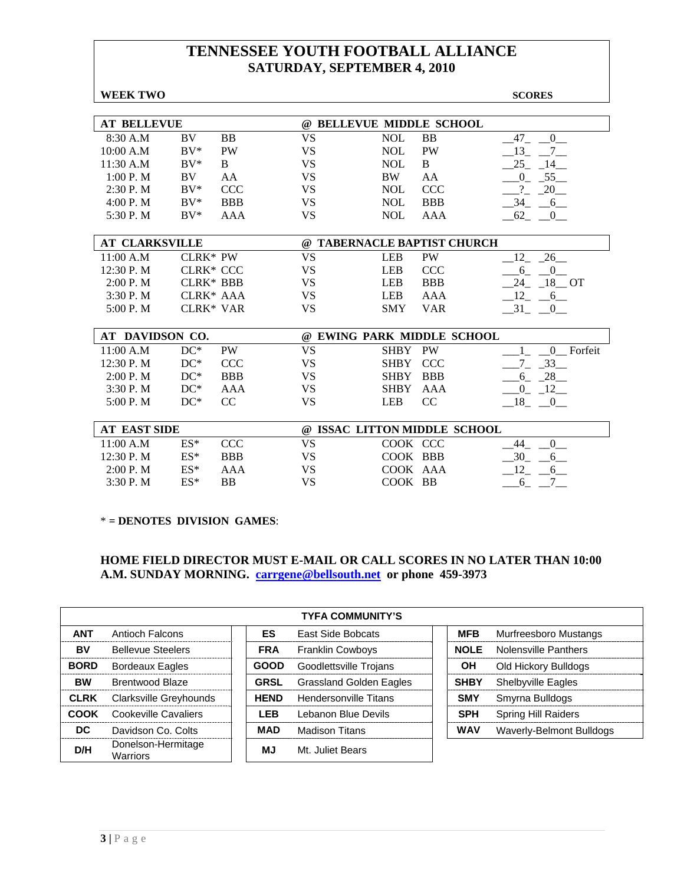| <b>WEEK TWO</b>       |                  |                  |           |                              |            | <b>SCORES</b>                          |
|-----------------------|------------------|------------------|-----------|------------------------------|------------|----------------------------------------|
|                       |                  |                  |           |                              |            |                                        |
| <b>AT BELLEVUE</b>    |                  |                  |           | @ BELLEVUE MIDDLE SCHOOL     |            |                                        |
| 8:30 A.M              | BV               | <b>BB</b>        | <b>VS</b> | <b>NOL</b>                   | <b>BB</b>  | 47<br>$\overline{0}$                   |
| 10:00 A.M             | $BV^*$           | <b>PW</b>        | <b>VS</b> | <b>NOL</b>                   | <b>PW</b>  | 13<br>$7\overline{ }$                  |
| 11:30 A.M             | $BV^*$           | B                | <b>VS</b> | <b>NOL</b>                   | $\bf{B}$   | 25<br>14                               |
| 1:00 P. M             | BV.              | AA               | <b>VS</b> | <b>BW</b>                    | AA         | 55<br>$\overline{0}$                   |
| 2:30 P.M              | $BV^*$           | <b>CCC</b>       | <b>VS</b> | <b>NOL</b>                   | <b>CCC</b> | $\gamma$<br>20                         |
| 4:00 P. M             | $BV^*$           | <b>BBB</b>       | <b>VS</b> | <b>NOL</b>                   | <b>BBB</b> | $-34$<br>$-6$                          |
| 5:30 P.M              | $BV^*$           | AAA              | <b>VS</b> | <b>NOL</b>                   | <b>AAA</b> | $62 - 0$                               |
|                       |                  |                  |           |                              |            |                                        |
| <b>AT CLARKSVILLE</b> |                  |                  |           | @ TABERNACLE BAPTIST CHURCH  |            |                                        |
| 11:00 A.M             | CLRK* PW         |                  | <b>VS</b> | <b>LEB</b>                   | PW         | 26<br>12                               |
| 12:30 P.M             |                  | <b>CLRK* CCC</b> | <b>VS</b> | <b>LEB</b>                   | <b>CCC</b> | 6<br>$\mathbf{0}$                      |
| 2:00 P. M             | <b>CLRK* BBB</b> |                  | <b>VS</b> | <b>LEB</b>                   | <b>BBB</b> | 18 OT<br>24                            |
| 3:30P. M              |                  | CLRK* AAA        | <b>VS</b> | <b>LEB</b>                   | AAA        | $-12 - -6$                             |
| 5:00 P.M              |                  | <b>CLRK* VAR</b> | <b>VS</b> | <b>SMY</b>                   | <b>VAR</b> | 31<br>$\begin{array}{c} 0 \end{array}$ |
|                       |                  |                  |           |                              |            |                                        |
| AT DAVIDSON CO.       |                  |                  |           | @ EWING PARK MIDDLE SCHOOL   |            |                                        |
| 11:00 A.M             | $DC^*$           | PW               | <b>VS</b> | <b>SHBY</b>                  | PW         | 0 Forfeit                              |
| 12:30 P.M             | $DC^*$           | <b>CCC</b>       | <b>VS</b> | <b>SHBY</b>                  | <b>CCC</b> | $-33$                                  |
| 2:00 P. M             | $DC^*$           | <b>BBB</b>       | <b>VS</b> | <b>SHBY</b>                  | <b>BBB</b> | 28<br>6                                |
| 3:30P. M              | $DC^*$           | AAA              | <b>VS</b> | <b>SHBY</b>                  | AAA        | $-12$<br>$_{0}$                        |
| 5:00 P.M              | $DC^*$           | CC               | <b>VS</b> | <b>LEB</b>                   | CC         | $18 - 0$                               |
|                       |                  |                  |           |                              |            |                                        |
| <b>AT EAST SIDE</b>   |                  |                  |           | @ ISSAC LITTON MIDDLE SCHOOL |            |                                        |
| 11:00 A.M             | $ES^*$           | <b>CCC</b>       | <b>VS</b> | COOK CCC                     |            | $\overline{0}$<br>44                   |
| 12:30 P.M             | $ES^*$           | <b>BBB</b>       | <b>VS</b> | COOK BBB                     |            | 30<br>6                                |
| 2:00 P. M             | $ES*$            | AAA              | <b>VS</b> | COOK AAA                     |            | 12<br>6                                |
| 3:30 P.M              | $ES*$            | BB               | <b>VS</b> | COOK BB                      |            | 7<br>$6 -$                             |

\* **= DENOTES DIVISION GAMES**:

#### **HOME FIELD DIRECTOR MUST E-MAIL OR CALL SCORES IN NO LATER THAN 10:00 A.M. SUNDAY MORNING. carrgene@bellsouth.net or phone 459-3973**

|             | <b>TYFA COMMUNITY'S</b>               |  |             |                                |  |             |                              |  |  |  |  |
|-------------|---------------------------------------|--|-------------|--------------------------------|--|-------------|------------------------------|--|--|--|--|
| <b>ANT</b>  | Antioch Falcons                       |  | <b>ES</b>   | East Side Bobcats              |  | <b>MFB</b>  | <b>Murfreesboro Mustangs</b> |  |  |  |  |
| BV          | <b>Bellevue Steelers</b>              |  | <b>FRA</b>  | <b>Franklin Cowboys</b>        |  | <b>NOLE</b> | Nolensville Panthers         |  |  |  |  |
| <b>BORD</b> | Bordeaux Eagles                       |  | <b>GOOD</b> | Goodlettsville Trojans         |  | OН          | Old Hickory Bulldogs         |  |  |  |  |
| <b>BW</b>   | <b>Brentwood Blaze</b>                |  | <b>GRSL</b> | <b>Grassland Golden Eagles</b> |  | <b>SHBY</b> | <b>Shelbyville Eagles</b>    |  |  |  |  |
| <b>CLRK</b> | Clarksville Greyhounds                |  | <b>HEND</b> | <b>Hendersonville Titans</b>   |  | <b>SMY</b>  | Smyrna Bulldogs              |  |  |  |  |
| COOK        | Cookeville Cavaliers                  |  | <b>LEB</b>  | Lebanon Blue Devils            |  | <b>SPH</b>  | <b>Spring Hill Raiders</b>   |  |  |  |  |
| DC          | Davidson Co. Colts                    |  | MAD         | <b>Madison Titans</b>          |  | <b>WAV</b>  | Waverly-Belmont Bulldogs     |  |  |  |  |
| D/H         | Donelson-Hermitage<br><b>Warriors</b> |  | ΜJ          | Mt. Juliet Bears               |  |             |                              |  |  |  |  |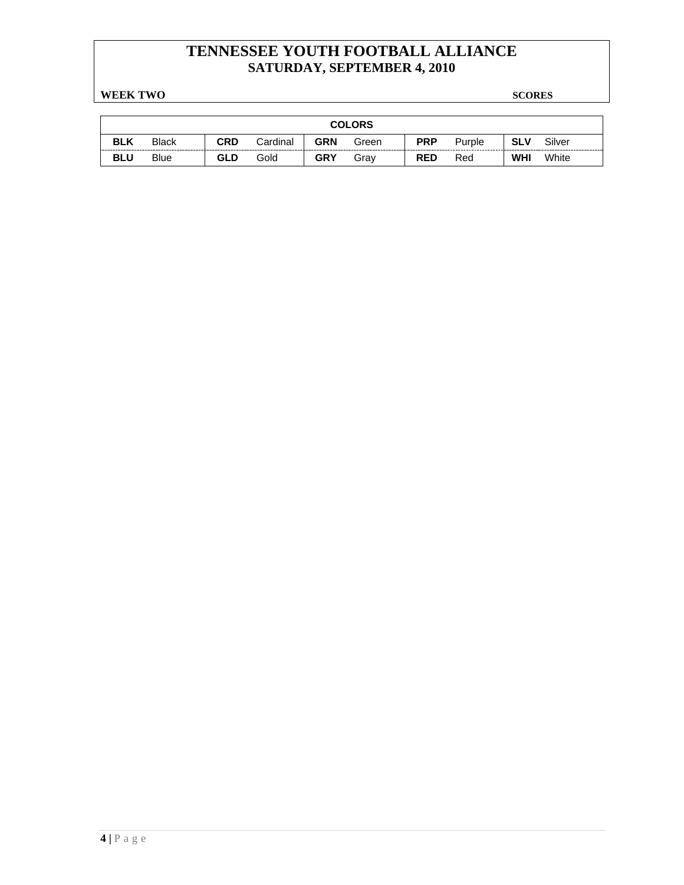**WEEK TWO SCORES** 

| <b>COLORS</b> |              |            |          |            |       |            |        |            |        |
|---------------|--------------|------------|----------|------------|-------|------------|--------|------------|--------|
| <b>BLK</b>    | <b>Black</b> | <b>CRD</b> | Cardinal | <b>GRN</b> | Green | <b>PRP</b> | Purple | <b>SLV</b> | Silver |
| <b>BLU</b>    | <b>Blue</b>  | <b>GLD</b> | Gold     | <b>GRY</b> | Grav  | <b>RED</b> | Red    | <b>WHI</b> | White  |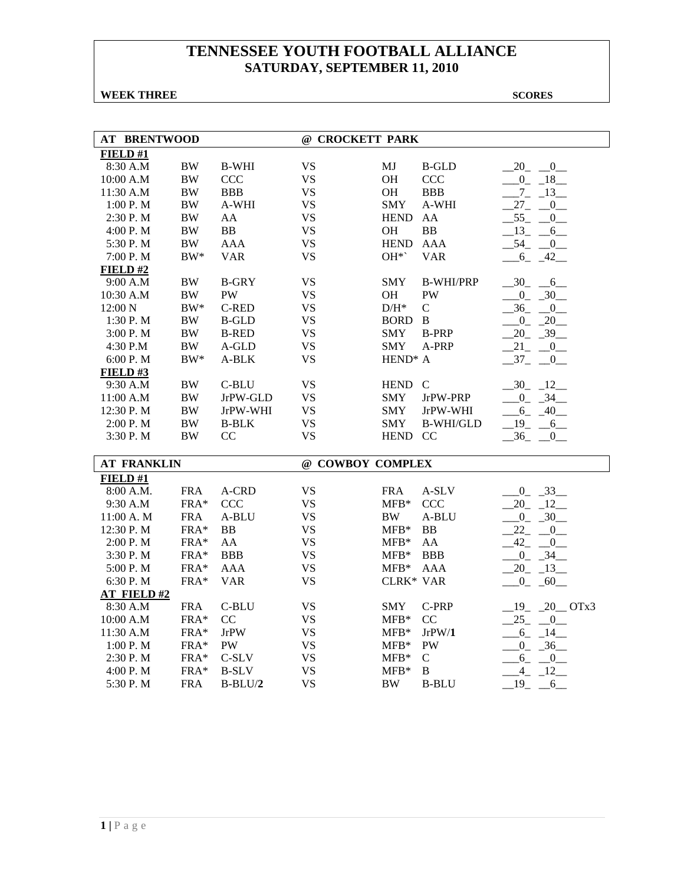### **WEEK THREE** SCORES

| <b>AT BRENTWOOD</b> |            |                | @ CROCKETT PARK  |                     |                  |                             |
|---------------------|------------|----------------|------------------|---------------------|------------------|-----------------------------|
| FIELD #1            |            |                |                  |                     |                  |                             |
| 8:30 A.M            | <b>BW</b>  | <b>B-WHI</b>   | <b>VS</b>        | MJ                  | <b>B-GLD</b>     | $20 - 0$                    |
| 10:00 A.M           | $\rm BW$   | <b>CCC</b>     | <b>VS</b>        | OH                  | <b>CCC</b>       | $0 - 18$                    |
| 11:30 A.M           | $\rm BW$   | <b>BBB</b>     | <b>VS</b>        | OH                  | <b>BBB</b>       | $-7 - 13$                   |
| $1:00$ P. M $\,$    | $\rm BW$   | A-WHI          | <b>VS</b>        | <b>SMY</b>          | A-WHI            | $27_{-}$<br>$\mathbf{0}$    |
| 2:30 P.M            | <b>BW</b>  | AA             | <b>VS</b>        | <b>HEND</b>         | AA               | $-55 - 0$                   |
| 4:00 P.M            | <b>BW</b>  | BB             | <b>VS</b>        | <b>OH</b>           | <b>BB</b>        | $-13 - 6$                   |
| 5:30 P.M            | $\rm BW$   | <b>AAA</b>     | <b>VS</b>        | <b>HEND</b>         | <b>AAA</b>       | $-54$ $-0$                  |
| 7:00 P.M            | $BW^*$     | <b>VAR</b>     | <b>VS</b>        | OH*`                | <b>VAR</b>       | $6 - 42$                    |
| FIELD#2             |            |                |                  |                     |                  |                             |
| 9:00 A.M            | <b>BW</b>  | <b>B-GRY</b>   | <b>VS</b>        | <b>SMY</b>          | <b>B-WHI/PRP</b> | $-30$ $-6$                  |
| 10:30 A.M           | <b>BW</b>  | PW             | <b>VS</b>        | <b>OH</b>           | <b>PW</b>        | $0 - 30$                    |
| 12:00 N             | $BW^*$     | <b>C-RED</b>   | <b>VS</b>        | $D/H^*$             | $\mathbf C$      | $-36 - 0$                   |
| 1:30 P.M            | <b>BW</b>  | <b>B-GLD</b>   | <b>VS</b>        | BORD                | $\mathbf{B}$     | $-0$ $-20$                  |
| 3:00 P.M            | $\rm BW$   | <b>B-RED</b>   | <b>VS</b>        | <b>SMY</b>          | <b>B-PRP</b>     | $20 - 39$                   |
| 4:30 P.M            | <b>BW</b>  | A-GLD          | <b>VS</b>        | <b>SMY</b>          | A-PRP            | 21<br>$-0$                  |
| $6:00$ P. M $\,$    | $\rm BW^*$ | A-BLK          | <b>VS</b>        | HEND <sup>*</sup> A |                  | $-37 - 0$                   |
| FIELD#3             |            |                |                  |                     |                  |                             |
| 9:30 A.M            | <b>BW</b>  | C-BLU          | <b>VS</b>        | HEND C              |                  | $-30$ $-12$                 |
| 11:00 A.M           | <b>BW</b>  | JrPW-GLD       | <b>VS</b>        | <b>SMY</b>          | JrPW-PRP         | $-0$ $-34$                  |
| 12:30 P.M           | <b>BW</b>  | JrPW-WHI       | <b>VS</b>        | <b>SMY</b>          | JrPW-WHI         | $-6 - 40$                   |
| 2:00 P.M            | $\rm BW$   | <b>B-BLK</b>   | <b>VS</b>        | <b>SMY</b>          | <b>B-WHI/GLD</b> | $-19$ $-6$                  |
| 3:30 P.M            | <b>BW</b>  | CC             | <b>VS</b>        | HEND CC             |                  | $-36 - 0$                   |
|                     |            |                |                  |                     |                  |                             |
| <b>AT FRANKLIN</b>  |            |                | @ COWBOY COMPLEX |                     |                  |                             |
| FIELD #1            |            |                |                  |                     |                  |                             |
| 8:00 A.M.           | <b>FRA</b> | A-CRD          | <b>VS</b>        | <b>FRA</b>          | A-SLV            | $0 - 33$                    |
| 9:30 A.M            | FRA*       | <b>CCC</b>     | <b>VS</b>        | $MFB*$              | CCC              | 20 12                       |
| 11:00 A. M          | <b>FRA</b> | A-BLU          | <b>VS</b>        | <b>BW</b>           | A-BLU            | $-0$ $-30$                  |
| 12:30 P.M           | FRA*       | B <sub>B</sub> | <b>VS</b>        | $MFB*$              | B <sub>B</sub>   | $22 - 0$                    |
| 2:00 P.M            | FRA*       | AA             | <b>VS</b>        | $MFB*$              | AA               | $-42$ $-$<br>$\overline{0}$ |
| 3:30 P.M            | FRA*       | <b>BBB</b>     | <b>VS</b>        | $MFB*$              | <b>BBB</b>       | $0 \quad 34$                |
| 5:00 P.M            | FRA*       | <b>AAA</b>     | <b>VS</b>        | $MFB*$              | <b>AAA</b>       | $-20 - 13$                  |
| 6:30 P.M            | FRA*       | <b>VAR</b>     | <b>VS</b>        | CLRK* VAR           |                  | $-0$ $-60$                  |
| <b>AT FIELD#2</b>   |            |                |                  |                     |                  |                             |
| 8:30 A.M            | <b>FRA</b> | C-BLU          | <b>VS</b>        | <b>SMY</b>          | C-PRP            | $19 - 20 - OTx3$            |
| 10:00 A.M           | $FRA*$     | CC             | <b>VS</b>        | $MFB*$              | CC               | $25 - 0$                    |
| 11:30 A.M           | FRA*       | <b>JrPW</b>    | <b>VS</b>        | $MFB*$              | JrPW/1           | $-6 - 14$                   |
| 1:00 P.M            | FRA*       | <b>PW</b>      | <b>VS</b>        | $MFB*$              | PW               | $-0$ $-36$                  |
| 2:30 P.M            | FRA*       | $C-SLV$        | <b>VS</b>        | $MFB*$              | $\mathbf C$      | $6 - 0$                     |
| 4:00 P.M            | FRA*       | <b>B-SLV</b>   | <b>VS</b>        | $MFB*$              | B                | $-4$ $-12$                  |
| 5:30 P.M            | <b>FRA</b> | $B-BLU/2$      | <b>VS</b>        | $\rm BW$            | <b>B-BLU</b>     | $19_{-}$<br>$6\,$           |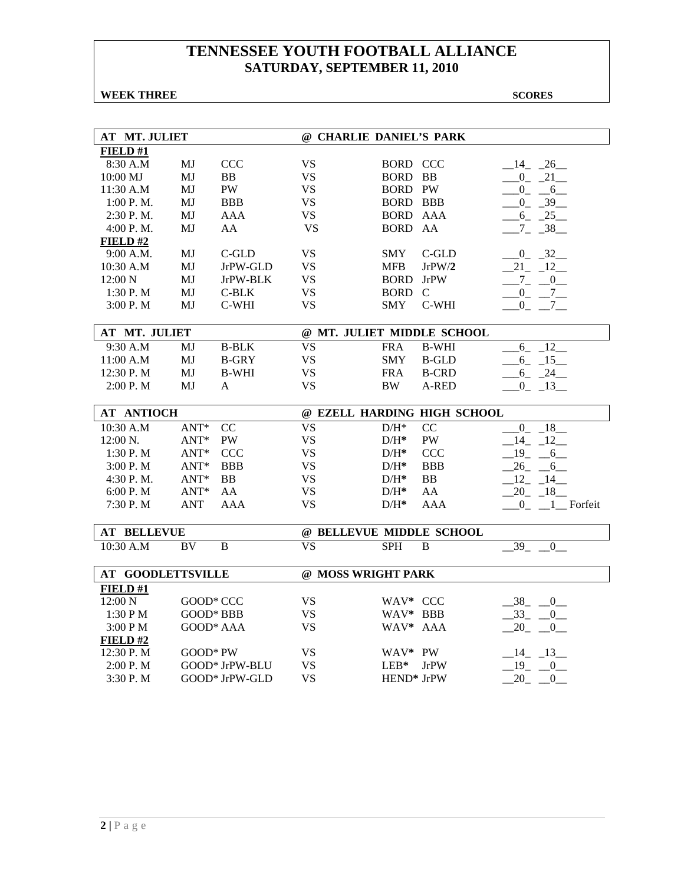### **WEEK THREE** SCORES

| FIELD#1<br><b>VS</b><br>8:30 A.M<br>MJ<br><b>CCC</b><br><b>BORD CCC</b><br>$-14$ $-26$<br><b>VS</b><br>10:00 MJ<br>MJ<br>BB<br><b>BORD BB</b><br>$0 - 21$<br>PW<br><b>VS</b><br><b>BORD PW</b><br>11:30 A.M<br>MJ<br>$0 - 6$<br><b>VS</b><br><b>BORD BBB</b><br>$-0$ $-39$<br>1:00 P. M.<br>MJ<br><b>BBB</b><br>2:30 P.M.<br><b>AAA</b><br><b>VS</b><br>BORD AAA<br>$6 - 25$<br>MJ<br><b>VS</b><br>4:00 P.M.<br>MJ<br>AA<br>BORD AA<br>$7 - 38$<br>FIELD#2<br>$C$ -GLD<br><b>VS</b><br><b>SMY</b><br>$C$ -GLD<br>$-0$ $-32$<br>9:00 A.M.<br>MJ<br><b>VS</b><br>JrPW/2<br>21 12<br>10:30 A.M<br>MJ<br>JrPW-GLD<br><b>MFB</b><br>12:00 N<br>JrPW-BLK<br><b>VS</b><br><b>BORD</b> JrPW<br>$-7 - 0$<br>MJ<br>1:30P. M<br>MJ<br>$C-BLK$<br>VS.<br>BORD C<br>$-0 - 7$<br>MJ<br>C-WHI<br><b>VS</b><br><b>SMY</b><br>C-WHI<br>3:00P. M<br>$0_{-}$<br>$7\phantom{0}$<br>@ MT. JULIET MIDDLE SCHOOL<br>AT MT. JULIET<br><b>VS</b><br>9:30 A.M<br><b>B-BLK</b><br><b>FRA</b><br><b>B-WHI</b><br>$6_{-}$<br>$\_12$<br>MJ<br>11:00 A.M<br><b>VS</b><br><b>SMY</b><br>MJ<br><b>B-GRY</b><br><b>B-GLD</b><br>$-6 - 15$<br>MJ<br><b>B-WHI</b><br><b>VS</b><br><b>B-CRD</b><br>12:30 P.M<br><b>FRA</b><br>6 24<br><b>VS</b><br>2:00 P.M<br>$0 - 13$<br>MJ<br>A<br>BW<br>A-RED<br><b>AT ANTIOCH</b><br>@ EZELL HARDING HIGH SCHOOL<br>$ANT*$<br>CC<br><b>VS</b><br>CC<br>10:30 A.M<br>$\mathrm{D/H^{*}}$<br>0<br>$\sqrt{18}$<br><b>VS</b><br>12:00 N.<br>$ANT*$<br>PW<br><b>PW</b><br>14 12<br>$D/H^*$<br><b>VS</b><br>1:30 P.M<br>$ANT*$<br><b>CCC</b><br><b>CCC</b><br>$-19$ $-6$<br>$D/H^*$<br>3:00 P.M<br>$ANT*$<br><b>BBB</b><br><b>VS</b><br><b>BBB</b><br>$26 - 6$<br>$D/H^*$<br>$ANT*$<br>BB<br><b>VS</b><br>$12 - 14$<br>4:30 P.M.<br>$D/H^*$<br><b>BB</b><br><b>VS</b><br>$ANT*$<br>AA<br>AA<br>$20 - 18$<br>6:00 P. M<br>$D/H^*$<br><b>VS</b><br>7:30 P.M<br><b>ANT</b><br><b>AAA</b><br><b>AAA</b><br>$0$ $1$ Forfeit<br>$D/H^*$<br><b>AT BELLEVUE</b><br>@ BELLEVUE MIDDLE SCHOOL<br><b>VS</b><br>10:30 A.M<br><b>BV</b><br>B<br><b>SPH</b><br>$\bf{B}$<br>39<br>$\mathbf{0}$<br><b>AT GOODLETTSVILLE</b><br>@ MOSS WRIGHT PARK | <b>AT MT. JULIET</b> |  | @ CHARLIE DANIEL'S PARK |  |  |  |  |  |
|----------------------------------------------------------------------------------------------------------------------------------------------------------------------------------------------------------------------------------------------------------------------------------------------------------------------------------------------------------------------------------------------------------------------------------------------------------------------------------------------------------------------------------------------------------------------------------------------------------------------------------------------------------------------------------------------------------------------------------------------------------------------------------------------------------------------------------------------------------------------------------------------------------------------------------------------------------------------------------------------------------------------------------------------------------------------------------------------------------------------------------------------------------------------------------------------------------------------------------------------------------------------------------------------------------------------------------------------------------------------------------------------------------------------------------------------------------------------------------------------------------------------------------------------------------------------------------------------------------------------------------------------------------------------------------------------------------------------------------------------------------------------------------------------------------------------------------------------------------------------------------------------------------------------------------------------------------------------------------------------------------------------------------------------------------------------------------------------------------------------------|----------------------|--|-------------------------|--|--|--|--|--|
|                                                                                                                                                                                                                                                                                                                                                                                                                                                                                                                                                                                                                                                                                                                                                                                                                                                                                                                                                                                                                                                                                                                                                                                                                                                                                                                                                                                                                                                                                                                                                                                                                                                                                                                                                                                                                                                                                                                                                                                                                                                                                                                            |                      |  |                         |  |  |  |  |  |
|                                                                                                                                                                                                                                                                                                                                                                                                                                                                                                                                                                                                                                                                                                                                                                                                                                                                                                                                                                                                                                                                                                                                                                                                                                                                                                                                                                                                                                                                                                                                                                                                                                                                                                                                                                                                                                                                                                                                                                                                                                                                                                                            |                      |  |                         |  |  |  |  |  |
|                                                                                                                                                                                                                                                                                                                                                                                                                                                                                                                                                                                                                                                                                                                                                                                                                                                                                                                                                                                                                                                                                                                                                                                                                                                                                                                                                                                                                                                                                                                                                                                                                                                                                                                                                                                                                                                                                                                                                                                                                                                                                                                            |                      |  |                         |  |  |  |  |  |
|                                                                                                                                                                                                                                                                                                                                                                                                                                                                                                                                                                                                                                                                                                                                                                                                                                                                                                                                                                                                                                                                                                                                                                                                                                                                                                                                                                                                                                                                                                                                                                                                                                                                                                                                                                                                                                                                                                                                                                                                                                                                                                                            |                      |  |                         |  |  |  |  |  |
|                                                                                                                                                                                                                                                                                                                                                                                                                                                                                                                                                                                                                                                                                                                                                                                                                                                                                                                                                                                                                                                                                                                                                                                                                                                                                                                                                                                                                                                                                                                                                                                                                                                                                                                                                                                                                                                                                                                                                                                                                                                                                                                            |                      |  |                         |  |  |  |  |  |
|                                                                                                                                                                                                                                                                                                                                                                                                                                                                                                                                                                                                                                                                                                                                                                                                                                                                                                                                                                                                                                                                                                                                                                                                                                                                                                                                                                                                                                                                                                                                                                                                                                                                                                                                                                                                                                                                                                                                                                                                                                                                                                                            |                      |  |                         |  |  |  |  |  |
|                                                                                                                                                                                                                                                                                                                                                                                                                                                                                                                                                                                                                                                                                                                                                                                                                                                                                                                                                                                                                                                                                                                                                                                                                                                                                                                                                                                                                                                                                                                                                                                                                                                                                                                                                                                                                                                                                                                                                                                                                                                                                                                            |                      |  |                         |  |  |  |  |  |
|                                                                                                                                                                                                                                                                                                                                                                                                                                                                                                                                                                                                                                                                                                                                                                                                                                                                                                                                                                                                                                                                                                                                                                                                                                                                                                                                                                                                                                                                                                                                                                                                                                                                                                                                                                                                                                                                                                                                                                                                                                                                                                                            |                      |  |                         |  |  |  |  |  |
|                                                                                                                                                                                                                                                                                                                                                                                                                                                                                                                                                                                                                                                                                                                                                                                                                                                                                                                                                                                                                                                                                                                                                                                                                                                                                                                                                                                                                                                                                                                                                                                                                                                                                                                                                                                                                                                                                                                                                                                                                                                                                                                            |                      |  |                         |  |  |  |  |  |
|                                                                                                                                                                                                                                                                                                                                                                                                                                                                                                                                                                                                                                                                                                                                                                                                                                                                                                                                                                                                                                                                                                                                                                                                                                                                                                                                                                                                                                                                                                                                                                                                                                                                                                                                                                                                                                                                                                                                                                                                                                                                                                                            |                      |  |                         |  |  |  |  |  |
|                                                                                                                                                                                                                                                                                                                                                                                                                                                                                                                                                                                                                                                                                                                                                                                                                                                                                                                                                                                                                                                                                                                                                                                                                                                                                                                                                                                                                                                                                                                                                                                                                                                                                                                                                                                                                                                                                                                                                                                                                                                                                                                            |                      |  |                         |  |  |  |  |  |
|                                                                                                                                                                                                                                                                                                                                                                                                                                                                                                                                                                                                                                                                                                                                                                                                                                                                                                                                                                                                                                                                                                                                                                                                                                                                                                                                                                                                                                                                                                                                                                                                                                                                                                                                                                                                                                                                                                                                                                                                                                                                                                                            |                      |  |                         |  |  |  |  |  |
|                                                                                                                                                                                                                                                                                                                                                                                                                                                                                                                                                                                                                                                                                                                                                                                                                                                                                                                                                                                                                                                                                                                                                                                                                                                                                                                                                                                                                                                                                                                                                                                                                                                                                                                                                                                                                                                                                                                                                                                                                                                                                                                            |                      |  |                         |  |  |  |  |  |
|                                                                                                                                                                                                                                                                                                                                                                                                                                                                                                                                                                                                                                                                                                                                                                                                                                                                                                                                                                                                                                                                                                                                                                                                                                                                                                                                                                                                                                                                                                                                                                                                                                                                                                                                                                                                                                                                                                                                                                                                                                                                                                                            |                      |  |                         |  |  |  |  |  |
|                                                                                                                                                                                                                                                                                                                                                                                                                                                                                                                                                                                                                                                                                                                                                                                                                                                                                                                                                                                                                                                                                                                                                                                                                                                                                                                                                                                                                                                                                                                                                                                                                                                                                                                                                                                                                                                                                                                                                                                                                                                                                                                            |                      |  |                         |  |  |  |  |  |
|                                                                                                                                                                                                                                                                                                                                                                                                                                                                                                                                                                                                                                                                                                                                                                                                                                                                                                                                                                                                                                                                                                                                                                                                                                                                                                                                                                                                                                                                                                                                                                                                                                                                                                                                                                                                                                                                                                                                                                                                                                                                                                                            |                      |  |                         |  |  |  |  |  |
|                                                                                                                                                                                                                                                                                                                                                                                                                                                                                                                                                                                                                                                                                                                                                                                                                                                                                                                                                                                                                                                                                                                                                                                                                                                                                                                                                                                                                                                                                                                                                                                                                                                                                                                                                                                                                                                                                                                                                                                                                                                                                                                            |                      |  |                         |  |  |  |  |  |
|                                                                                                                                                                                                                                                                                                                                                                                                                                                                                                                                                                                                                                                                                                                                                                                                                                                                                                                                                                                                                                                                                                                                                                                                                                                                                                                                                                                                                                                                                                                                                                                                                                                                                                                                                                                                                                                                                                                                                                                                                                                                                                                            |                      |  |                         |  |  |  |  |  |
|                                                                                                                                                                                                                                                                                                                                                                                                                                                                                                                                                                                                                                                                                                                                                                                                                                                                                                                                                                                                                                                                                                                                                                                                                                                                                                                                                                                                                                                                                                                                                                                                                                                                                                                                                                                                                                                                                                                                                                                                                                                                                                                            |                      |  |                         |  |  |  |  |  |
|                                                                                                                                                                                                                                                                                                                                                                                                                                                                                                                                                                                                                                                                                                                                                                                                                                                                                                                                                                                                                                                                                                                                                                                                                                                                                                                                                                                                                                                                                                                                                                                                                                                                                                                                                                                                                                                                                                                                                                                                                                                                                                                            |                      |  |                         |  |  |  |  |  |
|                                                                                                                                                                                                                                                                                                                                                                                                                                                                                                                                                                                                                                                                                                                                                                                                                                                                                                                                                                                                                                                                                                                                                                                                                                                                                                                                                                                                                                                                                                                                                                                                                                                                                                                                                                                                                                                                                                                                                                                                                                                                                                                            |                      |  |                         |  |  |  |  |  |
|                                                                                                                                                                                                                                                                                                                                                                                                                                                                                                                                                                                                                                                                                                                                                                                                                                                                                                                                                                                                                                                                                                                                                                                                                                                                                                                                                                                                                                                                                                                                                                                                                                                                                                                                                                                                                                                                                                                                                                                                                                                                                                                            |                      |  |                         |  |  |  |  |  |
|                                                                                                                                                                                                                                                                                                                                                                                                                                                                                                                                                                                                                                                                                                                                                                                                                                                                                                                                                                                                                                                                                                                                                                                                                                                                                                                                                                                                                                                                                                                                                                                                                                                                                                                                                                                                                                                                                                                                                                                                                                                                                                                            |                      |  |                         |  |  |  |  |  |
|                                                                                                                                                                                                                                                                                                                                                                                                                                                                                                                                                                                                                                                                                                                                                                                                                                                                                                                                                                                                                                                                                                                                                                                                                                                                                                                                                                                                                                                                                                                                                                                                                                                                                                                                                                                                                                                                                                                                                                                                                                                                                                                            |                      |  |                         |  |  |  |  |  |
|                                                                                                                                                                                                                                                                                                                                                                                                                                                                                                                                                                                                                                                                                                                                                                                                                                                                                                                                                                                                                                                                                                                                                                                                                                                                                                                                                                                                                                                                                                                                                                                                                                                                                                                                                                                                                                                                                                                                                                                                                                                                                                                            |                      |  |                         |  |  |  |  |  |
|                                                                                                                                                                                                                                                                                                                                                                                                                                                                                                                                                                                                                                                                                                                                                                                                                                                                                                                                                                                                                                                                                                                                                                                                                                                                                                                                                                                                                                                                                                                                                                                                                                                                                                                                                                                                                                                                                                                                                                                                                                                                                                                            |                      |  |                         |  |  |  |  |  |
|                                                                                                                                                                                                                                                                                                                                                                                                                                                                                                                                                                                                                                                                                                                                                                                                                                                                                                                                                                                                                                                                                                                                                                                                                                                                                                                                                                                                                                                                                                                                                                                                                                                                                                                                                                                                                                                                                                                                                                                                                                                                                                                            |                      |  |                         |  |  |  |  |  |
|                                                                                                                                                                                                                                                                                                                                                                                                                                                                                                                                                                                                                                                                                                                                                                                                                                                                                                                                                                                                                                                                                                                                                                                                                                                                                                                                                                                                                                                                                                                                                                                                                                                                                                                                                                                                                                                                                                                                                                                                                                                                                                                            |                      |  |                         |  |  |  |  |  |
|                                                                                                                                                                                                                                                                                                                                                                                                                                                                                                                                                                                                                                                                                                                                                                                                                                                                                                                                                                                                                                                                                                                                                                                                                                                                                                                                                                                                                                                                                                                                                                                                                                                                                                                                                                                                                                                                                                                                                                                                                                                                                                                            |                      |  |                         |  |  |  |  |  |
|                                                                                                                                                                                                                                                                                                                                                                                                                                                                                                                                                                                                                                                                                                                                                                                                                                                                                                                                                                                                                                                                                                                                                                                                                                                                                                                                                                                                                                                                                                                                                                                                                                                                                                                                                                                                                                                                                                                                                                                                                                                                                                                            |                      |  |                         |  |  |  |  |  |
|                                                                                                                                                                                                                                                                                                                                                                                                                                                                                                                                                                                                                                                                                                                                                                                                                                                                                                                                                                                                                                                                                                                                                                                                                                                                                                                                                                                                                                                                                                                                                                                                                                                                                                                                                                                                                                                                                                                                                                                                                                                                                                                            |                      |  |                         |  |  |  |  |  |
|                                                                                                                                                                                                                                                                                                                                                                                                                                                                                                                                                                                                                                                                                                                                                                                                                                                                                                                                                                                                                                                                                                                                                                                                                                                                                                                                                                                                                                                                                                                                                                                                                                                                                                                                                                                                                                                                                                                                                                                                                                                                                                                            |                      |  |                         |  |  |  |  |  |
| FIELD #1                                                                                                                                                                                                                                                                                                                                                                                                                                                                                                                                                                                                                                                                                                                                                                                                                                                                                                                                                                                                                                                                                                                                                                                                                                                                                                                                                                                                                                                                                                                                                                                                                                                                                                                                                                                                                                                                                                                                                                                                                                                                                                                   |                      |  |                         |  |  |  |  |  |
| 12:00 N<br>GOOD* CCC<br>VS<br>WAV* CCC<br>$-38$ $-0$                                                                                                                                                                                                                                                                                                                                                                                                                                                                                                                                                                                                                                                                                                                                                                                                                                                                                                                                                                                                                                                                                                                                                                                                                                                                                                                                                                                                                                                                                                                                                                                                                                                                                                                                                                                                                                                                                                                                                                                                                                                                       |                      |  |                         |  |  |  |  |  |
| <b>VS</b><br>33<br>1:30 P M<br>GOOD* BBB<br>WAV* BBB<br>$\mathbf{0}$                                                                                                                                                                                                                                                                                                                                                                                                                                                                                                                                                                                                                                                                                                                                                                                                                                                                                                                                                                                                                                                                                                                                                                                                                                                                                                                                                                                                                                                                                                                                                                                                                                                                                                                                                                                                                                                                                                                                                                                                                                                       |                      |  |                         |  |  |  |  |  |
| <b>VS</b><br>WAV* AAA<br>20<br>3:00 PM<br>GOOD* AAA<br>$\overline{0}$                                                                                                                                                                                                                                                                                                                                                                                                                                                                                                                                                                                                                                                                                                                                                                                                                                                                                                                                                                                                                                                                                                                                                                                                                                                                                                                                                                                                                                                                                                                                                                                                                                                                                                                                                                                                                                                                                                                                                                                                                                                      |                      |  |                         |  |  |  |  |  |
| FIELD#2                                                                                                                                                                                                                                                                                                                                                                                                                                                                                                                                                                                                                                                                                                                                                                                                                                                                                                                                                                                                                                                                                                                                                                                                                                                                                                                                                                                                                                                                                                                                                                                                                                                                                                                                                                                                                                                                                                                                                                                                                                                                                                                    |                      |  |                         |  |  |  |  |  |
| 12:30 P.M<br>$GOOD*PW$<br>VS.<br>WAV* PW<br>$-14$ $-13$                                                                                                                                                                                                                                                                                                                                                                                                                                                                                                                                                                                                                                                                                                                                                                                                                                                                                                                                                                                                                                                                                                                                                                                                                                                                                                                                                                                                                                                                                                                                                                                                                                                                                                                                                                                                                                                                                                                                                                                                                                                                    |                      |  |                         |  |  |  |  |  |
| <b>VS</b><br>$19 -$<br>2:00 P. M<br>GOOD* JrPW-BLU<br>$LEB*$<br><b>JrPW</b><br>$\overline{0}$                                                                                                                                                                                                                                                                                                                                                                                                                                                                                                                                                                                                                                                                                                                                                                                                                                                                                                                                                                                                                                                                                                                                                                                                                                                                                                                                                                                                                                                                                                                                                                                                                                                                                                                                                                                                                                                                                                                                                                                                                              |                      |  |                         |  |  |  |  |  |
| <b>VS</b><br>3:30 P.M<br>GOOD* JrPW-GLD<br>HEND* JrPW<br>$-20$ $-$<br>$_{0-}$                                                                                                                                                                                                                                                                                                                                                                                                                                                                                                                                                                                                                                                                                                                                                                                                                                                                                                                                                                                                                                                                                                                                                                                                                                                                                                                                                                                                                                                                                                                                                                                                                                                                                                                                                                                                                                                                                                                                                                                                                                              |                      |  |                         |  |  |  |  |  |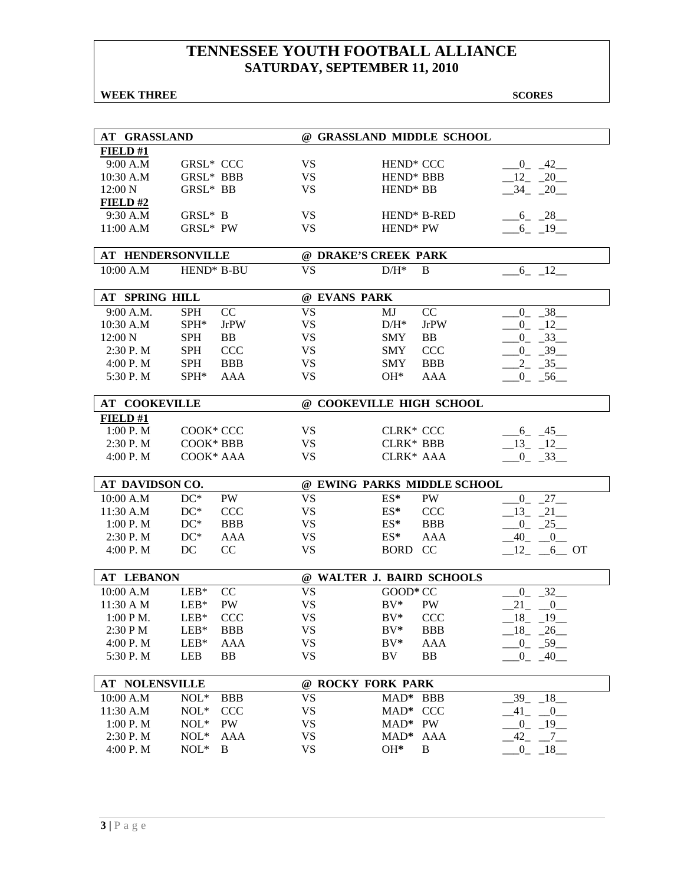### **WEEK THREE** SCORES

| <b>AT GRASSLAND</b>   |                          |              | @ GRASSLAND MIDDLE SCHOOL   |                         |
|-----------------------|--------------------------|--------------|-----------------------------|-------------------------|
| FIELD#1               |                          |              |                             |                         |
| 9:00 A.M              | <b>GRSL* CCC</b>         | VS           | HEND <sup>*</sup> CCC       | $-42$<br>$\overline{0}$ |
| $10:30$ A.M           | GRSL* BBB                | <b>VS</b>    | HEND <sup>*</sup> BBB       | 12<br>$-20$             |
| 12:00 N               | GRSL* BB                 | <b>VS</b>    | HEND <sup>*</sup> BB        | 34 20                   |
| FIELD#2               |                          |              |                             |                         |
| 9:30 A.M              | GRSL* B                  | <b>VS</b>    | HEND* B-RED                 | $6 - 28$                |
| 11:00 A.M             | GRSL* PW                 | <b>VS</b>    | HEND <sup>*</sup> PW        | $-6 - 19$               |
|                       |                          |              |                             |                         |
| AT HENDERSONVILLE     |                          |              | @ DRAKE'S CREEK PARK        |                         |
| 10:00 A.M             | HEND* B-BU               | <b>VS</b>    | $D/H^*$<br>B                | $6 - 12$                |
|                       |                          |              |                             |                         |
| AT SPRING HILL        |                          | @ EVANS PARK |                             |                         |
| 9:00 A.M.             | CC<br><b>SPH</b>         | <b>VS</b>    | CC<br>MJ                    | $-38$<br>$_{0}$         |
| 10:30 A.M             | SPH*<br><b>JrPW</b>      | <b>VS</b>    | <b>JrPW</b><br>$D/H^*$      | $-12$<br>$\overline{0}$ |
| 12:00 N               | <b>SPH</b><br>BB         | <b>VS</b>    | BB<br><b>SMY</b>            | $-33$<br>$0_{-}$        |
| 2:30 P.M              | <b>SPH</b><br><b>CCC</b> | <b>VS</b>    | <b>CCC</b><br><b>SMY</b>    | $-0$ $-39$              |
| 4:00 P. M             | <b>BBB</b><br><b>SPH</b> | <b>VS</b>    | <b>BBB</b><br><b>SMY</b>    | $-35$<br>$\mathbf{2}$   |
| 5:30 P.M              | $SPH*$<br>AAA            | <b>VS</b>    | $OH*$<br>AAA                | $0 - 56$                |
|                       |                          |              |                             |                         |
| <b>AT COOKEVILLE</b>  |                          |              | @ COOKEVILLE HIGH SCHOOL    |                         |
| FIELD#1               |                          |              |                             |                         |
| 1:00 P.M              | COOK* CCC                | VS           | <b>CLRK* CCC</b>            | $-6 - 45$               |
| 2:30 P.M              | COOK* BBB                | VS           | <b>CLRK* BBB</b>            | $-13 - 12$              |
| 4:00 P.M              | COOK* AAA                | <b>VS</b>    | CLRK* AAA                   | $0 - 33$                |
| AT DAVIDSON CO.       |                          |              | @ EWING PARKS MIDDLE SCHOOL |                         |
| 10:00 A.M             | $DC^*$<br>PW             | <b>VS</b>    | $ES^*$<br>PW                | $27 -$<br>$_{0}$        |
| 11:30 A.M             | $DC^*$<br><b>CCC</b>     | <b>VS</b>    | <b>CCC</b><br>$ES^*$        | $21$ <sub>—</sub><br>13 |
| 1:00 P. M             | $DC^*$<br><b>BBB</b>     | <b>VS</b>    | $ES^*$<br><b>BBB</b>        | 25<br>$_{0}$            |
| 2:30 P.M              | $DC^*$<br>AAA            | <b>VS</b>    | $ES^*$<br>AAA               | $-40$ $-0$              |
| 4:00 P.M              | DC<br>CC                 | <b>VS</b>    | BORD CC                     | $12 - 6$ OT             |
|                       |                          |              |                             |                         |
| <b>AT LEBANON</b>     |                          |              | @ WALTER J. BAIRD SCHOOLS   |                         |
| 10:00 A.M             | CC<br>$LEB*$             | VS           | GOOD* CC                    | 32<br>$\overline{0}$    |
| 11:30 A M             | $LEB*$<br><b>PW</b>      | <b>VS</b>    | $BV^*$<br><b>PW</b>         | 21<br>$\overline{0}$    |
| $1:00 P M$ .          | $LEB*$<br><b>CCC</b>     | <b>VS</b>    | $BV^*$<br><b>CCC</b>        | $18 - 19$               |
| 2:30 PM               | $LEB*$<br><b>BBB</b>     | VS           | $BV^*$<br><b>BBB</b>        | $-18$ $-26$ $-$         |
| 4:00 P.M              | $LEB*$<br>AAA            | <b>VS</b>    | $BV^*$<br><b>AAA</b>        | $-0$ $-59$              |
| 5:30 P.M              | LEB<br><b>BB</b>         | <b>VS</b>    | <b>BB</b><br>BV             | $-0 - 40$               |
|                       |                          |              |                             |                         |
| <b>AT NOLENSVILLE</b> |                          |              | @ ROCKY FORK PARK           |                         |
| 10:00 A.M             | $NOL*$<br><b>BBB</b>     | <b>VS</b>    | MAD* BBB                    | $-18$<br>$39_{-}$       |
| 11:30 A.M             | $NOL*$<br><b>CCC</b>     | <b>VS</b>    | $\rm MAD^*$<br><b>CCC</b>   | 41<br>$-0$              |
| 1:00 P.M              | $NOL*$<br><b>PW</b>      | <b>VS</b>    | MAD* PW                     | $-19$<br>$^{0}$         |
| 2:30 P.M              | $NOL*$<br>AAA            | <b>VS</b>    | AAA<br>$MAD*$               | $-42$<br>$-7$           |
| 4:00 P.M              | $NOL*$<br>B              | <b>VS</b>    | OH*<br>B                    | $\mathbf{0}$<br>$-18$   |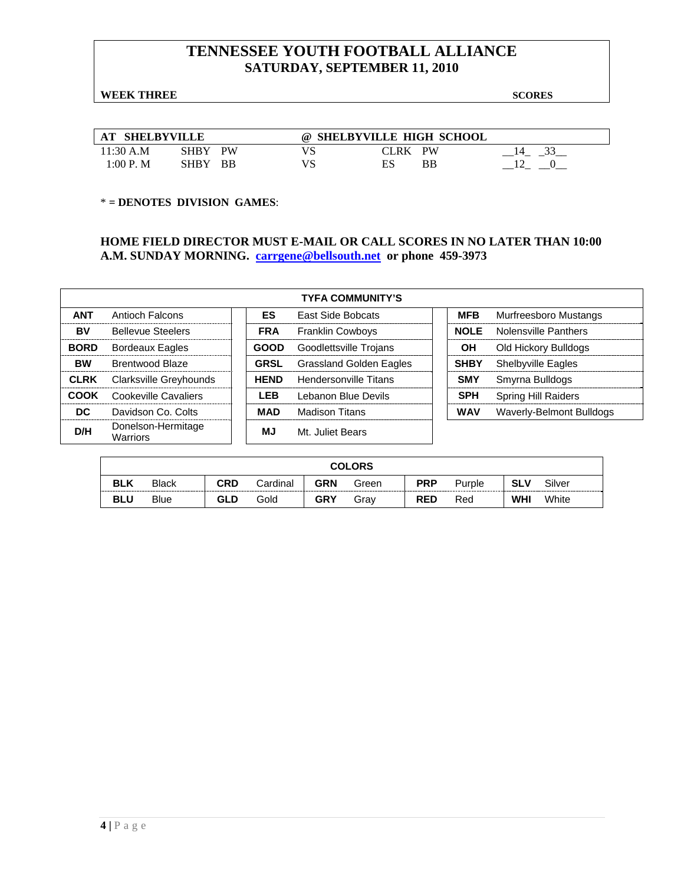#### **WEEK THREE** SCORES

| <b>AT SHELBYVILLE</b> |         |    | $\omega$ | <b>SHELBYVILLE HIGH SCHOOL</b> |    |  |
|-----------------------|---------|----|----------|--------------------------------|----|--|
| 11:30 A.M             | SHBY    | PW |          | CLRK PW                        |    |  |
| 1:00 P.M              | SHBY BB |    |          | ES                             | BB |  |

#### \* **= DENOTES DIVISION GAMES**:

#### **HOME FIELD DIRECTOR MUST E-MAIL OR CALL SCORES IN NO LATER THAN 10:00 A.M. SUNDAY MORNING. carrgene@bellsouth.net or phone 459-3973**

| <b>TYFA COMMUNITY'S</b> |                                |  |             |                                |  |             |                            |  |  |  |  |
|-------------------------|--------------------------------|--|-------------|--------------------------------|--|-------------|----------------------------|--|--|--|--|
| <b>ANT</b>              | Antioch Falcons                |  | ES.         | East Side Bobcats              |  | <b>MFB</b>  | Murfreesboro Mustangs      |  |  |  |  |
| BV                      | <b>Bellevue Steelers</b>       |  | <b>FRA</b>  | <b>Franklin Cowboys</b>        |  | <b>NOLE</b> | Nolensville Panthers       |  |  |  |  |
| <b>BORD</b>             | <b>Bordeaux Eagles</b>         |  | <b>GOOD</b> | Goodlettsville Trojans         |  | OН          | Old Hickory Bulldogs       |  |  |  |  |
| <b>BW</b>               | Brentwood Blaze                |  | <b>GRSL</b> | <b>Grassland Golden Eagles</b> |  | <b>SHBY</b> | Shelbyville Eagles         |  |  |  |  |
| <b>CLRK</b>             | Clarksville Greyhounds         |  | <b>HEND</b> | Hendersonville Titans          |  | <b>SMY</b>  | Smyrna Bulldogs            |  |  |  |  |
| COOK                    | Cookeville Cavaliers           |  | <b>LEB</b>  | Lebanon Blue Devils            |  | <b>SPH</b>  | <b>Spring Hill Raiders</b> |  |  |  |  |
| DC.                     | Davidson Co. Colts             |  | MAD         | Madison Titans                 |  | <b>WAV</b>  | Waverly-Belmont Bulldogs   |  |  |  |  |
| D/H                     | Donelson-Hermitage<br>Warriors |  | ΜJ          | Mt. Juliet Bears               |  |             |                            |  |  |  |  |

|            | <b>COLORS</b> |     |          |            |       |            |        |            |        |  |
|------------|---------------|-----|----------|------------|-------|------------|--------|------------|--------|--|
| <b>BLK</b> | <b>Black</b>  | CRD | Cardinal | <b>GRN</b> | Green | <b>PRP</b> | Purple | <b>SLV</b> | Silver |  |
| <b>BLU</b> | <b>Blue</b>   | GLD | Gold     | <b>GRY</b> | Grav  | <b>RED</b> | Red    | <b>WHI</b> | White  |  |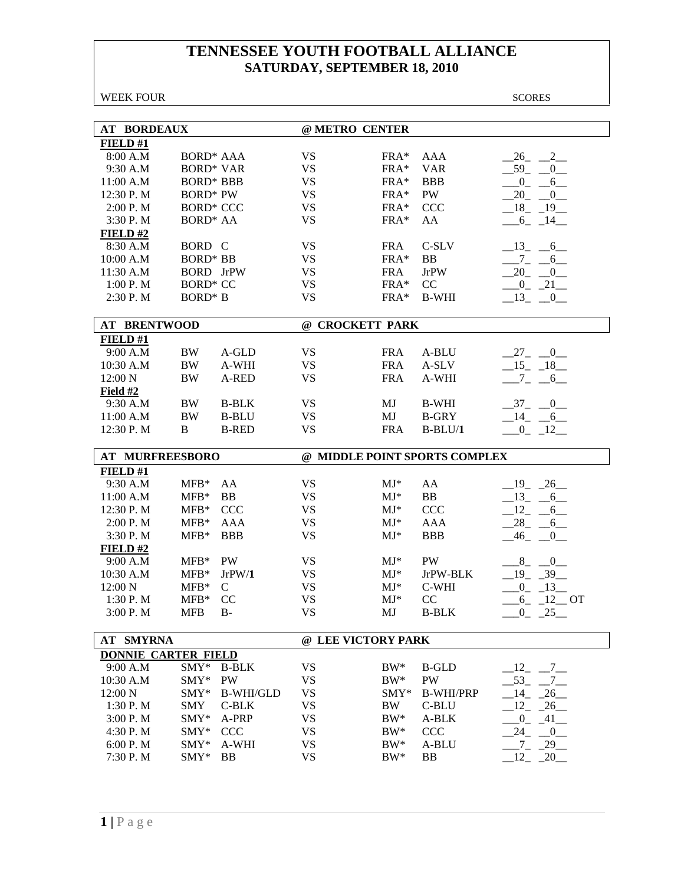WEEK FOUR SCORES

| <b>AT BORDEAUX</b>         |                  |                    | @ METRO CENTER         |                  |                               |                                               |
|----------------------------|------------------|--------------------|------------------------|------------------|-------------------------------|-----------------------------------------------|
| FIELD #1                   |                  |                    |                        |                  |                               |                                               |
| 8:00 A.M                   | <b>BORD* AAA</b> |                    | <b>VS</b>              | FRA*             | <b>AAA</b>                    | 26 2                                          |
| 9:30 A.M                   | <b>BORD* VAR</b> |                    | <b>VS</b>              | $FRA*$           | <b>VAR</b>                    | $-59$ $-0$                                    |
| 11:00 A.M                  | <b>BORD* BBB</b> |                    | <b>VS</b>              | $FRA*$           | <b>BBB</b>                    | $-0$ $-6$                                     |
| 12:30 P.M                  | <b>BORD* PW</b>  |                    | <b>VS</b>              | FRA*             | PW                            | $20 - 0$                                      |
| 2:00 P.M                   | <b>BORD* CCC</b> |                    | <b>VS</b>              | FRA*             | CCC                           | $18 - 19$                                     |
| 3:30 P.M                   | <b>BORD* AA</b>  |                    | <b>VS</b>              | FRA*             | AA                            | $-6 - 14$                                     |
| FIELD#2                    |                  |                    |                        |                  |                               |                                               |
| 8:30 A.M                   | BORD C           |                    | <b>VS</b>              | <b>FRA</b>       | C-SLV                         | $-13$ $-6$                                    |
| 10:00 A.M                  | <b>BORD* BB</b>  |                    | <b>VS</b>              | FRA*             | <b>BB</b>                     | $7_{-}$<br>6                                  |
| 11:30 A.M                  | <b>BORD</b> JrPW |                    | <b>VS</b>              | <b>FRA</b>       | <b>JrPW</b>                   | 20<br>0                                       |
| 1:00 P.M                   | <b>BORD* CC</b>  |                    | <b>VS</b>              | $FRA*$           | CC                            | $0 - 21$                                      |
| 2:30 P.M                   | <b>BORD*</b> B   |                    | <b>VS</b>              | FRA*             | <b>B-WHI</b>                  | $13 - 0$                                      |
|                            |                  |                    |                        |                  |                               |                                               |
| <b>AT BRENTWOOD</b>        |                  |                    | @ CROCKETT PARK        |                  |                               |                                               |
| FIELD#1                    |                  |                    |                        |                  |                               |                                               |
| 9:00 A.M                   | BW               | A-GLD              | <b>VS</b>              | <b>FRA</b>       | A-BLU                         | $27 - 0$                                      |
| 10:30 A.M                  | <b>BW</b>        | A-WHI              | <b>VS</b>              | <b>FRA</b>       | A-SLV                         | $-15 - 18$                                    |
| 12:00 N                    | <b>BW</b>        | A-RED              | <b>VS</b>              | <b>FRA</b>       | A-WHI                         | $-7$ $-6$ $-$                                 |
| Field #2                   |                  |                    |                        |                  |                               |                                               |
| 9:30 A.M                   | <b>BW</b>        | <b>B-BLK</b>       | <b>VS</b>              | MJ               | <b>B-WHI</b>                  | $-37 - 0$                                     |
| 11:00 A.M                  | <b>BW</b>        | <b>B-BLU</b>       | <b>VS</b>              | MJ               | <b>B-GRY</b>                  | $-14$ $-6$                                    |
| 12:30 P.M                  | B                | <b>B-RED</b>       | <b>VS</b>              | <b>FRA</b>       | $B-BLU/1$                     | $-0$ $-12$                                    |
|                            |                  |                    |                        |                  |                               |                                               |
|                            |                  |                    |                        |                  |                               |                                               |
| <b>AT MURFREESBORO</b>     |                  |                    |                        |                  | @ MIDDLE POINT SPORTS COMPLEX |                                               |
| FIELD #1                   |                  |                    |                        |                  |                               |                                               |
| 9:30 A.M                   | $MFB*$           | AA                 | <b>VS</b>              | $MJ^*$           | AA                            | $-19$ $-26$                                   |
| 11:00 A.M                  | $MFB*$           | BB                 | <b>VS</b>              | $MJ*$            | BB                            | $-13 - 6$                                     |
| 12:30 P.M                  | $MFB*$           | <b>CCC</b>         | <b>VS</b>              | $MJ^*$           | <b>CCC</b>                    | $12 - 6$                                      |
| 2:00 P. M                  | $MFB*$           | <b>AAA</b>         | <b>VS</b>              | $MJ^*$           | <b>AAA</b>                    | $-28$ <sub>-</sub> $-6$                       |
| 3:30 P.M                   | $MFB*$           | <b>BBB</b>         | <b>VS</b>              | $MJ*$            | <b>BBB</b>                    | $-46$<br>$\overline{\phantom{0}}^0$           |
| FIELD#2                    |                  |                    |                        |                  |                               |                                               |
| 9:00 A.M                   | $MFB*$           | PW                 | <b>VS</b>              | $MJ^*$           | PW                            | $8$ <sub>-</sub><br>0                         |
| 10:30 A.M                  | $MFB*$           | JrPW/1             | <b>VS</b>              | $MJ^*$           | JrPW-BLK                      | $19_{-}$<br>$-39$                             |
| 12:00 N                    | $MFB*$           | $\mathcal{C}$      | <b>VS</b>              | $MJ^*$           | C-WHI                         | $-13$<br>$0_{-}$                              |
| 1:30 P.M                   | $MFB*$           | CC                 | <b>VS</b>              | $MJ^*$           | CC                            | $6 - 12$ OT                                   |
| 3:00 P.M                   | <b>MFB</b>       | $B -$              | <b>VS</b>              | MJ               | <b>B-BLK</b>                  | $0 - 25$                                      |
|                            |                  |                    |                        |                  |                               |                                               |
| <b>AT SMYRNA</b>           |                  |                    | @ LEE VICTORY PARK     |                  |                               |                                               |
| <b>DONNIE CARTER FIELD</b> |                  |                    |                        |                  |                               |                                               |
| 9:00 A.M                   | SMY*             | <b>B-BLK</b>       | <b>VS</b>              | $BW^*$           | <b>B-GLD</b>                  | 12<br>7                                       |
| 10:30 A.M                  | SMY*             | <b>PW</b>          | <b>VS</b>              | $BW^*$           | <b>PW</b>                     | $53_{-}$<br>$7\overline{ }$                   |
| 12:00 N                    | $SMY*$           | <b>B-WHI/GLD</b>   | <b>VS</b>              | $SMY*$           | <b>B-WHI/PRP</b>              | 14<br>26                                      |
| 1:30 P.M                   | <b>SMY</b>       | $C-BLK$            | <b>VS</b>              | BW               | C-BLU                         | 12<br>26                                      |
| 3:00 P. M                  | SMY*             | A-PRP              | <b>VS</b>              | $BW^*$           | A-BLK                         | $\overline{0}$<br>$-41$                       |
| 4:30 P.M                   | SMY*             | <b>CCC</b>         | <b>VS</b>              | $BW^*$           | <b>CCC</b>                    | 24<br>$\overline{0}$                          |
| 6:00 P. M<br>7:30 P.M      | SMY*<br>SMY*     | A-WHI<br><b>BB</b> | <b>VS</b><br><b>VS</b> | $BW^*$<br>$BW^*$ | A-BLU<br>BB                   | $-29$<br>$7\overline{ }$<br>$\sqrt{20}$<br>12 |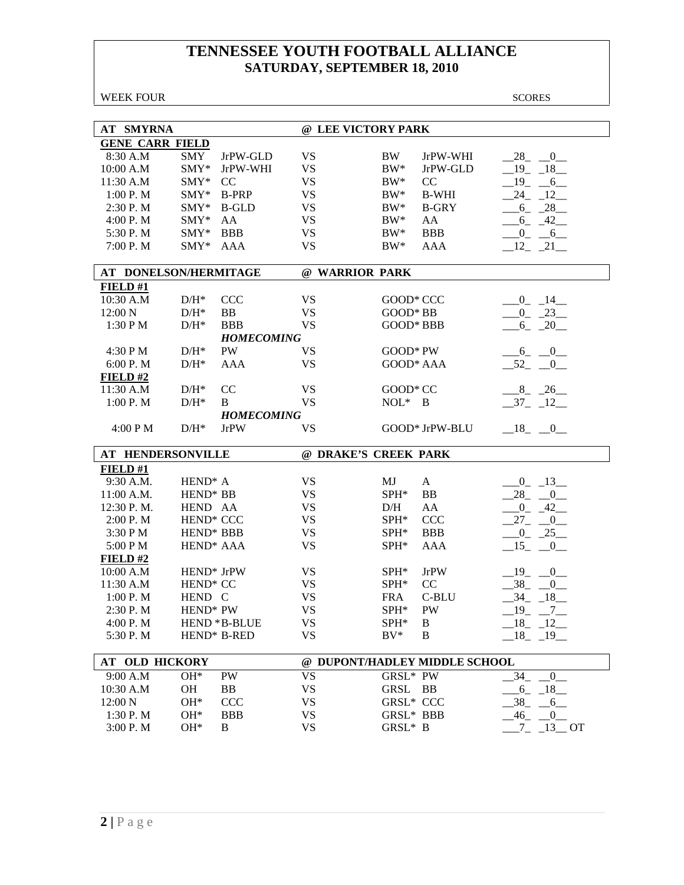WEEK FOUR SCORES **AT SMYRNA @ LEE VICTORY PARK GENE CARR FIELD** 8:30 A.M SMY JrPW-GLD VS BW JrPW-WHI  $\_\_28 \_\_0$ 10:00 A.M SMY\* JrPW-WHI VS BW\* JrPW-GLD  $\_19\_18\_$ 11:30 A.M SMY\* CC VS BW\* CC  $\frac{-19}{20} \frac{6}{16}$ 1:00 P. M  $MY^*$  B-PRP VS BW\* B-WHI  $24$  12 2:30 P. M SMY\* B-GLD VS BW\* B-GRY  $\_6\_ 28\_$ 4:00 P. M  $SMY^*$  AA  $VS$  BW\* AA  $\_6\_42\_$ 5:30 P. M  $SMY^*$  BBB VS BW\* BBB  $\_0\_6\_$  7:00 P. M SMY\* AAA VS BW\* AAA \_\_12\_ \_21\_\_ **AT DONELSON/HERMITAGE @ WARRIOR PARK FIELD #1** 10:30 A.M D/H\* CCC VS GOOD\* CCC \_\_\_\_\_\_\_\_\_0\_ \_14\_ 12:00 N  $D/H^*$  BB VS GOOD\* BB  $\underline{\hspace{1cm}} 0$   $23$ 1:30 P M  $D/H^*$  BBB VS GOOD\* BBB  $\underline{\hspace{1cm}}$  6 \_ 20\_ *HOMECOMING*  4:30 P M  $D/H^*$  P W VS GOOD\* P W  $= 6$  0 6:00 P. M  $D/H^*$  AAA VS GOOD\* AAA  $52 \quad 0$ **FIELD #2**  $11:30 \text{ A.M}$  D/H\* CC VS GOOD\* CC  $8 \quad 26$ 1:00 P. M  $D/H^*$  B VS NOL\* B  $-37$   $12$  *HOMECOMING*   $4:00 \text{ P M}$   $D/H^*$  JrPW VS GOOD\* JrPW-BLU  $18 \quad 0.00$ **AT HENDERSONVILLE @ DRAKE'S CREEK PARK FIELD #1** 9:30 A.M. HEND\* A  $V$ S MJ A  $_0$  13 11:00 A.M. HEND\* BB  $VS$  SPH\* BB  $\_28\_ 0\_$ 12:30 P. M. HEND AA  $\qquad \qquad \text{VS} \qquad \qquad \text{D/H} \qquad \text{AA} \qquad \qquad \underline{\qquad}0 \qquad 42 \underline{\qquad}$ 2:00 P. M HEND\* CCC VS SPH\* CCC  $27 \quad 0 \quad$  $3:30 \text{ P M}$  HEND\* BBB  $\text{V}$ SPH\* BBB  $\text{O}$   $25$ 5:00 P M  $HEND^*$  AAA  $VS$  SPH\* AAA  $\_15\_ 0\_$ **FIELD #2**  $10:00$  A.M HEND\* JrPW VS SPH\* JrPW  $19$ <sub>\_</sub>  $0$ <sub>\_</sub> 11:30 A.M HEND\* CC VS SPH\* CC \_\_38\_ \_\_0\_\_ 1:00 P. M HEND C VS FRA C-BLU  $-34$  18 2:30 P. M HEND\* PW VS SPH\* PW \_\_19\_ \_7\_ 4:00 P. M HEND \* B-BLUE VS SPH \* B  $18$   $18$   $12$ 5:30 P. M HEND\* B-RED VS BV\* B 18 19 **AT OLD HICKORY @ DUPONT/HADLEY MIDDLE SCHOOL**  9:00 A.M  $OH^*$  PW VS GRSL\* PW  $-34$   $-0$ 10:30 A.M OH BB VS GRSL BB  $\_6\_18\_$ 12:00 N OH\* CCC VS GRSL\* CCC \_\_38\_ \_\_6\_\_ 1:30 P. M OH\* BBB VS GRSL\* BBB  $\_46\_ 0\_$  $3:00 \text{ P.M}$   $\qquad \text{OH}^*$  B  $\qquad \text{VS}$   $\qquad \qquad \text{GRSL}^* \text{ B}$   $\qquad \qquad 7 \quad 13 \quad \text{OT}$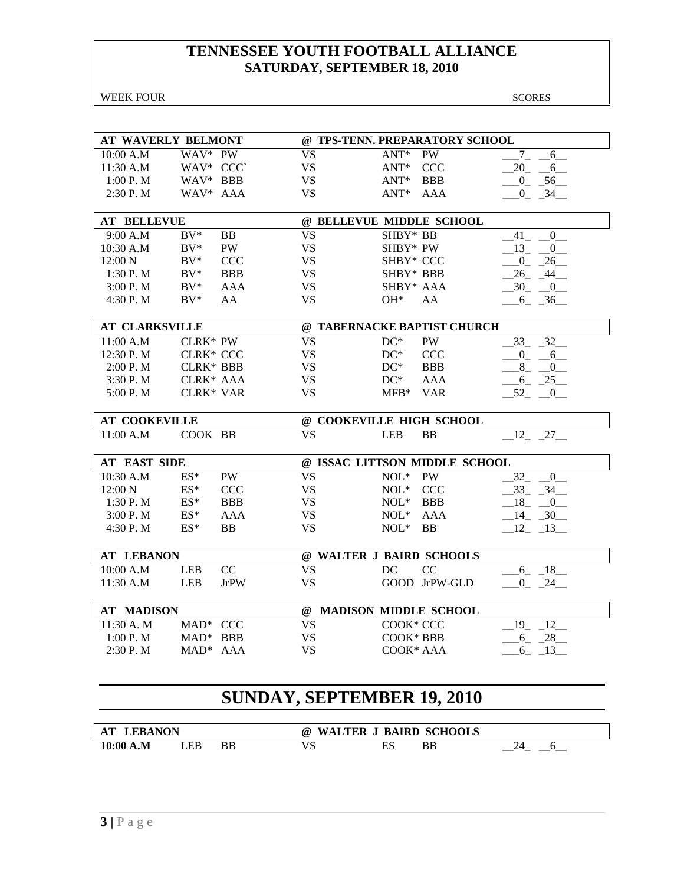| WEEK FOUR                 |                  |             |                                   |                                |               | <b>SCORES</b>                          |
|---------------------------|------------------|-------------|-----------------------------------|--------------------------------|---------------|----------------------------------------|
|                           |                  |             |                                   |                                |               |                                        |
| <b>AT WAVERLY BELMONT</b> |                  |             |                                   | @ TPS-TENN. PREPARATORY SCHOOL |               |                                        |
| 10:00 A.M                 | WAV* PW          |             | <b>VS</b>                         | $ANT*$                         | <b>PW</b>     | $7\overline{ }$<br>6                   |
| 11:30 A.M                 | WAV* CCC`        |             | <b>VS</b>                         | $ANT^*$                        | <b>CCC</b>    | 20<br>6                                |
| $1:00$ P. M               | WAV* BBB         |             | <b>VS</b>                         | $ANT^*$                        | <b>BBB</b>    | 56<br>$0_{-}$                          |
| $2:30$ P. M               | WAV* AAA         |             | <b>VS</b>                         | $ANT*$                         | AAA           | $-34$<br>$0_{-}$                       |
| <b>AT BELLEVUE</b>        |                  |             |                                   | @ BELLEVUE MIDDLE SCHOOL       |               |                                        |
| 9:00 A.M                  | $BV^*$           | BB          | <b>VS</b>                         | SHBY* BB                       |               | 41<br>$\overline{0}$                   |
| 10:30 A.M                 | $BV^*$           | <b>PW</b>   | <b>VS</b>                         | SHBY* PW                       |               | 13<br>$\overline{0}$                   |
| 12:00 N                   | $BV^*$           | <b>CCC</b>  | <b>VS</b>                         | SHBY* CCC                      |               | 26<br>$\overline{0}$                   |
| $1:30$ P. M               | $BV^*$           | <b>BBB</b>  | <b>VS</b>                         | SHBY* BBB                      |               | 26<br>$-44$                            |
| 3:00 P. M                 | $BV^*$           | <b>AAA</b>  | <b>VS</b>                         | SHBY* AAA                      |               | 30<br>$\begin{array}{c} 0 \end{array}$ |
| 4:30 P.M                  | $BV^*$           | AA          | <b>VS</b>                         | $OH*$                          | AA            | $-6 - 36$                              |
| <b>AT CLARKSVILLE</b>     |                  |             |                                   | @ TABERNACKE BAPTIST CHURCH    |               |                                        |
| 11:00 A.M                 | CLRK* PW         |             | <b>VS</b>                         | $DC^*$                         | <b>PW</b>     | 32<br>$33_{-}$                         |
| 12:30 P.M                 | <b>CLRK* CCC</b> |             | <b>VS</b>                         | $DC^*$                         | <b>CCC</b>    | $_{-0}$<br>6                           |
| $2:00$ P. M               | <b>CLRK* BBB</b> |             | <b>VS</b>                         | $DC^*$                         | <b>BBB</b>    | $-8$<br>$-0$                           |
| 3:30 P.M                  | CLRK* AAA        |             | <b>VS</b>                         | $DC^*$                         | <b>AAA</b>    | $-6 - 25$                              |
| 5:00 P.M                  | <b>CLRK* VAR</b> |             | <b>VS</b>                         | $MFB*$                         | <b>VAR</b>    | $-52$ $-0$                             |
| <b>AT COOKEVILLE</b>      |                  |             |                                   | @ COOKEVILLE HIGH SCHOOL       |               |                                        |
| 11:00 A.M                 | COOK BB          |             | <b>VS</b>                         | <b>LEB</b>                     | <b>BB</b>     | 12<br>$27$ <sub>—</sub>                |
|                           |                  |             |                                   |                                |               |                                        |
| AT EAST SIDE              |                  |             |                                   | @ ISSAC LITTSON MIDDLE SCHOOL  |               |                                        |
| 10:30 A.M                 | $ES^*$           | PW          | <b>VS</b>                         | $\text{NOL}^*$                 | PW            | 32<br>$\overline{0}$                   |
| 12:00 N                   | $ES^*$           | <b>CCC</b>  | <b>VS</b>                         | $NOL*$                         | <b>CCC</b>    | 34<br>33                               |
| $1:30$ P. M               | $ES^*$           | <b>BBB</b>  | <b>VS</b>                         | $NOL*$                         | <b>BBB</b>    | 18<br>$\mathbf{0}$                     |
| 3:00 P. M                 | $ES^*$           | AAA         | <b>VS</b>                         | $NOL*$                         | AAA           | 14<br>$-30$                            |
| 4:30 P.M                  | $ES^*$           | <b>BB</b>   | <b>VS</b>                         | $NOL*$                         | <b>BB</b>     | $12 - 13$                              |
| <b>AT LEBANON</b>         |                  |             |                                   | @ WALTER J BAIRD SCHOOLS       |               |                                        |
| 10:00 A.M                 | <b>LEB</b>       | CC          | <b>VS</b>                         | DC                             | CC            | 6<br>18                                |
| 11:30 A.M                 | LEB              | <b>JrPW</b> | <b>VS</b>                         |                                | GOOD JrPW-GLD | 24<br>$0_{-}$                          |
| <b>AT MADISON</b>         |                  |             | @                                 | <b>MADISON MIDDLE SCHOOL</b>   |               |                                        |
| 11:30 A. M                | MAD* CCC         |             | <b>VS</b>                         | COOK* CCC                      |               | 12<br>$19_{-}$                         |
| 1:00 P.M                  | $MAD*$           | <b>BBB</b>  | VS                                | COOK* BBB                      |               | $6_{-}$<br>$-28$                       |
| 2:30 P.M                  | $MAD*$           | AAA         | VS                                | COOK* AAA                      |               | $6 - 13$                               |
|                           |                  |             |                                   |                                |               |                                        |
|                           |                  |             | <b>SUNDAY, SEPTEMBER 19, 2010</b> |                                |               |                                        |
|                           |                  |             |                                   |                                |               |                                        |

| . . Е. КА<br>л. | NON |    | XX7<br>(a)<br>$\lambda$ | ÷к:R<br>KА        | .IKD      | <b>SCHOOLS</b> |
|-----------------|-----|----|-------------------------|-------------------|-----------|----------------|
| .M<br>10:00     | EР  | ΒB | נו '                    | nо<br>⊷<br>$\sim$ | <b>BB</b> |                |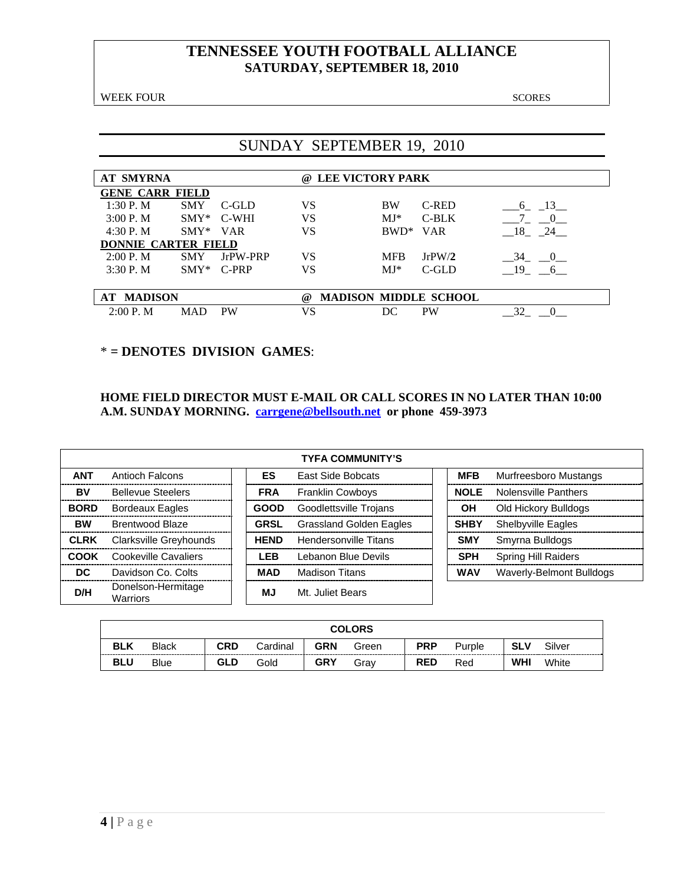WEEK FOUR SCORES

# SUNDAY SEPTEMBER 19, 2010

| <b>AT SMYRNA</b>           |                              |            | $\omega$ | <b>LEE VICTORY PARK</b> |            |            |  |  |  |  |  |
|----------------------------|------------------------------|------------|----------|-------------------------|------------|------------|--|--|--|--|--|
| <b>GENE CARR FIELD</b>     |                              |            |          |                         |            |            |  |  |  |  |  |
| 1:30P. M                   | <b>SMY</b>                   | C-GLD      | VS       | <b>BW</b>               | C-RED      | 13<br>6    |  |  |  |  |  |
| $3:00P$ . M                | $SMY^*$                      | C-WHI      | VS       | $MJ*$                   | $C-BLK$    |            |  |  |  |  |  |
| 4:30 P.M                   | $SMY*$                       | <b>VAR</b> | VS       | $BWD^*$                 | <b>VAR</b> | - 18<br>24 |  |  |  |  |  |
| <b>DONNIE CARTER FIELD</b> |                              |            |          |                         |            |            |  |  |  |  |  |
| 2:00 P. M                  | <b>SMY</b>                   | JrPW-PRP   | VS       | <b>MFB</b>              | JrPW/2     | 34<br>$-0$ |  |  |  |  |  |
| 3:30P. M                   | $SMY*$                       | C-PRP      | VS       | $MJ*$                   | C-GLD      | 19<br>6    |  |  |  |  |  |
|                            |                              |            |          |                         |            |            |  |  |  |  |  |
| <b>AT MADISON</b>          | <b>MADISON MIDDLE SCHOOL</b> |            |          |                         |            |            |  |  |  |  |  |
| $2:00P$ . M                | <b>MAD</b>                   | <b>PW</b>  | VS       | DC                      | <b>PW</b>  | 32         |  |  |  |  |  |

### \* **= DENOTES DIVISION GAMES**:

#### **HOME FIELD DIRECTOR MUST E-MAIL OR CALL SCORES IN NO LATER THAN 10:00 A.M. SUNDAY MORNING. carrgene@bellsouth.net or phone 459-3973**

|             | <b>TYFA COMMUNITY'S</b>        |  |             |                                |  |             |                             |  |  |  |  |  |
|-------------|--------------------------------|--|-------------|--------------------------------|--|-------------|-----------------------------|--|--|--|--|--|
| <b>ANT</b>  | <b>Antioch Falcons</b>         |  | ES.         | East Side Bobcats              |  | <b>MFB</b>  | Murfreesboro Mustangs       |  |  |  |  |  |
| BV          | <b>Bellevue Steelers</b>       |  | <b>FRA</b>  | <b>Franklin Cowboys</b>        |  | <b>NOLE</b> | <b>Nolensville Panthers</b> |  |  |  |  |  |
| <b>BORD</b> | <b>Bordeaux Eagles</b>         |  | <b>GOOD</b> | Goodlettsville Trojans         |  | OН          | Old Hickory Bulldogs        |  |  |  |  |  |
| <b>BW</b>   | Brentwood Blaze                |  | <b>GRSL</b> | <b>Grassland Golden Eagles</b> |  | <b>SHBY</b> | <b>Shelbyville Eagles</b>   |  |  |  |  |  |
| <b>CLRK</b> | Clarksville Greyhounds         |  | <b>HEND</b> | <b>Hendersonville Titans</b>   |  | <b>SMY</b>  | Smyrna Bulldogs             |  |  |  |  |  |
| <b>COOK</b> | Cookeville Cavaliers           |  | <b>LEB</b>  | Lebanon Blue Devils            |  | <b>SPH</b>  | <b>Spring Hill Raiders</b>  |  |  |  |  |  |
| DC.         | Davidson Co. Colts             |  | <b>MAD</b>  | <b>Madison Titans</b>          |  | <b>WAV</b>  | Waverly-Belmont Bulldogs    |  |  |  |  |  |
| D/H         | Donelson-Hermitage<br>Warriors |  | MJ          | Mt. Juliet Bears               |  |             |                             |  |  |  |  |  |

|            | <b>COLORS</b> |            |          |            |       |            |        |            |        |  |  |
|------------|---------------|------------|----------|------------|-------|------------|--------|------------|--------|--|--|
| <b>BLK</b> | <b>Black</b>  | <b>CRD</b> | Cardinal | <b>GRN</b> | Green | <b>PRP</b> | Purple | <b>SLV</b> | Silver |  |  |
| <b>BLU</b> | <b>Blue</b>   | GLD        | Gold     | <b>GRY</b> | Grav  | <b>RED</b> | Red    | <b>WHI</b> | White  |  |  |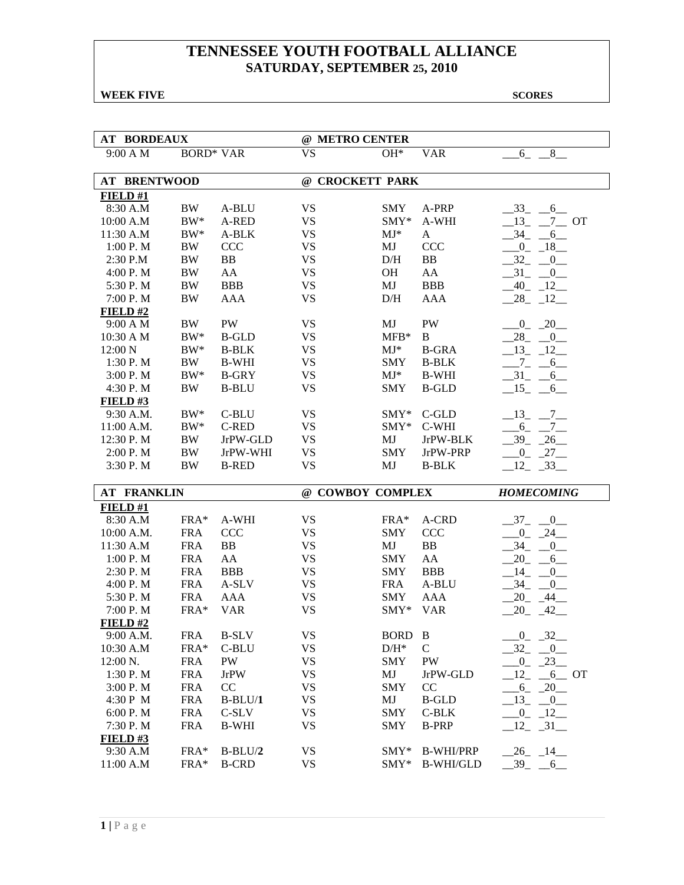**WEEK FIVE** SCORES

| <b>AT BORDEAUX</b>    |                  |                           | @ METRO CENTER         |                  |                                      |                                    |
|-----------------------|------------------|---------------------------|------------------------|------------------|--------------------------------------|------------------------------------|
| 9:00 A M              | <b>BORD* VAR</b> |                           | <b>VS</b>              | $OH*$            | <b>VAR</b>                           | $8$ <sub>—</sub><br>$6 -$          |
| <b>AT BRENTWOOD</b>   |                  |                           | @ CROCKETT PARK        |                  |                                      |                                    |
| FIELD#1               |                  |                           |                        |                  |                                      |                                    |
| 8:30 A.M              | <b>BW</b>        | A-BLU                     | <b>VS</b>              | <b>SMY</b>       | A-PRP                                | $-33 - 6$                          |
| 10:00 A.M             | $BW^*$           | A-RED                     | <b>VS</b>              | $SMY*$           | A-WHI                                | $-13$ , $-7$ OT                    |
| 11:30 A.M             | $BW^*$           | A-BLK                     | <b>VS</b>              | $MJ^*$           | A                                    | $-34$ $-6$                         |
| 1:00 P.M              | <b>BW</b>        | CCC                       | <b>VS</b>              | MJ               | <b>CCC</b>                           | $-0$ $-18$                         |
| 2:30 P.M              | <b>BW</b>        | BB                        | <b>VS</b>              | D/H              | BB                                   | $-32 - 0$                          |
| 4:00 P.M              | $\rm BW$         | AA                        | <b>VS</b>              | OH               | AA                                   | $-31$ $-0$                         |
| 5:30 P.M              | <b>BW</b>        | <b>BBB</b>                | <b>VS</b>              | MJ               | <b>BBB</b>                           | $-40$ $-12$ $-$                    |
| 7:00 P.M              | BW               | <b>AAA</b>                | <b>VS</b>              | D/H              | AAA                                  | $28 - 12$                          |
| FIELD#2               |                  |                           |                        |                  |                                      |                                    |
| 9:00 A M              | BW               | PW                        | <b>VS</b>              | MJ               | PW                                   | $0 - 20$                           |
| 10:30 A M             | $BW^*$           | <b>B-GLD</b>              | <b>VS</b>              | $MFB*$           | B                                    | $-28$ $-0$                         |
| 12:00 N               | $BW^*$           | <b>B-BLK</b>              | <b>VS</b>              | $MJ^*$           | <b>B-GRA</b>                         | $-13 - 12$                         |
| 1:30 P.M              | BW               | <b>B-WHI</b>              | <b>VS</b>              | <b>SMY</b>       | <b>B-BLK</b>                         | $-7 - 6$                           |
| 3:00 P.M              | $BW^*$           | <b>B-GRY</b>              | <b>VS</b>              | $MJ^*$           | <b>B-WHI</b>                         | $-31$ $-6$                         |
| 4:30 P.M              | <b>BW</b>        | <b>B-BLU</b>              | <b>VS</b>              | <b>SMY</b>       | <b>B-GLD</b>                         | $-15 - 6$                          |
| <b>FIELD#3</b>        |                  |                           |                        |                  |                                      |                                    |
| 9:30 A.M.             | $BW^*$           | C-BLU                     | <b>VS</b>              | $SMY*$           | C-GLD                                | $-13$ $-7$ $-$                     |
| 11:00 A.M.            | $BW^*$           | <b>C-RED</b>              | <b>VS</b>              | $SMY*$           | C-WHI                                | $6_{-}$<br>$\overline{7}$          |
| 12:30 P.M             | BW               | JrPW-GLD                  | <b>VS</b>              | MJ               | JrPW-BLK                             | $-39$<br>$-26$                     |
| 2:00 P.M              | <b>BW</b>        | JrPW-WHI                  | <b>VS</b>              | <b>SMY</b>       | JrPW-PRP                             | $-27$<br>$\overline{\phantom{0}0}$ |
|                       |                  |                           |                        |                  |                                      |                                    |
| 3:30 P.M              | <b>BW</b>        | <b>B-RED</b>              | <b>VS</b>              | MJ               | <b>B-BLK</b>                         | 12<br>$-33$                        |
|                       |                  |                           |                        |                  |                                      |                                    |
| <b>AT FRANKLIN</b>    |                  |                           | @ COWBOY COMPLEX       |                  |                                      | <b>HOMECOMING</b>                  |
| FIELD#1               |                  |                           |                        |                  |                                      |                                    |
| 8:30 A.M              | $FRA*$           | A-WHI                     | <b>VS</b>              | $FRA*$           | A-CRD                                | $-37$<br>$\overline{0}$            |
| 10:00 A.M.            | <b>FRA</b>       | <b>CCC</b>                | <b>VS</b>              | <b>SMY</b>       | <b>CCC</b>                           | $^{0}$<br>$-24$                    |
| 11:30 A.M             | <b>FRA</b>       | BB                        | <b>VS</b>              | MJ               | BB                                   | 34<br>0                            |
| 1:00 P. M             | <b>FRA</b>       | AA                        | <b>VS</b>              | <b>SMY</b>       | AA                                   | 20<br>6                            |
| 2:30 P.M              | <b>FRA</b>       | <b>BBB</b>                | <b>VS</b>              | <b>SMY</b>       | <b>BBB</b>                           | $-14$<br>$\overline{\phantom{0}0}$ |
| 4:00 P.M              | <b>FRA</b>       | A-SLV                     | <b>VS</b>              | <b>FRA</b>       | A-BLU                                | $-34$ $-0$                         |
| 5:30 P.M              | <b>FRA</b>       | AAA                       | <b>VS</b>              | <b>SMY</b>       | AAA                                  | $-20 - 44$                         |
| 7:00 P.M              | FRA*             | <b>VAR</b>                | <b>VS</b>              | $SMY*$           | <b>VAR</b>                           | $20 - 42$                          |
| FIELD#2               |                  |                           |                        |                  |                                      |                                    |
| 9:00 A.M.             | <b>FRA</b>       | $B-SLV$                   | <b>VS</b>              | <b>BORD</b>      | $\, {\bf B}$                         | $-0$ $-32$                         |
| 10:30 A.M             | FRA*             | C-BLU                     | VS                     | $D/H^*$          | $\mathsf{C}$                         | $-32 - 0$                          |
| 12:00 N.              | <b>FRA</b>       | PW                        | <b>VS</b>              | <b>SMY</b>       | PW                                   | $-0$ $-23$                         |
| 1:30 P.M              | <b>FRA</b>       | <b>JrPW</b>               | <b>VS</b>              | MJ               | JrPW-GLD                             | 12<br>$6$ OT                       |
| 3:00 P.M              | <b>FRA</b>       | CC                        | <b>VS</b>              | <b>SMY</b>       | CC                                   | $-6 - 20$                          |
| 4:30 P M              | <b>FRA</b>       | $B-BLU/1$                 | <b>VS</b>              | MJ               | <b>B-GLD</b>                         | $-13$ $-0$                         |
| 6:00 P.M              | <b>FRA</b>       | C-SLV                     | <b>VS</b>              | SMY              | C-BLK                                | $-0$ $-12$                         |
| 7:30 P.M              | <b>FRA</b>       | <b>B-WHI</b>              | <b>VS</b>              | <b>SMY</b>       | <b>B-PRP</b>                         | $12 - 31$                          |
| FIELD# $3$            |                  |                           |                        |                  |                                      |                                    |
| 9:30 A.M<br>11:00 A.M | FRA*<br>FRA*     | $B-BLU/2$<br><b>B-CRD</b> | <b>VS</b><br><b>VS</b> | $SMY*$<br>$SMY*$ | <b>B-WHI/PRP</b><br><b>B-WHI/GLD</b> | $-26$ $-14$<br>$-39 - -6$          |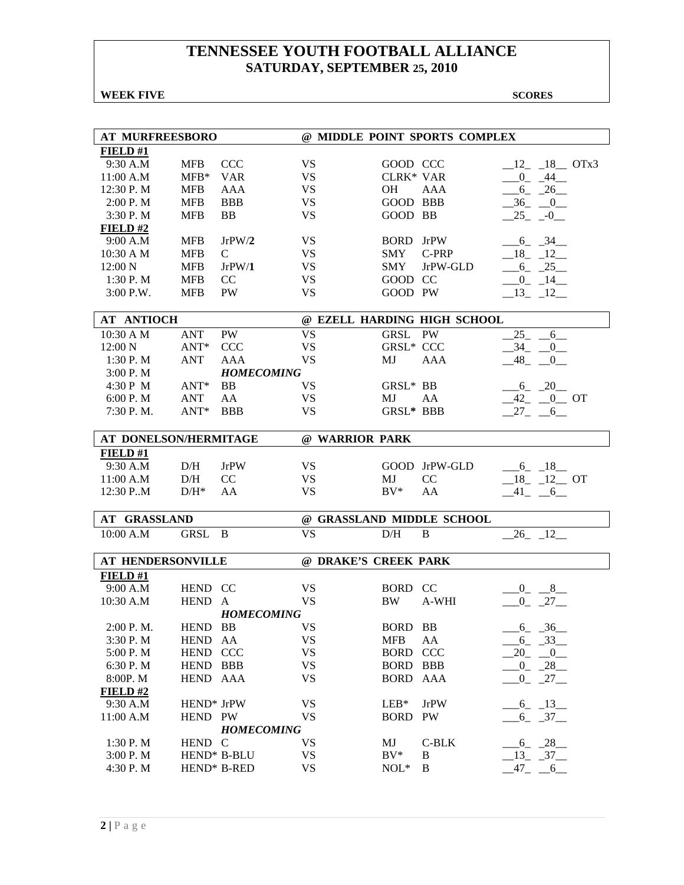### **WEEK FIVE** SCORES

| <b>AT MURFREESBORO</b>   |                        |                   | @ MIDDLE POINT SPORTS COMPLEX |                  |                             |                         |  |  |  |  |
|--------------------------|------------------------|-------------------|-------------------------------|------------------|-----------------------------|-------------------------|--|--|--|--|
| FIELD#1                  |                        |                   |                               |                  |                             |                         |  |  |  |  |
| 9:30 A.M                 | <b>MFB</b>             | <b>CCC</b>        | <b>VS</b>                     | GOOD CCC         |                             | $12 - 18$ OTx3          |  |  |  |  |
| 11:00 A.M                | $MFB*$                 | <b>VAR</b>        | <b>VS</b>                     | <b>CLRK* VAR</b> |                             | $0 - 44$                |  |  |  |  |
| 12:30 P.M                | <b>MFB</b>             | AAA               | <b>VS</b>                     | <b>OH</b>        | AAA                         | $-6 - 26$               |  |  |  |  |
| 2:00 P. M                | <b>MFB</b>             | <b>BBB</b>        | <b>VS</b>                     | GOOD BBB         |                             | $-36$ $-0$              |  |  |  |  |
| 3:30 P.M                 | <b>MFB</b>             | <b>BB</b>         | <b>VS</b>                     | GOOD BB          |                             | $25 - -0$               |  |  |  |  |
| FIELD#2                  |                        |                   |                               |                  |                             |                         |  |  |  |  |
| 9:00 A.M                 | <b>MFB</b>             | JrPW/2            | <b>VS</b>                     | <b>BORD</b> JrPW |                             | $-6 - 34$               |  |  |  |  |
| 10:30 A M                | <b>MFB</b>             | $\mathcal{C}$     | <b>VS</b>                     | <b>SMY</b>       | C-PRP                       | $-18$ $-12$             |  |  |  |  |
| 12:00 N                  | <b>MFB</b>             | JrPW/1            | <b>VS</b>                     | <b>SMY</b>       | JrPW-GLD                    | $-6 - 25$               |  |  |  |  |
| 1:30P. M                 | <b>MFB</b>             | CC                | <b>VS</b>                     | GOOD CC          |                             | $0 - 14$                |  |  |  |  |
| 3:00 P.W.                | <b>MFB</b>             | <b>PW</b>         | <b>VS</b>                     | GOOD PW          |                             | $13 - 12$               |  |  |  |  |
|                          |                        |                   |                               |                  |                             |                         |  |  |  |  |
| <b>AT ANTIOCH</b>        |                        |                   |                               |                  | @ EZELL HARDING HIGH SCHOOL |                         |  |  |  |  |
| 10:30 A M                | <b>ANT</b>             | PW                | <b>VS</b>                     | <b>GRSL</b>      | PW                          | 25<br>6                 |  |  |  |  |
| 12:00 N                  | $ANT*$                 | <b>CCC</b>        | <b>VS</b>                     | <b>GRSL* CCC</b> |                             | $-34$<br>$\overline{0}$ |  |  |  |  |
| 1:30P. M                 | <b>ANT</b>             | AAA               | <b>VS</b>                     | MJ               | <b>AAA</b>                  | 48<br>$\overline{0}$    |  |  |  |  |
| 3:00 P. M                |                        | <b>HOMECOMING</b> |                               |                  |                             |                         |  |  |  |  |
| 4:30 P M                 | $ANT^*$                | <b>BB</b>         | VS                            | GRSL* BB         |                             | $6 - 20$                |  |  |  |  |
| 6:00 P. M                | <b>ANT</b>             | AA                | <b>VS</b>                     | MJ               | AA                          | $-42$ $-0$ OT           |  |  |  |  |
| 7:30 P.M.                | $ANT*$                 | <b>BBB</b>        | <b>VS</b>                     | <b>GRSL* BBB</b> |                             | $-27 - 6$               |  |  |  |  |
|                          |                        |                   |                               |                  |                             |                         |  |  |  |  |
| AT DONELSON/HERMITAGE    |                        |                   | @ WARRIOR PARK                |                  |                             |                         |  |  |  |  |
| FIELD#1                  |                        |                   |                               |                  |                             |                         |  |  |  |  |
| 9:30 A.M                 | D/H                    | <b>JrPW</b>       | <b>VS</b>                     |                  | GOOD JrPW-GLD               | $-6 - 18$               |  |  |  |  |
| 11:00 A.M                | D/H                    | CC                | <b>VS</b>                     | MJ<br>$BV^*$     | CC                          | $18 - 12$ OT            |  |  |  |  |
| 12:30 P.M                | $D/H^*$                | AA                | <b>VS</b>                     |                  | AA                          | $-41 - -6$              |  |  |  |  |
| <b>AT GRASSLAND</b>      |                        |                   | @ GRASSLAND MIDDLE SCHOOL     |                  |                             |                         |  |  |  |  |
| 10:00 A.M                | <b>GRSL</b>            | B                 | <b>VS</b>                     | D/H              | B                           | $26 - 12$               |  |  |  |  |
|                          |                        |                   |                               |                  |                             |                         |  |  |  |  |
| <b>AT HENDERSONVILLE</b> |                        |                   | @ DRAKE'S CREEK PARK          |                  |                             |                         |  |  |  |  |
| FIELD#1                  |                        |                   |                               |                  |                             |                         |  |  |  |  |
| 9:00 A.M                 | HEND CC                |                   | <b>VS</b>                     | <b>BORD</b>      | CC                          | $-0 - 8$                |  |  |  |  |
| 10:30 A.M                | <b>HEND</b>            | $\mathbf{A}$      | <b>VS</b>                     | <b>BW</b>        | A-WHI                       | $\overline{0}$<br>$-27$ |  |  |  |  |
|                          |                        | <b>HOMECOMING</b> |                               |                  |                             |                         |  |  |  |  |
| 2:00 P.M.                | HEND BB                |                   | <b>VS</b>                     | BORD BB          |                             | $-6 - 36$               |  |  |  |  |
| 3:30 P.M                 | HEND AA                |                   | <b>VS</b>                     | <b>MFB</b>       | AA                          | $-6 - 33$               |  |  |  |  |
| 5:00 P.M                 | HEND CCC               |                   | <b>VS</b>                     | <b>BORD CCC</b>  |                             | $-20$ $-0$ $-$          |  |  |  |  |
| 6:30 P. M                | HEND BBB               |                   | <b>VS</b>                     | BORD BBB         |                             | $-0$ $-28$              |  |  |  |  |
| 8:00P. M                 | HEND AAA               |                   | <b>VS</b>                     | BORD AAA         |                             | $-0$ $-27$              |  |  |  |  |
| FIELD#2                  |                        |                   |                               |                  |                             |                         |  |  |  |  |
| 9:30 A.M                 | HEND <sup>*</sup> JrPW |                   | <b>VS</b>                     | $LEB*$           | <b>JrPW</b>                 | $-6 - 13$               |  |  |  |  |
| 11:00 A.M                | HEND PW                | <b>HOMECOMING</b> | <b>VS</b>                     | BORD PW          |                             | $-6 - 37$               |  |  |  |  |
| 1:30 P.M                 | HEND C                 |                   | <b>VS</b>                     | MJ               | $C-BLK$                     | $-6 - 28$               |  |  |  |  |
| 3:00 P.M                 | HEND* B-BLU            |                   | <b>VS</b>                     | $BV^*$           | $\, {\bf B}$                | $-13 - 37$              |  |  |  |  |
| 4:30 P.M                 |                        | HEND* B-RED       | <b>VS</b>                     | $NOL*$           | B                           | $-47 - -6$              |  |  |  |  |
|                          |                        |                   |                               |                  |                             |                         |  |  |  |  |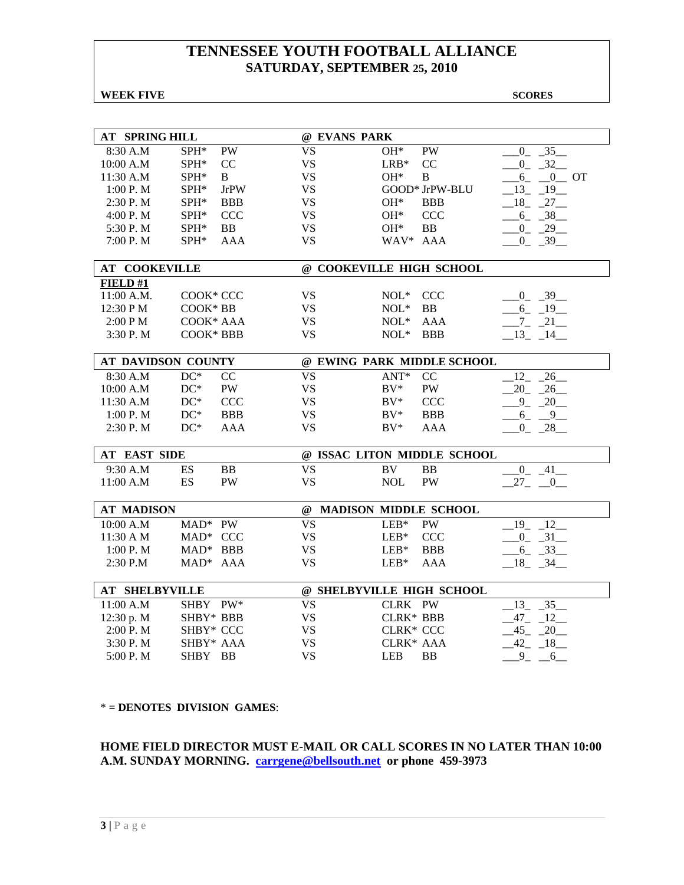#### **WEEK FIVE** SCORES

| <b>AT SPRING HILL</b> |             |             | @ EVANS PARK              |                  |                              |                      |
|-----------------------|-------------|-------------|---------------------------|------------------|------------------------------|----------------------|
| 8:30 A.M              | SPH*        | PW          | <b>VS</b>                 | $\rm OH^*$       | PW                           | 35<br>$\mathbf{0}$   |
| 10:00 A.M             | SPH*        | CC          | <b>VS</b>                 | $LRB*$           | CC                           | $0 - 32$             |
| 11:30 A.M             | $SPH*$      | B           | <b>VS</b>                 | $OH*$            | B                            | $-6 - 0$ OT          |
| 1:00 P. M             | SPH*        | <b>JrPW</b> | <b>VS</b>                 |                  | GOOD* JrPW-BLU               | $-13$ $-19$ $-$      |
| 2:30 P.M              | SPH*        | <b>BBB</b>  | <b>VS</b>                 | $OH*$            | <b>BBB</b>                   | 18<br>27             |
| 4:00 P.M              | SPH*        | <b>CCC</b>  | <b>VS</b>                 | $OH*$            | <b>CCC</b>                   | $6 - 38$             |
| 5:30 P.M              | SPH*        | <b>BB</b>   | <b>VS</b>                 | $OH*$            | <b>BB</b>                    | $-0$ $-29$           |
| 7:00 P.M              | SPH*        | <b>AAA</b>  | <b>VS</b>                 | WAV* AAA         |                              | $-0$ $-39$           |
| <b>AT COOKEVILLE</b>  |             |             | @ COOKEVILLE HIGH SCHOOL  |                  |                              |                      |
| FIELD#1               |             |             |                           |                  |                              |                      |
| 11:00 A.M.            | COOK* CCC   |             | <b>VS</b>                 | $NOL^*$          | <b>CCC</b>                   | $-0$ $-39$           |
| 12:30 PM              | COOK* BB    |             | <b>VS</b>                 | $NOL*$           | BB                           | $6 - 19$             |
| 2:00 PM               | COOK* AAA   |             | <b>VS</b>                 | $NOL*$           | <b>AAA</b>                   | $-7 - 21$            |
| 3:30 P.M              | COOK* BBB   |             | <b>VS</b>                 | $NOL*$           | <b>BBB</b>                   | $-13$ $-14$          |
|                       |             |             |                           |                  |                              |                      |
| AT DAVIDSON COUNTY    |             |             |                           |                  | @ EWING PARK MIDDLE SCHOOL   |                      |
| 8:30 A.M              | $DC*$       | CC          | <b>VS</b>                 | $ANT*$           | CC                           | 12<br>26             |
| 10:00 A.M             | $DC^*$      | <b>PW</b>   | <b>VS</b>                 | $BV^*$           | PW                           | 20<br>26             |
| 11:30 A.M             | $DC^*$      | <b>CCC</b>  | <b>VS</b>                 | $BV^*$           | <b>CCC</b>                   | $9 - 20$             |
| 1:00 P. M             | $DC^*$      | <b>BBB</b>  | <b>VS</b>                 | $BV^*$           | <b>BBB</b>                   | $6 - 9$              |
| 2:30 P.M              | $DC^*$      | <b>AAA</b>  | <b>VS</b>                 | $BV^*$           | <b>AAA</b>                   | 28<br>$\overline{0}$ |
|                       |             |             |                           |                  |                              |                      |
| <b>AT EAST SIDE</b>   |             |             |                           |                  | @ ISSAC LITON MIDDLE SCHOOL  |                      |
| 9:30 A.M              | ES          | BB          | <b>VS</b>                 | <b>BV</b>        | BB                           | $0\quad 41$          |
| 11:00 A.M             | ES          | PW          | <b>VS</b>                 | <b>NOL</b>       | <b>PW</b>                    | $27 - 0$             |
|                       |             |             |                           |                  |                              |                      |
| <b>AT MADISON</b>     |             |             | $^{\omega}{}$             |                  | <b>MADISON MIDDLE SCHOOL</b> |                      |
| 10:00 A.M             | MAD* PW     |             | <b>VS</b>                 | $LEB*$           | PW                           | $19 - 12$            |
| 11:30 A M             | MAD* CCC    |             | <b>VS</b>                 | $LEB*$           | <b>CCC</b>                   | $-0$ $-31$ $-$       |
| 1:00 P.M              | $MAD^*$ BBB |             | <b>VS</b>                 | $LEB*$           | <b>BBB</b>                   | 6<br>33              |
| 2:30 P.M              | MAD* AAA    |             | <b>VS</b>                 | $LEB*$           | <b>AAA</b>                   | $18 - 34$            |
|                       |             |             |                           |                  |                              |                      |
| <b>AT SHELBYVILLE</b> |             |             | @ SHELBYVILLE HIGH SCHOOL |                  |                              |                      |
| 11:00 A.M             | SHBY PW*    |             | <b>VS</b>                 | CLRK PW          |                              | 13<br>35             |
| 12:30 p. M            | SHBY* BBB   |             | <b>VS</b>                 | <b>CLRK* BBB</b> |                              | $47_{-}$<br>$-12$    |
| 2:00 P.M              | SHBY* CCC   |             | <b>VS</b>                 | CLRK* CCC        |                              | 45<br>20             |
| 3:30 P.M              | SHBY* AAA   |             | <b>VS</b>                 | CLRK* AAA        |                              | 42<br>18             |
| 5:00 P.M              | SHBY BB     |             | <b>VS</b>                 | <b>LEB</b>       | <b>BB</b>                    | 9<br>6               |

\* **= DENOTES DIVISION GAMES**:

**HOME FIELD DIRECTOR MUST E-MAIL OR CALL SCORES IN NO LATER THAN 10:00 A.M. SUNDAY MORNING. carrgene@bellsouth.net or phone 459-3973**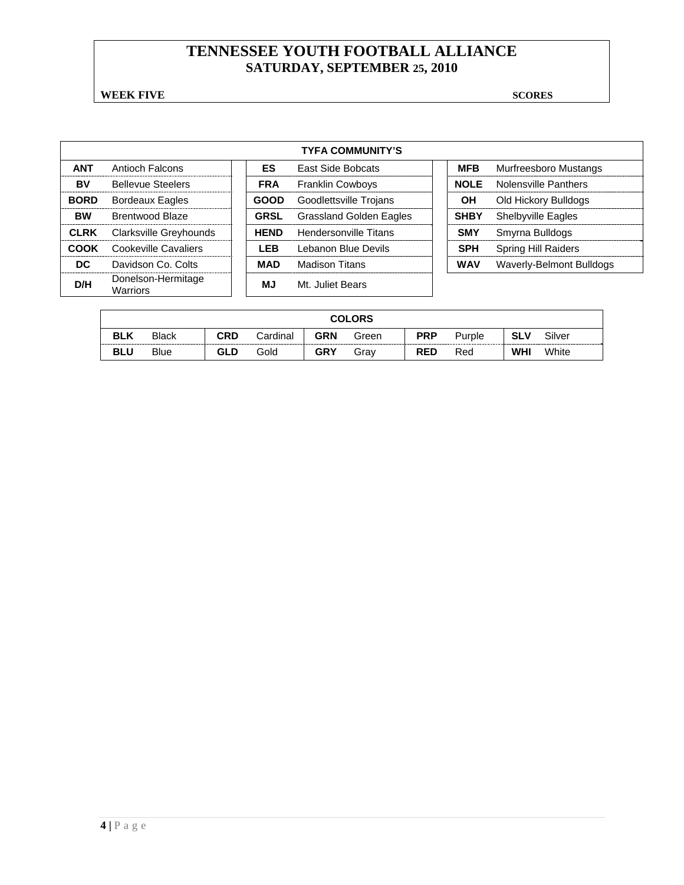**WEEK FIVE** SCORES

| <b>TYFA COMMUNITY'S</b> |                                |  |             |                                |  |             |                            |  |  |  |  |
|-------------------------|--------------------------------|--|-------------|--------------------------------|--|-------------|----------------------------|--|--|--|--|
| <b>ANT</b>              | Antioch Falcons                |  | ES.         | <b>East Side Bobcats</b>       |  | <b>MFB</b>  | Murfreesboro Mustangs      |  |  |  |  |
| BV                      | <b>Bellevue Steelers</b>       |  | <b>FRA</b>  | <b>Franklin Cowboys</b>        |  | <b>NOLE</b> | Nolensville Panthers       |  |  |  |  |
| <b>BORD</b>             | <b>Bordeaux Eagles</b>         |  | <b>GOOD</b> | Goodlettsville Trojans         |  | OН          | Old Hickory Bulldogs       |  |  |  |  |
| <b>BW</b>               | Brentwood Blaze                |  | <b>GRSL</b> | <b>Grassland Golden Eagles</b> |  | <b>SHBY</b> | <b>Shelbyville Eagles</b>  |  |  |  |  |
| <b>CLRK</b>             | Clarksville Greyhounds         |  | <b>HEND</b> | Hendersonville Titans          |  | <b>SMY</b>  | Smyrna Bulldogs            |  |  |  |  |
| COOK                    | Cookeville Cavaliers           |  | LEB         | Lebanon Blue Devils            |  | <b>SPH</b>  | <b>Spring Hill Raiders</b> |  |  |  |  |
| DC.                     | Davidson Co. Colts             |  | MAD         | <b>Madison Titans</b>          |  | <b>WAV</b>  | Waverly-Belmont Bulldogs   |  |  |  |  |
| D/H                     | Donelson-Hermitage<br>Warriors |  | ΜJ          | Mt. Juliet Bears               |  |             |                            |  |  |  |  |

|            | <b>COLORS</b> |     |          |            |       |            |        |            |        |  |
|------------|---------------|-----|----------|------------|-------|------------|--------|------------|--------|--|
| <b>BLK</b> | <b>Black</b>  | CRD | Cardinal | <b>GRN</b> | Green | <b>PRP</b> | Purple | <b>SLV</b> | Silver |  |
| <b>BLU</b> | <b>Blue</b>   | GLD | Gold     | <b>GRY</b> | Grav  | <b>RED</b> | Red    | WHI        | White  |  |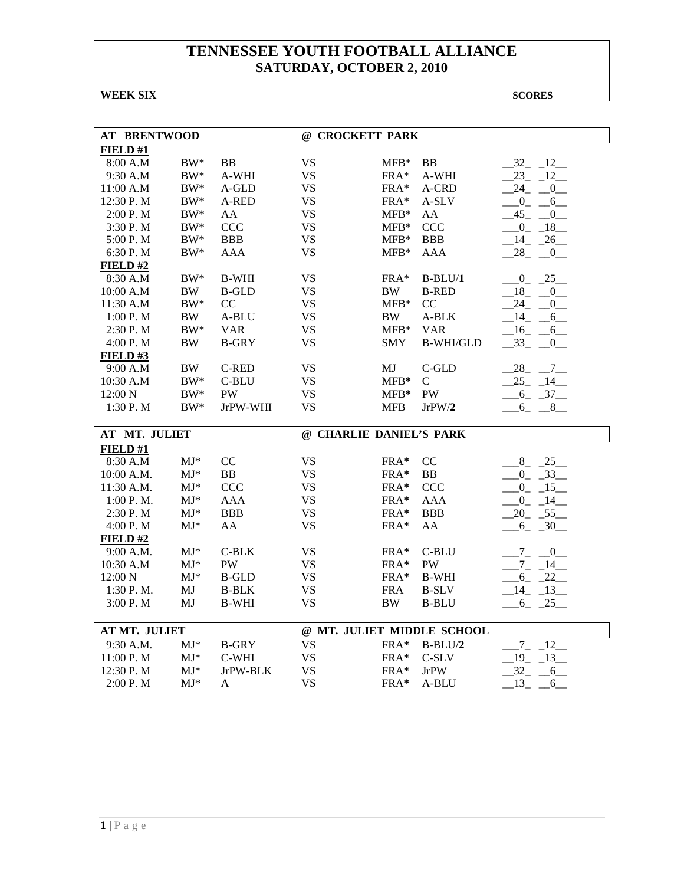### **WEEK SIX** SCORES

| <b>AT BRENTWOOD</b> |                          |              | @ CROCKETT PARK |                         |                            |                         |  |  |
|---------------------|--------------------------|--------------|-----------------|-------------------------|----------------------------|-------------------------|--|--|
| FIELD#1             |                          |              |                 |                         |                            |                         |  |  |
| 8:00 A.M            | $BW^*$                   | <b>BB</b>    | <b>VS</b>       | $MFB*$                  | <b>BB</b>                  | 12<br>$-32$             |  |  |
| 9:30 A.M            | $BW^*$                   | A-WHI        | <b>VS</b>       | FRA*                    | A-WHI                      | 23<br>$-12$             |  |  |
| 11:00 A.M           | $BW^*$                   | A-GLD        | <b>VS</b>       | $FRA*$                  | A-CRD                      | 24<br>$\overline{0}$    |  |  |
| 12:30 P.M           | $BW^*$                   | A-RED        | <b>VS</b>       | FRA*                    | A-SLV                      | $_{0}$<br>6             |  |  |
| 2:00 P.M            | $BW^*$                   | AA           | <b>VS</b>       | $MFB*$                  | AA                         | 45<br>$\overline{0}$    |  |  |
| 3:30 P.M            | $\rm BW^*$               | <b>CCC</b>   | <b>VS</b>       | $MFB*$                  | <b>CCC</b>                 | $0 - 18$                |  |  |
| 5:00 P.M            | $BW^*$                   | <b>BBB</b>   | <b>VS</b>       | $MFB*$                  | <b>BBB</b>                 | $14 - 26$               |  |  |
| 6:30 P.M            | $BW^*$                   | <b>AAA</b>   | <b>VS</b>       | $MFB*$                  | <b>AAA</b>                 | 28<br>$\overline{0}$    |  |  |
| FIELD#2             |                          |              |                 |                         |                            |                         |  |  |
| 8:30 A.M            | $BW^*$                   | <b>B-WHI</b> | <b>VS</b>       | $FRA*$                  | $B-BLU/1$                  | $0 - 25$                |  |  |
| 10:00 A.M           | <b>BW</b>                | <b>B-GLD</b> | <b>VS</b>       | $\rm BW$                | <b>B-RED</b>               | $-18$<br>$\mathbf{0}$   |  |  |
| 11:30 A.M           | $BW^*$                   | CC           | <b>VS</b>       | $MFB*$                  | CC                         | 24<br>$\overline{0}$    |  |  |
| 1:00 P. M           | BW                       | A-BLU        | <b>VS</b>       | BW                      | A-BLK                      | $-14$<br>6              |  |  |
| $2:30$ P. M         | $BW^*$                   | <b>VAR</b>   | <b>VS</b>       | $MFB*$                  | <b>VAR</b>                 | $-16$<br>6<br>$\sim$    |  |  |
| 4:00 P.M            | BW                       | <b>B-GRY</b> | <b>VS</b>       | <b>SMY</b>              | <b>B-WHI/GLD</b>           | 33<br>0                 |  |  |
| FIELD#3             |                          |              |                 |                         |                            |                         |  |  |
| 9:00 A.M            | BW                       | C-RED        | <b>VS</b>       | MJ                      | C-GLD                      | $-28$<br>$-7$           |  |  |
| 10:30 A.M           | $BW^*$                   | C-BLU        | <b>VS</b>       | $MFB*$                  | C                          | 25<br>14                |  |  |
| 12:00 N             | $\rm BW^*$               | <b>PW</b>    | <b>VS</b>       | $MFB*$                  | PW                         | $-6 - 37$               |  |  |
| 1:30 P.M            | $BW^*$                   | JrPW-WHI     | <b>VS</b>       | <b>MFB</b>              | JrPW/2                     | $6 - 8$                 |  |  |
|                     |                          |              |                 |                         |                            |                         |  |  |
| AT MT. JULIET       |                          |              |                 | @ CHARLIE DANIEL'S PARK |                            |                         |  |  |
| FIELD#1             |                          |              |                 |                         |                            |                         |  |  |
| 8:30 A.M            | $MJ*$                    | CC           | <b>VS</b>       | FRA*                    | CC                         | $8 - 25$                |  |  |
| 10:00 A.M.          | $MJ^*$                   | <b>BB</b>    | <b>VS</b>       | FRA*                    | <b>BB</b>                  | $0 - 33$                |  |  |
| 11:30 A.M.          | $\mathbf{M}\mathbf{J}^*$ | <b>CCC</b>   | <b>VS</b>       | FRA*                    | <b>CCC</b>                 | $-15$<br>$\overline{0}$ |  |  |
| 1:00 P.M.           | $MJ^*$                   | <b>AAA</b>   | <b>VS</b>       | FRA*                    | <b>AAA</b>                 | 14<br>$\overline{0}$    |  |  |
| 2:30 P.M            | $MJ^*$                   | <b>BBB</b>   | <b>VS</b>       | FRA*                    | <b>BBB</b>                 | $20 - 55$               |  |  |
| 4:00 P.M            | $MJ^*$                   | AA           | <b>VS</b>       | FRA*                    | AA                         | $6 - 30$                |  |  |
| FIELD#2             |                          |              |                 |                         |                            |                         |  |  |
| 9:00 A.M.           | $MJ^*$                   | C-BLK        | <b>VS</b>       | $FRA*$                  | C-BLU                      | $-7 - 0$                |  |  |
| 10:30 A.M           | $MJ*$                    | PW           | <b>VS</b>       | FRA*                    | PW                         | $-7 - 14$               |  |  |
| 12:00 N             | $MJ*$                    | <b>B-GLD</b> | <b>VS</b>       | FRA*                    | <b>B-WHI</b>               | 22<br>$6_{-}$           |  |  |
| 1:30 P.M.           | MJ                       | <b>B-BLK</b> | <b>VS</b>       | <b>FRA</b>              | <b>B-SLV</b>               | 14<br>$-13$             |  |  |
| 3:00 P.M            | MJ                       | <b>B-WHI</b> | VS              | BW                      | <b>B-BLU</b>               | $-6 - 25$               |  |  |
|                     |                          |              |                 |                         |                            |                         |  |  |
| AT MT. JULIET       |                          |              |                 |                         | @ MT. JULIET MIDDLE SCHOOL |                         |  |  |
| 9:30 A.M.           | $MJ*$                    | <b>B-GRY</b> | <b>VS</b>       | FRA*                    | $B-BLU/2$                  | $7\overline{ }$<br>12   |  |  |
| 11:00 P.M           | $MJ*$                    | C-WHI        | <b>VS</b>       | FRA*                    | C-SLV                      | $19 - 13$               |  |  |
| 12:30 P.M           | $MJ*$                    | JrPW-BLK     | <b>VS</b>       | FRA*                    | <b>JrPW</b>                | $32 -$<br>6             |  |  |
| 2:00 P.M            | $MJ*$                    | A            | <b>VS</b>       | FRA*                    | A-BLU                      | 13<br>6                 |  |  |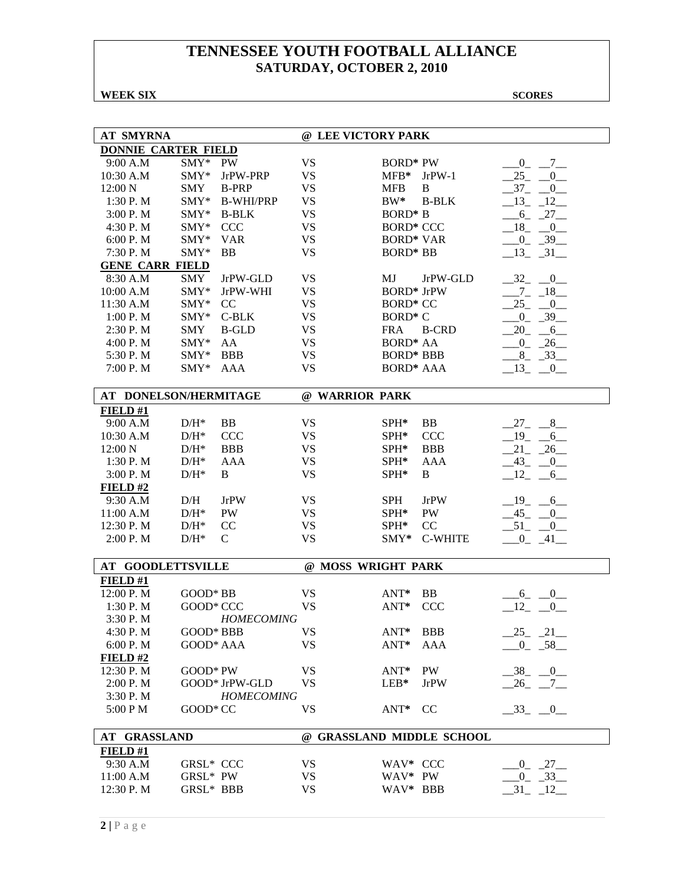### **WEEK SIX** SCORES

| <b>AT SMYRNA</b>           |                                     |                   | @ LEE VICTORY PARK        |                   |                |                                    |
|----------------------------|-------------------------------------|-------------------|---------------------------|-------------------|----------------|------------------------------------|
| <b>DONNIE CARTER FIELD</b> |                                     |                   |                           |                   |                |                                    |
| 9:00 A.M                   | $SMY*$<br><b>PW</b>                 |                   | <b>VS</b>                 | <b>BORD* PW</b>   |                | $0\qquad 7$                        |
| 10:30 A.M                  | $SMY*$                              | JrPW-PRP          | <b>VS</b>                 | ${\rm MFB^*}$     | $JrPW-1$       | 25<br>$\mathbf{0}$                 |
| 12:00 N                    | <b>SMY</b>                          | <b>B-PRP</b>      | <b>VS</b>                 | <b>MFB</b>        | B              | $37_{-}$<br>$\overline{0}$         |
| 1:30 P.M                   | $SMY*$                              | <b>B-WHI/PRP</b>  | <b>VS</b>                 | $BW^*$            | <b>B-BLK</b>   | $-13 - 12$                         |
| 3:00 P.M                   | SMY*                                | <b>B-BLK</b>      | <b>VS</b>                 | <b>BORD*</b> B    |                | $-6 - 27$                          |
| 4:30 P.M                   | SMY*<br><b>CCC</b>                  |                   | <b>VS</b>                 | <b>BORD* CCC</b>  |                | 18<br>0                            |
| 6:00 P. M                  | SMY*<br><b>VAR</b>                  |                   | <b>VS</b>                 | <b>BORD* VAR</b>  |                | $0_{-}$<br>$-39$                   |
| 7:30 P.M                   | SMY*<br><b>BB</b>                   |                   | <b>VS</b>                 | <b>BORD* BB</b>   |                | $13 - 31$                          |
| <b>GENE CARR FIELD</b>     |                                     |                   |                           |                   |                |                                    |
| 8:30 A.M                   | SMY                                 | JrPW-GLD          | <b>VS</b>                 | MJ                | JrPW-GLD       | $-32$ $-0$                         |
| 10:00 A.M                  | SMY*                                | JrPW-WHI          | <b>VS</b>                 | <b>BORD*</b> JrPW |                | $-7 - 18$                          |
| 11:30 A.M                  | SMY*<br>CC                          |                   | <b>VS</b>                 | <b>BORD* CC</b>   |                | 25<br>$\overline{\mathbf{0}}$      |
| 1:00 P. M                  | SMY*                                | $C-BLK$           | <b>VS</b>                 | BORD* C           |                | $-0$ $-39$                         |
| 2:30 P.M                   | <b>SMY</b>                          | <b>B-GLD</b>      | <b>VS</b>                 | <b>FRA</b>        | <b>B-CRD</b>   | 20<br>$-6$                         |
| 4:00 P.M                   | AA<br>$SMY*$                        |                   | <b>VS</b>                 | <b>BORD* AA</b>   |                | $-0$ $-26$                         |
| 5:30 P.M                   | $SMY*$<br><b>BBB</b>                |                   | <b>VS</b>                 | <b>BORD* BBB</b>  |                | $8 - 33$                           |
| 7:00 P.M                   | SMY*<br><b>AAA</b>                  |                   | <b>VS</b>                 | <b>BORD* AAA</b>  |                | 13<br>$\overline{\phantom{0}}^0$   |
|                            |                                     |                   |                           |                   |                |                                    |
| AT DONELSON/HERMITAGE      |                                     |                   | @ WARRIOR PARK            |                   |                |                                    |
| FIELD#1                    |                                     |                   |                           |                   |                |                                    |
| 9:00 A.M                   | $D/H^*$<br><b>BB</b>                |                   | <b>VS</b>                 | $SPH*$            | BB             | $-27$<br>8                         |
| 10:30 A.M                  | $\mathrm{D/H^{*}}$<br><b>CCC</b>    |                   | <b>VS</b>                 | SPH*              | <b>CCC</b>     | $-19$<br>6                         |
| 12:00 N                    | $D/H^*$<br><b>BBB</b>               |                   | <b>VS</b>                 | SPH*              | <b>BBB</b>     | 21<br>$-26$                        |
| 1:30 P.M                   | $\mathrm{D/H^{*}}$<br><b>AAA</b>    |                   | <b>VS</b>                 | SPH*              | <b>AAA</b>     | 43<br>0                            |
| 3:00 P.M                   | $D/H^*$<br>B                        |                   | <b>VS</b>                 | SPH*              | B              | 12<br>6                            |
| FIELD#2                    |                                     |                   |                           |                   |                |                                    |
| 9:30 A.M                   | D/H<br><b>JrPW</b>                  |                   | VS                        | <b>SPH</b>        | <b>JrPW</b>    | 19<br>6                            |
| 11:00 A.M                  | $D/H^*$<br>PW                       |                   | <b>VS</b>                 | SPH*              | PW             | $-45$<br>0                         |
| 12:30 P.M                  | $D/H^*$<br>CC                       |                   | <b>VS</b>                 | SPH*              | CC             | $-51$<br>$\overline{\phantom{0}0}$ |
| 2:00 P.M                   | $\mathrm{D/H^{*}}$<br>$\mathcal{C}$ |                   | <b>VS</b>                 | $SMY^*$           | <b>C-WHITE</b> | $0 - 41$                           |
|                            |                                     |                   |                           |                   |                |                                    |
| <b>AT GOODLETTSVILLE</b>   |                                     |                   | @ MOSS WRIGHT PARK        |                   |                |                                    |
| FIELD#1                    |                                     |                   |                           |                   |                |                                    |
| 12:00 P.M                  | GOOD* BB                            |                   | <b>VS</b>                 | ANT*              | BB             | $\overline{0}$<br>$-6$             |
| 1:30 P.M                   | GOOD* CCC                           |                   | <b>VS</b>                 | ANT*              | <b>CCC</b>     | 12<br>$\overline{0}$               |
| 3:30 P.M                   |                                     | <b>HOMECOMING</b> |                           |                   |                |                                    |
| 4:30 P.M                   | GOOD* BBB                           |                   | VS                        | ANT*              | <b>BBB</b>     | $25 - 21$                          |
| 6:00 P.M                   | GOOD* AAA                           |                   | <b>VS</b>                 | ANT*              | <b>AAA</b>     | $-0$ $-58$                         |
| FIELD#2                    |                                     |                   |                           |                   |                |                                    |
| 12:30 P.M                  | GOOD* PW                            |                   | VS.                       | $ANT^*$           | PW             | $-38$ $-0$                         |
| 2:00 P.M                   | GOOD* JrPW-GLD                      |                   | <b>VS</b>                 | $LEB*$            | <b>JrPW</b>    | $-26$ $-7$                         |
| 3:30 P.M                   |                                     | <b>HOMECOMING</b> |                           |                   |                |                                    |
| 5:00 PM                    | GOOD* CC                            |                   | VS                        | $ANT^*$           | <b>CC</b>      | $-33$ $-0$ $-$                     |
| AT GRASSLAND               |                                     |                   | @ GRASSLAND MIDDLE SCHOOL |                   |                |                                    |
| FIED#1                     |                                     |                   |                           |                   |                |                                    |
| 9:30 A.M                   | GRSL* CCC                           |                   | VS                        | WAV* CCC          |                | $0 - 27$                           |
| 11:00 A.M                  | GRSL* PW                            |                   | <b>VS</b>                 | WAV* PW           |                | $-33$<br>$\overline{0}$            |
| 12:30 P.M                  | GRSL* BBB                           |                   | <b>VS</b>                 | WAV* BBB          |                | $-31 - 12$                         |
|                            |                                     |                   |                           |                   |                |                                    |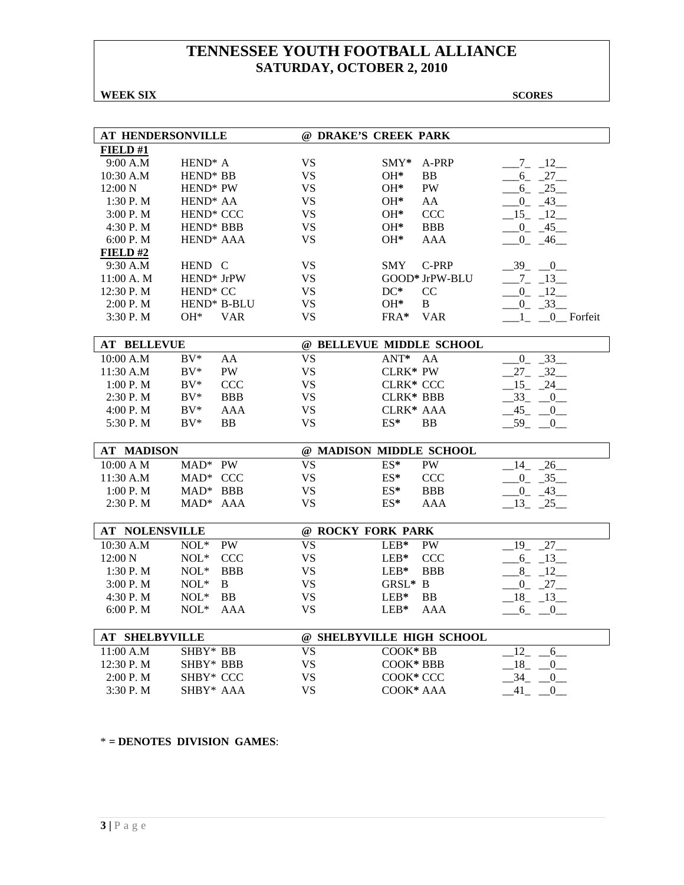### **WEEK SIX** SCORES

| AT HENDERSONVILLE     |                              |                         | @ DRAKE'S CREEK PARK      |                |                           |
|-----------------------|------------------------------|-------------------------|---------------------------|----------------|---------------------------|
| FIELD#1               |                              |                         |                           |                |                           |
| 9:00 A.M              | HEND <sup>*</sup> A          | <b>VS</b>               | $\text{SMY*}$             | A-PRP          | $-7 - 12$                 |
| 10:30 A.M             | HEND <sup>*</sup> BB         | <b>VS</b>               | $OH*$                     | <b>BB</b>      | $-6 - 27$                 |
| 12:00 N               | HEND <sup>*</sup> PW         | <b>VS</b>               | $OH*$                     | PW             | $-6 - 25$                 |
| 1:30P. M              | HEND <sup>*</sup> AA         | <b>VS</b>               | $OH*$                     | AA             | $0 - 43$                  |
| 3:00 P.M              | HEND <sup>*</sup> CCC        | <b>VS</b>               | $OH*$                     | <b>CCC</b>     | $15 - 12$                 |
| 4:30 P.M              | HEND* BBB                    | <b>VS</b>               | OH*                       | <b>BBB</b>     | $0 - 45$                  |
| 6:00 P. M             | HEND <sup>*</sup> AAA        | VS.                     | $OH*$                     | AAA            | $0 - 46$                  |
| FIELD#2               |                              |                         |                           |                |                           |
| 9:30 A.M              | HEND C                       | VS                      | <b>SMY</b>                | C-PRP          | $-39$<br>$-0$             |
| 11:00 A. M            | HEND* JrPW                   | VS                      |                           | GOOD* JrPW-BLU | $-7 - 13$                 |
| 12:30 P.M             | HEND <sup>*</sup> CC         | <b>VS</b>               | $DC^*$                    | CC             | $0 - 12$                  |
| 2:00 P.M              | HEND* B-BLU                  | <b>VS</b>               | $OH*$                     | B              | $0 - 33$                  |
| 3:30 P.M              | $OH*$                        | <b>VAR</b><br>VS.       | FRA*                      | <b>VAR</b>     | 1<br>0 Forfeit            |
|                       |                              |                         |                           |                |                           |
| <b>AT BELLEVUE</b>    |                              |                         | @ BELLEVUE MIDDLE SCHOOL  |                |                           |
| 10:00 A.M             | $BV^*$<br>AA                 | <b>VS</b>               | $ANT^*$                   | AA             | $-0$ $-33$                |
| 11:30 A.M             | $BV^*$<br>PW                 | <b>VS</b>               | $CLRK*$ PW                |                | 32<br>27                  |
| 1:00 P. M             | $BV^*$<br><b>CCC</b>         | <b>VS</b>               | CLRK* CCC                 |                | 15 24                     |
| 2:30 P.M              | $BV^*$                       | <b>BBB</b><br>VS.       | CLRK* BBB                 |                | $33_{-}$<br>$-0$          |
| 4:00 P. M             | $BV^*$                       | <b>VS</b><br>AAA        | CLRK* AAA                 |                | 45<br>$0_{-}$             |
| 5:30 P.M              | $BV^*$<br><b>BB</b>          | <b>VS</b>               | $ES*$                     | <b>BB</b>      | 59<br>$\overline{0}$      |
|                       |                              |                         |                           |                |                           |
| <b>AT MADISON</b>     |                              |                         | @ MADISON MIDDLE SCHOOL   |                |                           |
| 10:00 A M             | MAD* PW                      | <b>VS</b>               | ES*                       | PW             | $\frac{26}{ }$<br>14      |
| 11:30 A.M             | MAD* CCC                     | <b>VS</b>               | $ES*$                     | <b>CCC</b>     | $0 \quad 35$              |
| 1:00 P. M             | $MAD^*$ BBB                  | <b>VS</b>               | $ES*$                     | <b>BBB</b>     | $-0$ $-43$                |
| 2:30 P.M              | MAD <sup>*</sup> AAA         | <b>VS</b>               | ES*                       | AAA            | $-13$ $-25$               |
|                       |                              |                         |                           |                |                           |
| <b>AT NOLENSVILLE</b> |                              |                         | @ ROCKY FORK PARK         |                |                           |
| 10:30 A.M             | $NOL*$<br><b>PW</b>          | <b>VS</b>               | $LEB*$                    | <b>PW</b>      | $\overline{1}9$<br>27     |
| 12:00 N               | $NOL*$<br><b>CCC</b>         | <b>VS</b>               | $LEB*$                    | <b>CCC</b>     | $-6 - 13$                 |
| 1:30 P.M              | $\text{NOL}^*$<br><b>BBB</b> | <b>VS</b>               | $LEB*$                    | <b>BBB</b>     | $8 - 12$                  |
| 3:00 P. M             | $\text{NOL}^*$<br>B          | <b>VS</b>               | GRSL* B                   |                | $0 - 27$                  |
| 4:30 P.M              | $NOL*$<br><b>BB</b>          | VS.                     | $LEB*$                    | <b>BB</b>      | $-18$ $-13$               |
| 6:00 P.M              | $NOL*$                       | <b>VS</b><br><b>AAA</b> | $LEB*$                    | <b>AAA</b>     | 6 0                       |
|                       |                              |                         |                           |                |                           |
| <b>AT SHELBYVILLE</b> |                              |                         | @ SHELBYVILLE HIGH SCHOOL |                |                           |
| 11:00 A.M             | SHBY* BB                     | <b>VS</b>               | COOK*BB                   |                | 12<br>6                   |
| 12:30 P.M             | SHBY* BBB                    | <b>VS</b>               | COOK* BBB                 |                | 18<br>$\overline{0}$      |
| 2:00 P.M              | SHBY* CCC                    | <b>VS</b>               | COOK* CCC                 |                | 34<br>$\mathbf{0}$        |
| 3:30 P.M              | SHBY* AAA                    | <b>VS</b>               | COOK* AAA                 |                | $-41$<br>$0$ <sub>—</sub> |

\* **= DENOTES DIVISION GAMES**: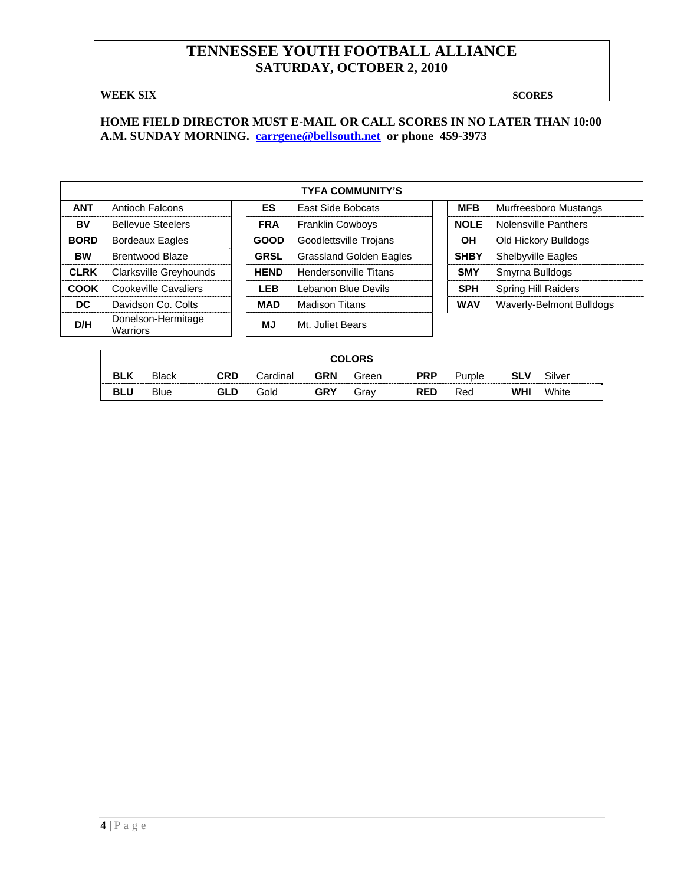### **WEEK SIX** SCORES

### **HOME FIELD DIRECTOR MUST E-MAIL OR CALL SCORES IN NO LATER THAN 10:00 A.M. SUNDAY MORNING. carrgene@bellsouth.net or phone 459-3973**

|             |                                |             | <b>TYFA COMMUNITY'S</b>        |             |                            |
|-------------|--------------------------------|-------------|--------------------------------|-------------|----------------------------|
| <b>ANT</b>  | Antioch Falcons                | ES          | East Side Bobcats              | <b>MFB</b>  | Murfreesboro Mustangs      |
| BV          | <b>Bellevue Steelers</b>       | <b>FRA</b>  | <b>Franklin Cowboys</b>        | <b>NOLE</b> | Nolensville Panthers       |
| <b>BORD</b> | <b>Bordeaux Eagles</b>         | <b>GOOD</b> | Goodlettsville Trojans         | ΟH          | Old Hickory Bulldogs       |
| <b>BW</b>   | Brentwood Blaze                | <b>GRSL</b> | <b>Grassland Golden Eagles</b> | <b>SHBY</b> | Shelbyville Eagles         |
| <b>CLRK</b> | Clarksville Greyhounds         | <b>HEND</b> | Hendersonville Titans          | <b>SMY</b>  | Smyrna Bulldogs            |
| <b>COOK</b> | Cookeville Cavaliers           | <b>LEB</b>  | Lebanon Blue Devils            | <b>SPH</b>  | <b>Spring Hill Raiders</b> |
| DC.         | Davidson Co. Colts             | <b>MAD</b>  | <b>Madison Titans</b>          | <b>WAV</b>  | Waverly-Belmont Bulldogs   |
| D/H         | Donelson-Hermitage<br>Warriors | МJ          | Mt. Juliet Bears               |             |                            |

|            | <b>COLORS</b> |            |          |            |       |            |        |            |        |  |  |
|------------|---------------|------------|----------|------------|-------|------------|--------|------------|--------|--|--|
| <b>BLK</b> | <b>Black</b>  | CRD        | Cardinal | <b>GRN</b> | Green | <b>PRP</b> | Purple | <b>SLV</b> | Silver |  |  |
| <b>BLU</b> | <b>Blue</b>   | <b>GLD</b> | Gold     | <b>GRY</b> | Grav  | <b>RED</b> | Red    | <b>WHI</b> | White  |  |  |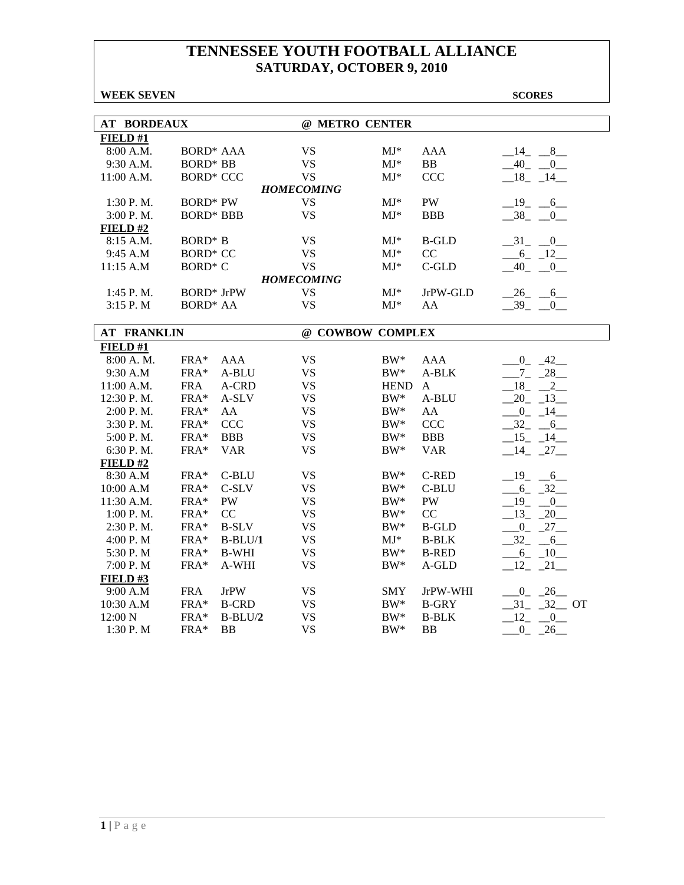| <b>WEEK SEVEN</b> |  |
|-------------------|--|
|-------------------|--|

**SCORES** 

| <b>AT BORDEAUX</b> |                   |              | @ METRO CENTER    |             |              |                       |
|--------------------|-------------------|--------------|-------------------|-------------|--------------|-----------------------|
| FIELD#1            |                   |              |                   |             |              |                       |
| 8:00 A.M.          | <b>BORD* AAA</b>  |              | <b>VS</b>         | $MJ^*$      | <b>AAA</b>   | $-14$ $-8$            |
| 9:30 A.M.          | <b>BORD* BB</b>   |              | <b>VS</b>         | $MJ^*$      | BB           | $-40$ $-0$            |
| 11:00 A.M.         | <b>BORD* CCC</b>  |              | <b>VS</b>         | $MJ^*$      | CCC          | $-18$ $-14$           |
|                    |                   |              | <b>HOMECOMING</b> |             |              |                       |
| $1:30$ P.M.        | <b>BORD*</b> PW   |              | <b>VS</b>         | $MJ^*$      | PW           | $-19 - 6$             |
| 3:00 P.M.          | <b>BORD* BBB</b>  |              | <b>VS</b>         | $MJ^*$      | <b>BBB</b>   | $-38$ $-0$            |
| FIELD#2            |                   |              |                   |             |              |                       |
| 8:15 A.M.          | BORD* B           |              | <b>VS</b>         | $MJ^*$      | <b>B-GLD</b> | $-31$ $-0$            |
| 9:45 A.M           | <b>BORD* CC</b>   |              | <b>VS</b>         | $MJ^*$      | CC           | $-6$ $-12$            |
| 11:15 A.M          | <b>BORD* C</b>    |              | <b>VS</b>         | $MJ*$       | C-GLD        | $-40$<br>$\mathbf{0}$ |
|                    |                   |              | <b>HOMECOMING</b> |             |              |                       |
| 1:45 P.M.          | <b>BORD*</b> JrPW |              | <b>VS</b>         | $MJ*$       | JrPW-GLD     | $26 - 6$              |
| $3:15$ P. M        | <b>BORD* AA</b>   |              | <b>VS</b>         | $MJ^*$      | AA           | $-39$<br>0            |
|                    |                   |              |                   |             |              |                       |
| <b>AT FRANKLIN</b> |                   |              | @ COWBOW COMPLEX  |             |              |                       |
| FIELD#1            |                   |              |                   |             |              |                       |
| 8:00 A.M.          | FRA*              | <b>AAA</b>   | <b>VS</b>         | $BW^*$      | <b>AAA</b>   | $0 - 42$              |
| 9:30 A.M           | FRA*              | A-BLU        | <b>VS</b>         | $BW^*$      | A-BLK        | $-7 - 28$             |
| 11:00 A.M.         | <b>FRA</b>        | A-CRD        | <b>VS</b>         | <b>HEND</b> | $\mathbf{A}$ | 18<br>$\overline{2}$  |
| 12:30 P.M.         | FRA*              | A-SLV        | <b>VS</b>         | $BW^*$      | A-BLU        | $20 - 13$             |
| 2:00 P.M.          | FRA*              | AA           | <b>VS</b>         | $BW^*$      | AA           | $-0$ $-14$            |
| 3:30 P.M.          | $FRA*$            | <b>CCC</b>   | <b>VS</b>         | $BW^*$      | <b>CCC</b>   | $-32 - 6$             |
| 5:00 P.M.          | FRA*              | <b>BBB</b>   | <b>VS</b>         | $BW^*$      | <b>BBB</b>   | $-15 - 14$            |
| 6:30 P.M.          | $FRA*$            | <b>VAR</b>   | <b>VS</b>         | $BW^*$      | <b>VAR</b>   | $-14$ $-27$           |
| FIELD#2            |                   |              |                   |             |              |                       |
| 8:30 A.M           | $\text{FRA}^*$    | $C-BLU$      | <b>VS</b>         | $BW^*$      | <b>C-RED</b> | $-19$ $-6$            |
| 10:00 A.M          | FRA*              | C-SLV        | <b>VS</b>         | $BW^*$      | C-BLU        | $-6 - 32$             |
| 11:30 A.M.         | FRA*              | PW           | <b>VS</b>         | $BW^*$      | PW           | $-19$ $-0$            |
| 1:00 P. M.         | FRA*              | CC           | <b>VS</b>         | $BW^*$      | CC           | $-13$ $-20$           |
| 2:30 P.M.          | $FRA*$            | <b>B-SLV</b> | <b>VS</b>         | $BW^*$      | <b>B-GLD</b> | $0 - 27$              |
| 4:00 P.M           | FRA*              | $B-BLU/1$    | <b>VS</b>         | $MJ^*$      | <b>B-BLK</b> | $-32 - 6$             |
| 5:30 P.M           | FRA*              | <b>B-WHI</b> | <b>VS</b>         | $BW^*$      | <b>B-RED</b> | $6 - 10$              |
| 7:00 P.M           | FRA*              | A-WHI        | <b>VS</b>         | $BW^*$      | A-GLD        | $12 - 21$             |
| FIELD#3            |                   |              |                   |             |              |                       |
| 9:00 A.M           | <b>FRA</b>        | <b>JrPW</b>  | <b>VS</b>         | <b>SMY</b>  | JrPW-WHI     | $0 - 26$              |
| 10:30 A.M          | FRA*              | <b>B-CRD</b> | <b>VS</b>         | $BW^*$      | <b>B-GRY</b> | $-31 - 32$ OT         |
| 12:00 N            | FRA*              | $B-BLU/2$    | <b>VS</b>         | $BW^*$      | <b>B-BLK</b> | 12<br>0               |
| 1:30 P.M           | FRA*              | <b>BB</b>    | <b>VS</b>         | $BW^*$      | <b>BB</b>    | $-26$<br>$0_{-}$      |
|                    |                   |              |                   |             |              |                       |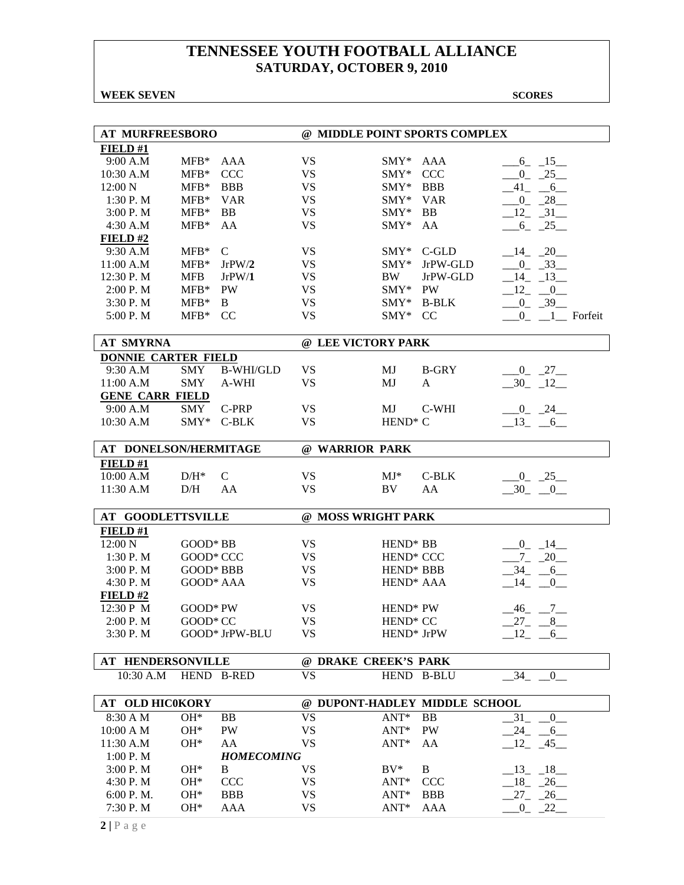**WEEK SEVEN** SCORES

| <b>AT MURFREESBORO</b>     |                  |                   | @ MIDDLE POINT SPORTS COMPLEX |                       |                               |                                           |  |  |  |
|----------------------------|------------------|-------------------|-------------------------------|-----------------------|-------------------------------|-------------------------------------------|--|--|--|
| FIELD#1                    |                  |                   |                               |                       |                               |                                           |  |  |  |
| 9:00 A.M                   | $MFB*$           | AAA               | <b>VS</b>                     | $\text{SMY*}$         | AAA                           | $-6 - 15$                                 |  |  |  |
| 10:30 A.M                  | $MFB*$           | <b>CCC</b>        | <b>VS</b>                     | $\text{SMY}^*$        | <b>CCC</b>                    | $0 - 25$                                  |  |  |  |
| 12:00 N                    | $MFB*$           | <b>BBB</b>        | <b>VS</b>                     | $\text{SMY*}$         | <b>BBB</b>                    | $-41$ $-6$                                |  |  |  |
| 1:30 P.M                   | $MFB*$           | <b>VAR</b>        | <b>VS</b>                     | SMY* VAR              |                               | $-0$ $-28$                                |  |  |  |
| 3:00 P.M                   | $MFB*$           | <b>BB</b>         | <b>VS</b>                     | $\text{SMY*}$         | BB                            | $-12 - 31$                                |  |  |  |
| 4:30 A.M                   | $MFB*$           | AA                | <b>VS</b>                     | $\text{SMY*}$         | AA                            | $-6$ $-25$                                |  |  |  |
| FIELD#2                    |                  |                   |                               |                       |                               |                                           |  |  |  |
| 9:30 A.M                   | $MFB*$           | $\mathsf{C}$      | <b>VS</b>                     | $\text{SMY*}$         | C-GLD                         | $-14$ $-20$                               |  |  |  |
| 11:00 A.M                  | $MFB*$           | JrPW/2            | <b>VS</b>                     | $SMY*$                | JrPW-GLD                      | $-0$ $-33$                                |  |  |  |
| 12:30 P.M                  | <b>MFB</b>       | JrPW/1            | <b>VS</b>                     | <b>BW</b>             | JrPW-GLD                      | $-14$ $-13$                               |  |  |  |
| 2:00 P.M                   | $MFB*$           | PW                | <b>VS</b>                     | SMY* PW               |                               | $-12$ $-0$                                |  |  |  |
| 3:30 P.M                   | $MFB*$           | B                 | <b>VS</b>                     |                       | SMY* B-BLK                    | $0 - 39$                                  |  |  |  |
| 5:00 P.M                   | $MFB*$ CC        |                   | <b>VS</b>                     | SMY*                  | CC                            | $0$ <sub>-</sub> $1$ <sup>-</sup> Forfeit |  |  |  |
|                            |                  |                   |                               |                       |                               |                                           |  |  |  |
| <b>AT SMYRNA</b>           |                  |                   | @ LEE VICTORY PARK            |                       |                               |                                           |  |  |  |
| <b>DONNIE CARTER FIELD</b> |                  |                   |                               |                       |                               |                                           |  |  |  |
| 9:30 A.M                   | <b>SMY</b>       | <b>B-WHI/GLD</b>  | <b>VS</b>                     | MJ                    | <b>B-GRY</b>                  | $-0$ $-27$ $-$                            |  |  |  |
| 11:00 A.M                  | <b>SMY</b>       | A-WHI             | <b>VS</b>                     | MJ                    | A                             | $-30 - 12$                                |  |  |  |
| <b>GENE CARR FIELD</b>     |                  |                   |                               |                       |                               |                                           |  |  |  |
| 9:00 A.M                   | SMY              | C-PRP             | <b>VS</b>                     | MJ                    | C-WHI                         | $-0$ $-24$ $-$                            |  |  |  |
| 10:30 A.M                  | $\text{SMY*}$    | C-BLK             | <b>VS</b>                     | $HEND^* C$            |                               | $-13 - 6$                                 |  |  |  |
| AT DONELSON/HERMITAGE      |                  |                   | @ WARRIOR PARK                |                       |                               |                                           |  |  |  |
| FIELD#1                    |                  |                   |                               |                       |                               |                                           |  |  |  |
| 10:00 A.M                  | $D/H^*$          | $\mathsf{C}$      | <b>VS</b>                     | $MJ^*$                | C-BLK                         | $-0$ $-25$                                |  |  |  |
| 11:30 A.M                  | D/H              | AA                | <b>VS</b>                     | BV.                   | AA                            | $-30$ $-0$                                |  |  |  |
| <b>AT GOODLETTSVILLE</b>   |                  |                   | @ MOSS WRIGHT PARK            |                       |                               |                                           |  |  |  |
| FIELD #1                   |                  |                   |                               |                       |                               |                                           |  |  |  |
| 12:00 N                    | $GOOD*BB$        |                   | <b>VS</b>                     | HEND <sup>*</sup> BB  |                               | $-0$ $-14$                                |  |  |  |
| 1:30 P.M                   | GOOD* CCC        |                   | <b>VS</b>                     | HEND <sup>*</sup> CCC |                               | $-7 - 20$                                 |  |  |  |
| 3:00 P.M                   | <b>GOOD* BBB</b> |                   | <b>VS</b>                     | HEND <sup>*</sup> BBB |                               | $-34 - -6$                                |  |  |  |
| 4:30 P.M                   | GOOD* AAA        |                   | <b>VS</b>                     | HEND <sup>*</sup> AAA |                               | $-14$ $-0$                                |  |  |  |
| FIELD#2                    |                  |                   |                               |                       |                               |                                           |  |  |  |
| 12:30 P M                  | GOOD* PW         |                   | <b>VS</b>                     | HEND <sup>*</sup> PW  |                               | $\frac{7}{2}$<br>$-46$                    |  |  |  |
| 2:00 P.M                   | GOOD* CC         |                   | <b>VS</b>                     | HEND <sup>*</sup> CC  |                               | 27<br>8                                   |  |  |  |
| 3:30 P.M                   |                  | GOOD* JrPW-BLU    | <b>VS</b>                     | HEND* JrPW            |                               | $-12$ $-6$                                |  |  |  |
|                            |                  |                   |                               |                       |                               |                                           |  |  |  |
| AT HENDERSONVILLE          |                  |                   | @ DRAKE CREEK'S PARK          |                       |                               |                                           |  |  |  |
| 10:30 A.M                  |                  | HEND B-RED        | <b>VS</b>                     | HEND B-BLU            |                               | 34 0                                      |  |  |  |
| AT OLD HIC0KORY            |                  |                   |                               |                       | @ DUPONT-HADLEY MIDDLE SCHOOL |                                           |  |  |  |
| 8:30 A M                   | OH*              | BB                | <b>VS</b>                     | $ANT*$                | <b>BB</b>                     | 31<br>$\overline{0}$                      |  |  |  |
| 10:00 A M                  | OH*              | PW                | VS                            | ANT*                  | PW                            | $-24$ $-6$                                |  |  |  |
| 11:30 A.M                  | OH*              | AA                | <b>VS</b>                     | ANT*                  | AA                            | $-12$ $-45$                               |  |  |  |
| 1:00 P. M                  |                  | <b>HOMECOMING</b> |                               |                       |                               |                                           |  |  |  |
| 3:00 P.M                   | $OH*$            | B                 | VS                            | $BV^*$                | B                             | $13 - 18$                                 |  |  |  |
| 4:30 P.M                   | $\rm OH^*$       | <b>CCC</b>        | VS                            | $ANT*$                | <b>CCC</b>                    | $-18$ $-26$                               |  |  |  |
| 6:00 P. M.                 | OH*              | <b>BBB</b>        | <b>VS</b>                     | $ANT^*$               | BBB                           | $27 - 26$                                 |  |  |  |
| 7:30 P.M                   | OH*              | AAA               | <b>VS</b>                     | ANT*                  | AAA                           | $-0$ $-22$                                |  |  |  |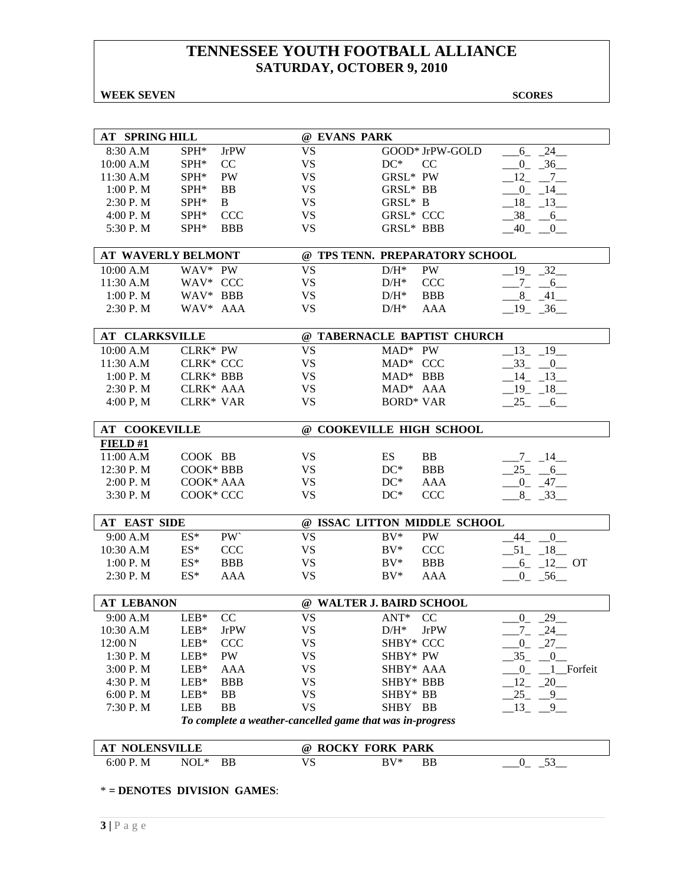### **WEEK SEVEN** SCORES

| <b>AT SPRING HILL</b> |                  |             | @ EVANS PARK                                              |                  |                 |                            |
|-----------------------|------------------|-------------|-----------------------------------------------------------|------------------|-----------------|----------------------------|
| 8:30 A.M              | $SPH^*$          | <b>JrPW</b> | <b>VS</b>                                                 |                  | GOOD* JrPW-GOLD | $-24$<br>$6_{-}$           |
| 10:00 A.M             | $SPH^*$          | CC          | <b>VS</b>                                                 | $DC^*$           | CC              | $-36$<br>$0_{-}$           |
| 11:30 A.M             | SPH*             | PW          | <b>VS</b>                                                 | GRSL* PW         |                 | 12<br>$7_{-}$              |
| 1:00 P. M             | SPH*             | <b>BB</b>   | <b>VS</b>                                                 | GRSL* BB         |                 | $0_{-}$<br>14              |
| 2:30 P.M              | SPH*             | B           | <b>VS</b>                                                 | GRSL* B          |                 | 18 13                      |
| 4:00 P.M              | ${\rm SPH^*}$    | <b>CCC</b>  | <b>VS</b>                                                 | <b>GRSL* CCC</b> |                 | $38 - 6$                   |
| 5:30 P.M              | SPH*             | <b>BBB</b>  | <b>VS</b>                                                 | <b>GRSL* BBB</b> |                 | $-40$ $-0$                 |
|                       |                  |             |                                                           |                  |                 |                            |
| AT WAVERLY BELMONT    |                  |             | @ TPS TENN. PREPARATORY SCHOOL                            |                  |                 |                            |
| 10:00 A.M             | WAV* PW          |             | <b>VS</b>                                                 | $D/H^*$          | PW              | 19 32                      |
| 11:30 A.M             | WAV* CCC         |             | <b>VS</b>                                                 | $D/H^*$          | <b>CCC</b>      | $-7 - -6$                  |
| 1:00 P. M             | WAV* BBB         |             | <b>VS</b>                                                 | $D/H^*$          | <b>BBB</b>      | $8 - 41$                   |
| 2:30 P.M              | WAV* AAA         |             | <b>VS</b>                                                 | $D/H^*$          | AAA             | $19 - 36$                  |
| <b>AT CLARKSVILLE</b> |                  |             | @ TABERNACLE BAPTIST CHURCH                               |                  |                 |                            |
| 10:00 A.M             | $CLRK*PW$        |             | <b>VS</b>                                                 | $MAD^*$ PW       |                 | 13<br>19                   |
| 11:30 A.M             | <b>CLRK* CCC</b> |             | <b>VS</b>                                                 | MAD* CCC         |                 | 33 0                       |
| 1:00 P. M             | <b>CLRK* BBB</b> |             | <b>VS</b>                                                 | $MAD^*$ BBB      |                 | $-14$ $-13$                |
| 2:30 P. M             | CLRK* AAA        |             | VS.                                                       | MAD* AAA         |                 | $-19$ $-18$                |
| 4:00 P, M             | <b>CLRK* VAR</b> |             | <b>VS</b>                                                 | <b>BORD* VAR</b> |                 | $-25 - -6$                 |
|                       |                  |             |                                                           |                  |                 |                            |
| <b>AT COOKEVILLE</b>  |                  |             | @ COOKEVILLE HIGH SCHOOL                                  |                  |                 |                            |
| FIELD#1               |                  |             |                                                           |                  |                 |                            |
| 11:00 A.M             | COOK BB          |             | <b>VS</b>                                                 | ES               | BB              | $-7 - 14$                  |
| 12:30 P.M             | COOK* BBB        |             | <b>VS</b>                                                 | $DC^*$           | <b>BBB</b>      | $25 - 6$                   |
| 2:00 P. M             | COOK* AAA        |             | <b>VS</b>                                                 | $DC^*$           | AAA             | $-0$ $-47$ $-$             |
| 3:30 P.M              | COOK* CCC        |             | <b>VS</b>                                                 | $DC^*$           | <b>CCC</b>      | $8 - 33$                   |
| <b>AT EAST SIDE</b>   |                  |             | @ ISSAC LITTON MIDDLE SCHOOL                              |                  |                 |                            |
| 9:00 A.M              | $ES^*$           | PW          | <b>VS</b>                                                 | $BV^*$           | <b>PW</b>       | $44_{-}$<br>$\overline{0}$ |
| 10:30 A.M             | $ES^*$           | <b>CCC</b>  | <b>VS</b>                                                 | $BV^*$           | <b>CCC</b>      | $-51 - 18$                 |
| 1:00 P. M             | $ES^*$           | <b>BBB</b>  | <b>VS</b>                                                 | $BV^*$           | <b>BBB</b>      | $-6$ $-12$ OT              |
| 2:30 P. M             | $ES^*$           | AAA         | <b>VS</b>                                                 | $BV^*$           | <b>AAA</b>      | $-0$ $-56$ $-$             |
|                       |                  |             |                                                           |                  |                 |                            |
| <b>AT LEBANON</b>     |                  |             | @ WALTER J. BAIRD SCHOOL                                  |                  |                 |                            |
| 9:00 A.M              | $LEB*$           | CC          | <b>VS</b>                                                 | ANT*             | CC              | $0\qquad 29$               |
| 10:30 A.M             | $LEB*$           | <b>JrPW</b> | VS                                                        | $D/H^*$          | <b>JrPW</b>     | 7<br>24                    |
| 12:00 N               | $LEB*$           | <b>CCC</b>  | VS                                                        | SHBY* CCC        |                 | $-0$ $-27$ $-$             |
| 1:30 P.M              | $LEB*$           | PW          | VS                                                        | SHBY* PW         |                 | 35<br>$\overline{0}$       |
| 3:00 P.M              | $LEB*$           | AAA         | VS                                                        | SHBY* AAA        |                 | 1_Forfeit<br>$_{0}$        |
| 4:30 P.M              | $LEB*$           | <b>BBB</b>  | <b>VS</b>                                                 | SHBY* BBB        |                 | 12<br>$-20$                |
| 6:00 P.M              | $LEB*$           | BB          | <b>VS</b>                                                 | SHBY* BB         |                 | 25<br>9                    |
| 7:30 P.M              | LEB              | <b>BB</b>   | <b>VS</b>                                                 | SHBY BB          |                 | 13<br>9                    |
|                       |                  |             | To complete a weather-cancelled game that was in-progress |                  |                 |                            |
| <b>AT NOLENSVILLE</b> |                  |             | @ ROCKY FORK PARK                                         |                  |                 |                            |
| 6:00 P.M              | $NOL*$           | BB          | <b>VS</b>                                                 | $BV^*$           | <b>BB</b>       | $-53$<br>$0_{-}$           |
|                       |                  |             |                                                           |                  |                 |                            |

\* **= DENOTES DIVISION GAMES**: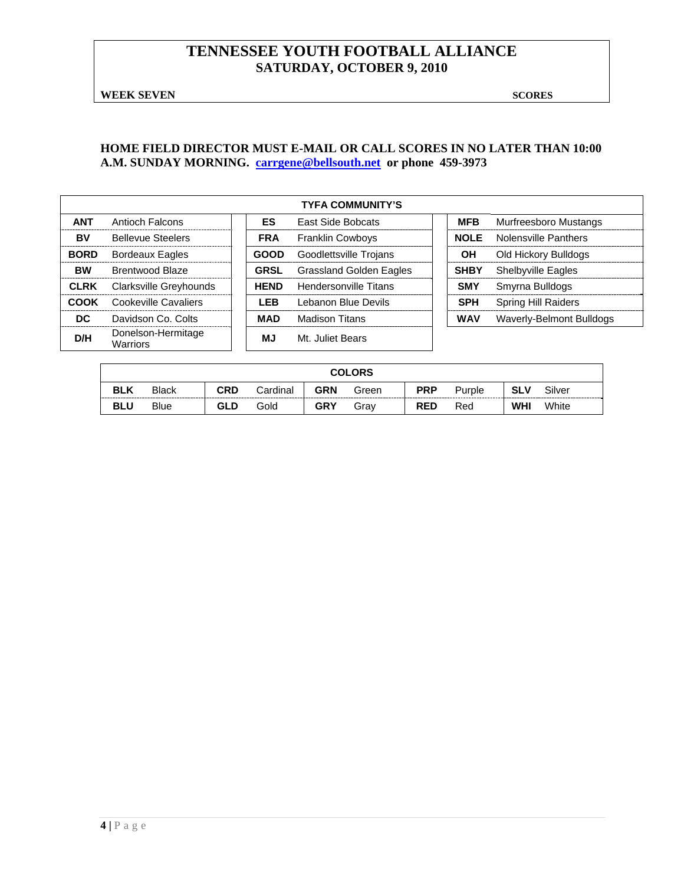**WEEK SEVEN** SCORES

### **HOME FIELD DIRECTOR MUST E-MAIL OR CALL SCORES IN NO LATER THAN 10:00 A.M. SUNDAY MORNING. carrgene@bellsouth.net or phone 459-3973**

|             |                                |             | <b>TYFA COMMUNITY'S</b>        |             |                            |
|-------------|--------------------------------|-------------|--------------------------------|-------------|----------------------------|
| <b>ANT</b>  | <b>Antioch Falcons</b>         | <b>ES</b>   | East Side Bobcats              | <b>MFB</b>  | Murfreesboro Mustangs      |
| BV          | <b>Bellevue Steelers</b>       | <b>FRA</b>  | Franklin Cowboys               | <b>NOLE</b> | Nolensville Panthers       |
| <b>BORD</b> | Bordeaux Eagles                | <b>GOOD</b> | Goodlettsville Trojans         | OН          | Old Hickory Bulldogs       |
| <b>BW</b>   | Brentwood Blaze                | <b>GRSL</b> | <b>Grassland Golden Eagles</b> | <b>SHBY</b> | <b>Shelbyville Eagles</b>  |
| <b>CLRK</b> | Clarksville Greyhounds         | <b>HEND</b> | <b>Hendersonville Titans</b>   | <b>SMY</b>  | Smyrna Bulldogs            |
| COOK        | Cookeville Cavaliers           | LEB         | Lebanon Blue Devils            | <b>SPH</b>  | <b>Spring Hill Raiders</b> |
| DC.         | Davidson Co. Colts             | <b>MAD</b>  | <b>Madison Titans</b>          | <b>WAV</b>  | Waverly-Belmont Bulldogs   |
| D/H         | Donelson-Hermitage<br>Warriors | ΜJ          | Mt. Juliet Bears               |             |                            |

| <b>COLORS</b> |              |            |          |            |       |            |        |            |        |  |
|---------------|--------------|------------|----------|------------|-------|------------|--------|------------|--------|--|
| <b>BLK</b>    | <b>Black</b> | <b>CRD</b> | Cardinal | <b>GRN</b> | Green | <b>PRP</b> | Purple | <b>SLV</b> | Silver |  |
| <b>BLU</b>    | <b>Blue</b>  | GLD        | Gold     | <b>GRY</b> | Grav  | <b>RED</b> | Red    | <b>WHI</b> | White  |  |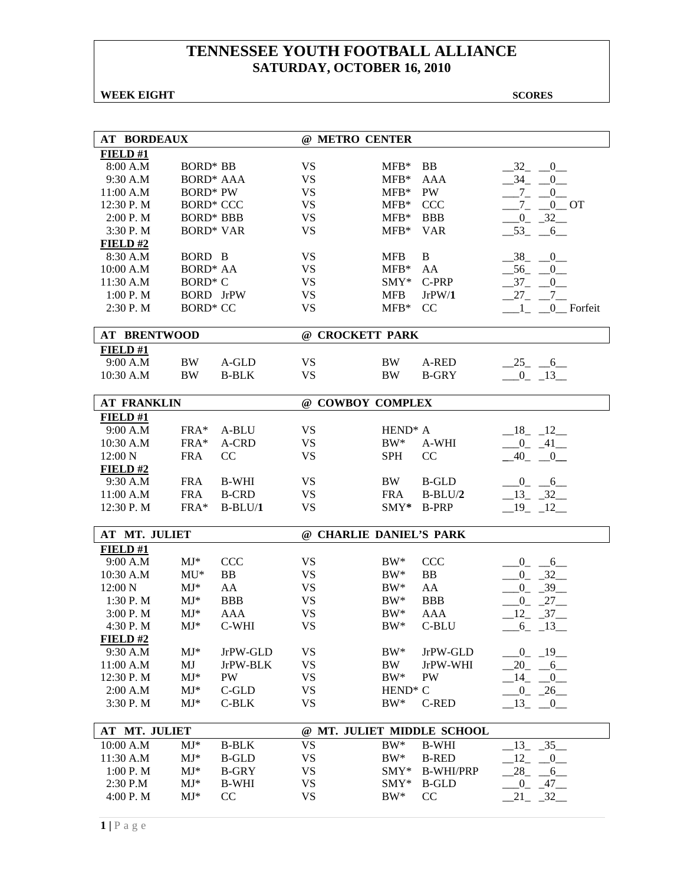### **WEEK EIGHT** SCORES

| <b>AT BORDEAUX</b>     |                          |                              | @ METRO CENTER          |                     |                              |                                    |
|------------------------|--------------------------|------------------------------|-------------------------|---------------------|------------------------------|------------------------------------|
| FIELD#1                |                          |                              |                         |                     |                              |                                    |
| 8:00 A.M               | <b>BORD*</b> BB          |                              | <b>VS</b>               | $MFB*$              | BB                           | 32<br>$_{-0}$                      |
| 9:30 A.M               | <b>BORD* AAA</b>         |                              | <b>VS</b>               | $MFB*$              | <b>AAA</b>                   | $-34$<br>0                         |
| 11:00 A.M              | <b>BORD*</b> PW          |                              | <b>VS</b>               | $MFB*$              | PW                           | $^{-7}$<br>$\overline{0}$          |
| 12:30 P.M              | <b>BORD* CCC</b>         |                              | <b>VS</b>               | $MFB*$              | <b>CCC</b>                   | $-0$ OT<br>$7_{-}$                 |
| 2:00 P. M              | <b>BORD* BBB</b>         |                              | <b>VS</b>               | $MFB*$              | <b>BBB</b>                   | $-0$ $-32$ $-$                     |
| 3:30 P.M               | <b>BORD* VAR</b>         |                              | <b>VS</b>               | $MFB*$              | <b>VAR</b>                   | $-53 - 6$                          |
| $FIED$ #2              |                          |                              |                         |                     |                              |                                    |
| 8:30 A.M               | BORD B                   |                              | <b>VS</b>               | <b>MFB</b>          | B                            | $-38$<br>$\overline{\mathbf{0}}$   |
| 10:00 A.M              | <b>BORD* AA</b>          |                              | <b>VS</b>               | $MFB*$              | AA                           | $-56$ $-0$                         |
| 11:30 A.M              | <b>BORD* C</b>           |                              | <b>VS</b>               | $SMY*$              | C-PRP                        | $-37$<br>0                         |
| 1:00 P.M               | <b>BORD</b> JrPW         |                              | <b>VS</b>               | <b>MFB</b>          | JrPW/1                       | $27_{-}$<br>$-7$                   |
| 2:30 P.M               | <b>BORD* CC</b>          |                              | <b>VS</b>               | $MFB*$              | CC                           | 0_Forfeit<br>$\mathbf{1}$          |
|                        |                          |                              |                         |                     |                              |                                    |
| <b>AT BRENTWOOD</b>    |                          |                              | @ CROCKETT PARK         |                     |                              |                                    |
| FIELD#1                |                          |                              |                         |                     |                              |                                    |
| 9:00 A.M               | <b>BW</b>                | A-GLD                        | <b>VS</b>               | <b>BW</b>           | A-RED                        | $-25$ <sub>-</sub> $-6$            |
| 10:30 A.M              | <b>BW</b>                | <b>B-BLK</b>                 | <b>VS</b>               | <b>BW</b>           | <b>B-GRY</b>                 | $-0$ $-13$                         |
|                        |                          |                              |                         |                     |                              |                                    |
| <b>AT FRANKLIN</b>     |                          |                              | @ COWBOY COMPLEX        |                     |                              |                                    |
| FIELD#1                |                          |                              |                         |                     |                              |                                    |
| 9:00 A.M               | FRA*                     | A-BLU                        | <b>VS</b>               | $HEND^* A$          |                              | $-18$ $-12$                        |
| 10:30 A.M              | FRA*                     | A-CRD                        | <b>VS</b>               | $BW^*$              | A-WHI                        | $-0$ $-41$ $-$                     |
| 12:00 N                | <b>FRA</b>               | CC                           | <b>VS</b>               | <b>SPH</b>          | CC                           | 40<br>$\overline{\phantom{0}}^0$   |
| FIELD#2                |                          |                              |                         |                     |                              |                                    |
| 9:30 A.M               | <b>FRA</b>               | <b>B-WHI</b>                 | <b>VS</b>               | BW                  | <b>B-GLD</b>                 | $0 - 6$                            |
| 11:00 A.M              | <b>FRA</b>               | <b>B-CRD</b>                 | <b>VS</b>               | <b>FRA</b>          | $B-BLU/2$                    | $-13 - 32$                         |
| 12:30 P.M              | FRA*                     | $B-BLU/1$                    | <b>VS</b>               | SMY*                | <b>B-PRP</b>                 | $-19 - 12$                         |
|                        |                          |                              |                         |                     |                              |                                    |
| AT MT. JULIET          |                          |                              | @ CHARLIE DANIEL'S PARK |                     |                              |                                    |
| FIELD#1                |                          |                              |                         |                     |                              |                                    |
| 9:00 A.M               | $MJ^*$                   | <b>CCC</b>                   | VS.                     | $BW^*$              | <b>CCC</b>                   | $6$ <sub>—</sub><br>$\overline{0}$ |
| 10:30 A.M              | $MU^*$                   | BB                           | <b>VS</b>               | $BW^*$              | <b>BB</b>                    | $-32$<br>$\overline{0}$            |
| 12:00 N                | $MJ*$                    | AA                           | <b>VS</b>               | $BW^*$              | AA                           | $-39$<br>$0_{-}$                   |
| 1:30 P.M               | $MJ*$                    | <b>BBB</b>                   | <b>VS</b>               | $BW^*$              | <b>BBB</b>                   | $\overline{0}$<br>$-27$            |
| 3:00 P.M               | $MJ*$                    | <b>AAA</b>                   | <b>VS</b>               | $BW^*$              | <b>AAA</b>                   | $12 - 37$                          |
| 4:30 P.M               | $MJ^*$                   | C-WHI                        | <b>VS</b>               | BW*                 | C-BLU                        | $-6 - 13$                          |
| FIELD #2               |                          |                              |                         |                     |                              |                                    |
| 9:30 A.M               | $MJ^*$                   | JrPW-GLD                     | <b>VS</b>               | $BW^*$              | JrPW-GLD                     | $-0$ $-19$                         |
| 11:00 A.M              | MJ                       | JrPW-BLK                     | <b>VS</b>               | BW                  | JrPW-WHI                     | $-20 - 6$                          |
| 12:30 P.M              | $MJ*$                    | PW                           | <b>VS</b>               | $BW^*$              | PW                           | 14<br>$-0$                         |
| 2:00 A.M               | $\mathbf{M}\mathbf{J}^*$ | C-GLD                        | <b>VS</b>               | HEND <sup>*</sup> C |                              | $-0$ $-26$                         |
| 3:30 P.M               | $MJ*$                    | $C-BLK$                      | <b>VS</b>               | $BW^*$              | <b>C-RED</b>                 | $13 - 0$                           |
| AT MT. JULIET          |                          |                              |                         |                     | @ MT. JULIET MIDDLE SCHOOL   |                                    |
|                        | $MJ*$                    |                              | <b>VS</b>               | $BW^*$              |                              | $-35$                              |
| 10:00 A.M<br>11:30 A.M | $MJ*$                    | <b>B-BLK</b><br><b>B-GLD</b> | <b>VS</b>               | $BW^*$              | <b>B-WHI</b><br><b>B-RED</b> | $-13$<br>12                        |
|                        | $MJ*$                    |                              |                         |                     |                              | $\overline{0}$<br>28               |
| 1:00 P. M              |                          | <b>B-GRY</b>                 | <b>VS</b>               | $SMY*$              | <b>B-WHI/PRP</b>             | 6                                  |
| 2:30 P.M               | $MJ*$                    | <b>B-WHI</b>                 | <b>VS</b>               | $SMY*$              | <b>B-GLD</b>                 | $_{0}$<br>$-47-$                   |
| 4:00 P.M               | $MJ*$                    | CC                           | <b>VS</b>               | $BW^*$              | CC                           | 21<br>$-32$                        |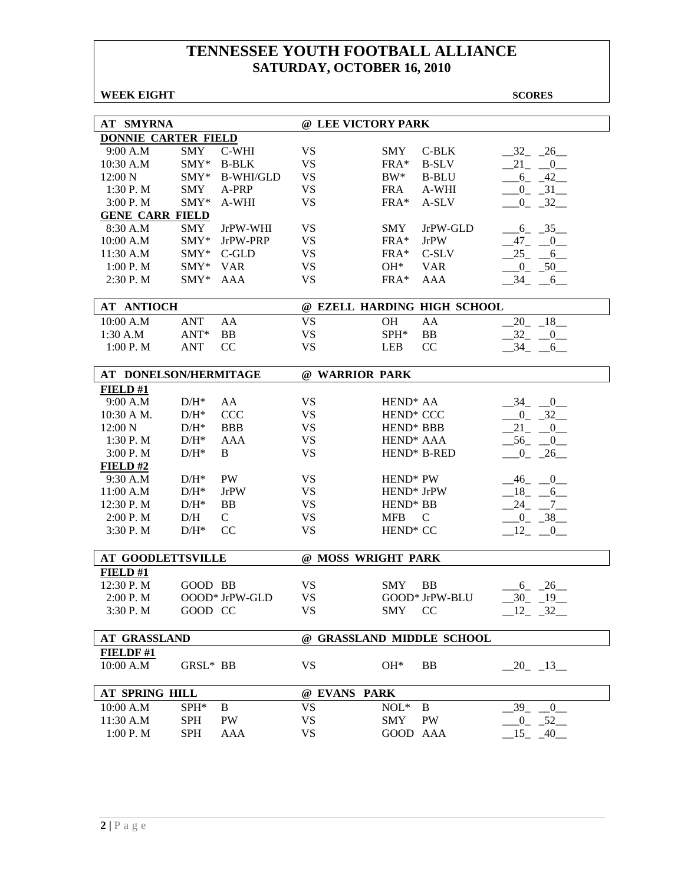| <b>WEEK EIGHT</b>          |                  |                  |              |                        |                             | <b>SCORES</b>           |
|----------------------------|------------------|------------------|--------------|------------------------|-----------------------------|-------------------------|
|                            |                  |                  |              |                        |                             |                         |
| AT SMYRNA                  |                  |                  |              | @ LEE VICTORY PARK     |                             |                         |
| <b>DONNIE CARTER FIELD</b> |                  |                  |              |                        |                             |                         |
| 9:00 A.M                   | <b>SMY</b>       | C-WHI            | <b>VS</b>    | <b>SMY</b>             | C-BLK                       | $-32$ $-26$ $-$         |
| 10:30 A.M                  | SMY*             | <b>B-BLK</b>     | <b>VS</b>    | $FRA*$                 | <b>B-SLV</b>                | $21 - 0$                |
| 12:00 N                    | $SMY*$           | <b>B-WHI/GLD</b> | <b>VS</b>    | $BW^*$                 | <b>B-BLU</b>                | $-6 - 42$               |
| 1:30 P.M                   | <b>SMY</b>       | A-PRP            | <b>VS</b>    | <b>FRA</b>             | A-WHI                       | $0 - 31$                |
| 3:00 P.M                   | $SMY*$           | A-WHI            | <b>VS</b>    | $FRA*$                 | A-SLV                       | $-0$ $-32$              |
| <b>GENE CARR FIELD</b>     |                  |                  |              |                        |                             |                         |
| 8:30 A.M                   | SMY              | JrPW-WHI         | <b>VS</b>    | <b>SMY</b>             | JrPW-GLD                    | $-6 - 35$               |
| 10:00 A.M                  | $SMY*$           | JrPW-PRP         | <b>VS</b>    | FRA*                   | <b>JrPW</b>                 | $-47$ $-0$              |
| 11:30 A.M                  | $SMY^*$          | $C$ -GLD         | <b>VS</b>    | $FRA*$                 | C-SLV                       | $25 - 6$                |
| 1:00 P. M                  | $SMY*$           | <b>VAR</b>       | <b>VS</b>    | $OH^*$                 | <b>VAR</b>                  | $-0$ $-50$ $-$          |
| $2:30$ P. M                | $SMY^*$          | AAA              | <b>VS</b>    | $FRA*$                 | AAA                         | $-34 - 6$               |
|                            |                  |                  |              |                        |                             |                         |
| <b>AT ANTIOCH</b>          |                  |                  |              |                        | @ EZELL HARDING HIGH SCHOOL |                         |
| 10:00 A.M                  | ANT              | AA               | VS           | <b>OH</b>              | AA                          | $20 - 18$               |
| 1:30 A.M                   | $ANT*$           | <b>BB</b>        | <b>VS</b>    | SPH*                   | <b>BB</b>                   | $-32 - 0$               |
| 1:00 P. M                  | <b>ANT</b>       | CC               | <b>VS</b>    | <b>LEB</b>             | CC                          | $34 - 6$                |
|                            |                  |                  |              |                        |                             |                         |
| AT DONELSON/HERMITAGE      |                  |                  |              | @ WARRIOR PARK         |                             |                         |
| FIELD#1                    |                  |                  |              |                        |                             |                         |
| 9:00 A.M                   | $D/H^*$          | AA               | <b>VS</b>    | HEND <sup>*</sup> AA   |                             | $-34$<br>$-0$           |
| $10:30 A M$ .              | $D/H^*$          | <b>CCC</b>       | <b>VS</b>    | HEND* CCC              |                             | $-0$ $-32$              |
| 12:00 N                    | $D/H^*$          | <b>BBB</b>       | <b>VS</b>    | HEND* BBB              |                             | $21 - 0$                |
| 1:30 P.M                   | $D/H^*$          | <b>AAA</b>       | <b>VS</b>    | HEND <sup>*</sup> AAA  |                             | $-56$ <sub>-</sub> $-0$ |
| 3:00 P.M                   | $D/H^*$          | B                | <b>VS</b>    |                        | HEND* B-RED                 | $0 - 26$                |
| FIELD#2                    |                  |                  |              |                        |                             |                         |
| 9:30 A.M                   | $D/H^*$          | <b>PW</b>        | <b>VS</b>    | HEND <sup>*</sup> PW   |                             | $-46$ $-0$              |
| 11:00 A.M                  | $D/H^*$          | <b>JrPW</b>      | <b>VS</b>    | HEND <sup>*</sup> JrPW |                             | $-18$<br>6              |
|                            |                  | <b>BB</b>        | <b>VS</b>    | HEND <sup>*</sup> BB   |                             |                         |
| 12:30 P.M                  | $D/H^*$          |                  |              |                        |                             | 24<br>$7\overline{ }$   |
| 2:00 P.M                   | D/H              | $\mathcal{C}$    | <b>VS</b>    | <b>MFB</b>             | $\mathcal{C}$               | $-0$ $-38$              |
| 3:30 P.M                   | $D/H^*$          | CC               | <b>VS</b>    | HEND <sup>*</sup> CC   |                             | 12<br>0                 |
| <b>AT GOODLETTSVILLE</b>   |                  |                  |              | @ MOSS WRIGHT PARK     |                             |                         |
| <b>FIELD#1</b>             |                  |                  |              |                        |                             |                         |
| 12:30 P.M                  | GOOD BB          |                  | <b>VS</b>    | <b>SMY</b>             | <b>BB</b>                   | 6 26                    |
| 2:00 P.M                   |                  | OOOD* JrPW-GLD   | <b>VS</b>    |                        | GOOD* JrPW-BLU              | $-30 - 19$              |
| 3:30 P.M                   | GOOD CC          |                  | <b>VS</b>    | <b>SMY</b>             | CC                          | $-12 - 32$              |
|                            |                  |                  |              |                        |                             |                         |
| <b>AT GRASSLAND</b>        |                  |                  |              |                        | @ GRASSLAND MIDDLE SCHOOL   |                         |
| FIELDF#1                   |                  |                  |              |                        |                             |                         |
| 10:00 A.M                  | GRSL* BB         |                  | <b>VS</b>    | $OH*$                  | BB                          | $-20$ $-13$             |
| AT SPRING HILL             |                  |                  | @ EVANS PARK |                        |                             |                         |
| 10:00 A.M                  | SPH <sup>*</sup> | B                | <b>VS</b>    | $NOL*$                 | B                           | 39<br>$\overline{0}$    |
| 11:30 A.M                  | <b>SPH</b>       | PW               | <b>VS</b>    | SMY                    | PW                          | $-0$ $-52$              |
| 1:00 P.M                   | <b>SPH</b>       | AAA              | <b>VS</b>    | GOOD AAA               |                             | $15 - 40$               |
|                            |                  |                  |              |                        |                             |                         |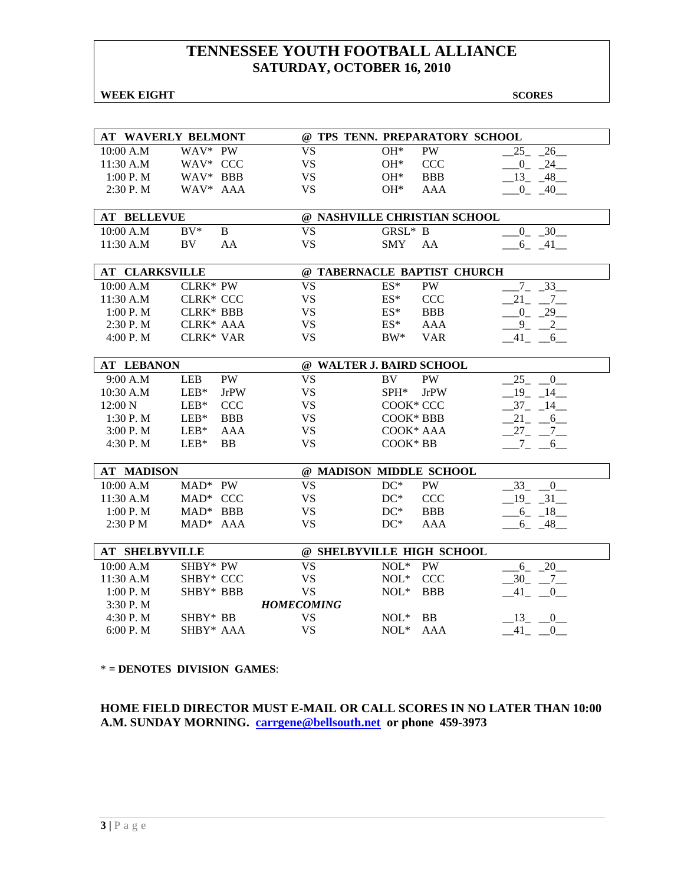#### **WEEK EIGHT SCORES**

|                       | <b>AT WAVERLY BELMONT</b> |                   | @ TPS TENN. PREPARATORY SCHOOL |                          |
|-----------------------|---------------------------|-------------------|--------------------------------|--------------------------|
| 10:00 A.M             | WAV* PW                   | <b>VS</b>         | PW<br>$OH*$                    | 26<br>25                 |
| 11:30 A.M             | WAV* CCC                  | <b>VS</b>         | $OH*$<br><b>CCC</b>            | $-0$ $-24$               |
| 1:00 P. M             | WAV* BBB                  | <b>VS</b>         | <b>BBB</b><br>$OH*$            | $-13 - 48$               |
| 2:30 P.M              | WAV* AAA                  | <b>VS</b>         | $OH*$<br><b>AAA</b>            | $-0$ $-40$ $-$           |
|                       |                           |                   |                                |                          |
| <b>AT BELLEVUE</b>    |                           |                   | @ NASHVILLE CHRISTIAN SCHOOL   |                          |
| 10:00 A.M             | $BV^*$<br>B               | <b>VS</b>         | GRSL* B                        | $-0$ $-30$               |
| 11:30 A.M             | BV<br>AA                  | <b>VS</b>         | <b>SMY</b><br>AA               | $-6 - 41$                |
|                       |                           |                   |                                |                          |
| <b>AT CLARKSVILLE</b> |                           |                   | @ TABERNACLE BAPTIST CHURCH    |                          |
| 10:00 A.M             | CLRK* PW                  | <b>VS</b>         | ES*<br>PW                      | $7 - 33$                 |
| 11:30 A.M             | <b>CLRK* CCC</b>          | <b>VS</b>         | $ES^*$<br><b>CCC</b>           | $21 - 7$                 |
| 1:00 P.M              | <b>CLRK* BBB</b>          | <b>VS</b>         | $ES^*$<br><b>BBB</b>           | $-0$ $-29$ $-$           |
| 2:30 P.M              | CLRK* AAA                 | <b>VS</b>         | <b>AAA</b><br>$ES^*$           | $9_{-}$<br>$\frac{2}{2}$ |
| 4:00 P.M              | <b>CLRK* VAR</b>          | <b>VS</b>         | $BW^*$<br><b>VAR</b>           | 41<br>6                  |
|                       |                           |                   |                                |                          |
| <b>AT LEBANON</b>     |                           |                   | @ WALTER J. BAIRD SCHOOL       |                          |
| 9:00 A.M              | PW<br><b>LEB</b>          | <b>VS</b>         | BV<br><b>PW</b>                | 25<br>$\overline{0}$     |
| 10:30 A.M             | $LEB*$<br><b>JrPW</b>     | <b>VS</b>         | SPH*<br><b>JrPW</b>            | 19<br>14                 |
| 12:00 N               | $LEB*$<br><b>CCC</b>      | <b>VS</b>         | COOK* CCC                      | 37<br>14                 |
| 1:30 P.M              | $LEB*$<br><b>BBB</b>      | <b>VS</b>         | COOK* BBB                      | $21 - 6$                 |
| 3:00 P.M              | $LEB*$<br><b>AAA</b>      | <b>VS</b>         | COOK* AAA                      | $27 - 7$                 |
| 4:30 P.M              | $LEB*$<br><b>BB</b>       | <b>VS</b>         | COOK* BB                       | $-7 - -6$                |
|                       |                           |                   |                                |                          |
| <b>AT MADISON</b>     |                           |                   | @ MADISON MIDDLE SCHOOL        |                          |
| 10:00 A.M             | $MAD^*$ PW                | <b>VS</b>         | $DC^*$<br><b>PW</b>            | 33<br>$\overline{0}$     |
| 11:30 A.M             | MAD* CCC                  | <b>VS</b>         | $DC^*$<br><b>CCC</b>           | $-19$ $-31$              |
| 1:00 P. M             | $MAD^*$ BBB               | <b>VS</b>         | $DC^*$<br><b>BBB</b>           | $-6 - 18$                |
| 2:30 P M              | MAD* AAA                  | <b>VS</b>         | $DC^*$<br>AAA                  | $6 - 48$                 |
|                       |                           |                   |                                |                          |
| <b>AT SHELBYVILLE</b> |                           |                   | @ SHELBYVILLE HIGH SCHOOL      |                          |
| 10:00 A.M             | SHBY* PW                  | <b>VS</b>         | $NOL*$<br>PW                   | 6 20                     |
| 11:30 A.M             | SHBY* CCC                 | <b>VS</b>         | $NOL*$<br><b>CCC</b>           | $-30$ $-7$ $-$           |
| 1:00 P.M              | SHBY* BBB                 | <b>VS</b>         | $NOL*$<br><b>BBB</b>           | 41<br>0                  |
| 3:30 P.M              |                           | <b>HOMECOMING</b> |                                |                          |
| 4:30 P.M              | SHBY* BB                  | <b>VS</b>         | $NOL*$<br><b>BB</b>            | 13 0                     |
| 6:00 P.M              | SHBY* AAA                 | <b>VS</b>         | $NOL*$<br><b>AAA</b>           | $-41$ $-0$               |

\* **= DENOTES DIVISION GAMES**:

**HOME FIELD DIRECTOR MUST E-MAIL OR CALL SCORES IN NO LATER THAN 10:00 A.M. SUNDAY MORNING. carrgene@bellsouth.net or phone 459-3973**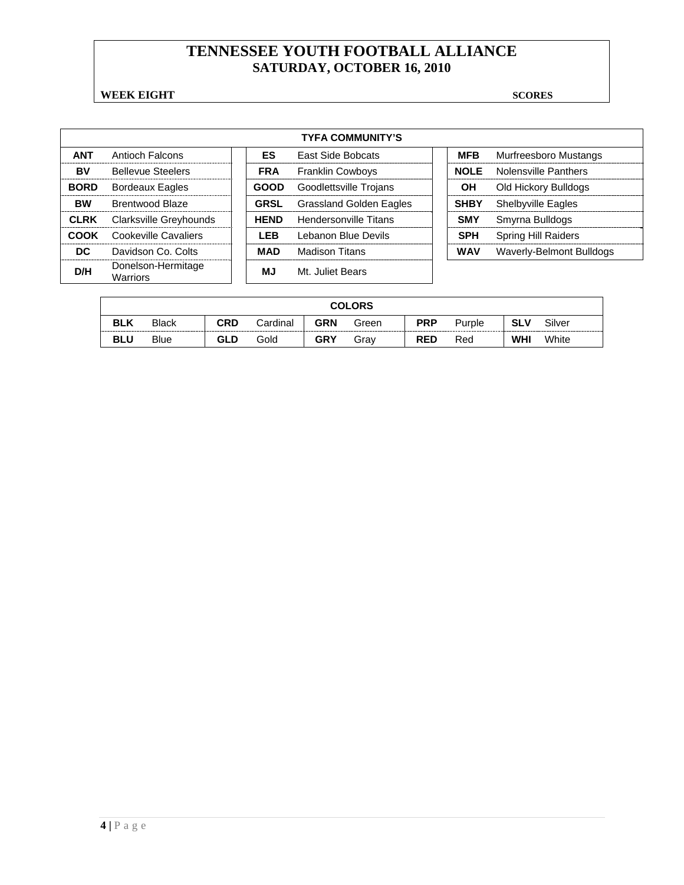### **WEEK EIGHT** SCORES

|             |                                       |             | <b>TYFA COMMUNITY'S</b>        |             |             |                             |
|-------------|---------------------------------------|-------------|--------------------------------|-------------|-------------|-----------------------------|
| <b>ANT</b>  | Antioch Falcons                       | <b>ES</b>   | <b>East Side Bobcats</b>       | <b>MFB</b>  |             | Murfreesboro Mustangs       |
| BV          | <b>Bellevue Steelers</b>              | <b>FRA</b>  | <b>Franklin Cowboys</b>        |             | <b>NOLE</b> | <b>Nolensville Panthers</b> |
| <b>BORD</b> | <b>Bordeaux Eagles</b>                | <b>GOOD</b> | Goodlettsville Trojans         |             | <b>OH</b>   | Old Hickory Bulldogs        |
| <b>BW</b>   | Brentwood Blaze                       | <b>GRSL</b> | <b>Grassland Golden Eagles</b> | <b>SHBY</b> |             | <b>Shelbyville Eagles</b>   |
| <b>CLRK</b> | Clarksville Greyhounds                | <b>HEND</b> | Hendersonville Titans          | <b>SMY</b>  |             | Smyrna Bulldogs             |
| COOK        | Cookeville Cavaliers                  | <b>LEB</b>  | Lebanon Blue Devils            | <b>SPH</b>  |             | <b>Spring Hill Raiders</b>  |
| DC.         | Davidson Co. Colts                    | MAD         | Madison Titans                 | <b>WAV</b>  |             | Waverly-Belmont Bulldogs    |
| D/H         | Donelson-Hermitage<br><b>Warriors</b> | ΜJ          | Mt. Juliet Bears               |             |             |                             |

|            | <b>COLORS</b> |            |          |            |       |            |        |            |        |
|------------|---------------|------------|----------|------------|-------|------------|--------|------------|--------|
| <b>BLK</b> | <b>Black</b>  | <b>CRD</b> | Cardinal | <b>GRN</b> | Green | <b>PRP</b> | Purple | <b>SLV</b> | Silver |
| <b>BLU</b> | <b>Blue</b>   | GLD        | Gold     | <b>GRY</b> | Grav  | <b>RED</b> | Red    | <b>WHI</b> | White  |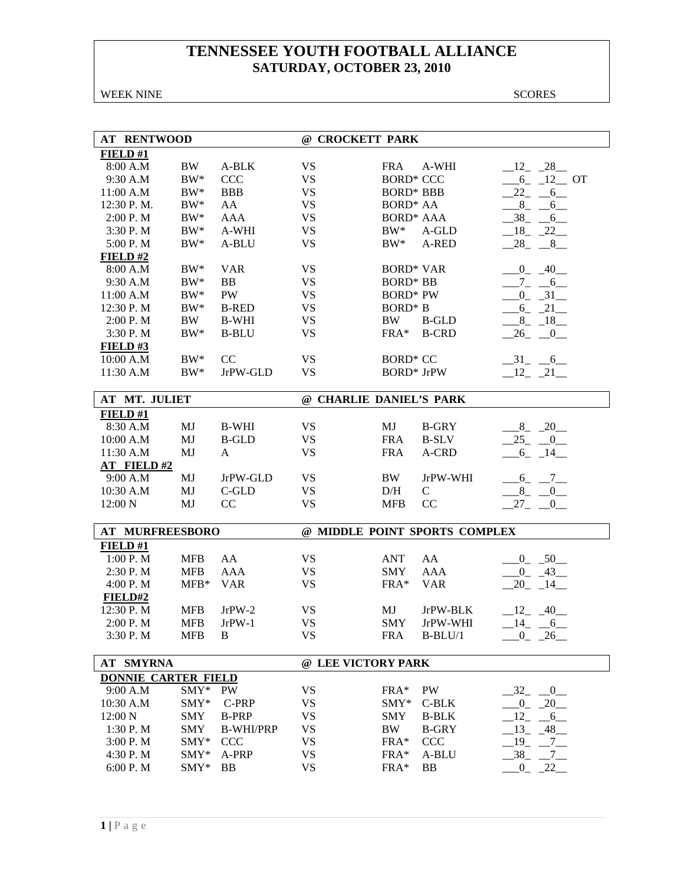WEEK NINE SCORES

| <b>AT RENTWOOD</b>         |            |                  | @ CROCKETT PARK         |                   |                               |                                      |
|----------------------------|------------|------------------|-------------------------|-------------------|-------------------------------|--------------------------------------|
| FIELD#1                    |            |                  |                         |                   |                               |                                      |
| 8:00 A.M                   | BW         | A-BLK            | <b>VS</b>               | <b>FRA</b>        | A-WHI                         | $-12 - 28$                           |
| 9:30 A.M                   | $BW^*$     | <b>CCC</b>       | <b>VS</b>               | <b>BORD* CCC</b>  |                               | $-6$ $-12$ OT                        |
| 11:00 A.M                  | $BW^*$     | <b>BBB</b>       | <b>VS</b>               | <b>BORD* BBB</b>  |                               | $-22 - -6$                           |
| 12:30 P.M.                 | $BW^*$     | AA               | VS                      | <b>BORD* AA</b>   |                               | $-8$ $-6$                            |
| 2:00 P. M                  | $BW^*$     | <b>AAA</b>       | <b>VS</b>               | <b>BORD* AAA</b>  |                               | $-38$ $-6$                           |
| 3:30 P.M                   | $BW^*$     | A-WHI            | <b>VS</b>               | $BW^*$            | A-GLD                         | $-18$ $-22$                          |
| 5:00 P.M                   | $BW^*$     | A-BLU            | <b>VS</b>               | BW*               | A-RED                         | $-28$ <sub>-</sub> $-8$ <sub>-</sub> |
| FIELD#2                    |            |                  |                         |                   |                               |                                      |
| 8:00 A.M                   | $BW^*$     | <b>VAR</b>       | <b>VS</b>               | <b>BORD* VAR</b>  |                               | $-0$ $-40$                           |
| 9:30 A.M                   | $BW^*$     | <b>BB</b>        | <b>VS</b>               | <b>BORD* BB</b>   |                               | $-7-$<br>$-6$                        |
| 11:00 A.M                  | $BW^*$     | <b>PW</b>        | <b>VS</b>               | <b>BORD*</b> PW   |                               | $-31$<br>$0_{-}$                     |
| 12:30 P.M                  | $BW^*$     | <b>B-RED</b>     | <b>VS</b>               | <b>BORD*</b> B    |                               | $6 - 21$                             |
| 2:00 P.M                   | BW         | <b>B-WHI</b>     | <b>VS</b>               | BW                | <b>B-GLD</b>                  | $-8 - 18$                            |
| 3:30 P.M                   | $BW^*$     | <b>B-BLU</b>     | <b>VS</b>               | FRA*              | <b>B-CRD</b>                  | 26<br>$\overline{\phantom{0}}^0$     |
| FIELD#3                    |            |                  |                         |                   |                               |                                      |
| 10:00 A.M                  | $BW^*$     | $\rm CC$         | <b>VS</b>               | <b>BORD* CC</b>   |                               | $-31$ $-6$                           |
| 11:30 A.M                  | $BW^*$     | JrPW-GLD         | <b>VS</b>               | <b>BORD*</b> JrPW |                               |                                      |
|                            |            |                  |                         |                   |                               | $-12$ $-21$                          |
| AT MT. JULIET              |            |                  | @ CHARLIE DANIEL'S PARK |                   |                               |                                      |
| FIELD#1                    |            |                  |                         |                   |                               |                                      |
| 8:30 A.M                   | MJ         | <b>B-WHI</b>     | <b>VS</b>               | MJ                | <b>B-GRY</b>                  | $-8$ $-20$                           |
| 10:00 A.M                  | MJ         | <b>B-GLD</b>     | <b>VS</b>               | <b>FRA</b>        | <b>B-SLV</b>                  | $-25$ $-0$                           |
| 11:30 A.M                  | MJ         | A                | <b>VS</b>               | <b>FRA</b>        | A-CRD                         | $6 - 14$                             |
| <b>AT FIELD#2</b>          |            |                  |                         |                   |                               |                                      |
| 9:00 A.M                   | MJ         | JrPW-GLD         | <b>VS</b>               | BW                | JrPW-WHI                      | $-6 - 7$                             |
| 10:30 A.M                  | MJ         | $C$ -GLD         | <b>VS</b>               | D/H               | $\mathcal{C}$                 | $8_{-}$<br>$\overline{0}$            |
| 12:00 N                    | MJ         | CC               | <b>VS</b>               | <b>MFB</b>        | CC                            | $27_{-}$<br>$\overline{0}$           |
|                            |            |                  |                         |                   |                               |                                      |
| <b>AT MURFREESBORO</b>     |            |                  |                         |                   | @ MIDDLE POINT SPORTS COMPLEX |                                      |
| FIELD#1                    |            |                  |                         |                   |                               |                                      |
| 1:00 P.M                   | <b>MFB</b> | AA               | <b>VS</b>               | <b>ANT</b>        | AA                            | $-0$ $-50$                           |
| 2:30 P.M                   | <b>MFB</b> | <b>AAA</b>       | <b>VS</b>               | <b>SMY</b>        | <b>AAA</b>                    | $-0$ $-43$                           |
| 4:00 P.M                   | $MFB*$     | <b>VAR</b>       | <b>VS</b>               | FRA*              | <b>VAR</b>                    | $-20 - 14$                           |
| FIELD#2                    |            |                  |                         |                   |                               |                                      |
| 12:30 P.M                  | <b>MFB</b> | $JrPW-2$         | <b>VS</b>               | MJ                | JrPW-BLK                      | $12 - 40$                            |
| 2:00 P.M                   | <b>MFB</b> | $JrPW-1$         | <b>VS</b>               | <b>SMY</b>        | JrPW-WHI                      | $-14$ $-6$                           |
| 3:30 P.M                   | <b>MFB</b> | B                | <b>VS</b>               | <b>FRA</b>        | $B-BLU/1$                     | $0 - 26$                             |
|                            |            |                  | @ LEE VICTORY PARK      |                   |                               |                                      |
| <b>AT SMYRNA</b>           |            |                  |                         |                   |                               |                                      |
| <b>DONNIE CARTER FIELD</b> |            |                  |                         |                   |                               |                                      |
| 9:00 A.M                   | $SMY*$     | PW               | <b>VS</b>               | FRA*              | PW                            | $\overline{0}$<br>32                 |
| 10:30 A.M                  | SMY*       | C-PRP            | <b>VS</b>               | $SMY*$            | $C-BLK$                       | $-20$<br>$^{0}$                      |
| 12:00 N                    | <b>SMY</b> | <b>B-PRP</b>     | <b>VS</b>               | <b>SMY</b>        | <b>B-BLK</b>                  | 12<br>$-6$                           |
| 1:30 P.M                   | <b>SMY</b> | <b>B-WHI/PRP</b> | <b>VS</b>               | BW                | <b>B-GRY</b>                  | $13_{-}$<br>$-48$                    |
| 3:00 P.M                   | SMY*       | <b>CCC</b>       | VS                      | FRA*              | CCC                           | $-19$ $-7$ $-$                       |
| 4:30 P.M                   | SMY*       | A-PRP            | <b>VS</b>               | FRA*              | A-BLU                         | 38<br>$-7$                           |
| 6:00 P.M                   | SMY*       | BB               | <b>VS</b>               | FRA*              | <b>BB</b>                     | $-0$ $-22$ $-$                       |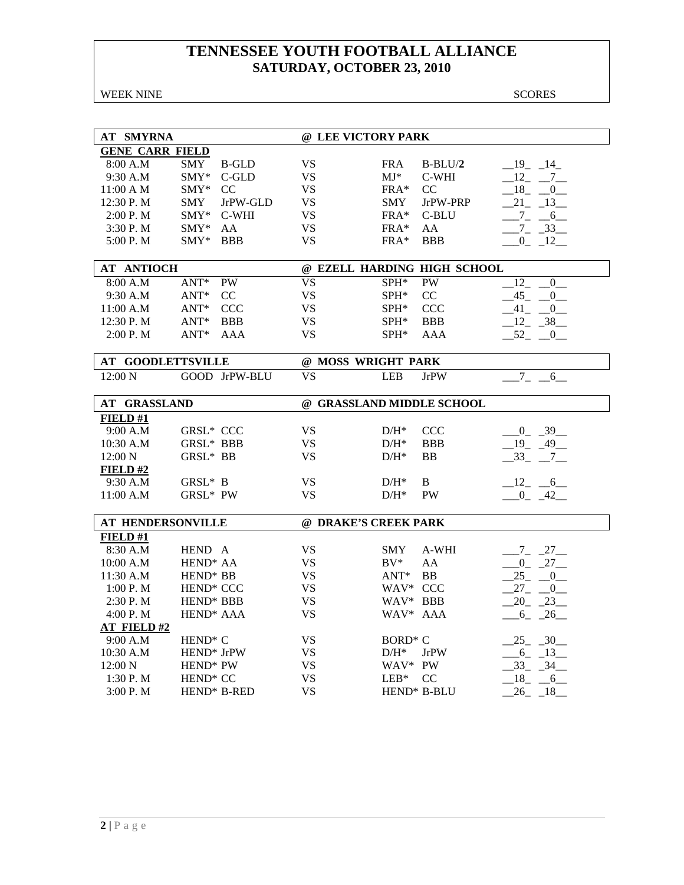WEEK NINE SCORES

| AT SMYRNA                |                       |               | @ LEE VICTORY PARK        |                     |                             |                    |
|--------------------------|-----------------------|---------------|---------------------------|---------------------|-----------------------------|--------------------|
| <b>GENE CARR FIELD</b>   |                       |               |                           |                     |                             |                    |
| 8:00 A.M                 | SMY                   | <b>B-GLD</b>  | <b>VS</b>                 | <b>FRA</b>          | $B-BLU/2$                   | $19 - 14$          |
| 9:30 A.M                 | SMY*                  | C-GLD         | <b>VS</b>                 | MJ*                 | C-WHI                       | $12 \qquad 7$      |
| 11:00 A M                | SMY*                  | CC            | <b>VS</b>                 | $FRA*$              | CC                          | $18 - 0$           |
| 12:30 P.M                | SMY                   | JrPW-GLD      | <b>VS</b>                 | SMY                 | JrPW-PRP                    | $21 - 13$          |
| 2:00 P. M                | SMY*                  | C-WHI         | <b>VS</b>                 | FRA*                | C-BLU                       | $-7 - 6$           |
| 3:30P. M                 | $SMY^*$               | AA            | <b>VS</b>                 | $FRA*$              | AA                          | $-7 - 33$          |
| 5:00 P.M                 | $SMY^*$               | <b>BBB</b>    | <b>VS</b>                 | $FRA*$              | <b>BBB</b>                  | $0 - 12$           |
|                          |                       |               |                           |                     |                             |                    |
| <b>AT ANTIOCH</b>        |                       |               |                           |                     | @ EZELL HARDING HIGH SCHOOL |                    |
| 8:00 A.M                 | $ANT*$                | <b>PW</b>     | <b>VS</b>                 | SPH*                | PW                          | 12<br>$\mathbf{0}$ |
| 9:30 A.M                 | $ANT^*$               | CC            | <b>VS</b>                 | SPH*                | CC                          | 45<br>$\mathbf{0}$ |
| 11:00 A.M                | $ANT^*$               | <b>CCC</b>    | VS.                       | $SPH^*$             | CCC                         | 41<br>$\mathbf{0}$ |
| $12:30$ P. M             | $ANT*$                | <b>BBB</b>    | <b>VS</b>                 | SPH*                | <b>BBB</b>                  | $-12 - 38$         |
| 2:00 P.M                 | $ANT*$                | AAA           | <b>VS</b>                 | SPH*                | AAA                         | $-52$ $-0$         |
|                          |                       |               |                           |                     |                             |                    |
| <b>AT GOODLETTSVILLE</b> |                       |               | @ MOSS WRIGHT PARK        |                     |                             |                    |
| 12:00 N                  |                       | GOOD JrPW-BLU | $\overline{\text{VS}}$    | <b>LEB</b>          | <b>JrPW</b>                 | $7_{-}$<br>6       |
|                          |                       |               |                           |                     |                             |                    |
| AT GRASSLAND             |                       |               | @ GRASSLAND MIDDLE SCHOOL |                     |                             |                    |
| FIELD#1                  |                       |               |                           |                     |                             |                    |
| 9:00 A.M                 | <b>GRSL* CCC</b>      |               | <b>VS</b>                 | $D/H^*$             | <b>CCC</b>                  | $0 - 39$           |
| 10:30 A.M                | <b>GRSL* BBB</b>      |               | <b>VS</b>                 | $D/H^*$             | <b>BBB</b>                  | $-19$ $-49$        |
| 12:00 N                  | GRSL* BB              |               | <b>VS</b>                 | $D/H^*$             | <b>BB</b>                   | $-33 - 7$          |
| <b>FIELD #2</b>          |                       |               |                           |                     |                             |                    |
| 9:30 A.M                 | GRSL* B               |               | <b>VS</b>                 | $D/H^*$             | B                           | $12 - 6$           |
| 11:00 A.M                | GRSL* PW              |               | <b>VS</b>                 | $D/H^*$             | <b>PW</b>                   | $-0$ $-42$         |
|                          |                       |               |                           |                     |                             |                    |
| AT HENDERSONVILLE        |                       |               | @ DRAKE'S CREEK PARK      |                     |                             |                    |
| FIELD#1                  |                       |               |                           |                     |                             |                    |
| 8:30 A.M                 | HEND A                |               | <b>VS</b>                 | <b>SMY</b>          | A-WHI                       | $-7 - 27$          |
| 10:00 A.M                | HEND <sup>*</sup> AA  |               | <b>VS</b>                 | $BV^*$              | AA                          | $0 - 27$           |
| 11:30 A.M                | HEND <sup>*</sup> BB  |               | <b>VS</b>                 | $ANT^*$             | <b>BB</b>                   | $25 - 0$           |
| 1:00 P. M                | HEND <sup>*</sup> CCC |               | <b>VS</b>                 | WAV* CCC            |                             | $27 - 0$           |
| 2:30 P.M                 | HEND* BBB             |               | <b>VS</b>                 | WAV* BBB            |                             | $20 - 23$          |
| 4:00 P.M                 | HEND <sup>*</sup> AAA |               | <b>VS</b>                 | WAV* AAA            |                             | $-6 - 26$          |
| <b>AT FIELD#2</b>        |                       |               |                           |                     |                             |                    |
| 9:00 A.M                 | HEND <sup>*</sup> C   |               | <b>VS</b>                 | BORD <sup>*</sup> C |                             | $25 - 30$          |
| 10:30 A.M                | HEND* JrPW            |               | <b>VS</b>                 | $D/H^*$             | <b>JrPW</b>                 | $-6 - 13$          |
| 12:00 N                  | HEND* PW              |               | <b>VS</b>                 | WAV* PW             |                             | $-33$ $-34$        |
| 1:30 P.M                 | HEND <sup>*</sup> CC  |               | <b>VS</b>                 | $LEB*$              | CC                          | 18<br>6            |
| 3:00 P. M                |                       | HEND* B-RED   | <b>VS</b>                 |                     | HEND* B-BLU                 | $-26$ $-18$        |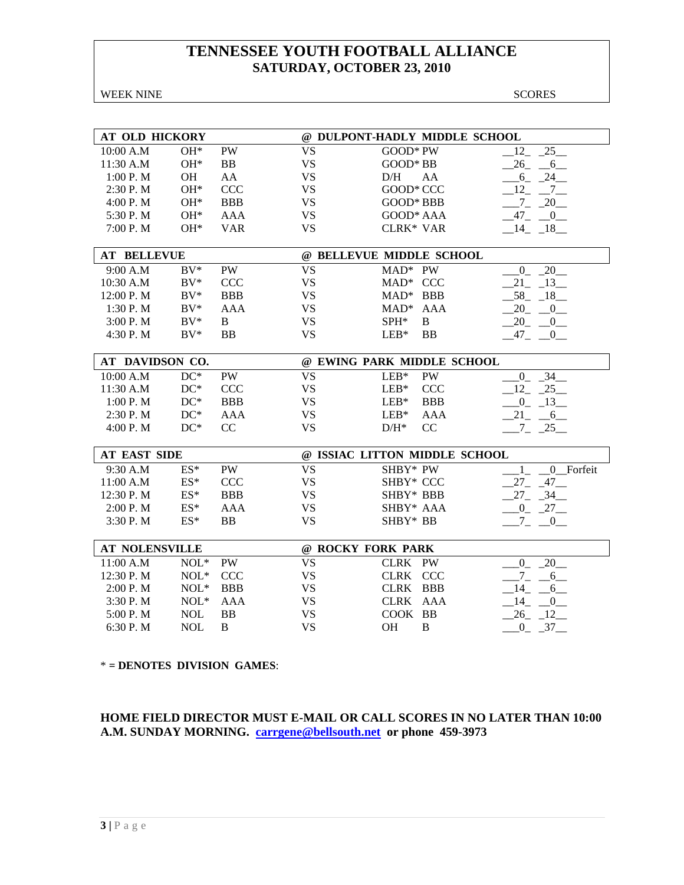WEEK NINE SCORES

| AT OLD HICKORY        |            |            |           | @ DULPONT-HADLY MIDDLE SCHOOL |                                        |
|-----------------------|------------|------------|-----------|-------------------------------|----------------------------------------|
| 10:00 A.M             | $OH*$      | <b>PW</b>  | <b>VS</b> | GOOD* PW                      | 25<br>12                               |
| 11:30 A.M             | $OH*$      | BB         | <b>VS</b> | GOOD* BB                      | $26 - 6$                               |
| 1:00 P. M             | <b>OH</b>  | AA         | <b>VS</b> | D/H<br>AA                     | $-6 - 24$                              |
| 2:30 P.M              | $OH*$      | <b>CCC</b> | <b>VS</b> | GOOD* CCC                     | $\overline{7}$<br>12                   |
| 4:00 P.M              | OH*        | <b>BBB</b> | <b>VS</b> | GOOD* BBB                     | $-7 - 20$                              |
| 5:30 P.M              | $OH*$      | <b>AAA</b> | <b>VS</b> | GOOD* AAA                     | $^{47}$ $^{0}$                         |
| 7:00 P.M              | $OH*$      | <b>VAR</b> | <b>VS</b> | CLRK* VAR                     | $14 - 18$                              |
|                       |            |            |           |                               |                                        |
| <b>AT BELLEVUE</b>    |            |            |           | @ BELLEVUE MIDDLE SCHOOL      |                                        |
| 9:00 A.M              | $BV^*$     | <b>PW</b>  | <b>VS</b> | $MAD^*$ PW                    | 20<br>$\overline{0}$                   |
| 10:30 A.M             | $BV^*$     | <b>CCC</b> | <b>VS</b> | MAD* CCC                      | 21<br>13                               |
| 12:00 P.M             | $BV^*$     | <b>BBB</b> | <b>VS</b> | MAD* BBB                      | 58<br>18                               |
| 1:30 P.M              | $BV^*$     | <b>AAA</b> | <b>VS</b> | $MAD*$<br>AAA                 | 20<br>$\overline{\phantom{0}0}$        |
| 3:00 P.M              | $BV^*$     | B          | <b>VS</b> | $\, {\bf B}$<br>SPH*          | 20<br>$\sqrt{0}$                       |
| 4:30 P.M              | $BV^*$     | BB         | <b>VS</b> | <b>BB</b><br>$LEB*$           | $-47 - 0$                              |
|                       |            |            |           |                               |                                        |
| AT DAVIDSON CO.       |            |            |           | @ EWING PARK MIDDLE SCHOOL    |                                        |
| 10:00 A.M             | $DC^*$     | <b>PW</b>  | <b>VS</b> | $LEB*$<br>PW                  | $\overline{34}$<br>$\overline{0}$      |
| 11:30 A.M             | $DC^*$     | <b>CCC</b> | <b>VS</b> | <b>CCC</b><br>$LEB*$          | $12 - 25$                              |
| 1:00 P.M              | $DC^*$     | <b>BBB</b> | <b>VS</b> | $LEB*$<br><b>BBB</b>          | $-0$ $-13$                             |
| 2:30 P.M              | $DC^*$     | <b>AAA</b> | <b>VS</b> | $LEB*$<br><b>AAA</b>          | $21 - 6$                               |
| 4:00 P.M              | $DC^*$     | CC         | <b>VS</b> | CC<br>$D/H^*$                 | $7 - 25$                               |
|                       |            |            |           |                               |                                        |
| <b>AT EAST SIDE</b>   |            |            |           | @ ISSIAC LITTON MIDDLE SCHOOL |                                        |
| 9:30 A.M              | $ES^*$     | <b>PW</b>  | <b>VS</b> | SHBY* PW                      | 0 Forfeit                              |
| 11:00 A.M             | $ES^*$     | <b>CCC</b> | <b>VS</b> | SHBY* CCC                     | $27_{-}$<br>$-47-$                     |
| 12:30 P.M             | $ES^*$     | <b>BBB</b> | <b>VS</b> | SHBY* BBB                     | $27_{-}$<br>$-34$                      |
| 2:00 P.M              | $ES^*$     | <b>AAA</b> | <b>VS</b> | SHBY* AAA                     | $0 - 27$                               |
| 3:30 P.M              | $ES^*$     | <b>BB</b>  | <b>VS</b> | SHBY* BB                      | $7_{-}$<br>0                           |
| <b>AT NOLENSVILLE</b> |            |            |           | @ ROCKY FORK PARK             |                                        |
|                       |            |            |           |                               |                                        |
| 11:00 A.M             | $NOL*$     | PW         | <b>VS</b> | CLRK PW                       | 20<br>$\overline{0}$                   |
| 12:30 P.M             | $NOL*$     | <b>CCC</b> | <b>VS</b> | CLRK CCC                      | $-7$<br>$-6$                           |
| 2:00 P.M              | $NOL*$     | <b>BBB</b> | <b>VS</b> | CLRK BBB                      | 14<br>6                                |
| 3:30 P.M              | $NOL*$     | AAA        | <b>VS</b> | CLRK AAA                      | 14<br>$\begin{array}{c} 0 \end{array}$ |
| 5:00 P.M              | <b>NOL</b> | <b>BB</b>  | <b>VS</b> | COOK BB                       | $26 - 12$                              |
| 6:30 P.M              | <b>NOL</b> | B          | <b>VS</b> | OH<br>B                       | $-0$ $-37$ $-$                         |

\* **= DENOTES DIVISION GAMES**:

**HOME FIELD DIRECTOR MUST E-MAIL OR CALL SCORES IN NO LATER THAN 10:00 A.M. SUNDAY MORNING. carrgene@bellsouth.net or phone 459-3973**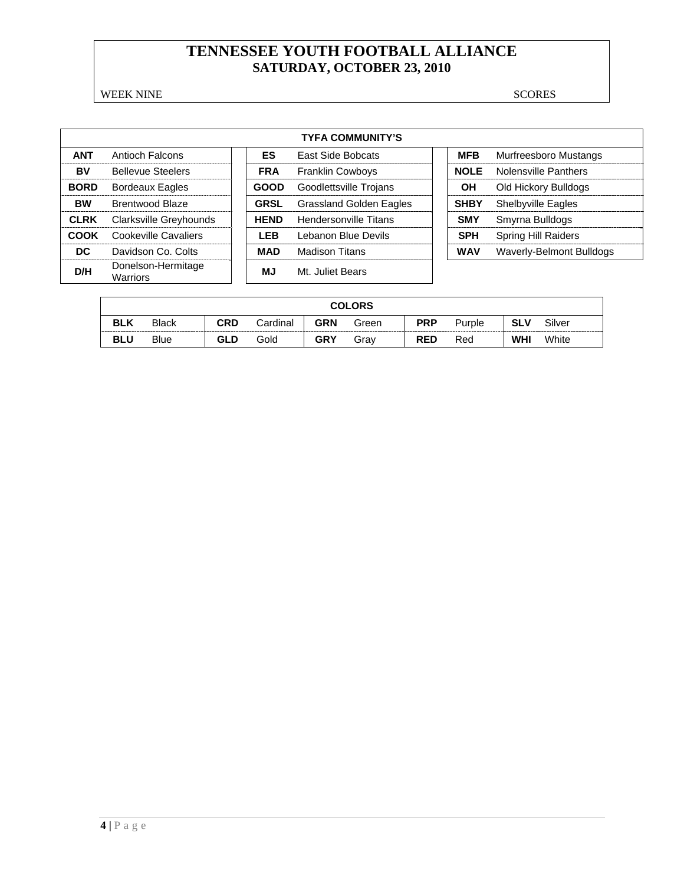WEEK NINE SCORES

| <b>TYFA COMMUNITY'S</b> |                                |  |             |                                |  |             |                             |  |  |  |  |
|-------------------------|--------------------------------|--|-------------|--------------------------------|--|-------------|-----------------------------|--|--|--|--|
| <b>ANT</b>              | Antioch Falcons                |  | ES          | <b>East Side Bobcats</b>       |  | <b>MFB</b>  | Murfreesboro Mustangs       |  |  |  |  |
| BV                      | <b>Bellevue Steelers</b>       |  | <b>FRA</b>  | <b>Franklin Cowboys</b>        |  | <b>NOLE</b> | <b>Nolensville Panthers</b> |  |  |  |  |
| <b>BORD</b>             | <b>Bordeaux Eagles</b>         |  | <b>GOOD</b> | Goodlettsville Trojans         |  | OН          | Old Hickory Bulldogs        |  |  |  |  |
| <b>BW</b>               | <b>Brentwood Blaze</b>         |  | <b>GRSL</b> | <b>Grassland Golden Eagles</b> |  | <b>SHBY</b> | <b>Shelbyville Eagles</b>   |  |  |  |  |
| <b>CLRK</b>             | Clarksville Greyhounds         |  | <b>HEND</b> | <b>Hendersonville Titans</b>   |  | <b>SMY</b>  | Smyrna Bulldogs             |  |  |  |  |
| COOK                    | Cookeville Cavaliers           |  | <b>LEB</b>  | Lebanon Blue Devils            |  | <b>SPH</b>  | <b>Spring Hill Raiders</b>  |  |  |  |  |
| DC.                     | Davidson Co. Colts             |  | <b>MAD</b>  | Madison Titans                 |  | <b>WAV</b>  | Waverly-Belmont Bulldogs    |  |  |  |  |
| D/H                     | Donelson-Hermitage<br>Warriors |  | <b>MJ</b>   | Mt. Juliet Bears               |  |             |                             |  |  |  |  |

|            | <b>COLORS</b> |            |          |            |       |            |        |            |        |
|------------|---------------|------------|----------|------------|-------|------------|--------|------------|--------|
| <b>BLK</b> | <b>Black</b>  | <b>CRD</b> | Cardinal | <b>GRN</b> | Green | <b>PRP</b> | Purple | <b>SLV</b> | Silver |
| <b>BLU</b> | <b>Blue</b>   | <b>GLD</b> | Gold     | <b>GRY</b> | Grav  | <b>RED</b> | Red    | <b>WHI</b> | White  |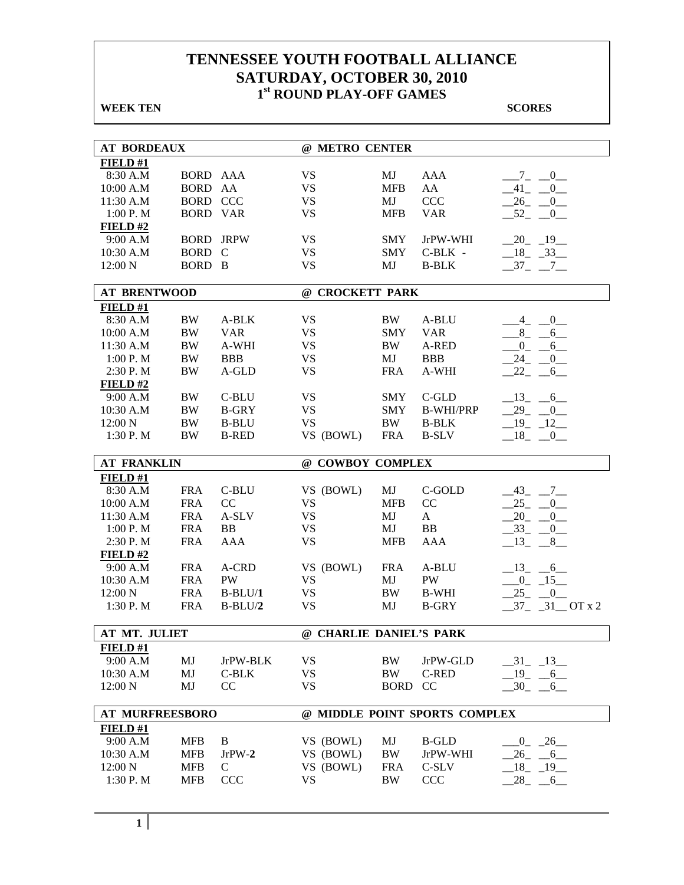| <b>WEEK TEN</b>        |                 |                  |                         |             |                               | <b>SCORES</b>                         |
|------------------------|-----------------|------------------|-------------------------|-------------|-------------------------------|---------------------------------------|
|                        |                 |                  |                         |             |                               |                                       |
| <b>AT BORDEAUX</b>     |                 |                  | @ METRO CENTER          |             |                               |                                       |
| FIELD#1                |                 |                  |                         |             |                               |                                       |
| 8:30 A.M               | <b>BORD AAA</b> |                  | <b>VS</b>               | MJ          | AAA                           | $7 -$<br>$\overline{0}$               |
| 10:00 A.M              | BORD AA         |                  | <b>VS</b>               | <b>MFB</b>  | AA                            | $-41$ $-$<br>$0$ <sub>—</sub>         |
| 11:30 A.M              | <b>BORD CCC</b> |                  | <b>VS</b>               | MJ          | <b>CCC</b>                    | $26$ <sub>-</sub><br>$0$ <sub>—</sub> |
| 1:00 P.M               | <b>BORD VAR</b> |                  | <b>VS</b>               | <b>MFB</b>  | <b>VAR</b>                    | $-52$ $-$<br>$0$ <sub>—</sub>         |
| FIELD#2                |                 |                  |                         |             |                               |                                       |
| 9:00 A.M               |                 | <b>BORD JRPW</b> | <b>VS</b>               | <b>SMY</b>  | JrPW-WHI                      | $-20$ $-19$ $-$                       |
| 10:30 A.M              | BORD C          |                  | <b>VS</b>               | <b>SMY</b>  | $C-BLK$ -                     | $-18$ $-33$                           |
| 12:00 N                | BORD B          |                  | <b>VS</b>               | MJ          | <b>B-BLK</b>                  | $-37 - -7$                            |
| <b>AT BRENTWOOD</b>    |                 |                  | @ CROCKETT PARK         |             |                               |                                       |
| FIELD#1                |                 |                  |                         |             |                               |                                       |
| 8:30 A.M               | <b>BW</b>       | A-BLK            | <b>VS</b>               | BW          | A-BLU                         | $\overline{0}$<br>4                   |
| 10:00 A.M              | $\rm BW$        | <b>VAR</b>       | <b>VS</b>               | <b>SMY</b>  | <b>VAR</b>                    | $8 - -$<br>6                          |
| 11:30 A.M              | $\rm BW$        | A-WHI            | <b>VS</b>               | BW          | A-RED                         | $0_{-}$<br>$6_{-}$                    |
| 1:00 P. M              | <b>BW</b>       | <b>BBB</b>       | <b>VS</b>               | MJ          | <b>BBB</b>                    | 24<br>$0$ <sub>—</sub>                |
| 2:30 P.M               | <b>BW</b>       | A-GLD            | <b>VS</b>               | <b>FRA</b>  | A-WHI                         | 22<br>6                               |
| FIELD#2                |                 |                  |                         |             |                               |                                       |
| 9:00 A.M               | <b>BW</b>       | C-BLU            | <b>VS</b>               | <b>SMY</b>  | C-GLD                         | $13 - 6$                              |
| 10:30 A.M              | <b>BW</b>       | <b>B-GRY</b>     | <b>VS</b>               | <b>SMY</b>  | <b>B-WHI/PRP</b>              | $-29$ $-$<br>0                        |
| 12:00 N                | <b>BW</b>       | <b>B-BLU</b>     | <b>VS</b>               | BW          | <b>B-BLK</b>                  | $-19 - 12$                            |
| 1:30 P.M               | <b>BW</b>       | <b>B-RED</b>     | VS (BOWL)               | <b>FRA</b>  | <b>B-SLV</b>                  | $-18$ $-0$                            |
| <b>AT FRANKLIN</b>     |                 |                  | @ COWBOY COMPLEX        |             |                               |                                       |
| FIELD#1                |                 |                  |                         |             |                               |                                       |
| 8:30 A.M               | <b>FRA</b>      | C-BLU            | VS (BOWL)               | MJ          | C-GOLD                        | $-43$ $-7$ $-$                        |
| 10:00 A.M              | <b>FRA</b>      | CC               | <b>VS</b>               | <b>MFB</b>  | CC                            | $25 -$<br>0                           |
| 11:30 A.M              | <b>FRA</b>      | A-SLV            | <b>VS</b>               | MJ          | A                             | $20 - 0$                              |
| 1:00 P. M              | <b>FRA</b>      | BB               | <b>VS</b>               | MJ          | <b>BB</b>                     | $-33$ $-0$                            |
| 2:30 P.M               | <b>FRA</b>      | AAA              | <b>VS</b>               | <b>MFB</b>  | AAA                           | $-13$ $-8$                            |
| FIELD#2                |                 |                  |                         |             |                               |                                       |
| 9:00 A.M               | <b>FRA</b>      | A-CRD            | VS (BOWL)               | <b>FRA</b>  | A-BLU                         | $-13 - 6$                             |
| 10:30 A.M              | <b>FRA</b>      | PW               | <b>VS</b>               | MJ          | PW                            | $0 - 15$                              |
| 12:00 N                | <b>FRA</b>      | $B-BLU/1$        | <b>VS</b>               | $\rm BW$    | <b>B-WHI</b>                  | 25<br>[0]                             |
| 1:30 P.M               | <b>FRA</b>      | $B-BLU/2$        | <b>VS</b>               | MJ          | <b>B-GRY</b>                  | $-37 - 31 - 0T x 2$                   |
| AT MT. JULIET          |                 |                  | @ CHARLIE DANIEL'S PARK |             |                               |                                       |
| FIELD#1                |                 |                  |                         |             |                               |                                       |
| 9:00 A.M               | MJ              | JrPW-BLK         | <b>VS</b>               | BW          | JrPW-GLD                      | $-31$ $-13$                           |
| 10:30 A.M              | MJ              | C-BLK            | <b>VS</b>               | BW          | C-RED                         | $-19$ $-6$                            |
| 12:00 N                | MJ              | CC               | <b>VS</b>               | <b>BORD</b> | <sub>CC</sub>                 | $-30 - 6$                             |
| <b>AT MURFREESBORO</b> |                 |                  |                         |             | @ MIDDLE POINT SPORTS COMPLEX |                                       |
| FIELD #1               |                 |                  |                         |             |                               |                                       |
| 9:00 A.M               | <b>MFB</b>      | B                | VS (BOWL)               | MJ          | <b>B-GLD</b>                  | $0 - 26$                              |
| 10:30 A.M              | <b>MFB</b>      | $JrPW-2$         | VS (BOWL)               | <b>BW</b>   | JrPW-WHI                      | $-26 - 6$                             |
| 12:00 N                | <b>MFB</b>      | $\mathcal{C}$    | VS (BOWL)               | <b>FRA</b>  | C-SLV                         | $-18$ $-19$                           |
| 1:30 P.M               | <b>MFB</b>      | <b>CCC</b>       | <b>VS</b>               | <b>BW</b>   | <b>CCC</b>                    | 28<br>6                               |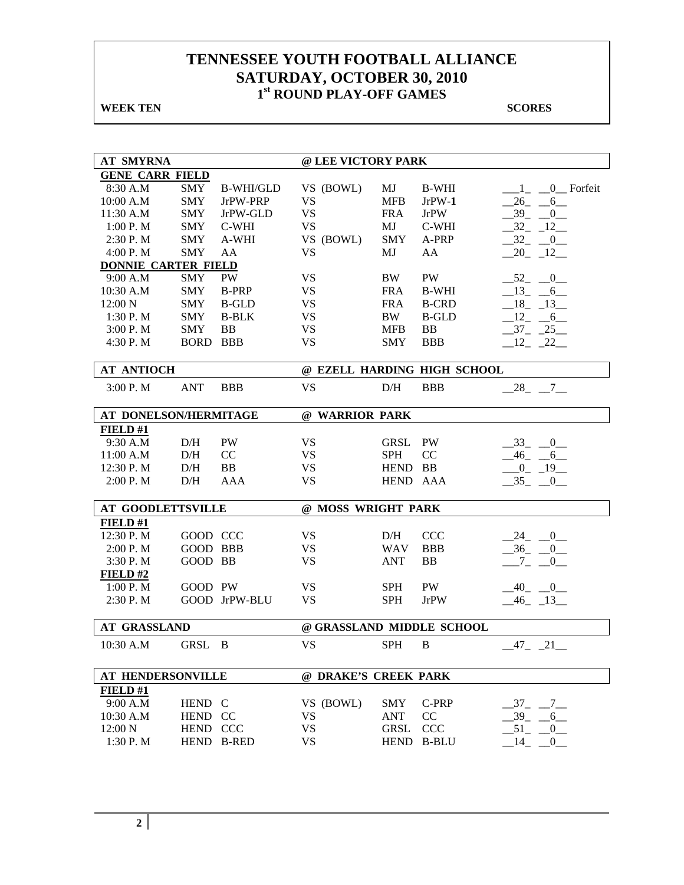**WEEK TEN** SCORES

| <b>AT SMYRNA</b>           |                 |                  | @ LEE VICTORY PARK        |             |                             |                          |  |
|----------------------------|-----------------|------------------|---------------------------|-------------|-----------------------------|--------------------------|--|
| <b>GENE CARR FIELD</b>     |                 |                  |                           |             |                             |                          |  |
| 8:30 A.M                   | SMY             | <b>B-WHI/GLD</b> | VS (BOWL)                 | MJ          | <b>B-WHI</b>                | 0 Forfeit<br>$1_{-}$     |  |
| 10:00 A.M                  | <b>SMY</b>      | JrPW-PRP         | <b>VS</b>                 | <b>MFB</b>  | $JrPW-1$                    | 26<br>6                  |  |
| 11:30 A.M                  | <b>SMY</b>      | JrPW-GLD         | <b>VS</b>                 | <b>FRA</b>  | <b>JrPW</b>                 | 39<br>$\mathbf{0}$       |  |
| 1:00 P.M                   | <b>SMY</b>      | C-WHI            | <b>VS</b>                 | MJ          | C-WHI                       | 32<br>$-12$              |  |
| 2:30 P.M                   | <b>SMY</b>      | A-WHI            | VS (BOWL)                 | <b>SMY</b>  | A-PRP                       | $32 - 0$                 |  |
| 4:00 P.M                   | <b>SMY</b>      | AA               | <b>VS</b>                 | MJ          | AA                          | $20 - 12$                |  |
| <b>DONNIE CARTER FIELD</b> |                 |                  |                           |             |                             |                          |  |
| 9:00 A.M                   | <b>SMY</b>      | PW               | <b>VS</b>                 | <b>BW</b>   | PW                          | $-52$ $-0$               |  |
| 10:30 A.M                  | <b>SMY</b>      | <b>B-PRP</b>     | <b>VS</b>                 | <b>FRA</b>  | <b>B-WHI</b>                | $-13 - 6$                |  |
| 12:00 N                    | <b>SMY</b>      | <b>B-GLD</b>     | <b>VS</b>                 | <b>FRA</b>  | <b>B-CRD</b>                | $-18$ $-13$              |  |
| 1:30 P.M                   | <b>SMY</b>      | <b>B-BLK</b>     | <b>VS</b>                 | BW          | <b>B-GLD</b>                | $-12 - 6$                |  |
| 3:00 P.M                   | <b>SMY</b>      | <b>BB</b>        | <b>VS</b>                 | <b>MFB</b>  | <b>BB</b>                   | $-37$ $-25$ $-$          |  |
| 4:30 P.M                   | <b>BORD BBB</b> |                  | <b>VS</b>                 | <b>SMY</b>  | <b>BBB</b>                  | $12 - 22$                |  |
| <b>AT ANTIOCH</b>          |                 |                  |                           |             | @ EZELL HARDING HIGH SCHOOL |                          |  |
|                            |                 |                  |                           |             |                             |                          |  |
| 3:00 P.M                   | <b>ANT</b>      | <b>BBB</b>       | <b>VS</b>                 | D/H         | <b>BBB</b>                  | $-28$ <sub>-</sub> $-7$  |  |
| AT DONELSON/HERMITAGE      |                 |                  | @ WARRIOR PARK            |             |                             |                          |  |
| FIELD#1                    |                 |                  |                           |             |                             |                          |  |
| 9:30 A.M                   | D/H             | <b>PW</b>        | <b>VS</b>                 | GRSL        | PW                          | 33<br>$\overline{0}$     |  |
| 11:00 A.M                  | D/H             | CC               | <b>VS</b>                 | <b>SPH</b>  | CC                          | $-46$<br>$-6$            |  |
| 12:30 P.M                  | D/H             | <b>BB</b>        | <b>VS</b>                 | HEND BB     |                             | $-0$ $-19$ $-$           |  |
| 2:00 P.M                   | D/H             | AAA              | <b>VS</b>                 | HEND AAA    |                             | $-35 - 0$                |  |
| <b>AT GOODLETTSVILLE</b>   |                 |                  | @ MOSS WRIGHT PARK        |             |                             |                          |  |
| FIELD#1                    |                 |                  |                           |             |                             |                          |  |
| 12:30 P.M                  | GOOD CCC        |                  | VS                        | D/H         | <b>CCC</b>                  | $-24$ $-0$               |  |
| 2:00 P. M                  | <b>GOOD BBB</b> |                  | <b>VS</b>                 | <b>WAV</b>  | <b>BBB</b>                  | $-36$ $-0$               |  |
| 3:30 P.M                   | GOOD BB         |                  | <b>VS</b>                 | <b>ANT</b>  | <b>BB</b>                   | $-7 -$<br>$\overline{0}$ |  |
| FIELD#2                    |                 |                  |                           |             |                             |                          |  |
| 1:00 P. M                  | GOOD PW         |                  | <b>VS</b>                 | <b>SPH</b>  | <b>PW</b>                   | 40 0                     |  |
| 2:30 P. M                  |                 | GOOD JrPW-BLU    | <b>VS</b>                 | <b>SPH</b>  | <b>JrPW</b>                 | $-46$ $-13$              |  |
| <b>AT GRASSLAND</b>        |                 |                  | @ GRASSLAND MIDDLE SCHOOL |             |                             |                          |  |
| 10:30 A.M                  | GRSL            | B                | <b>VS</b>                 | <b>SPH</b>  | B                           | 21<br>47                 |  |
|                            |                 |                  |                           |             |                             |                          |  |
| <b>AT HENDERSONVILLE</b>   |                 |                  | @ DRAKE'S CREEK PARK      |             |                             |                          |  |
| FIELD#1                    |                 |                  |                           |             |                             |                          |  |
| 9:00 A.M                   | HEND C          |                  | VS (BOWL)                 | <b>SMY</b>  | C-PRP                       | $37 -$<br>$7\phantom{0}$ |  |
| 10:30 A.M                  | HEND CC         |                  | <b>VS</b>                 | <b>ANT</b>  | CC                          | $39_{-}$<br>6            |  |
| 12:00 N                    | HEND CCC        |                  | <b>VS</b>                 | <b>GRSL</b> | <b>CCC</b>                  | 51<br>$\mathbf{0}$       |  |
| 1:30 P.M                   |                 | HEND B-RED       | <b>VS</b>                 |             | HEND B-BLU                  | 14<br>0                  |  |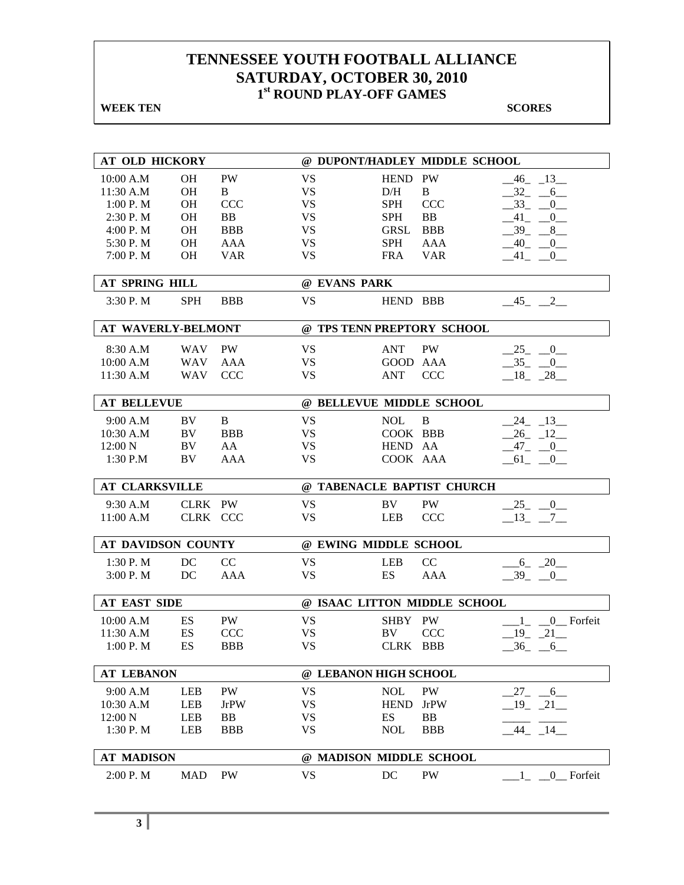**WEEK TEN** SCORES

| AT OLD HICKORY            |            |             |                            |             | @ DUPONT/HADLEY MIDDLE SCHOOL |                          |
|---------------------------|------------|-------------|----------------------------|-------------|-------------------------------|--------------------------|
| 10:00 A.M                 | <b>OH</b>  | PW          | <b>VS</b>                  | HEND PW     |                               | $-46$ $-13$ $-$          |
| 11:30 A.M                 | OН         | B           | <b>VS</b>                  | D/H         | $\, {\bf B}$                  | 32<br>6                  |
| 1:00 P. M                 | <b>OH</b>  | <b>CCC</b>  | <b>VS</b>                  | <b>SPH</b>  | <b>CCC</b>                    | $33_{-}$<br>$\mathbf{0}$ |
| 2:30 P.M                  | <b>OH</b>  | <b>BB</b>   | <b>VS</b>                  | <b>SPH</b>  | <b>BB</b>                     | 41<br>$\overline{0}$     |
| 4:00 P.M                  | <b>OH</b>  | <b>BBB</b>  | <b>VS</b>                  | <b>GRSL</b> | <b>BBB</b>                    | $-39 - 8$                |
| 5:30 P.M                  | <b>OH</b>  | <b>AAA</b>  | <b>VS</b>                  | <b>SPH</b>  | <b>AAA</b>                    | $-40$ $-0$               |
| 7:00 P.M                  | <b>OH</b>  | <b>VAR</b>  | <b>VS</b>                  | <b>FRA</b>  | <b>VAR</b>                    | $-41$ $-0$               |
|                           |            |             |                            |             |                               |                          |
| <b>AT SPRING HILL</b>     |            |             | @ EVANS PARK               |             |                               |                          |
| 3:30 P.M                  | <b>SPH</b> | <b>BBB</b>  | <b>VS</b>                  | HEND BBB    |                               | $-45$ $-2$               |
| <b>AT WAVERLY-BELMONT</b> |            |             | @ TPS TENN PREPTORY SCHOOL |             |                               |                          |
| 8:30 A.M                  | <b>WAV</b> | <b>PW</b>   | <b>VS</b>                  | <b>ANT</b>  | <b>PW</b>                     | $-25$ $-0$               |
| 10:00 A.M                 | <b>WAV</b> | AAA         | <b>VS</b>                  | GOOD AAA    |                               | $-35$ $-0$               |
| 11:30 A.M                 | <b>WAV</b> | <b>CCC</b>  | <b>VS</b>                  | <b>ANT</b>  | <b>CCC</b>                    | $-18$ $-28$              |
|                           |            |             |                            |             |                               |                          |
| <b>AT BELLEVUE</b>        |            |             | @ BELLEVUE MIDDLE SCHOOL   |             |                               |                          |
| 9:00 A.M                  | BV         | B           | <b>VS</b>                  | <b>NOL</b>  | B                             | 13<br>24                 |
| 10:30 A.M                 | BV         | <b>BBB</b>  | VS.                        | COOK BBB    |                               | $26 - 12$                |
| 12:00 N                   | BV         | AA          | <b>VS</b>                  | HEND AA     |                               | $-47$<br>$-0$            |
| 1:30 P.M                  | BV         | <b>AAA</b>  | <b>VS</b>                  | COOK AAA    |                               | $-61$ $-0$               |
|                           |            |             |                            |             |                               |                          |
| <b>AT CLARKSVILLE</b>     |            |             |                            |             | @ TABENACLE BAPTIST CHURCH    |                          |
| 9:30 A.M                  | CLRK PW    |             | <b>VS</b>                  | BV          | PW                            | $-25$ $-0$               |
| 11:00 A.M                 | CLRK CCC   |             | <b>VS</b>                  | <b>LEB</b>  | <b>CCC</b>                    | $-13$ $-7$ $-$           |
|                           |            |             |                            |             |                               |                          |
| AT DAVIDSON COUNTY        |            |             | @ EWING MIDDLE SCHOOL      |             |                               |                          |
| 1:30 P. M                 | DC         | CC          | VS                         | <b>LEB</b>  | CC                            | $-6 - 20$                |
| 3:00 P.M                  | DC         | <b>AAA</b>  | <b>VS</b>                  | ES          | <b>AAA</b>                    | $-39$ $-0$               |
|                           |            |             |                            |             |                               |                          |
| <b>AT EAST SIDE</b>       |            |             |                            |             | @ ISAAC LITTON MIDDLE SCHOOL  |                          |
| 10:00 A.M                 | ES         | <b>PW</b>   | <b>VS</b>                  | SHBY PW     |                               | 0 Forfeit<br>$1_{-}$     |
| 11:30 A.M                 | ES         | CCC         | <b>VS</b>                  | BV          | <b>CCC</b>                    | 19<br>$-21$              |
| $1:00$ P. M               | ES         | <b>BBB</b>  | <b>VS</b>                  | CLRK BBB    |                               | $-36 - 6$                |
| <b>AT LEBANON</b>         |            |             | @ LEBANON HIGH SCHOOL      |             |                               |                          |
| 9:00 A.M                  | <b>LEB</b> | <b>PW</b>   | <b>VS</b>                  | <b>NOL</b>  | <b>PW</b>                     | $-27$ $-6$ $-$           |
| 10:30 A.M                 | LEB        | <b>JrPW</b> | <b>VS</b>                  | <b>HEND</b> | <b>JrPW</b>                   | $-19$ $-21$              |
| 12:00 N                   | LEB        | BB          | <b>VS</b>                  | ES          | BB                            |                          |
| 1:30 P.M                  | LEB        | <b>BBB</b>  | <b>VS</b>                  | <b>NOL</b>  | <b>BBB</b>                    | $-44$ $-14$              |
|                           |            |             |                            |             |                               |                          |
|                           |            |             |                            |             |                               |                          |
| <b>AT MADISON</b>         |            |             | @ MADISON MIDDLE SCHOOL    |             |                               |                          |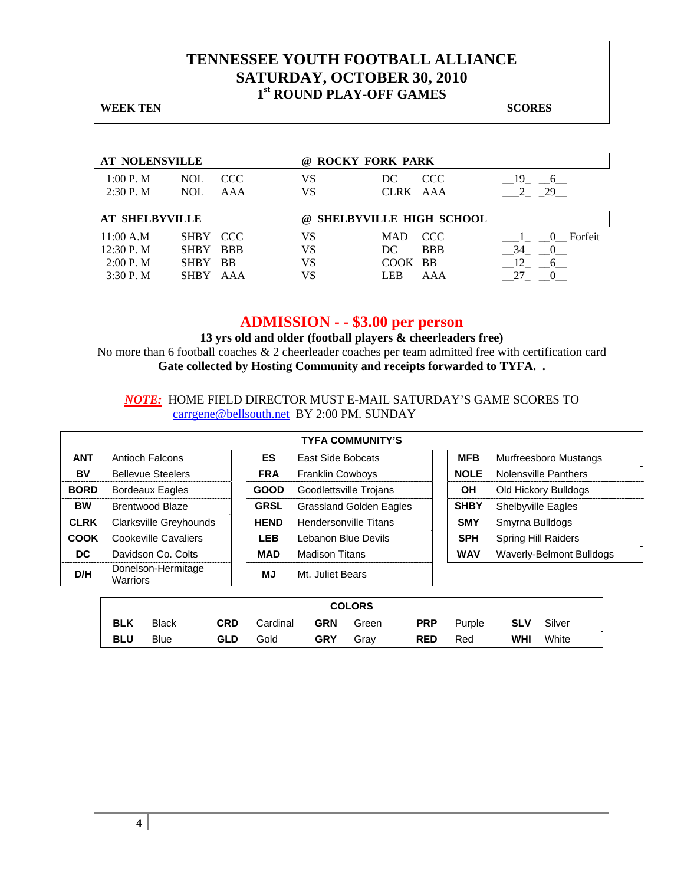**WEEK TEN** SCORES

| <b>AT NOLENSVILLE</b>                            |                                                       |                                | <b>ROCKY FORK PARK</b><br>(a) |                               |                                |                 |  |  |  |
|--------------------------------------------------|-------------------------------------------------------|--------------------------------|-------------------------------|-------------------------------|--------------------------------|-----------------|--|--|--|
| 1:00 P. M<br>2:30P. M                            | <b>NOL</b><br><b>NOL</b>                              | CCC.<br>AAA                    | VS<br>VS                      | DC<br>CLRK AAA                | CCC                            | - 19<br>6<br>29 |  |  |  |
| <b>AT SHELBYVILLE</b>                            |                                                       |                                | $\omega$                      |                               | <b>SHELBYVILLE HIGH SCHOOL</b> |                 |  |  |  |
| 11:00 A.M<br>12:30 P. M<br>2:00 P. M<br>3:30P. M | SHBY CCC<br><b>SHBY</b><br><b>SHBY</b><br><b>SHBY</b> | <b>BBB</b><br><b>BB</b><br>AAA | VS<br>VS<br>VS<br>VS          | MAD.<br>DC<br>COOK BB<br>LEB. | CCC.<br><b>BBB</b><br>AAA      | 0 Forfeit<br>34 |  |  |  |

### **ADMISSION - - \$3.00 per person**

**13 yrs old and older (football players & cheerleaders free)**  No more than 6 football coaches & 2 cheerleader coaches per team admitted free with certification card **Gate collected by Hosting Community and receipts forwarded to TYFA. .**

*NOTE:* HOME FIELD DIRECTOR MUST E-MAIL SATURDAY'S GAME SCORES TO carrgene@bellsouth.net BY 2:00 PM. SUNDAY

|             |                                       | <b>TYFA COMMUNITY'S</b> |             |                                |  |             |                            |  |  |  |  |  |  |  |
|-------------|---------------------------------------|-------------------------|-------------|--------------------------------|--|-------------|----------------------------|--|--|--|--|--|--|--|
| <b>ANT</b>  | Antioch Falcons                       |                         | ES          | East Side Bobcats              |  | <b>MFB</b>  | Murfreesboro Mustangs      |  |  |  |  |  |  |  |
| BV          | <b>Bellevue Steelers</b>              |                         | <b>FRA</b>  | <b>Franklin Cowboys</b>        |  | <b>NOLE</b> | Nolensville Panthers       |  |  |  |  |  |  |  |
| <b>BORD</b> | <b>Bordeaux Eagles</b>                |                         | <b>GOOD</b> | Goodlettsville Trojans         |  | OH          | Old Hickory Bulldogs       |  |  |  |  |  |  |  |
| <b>BW</b>   | Brentwood Blaze                       |                         | <b>GRSL</b> | <b>Grassland Golden Eagles</b> |  | <b>SHBY</b> | <b>Shelbyville Eagles</b>  |  |  |  |  |  |  |  |
| <b>CLRK</b> | Clarksville Greyhounds                |                         | <b>HEND</b> | <b>Hendersonville Titans</b>   |  | <b>SMY</b>  | Smyrna Bulldogs            |  |  |  |  |  |  |  |
| <b>COOK</b> | Cookeville Cavaliers                  |                         | <b>LEB</b>  | Lebanon Blue Devils            |  | <b>SPH</b>  | <b>Spring Hill Raiders</b> |  |  |  |  |  |  |  |
| DC.         | Davidson Co. Colts                    |                         | <b>MAD</b>  | <b>Madison Titans</b>          |  | <b>WAV</b>  | Waverly-Belmont Bulldogs   |  |  |  |  |  |  |  |
| D/H         | Donelson-Hermitage<br><b>Warriors</b> |                         | MJ          | Mt. Juliet Bears               |  |             |                            |  |  |  |  |  |  |  |

|            | <b>COLORS</b>                                                                                                 |            |      |            |      |            |     |            |       |  |  |  |
|------------|---------------------------------------------------------------------------------------------------------------|------------|------|------------|------|------------|-----|------------|-------|--|--|--|
| <b>BLK</b> | <b>CRD</b><br>Silver<br><b>GRN</b><br><b>PRP</b><br><b>SLV</b><br>Cardinal<br><b>Black</b><br>Green<br>Purple |            |      |            |      |            |     |            |       |  |  |  |
| <b>BLU</b> | Blue                                                                                                          | <b>GLD</b> | Gold | <b>GRY</b> | Gray | <b>RED</b> | Red | <b>WHI</b> | White |  |  |  |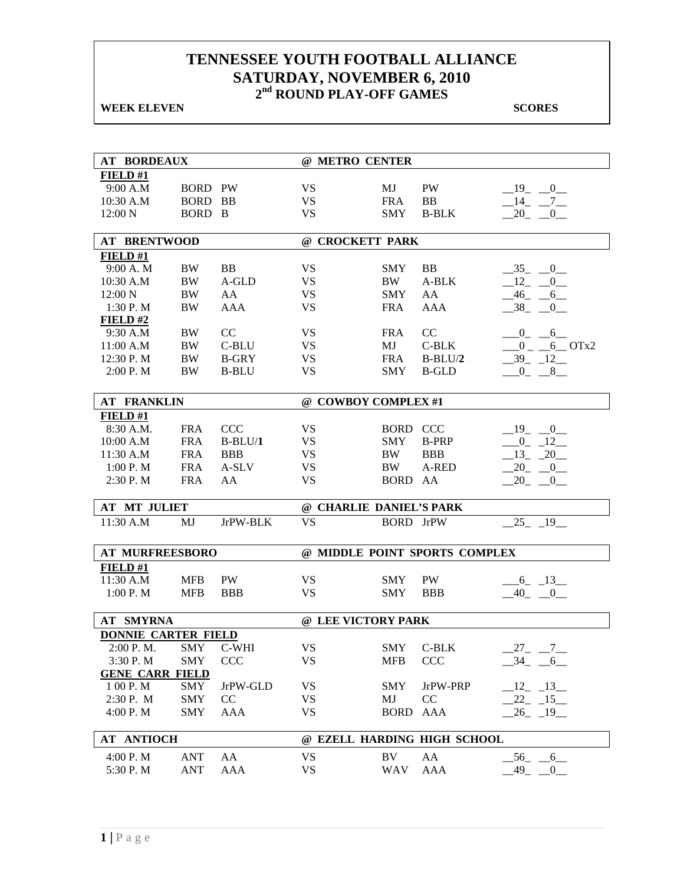**WEEK ELEVEN** SCORES

| <b>AT BORDEAUX</b>         |                |              | @ METRO CENTER          |                  |                               |                      |  |  |  |
|----------------------------|----------------|--------------|-------------------------|------------------|-------------------------------|----------------------|--|--|--|
| FIELD#1                    |                |              |                         |                  |                               |                      |  |  |  |
| 9:00 A.M                   | <b>BORD PW</b> |              | VS.                     | MJ               | PW                            | $-19$ $-0$           |  |  |  |
| 10:30 A.M                  | <b>BORD BB</b> |              | <b>VS</b>               | <b>FRA</b>       | <b>BB</b>                     | $-14$ $-7$ $-$       |  |  |  |
| 12:00 N                    | BORD B         |              | <b>VS</b>               | <b>SMY</b>       | $B-BLK$                       | $-20$ $-0$           |  |  |  |
|                            |                |              |                         |                  |                               |                      |  |  |  |
| <b>AT BRENTWOOD</b>        |                |              | @ CROCKETT PARK         |                  |                               |                      |  |  |  |
| FIELD#1                    |                |              |                         |                  |                               |                      |  |  |  |
| 9:00 A. M                  | BW             | BB           | <b>VS</b>               | <b>SMY</b>       | <b>BB</b>                     | $-35$ $-0$           |  |  |  |
| 10:30 A.M                  | BW             | A-GLD        | <b>VS</b>               | BW.              | A-BLK                         | $-12$ $-0$           |  |  |  |
| 12:00 N                    | BW             | AA           | <b>VS</b>               | <b>SMY</b>       | AA                            | $-46$ $-6$           |  |  |  |
| 1:30 P.M                   | <b>BW</b>      | <b>AAA</b>   | <b>VS</b>               | <b>FRA</b>       | AAA                           | $-38$ $-0$           |  |  |  |
| FIELD#2                    |                |              |                         |                  |                               |                      |  |  |  |
| 9:30 A.M                   | <b>BW</b>      | CC           | <b>VS</b>               | <b>FRA</b>       | CC                            | $-0$ $-6$            |  |  |  |
| 11:00 A.M                  | BW             | C-BLU        | <b>VS</b>               | MJ               | C-BLK                         | $0 - 6$ OTx2         |  |  |  |
| 12:30 P.M                  | BW             | <b>B-GRY</b> | <b>VS</b>               | <b>FRA</b>       | $B-BLU/2$                     | $-39 - 12$           |  |  |  |
| 2:00 P. M                  | BW             | <b>B-BLU</b> | <b>VS</b>               | <b>SMY</b>       | <b>B-GLD</b>                  | $0 - 8$              |  |  |  |
|                            |                |              |                         |                  |                               |                      |  |  |  |
| <b>AT FRANKLIN</b>         |                |              | @ COWBOY COMPLEX #1     |                  |                               |                      |  |  |  |
| FIELD#1                    |                |              |                         |                  |                               |                      |  |  |  |
| 8:30 A.M.                  | <b>FRA</b>     | <b>CCC</b>   | <b>VS</b>               | <b>BORD CCC</b>  |                               | $-19$ $-0$           |  |  |  |
| 10:00 A.M                  | <b>FRA</b>     | $B-BLU/1$    | <b>VS</b>               | <b>SMY</b>       | <b>B-PRP</b>                  | $-0$ $-12$           |  |  |  |
| 11:30 A.M                  | <b>FRA</b>     | <b>BBB</b>   | <b>VS</b>               | BW               | <b>BBB</b>                    | $-13 - 20$           |  |  |  |
| 1:00 P. M                  | <b>FRA</b>     | A-SLV        | <b>VS</b>               | BW               | A-RED                         | $20 - 0$             |  |  |  |
| 2:30 P.M                   | <b>FRA</b>     | AA           | <b>VS</b>               | BORD AA          |                               | $20 - 0$             |  |  |  |
|                            |                |              |                         |                  |                               |                      |  |  |  |
| <b>AT MT JULIET</b>        |                |              | @ CHARLIE DANIEL'S PARK |                  |                               |                      |  |  |  |
| 11:30 A.M                  | MJ             | JrPW-BLK     | <b>VS</b>               | <b>BORD</b> JrPW |                               | $-25 - 19$           |  |  |  |
|                            |                |              |                         |                  |                               |                      |  |  |  |
| <b>AT MURFREESBORO</b>     |                |              |                         |                  | @ MIDDLE POINT SPORTS COMPLEX |                      |  |  |  |
| FIELD#1                    |                |              |                         |                  |                               |                      |  |  |  |
| 11:30 A.M                  | <b>MFB</b>     | <b>PW</b>    | VS                      | <b>SMY</b>       | <b>PW</b>                     | $-6 - 13$            |  |  |  |
| 1:00 P.M                   | <b>MFB</b>     | <b>BBB</b>   | <b>VS</b>               | <b>SMY</b>       | <b>BBB</b>                    | 40 0                 |  |  |  |
| <b>AT SMYRNA</b>           |                |              | @ LEE VICTORY PARK      |                  |                               |                      |  |  |  |
| <b>DONNIE CARTER FIELD</b> |                |              |                         |                  |                               |                      |  |  |  |
| 2:00 P.M. SMY C-WHI        |                |              | <b>VS</b>               |                  | SMY C-BLK                     | $27 - 7$             |  |  |  |
| 3:30 P.M                   | SMY            | <b>CCC</b>   | VS                      | MFB              | <b>CCC</b>                    | $-34$ $-6$           |  |  |  |
| <b>GENE CARR FIELD</b>     |                |              |                         |                  |                               |                      |  |  |  |
| 1 00 P.M                   | SMY            | JrPW-GLD     | <b>VS</b>               | <b>SMY</b>       | JrPW-PRP                      | $-12 - 13$           |  |  |  |
| 2:30 P. M                  | SMY            | CC           | <b>VS</b>               | MJ               | CC                            | $-22 - 15$           |  |  |  |
| 4:00 P.M                   | <b>SMY</b>     | AAA          | <b>VS</b>               |                  | AAA                           | $-26$ $-19$          |  |  |  |
|                            |                |              |                         | <b>BORD</b>      |                               |                      |  |  |  |
| <b>AT ANTIOCH</b>          |                |              |                         |                  | @ EZELL HARDING HIGH SCHOOL   |                      |  |  |  |
| 4:00 P.M                   | ANT            | AA           | <b>VS</b>               | BV               | AA                            | $-56$ $-6$           |  |  |  |
| 5:30 P.M                   | <b>ANT</b>     | AAA          | <b>VS</b>               | WAV              | <b>AAA</b>                    | 49<br>$\overline{0}$ |  |  |  |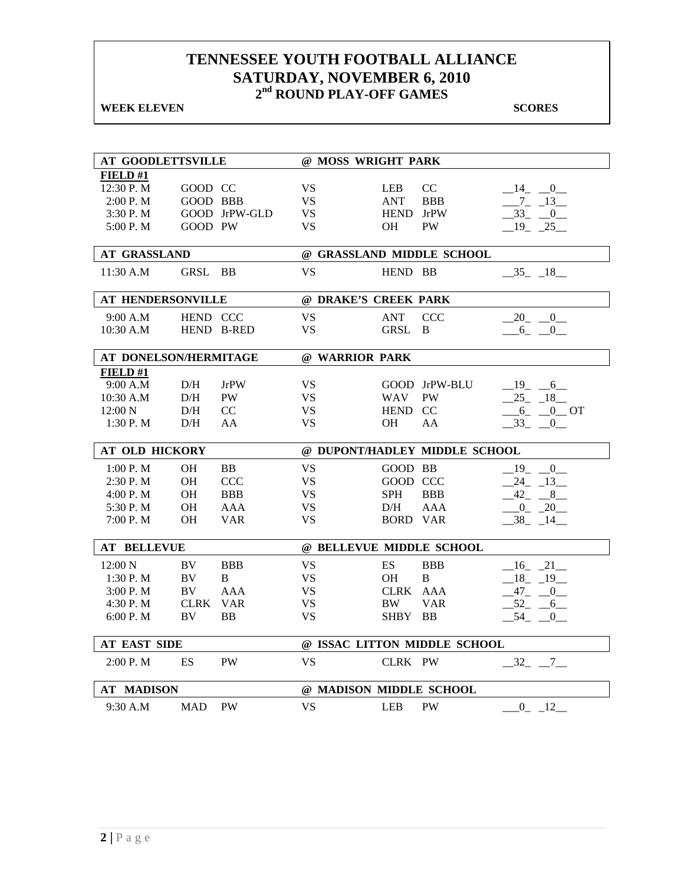**WEEK ELEVEN** SCORES

| <b>AT GOODLETTSVILLE</b> |             |               |                | @ MOSS WRIGHT PARK   |                               |                      |
|--------------------------|-------------|---------------|----------------|----------------------|-------------------------------|----------------------|
|                          |             |               |                |                      |                               |                      |
| <b>FIELD</b> #1          |             |               |                |                      |                               |                      |
| 12:30 P.M                | GOOD CC     |               | VS             | <b>LEB</b>           | CC                            | $-14$ $-0$           |
| 2:00 P. M                | GOOD BBB    |               | <b>VS</b>      | <b>ANT</b>           | <b>BBB</b>                    | $-7 - 13$            |
| 3:30 P.M                 |             | GOOD JrPW-GLD | <b>VS</b>      | HEND JrPW            |                               | $-33 - 0$            |
| 5:00 P.M                 | GOOD PW     |               | <b>VS</b>      | <b>OH</b>            | <b>PW</b>                     | $-19$ $-25$          |
| <b>AT GRASSLAND</b>      |             |               |                |                      | @ GRASSLAND MIDDLE SCHOOL     |                      |
| 11:30 A.M                | GRSL BB     |               | <b>VS</b>      | HEND BB              |                               | $-35 - 18$           |
| <b>AT HENDERSONVILLE</b> |             |               |                | @ DRAKE'S CREEK PARK |                               |                      |
| 9:00 A.M                 | HEND CCC    |               | <b>VS</b>      | <b>ANT</b>           | <b>CCC</b>                    | $-20$ $-0$           |
| $10:30$ A.M              |             | HEND B-RED    | <b>VS</b>      | GRSL                 | B                             | $-6 - 0$             |
|                          |             |               |                |                      |                               |                      |
| AT DONELSON/HERMITAGE    |             |               | @ WARRIOR PARK |                      |                               |                      |
| FIELD#1                  |             |               |                |                      |                               |                      |
| 9:00 A.M                 | D/H         | JrPW          | <b>VS</b>      |                      | GOOD JrPW-BLU                 | $-19$ -6             |
| 10:30 A.M                | D/H         | <b>PW</b>     | <b>VS</b>      | WAV                  | PW                            | $-25 - 18$           |
| 12:00 N                  | D/H         | CC            | <b>VS</b>      | HEND CC              |                               | $6 - 0$ OT           |
| 1:30 P. M                | D/H         | AA            | VS             | OН                   | AA                            | $-33 - 0$            |
|                          |             |               |                |                      |                               |                      |
| <b>AT OLD HICKORY</b>    |             |               |                |                      | @ DUPONT/HADLEY MIDDLE SCHOOL |                      |
| 1:00 P. M                | <b>OH</b>   | <b>BB</b>     | <b>VS</b>      | GOOD BB              |                               | $-19$ $-0$           |
| $2:30$ P. M              | OH          | <b>CCC</b>    | <b>VS</b>      | GOOD CCC             |                               | $-24$ $-13$          |
| 4:00 P.M                 | <b>OH</b>   | <b>BBB</b>    | <b>VS</b>      | <b>SPH</b>           | <b>BBB</b>                    | $-42 - 8$            |
| 5:30 P.M                 | OН          | AAA           | <b>VS</b>      | D/H                  | <b>AAA</b>                    | $-0$ $-20$           |
| 7:00 P.M                 | <b>OH</b>   | <b>VAR</b>    | <b>VS</b>      | <b>BORD VAR</b>      |                               | $-38$ <sub>-14</sub> |
|                          |             |               |                |                      |                               |                      |
| <b>AT BELLEVUE</b>       |             |               |                |                      | @ BELLEVUE MIDDLE SCHOOL      |                      |
| $12:00\ N$               | <b>BV</b>   | <b>BBB</b>    | <b>VS</b>      | ES                   | <b>BBB</b>                    | $-16$ $-21$          |
| 1:30P. M                 | <b>BV</b>   | B.            | <b>VS</b>      | <b>OH</b>            | B                             | $18 - 19$            |
| 3:00 P. M                | BV          | <b>AAA</b>    | <b>VS</b>      | CLRK AAA             |                               | $-47 - 0$            |
| 4:30 P.M                 | <b>CLRK</b> | <b>VAR</b>    | <b>VS</b>      | BW.                  | <b>VAR</b>                    | $-52 - -6$           |
| 6:00 P.M                 | BV          | <b>BB</b>     | <b>VS</b>      | SHBY                 | <b>BB</b>                     | $-54$ $-0$           |
|                          |             |               |                |                      |                               |                      |
| <b>AT EAST SIDE</b>      |             |               |                |                      | @ ISSAC LITTON MIDDLE SCHOOL  |                      |
| 2:00 P.M                 | ES          | <b>PW</b>     | <b>VS</b>      | CLRK PW              |                               | $-32 - 7$            |
| <b>AT MADISON</b>        |             |               |                |                      | @ MADISON MIDDLE SCHOOL       |                      |
|                          |             |               |                |                      |                               |                      |
| 9:30 A.M                 | MAD         | <b>PW</b>     | <b>VS</b>      | <b>LEB</b>           | <b>PW</b>                     | $-0$ $-12$           |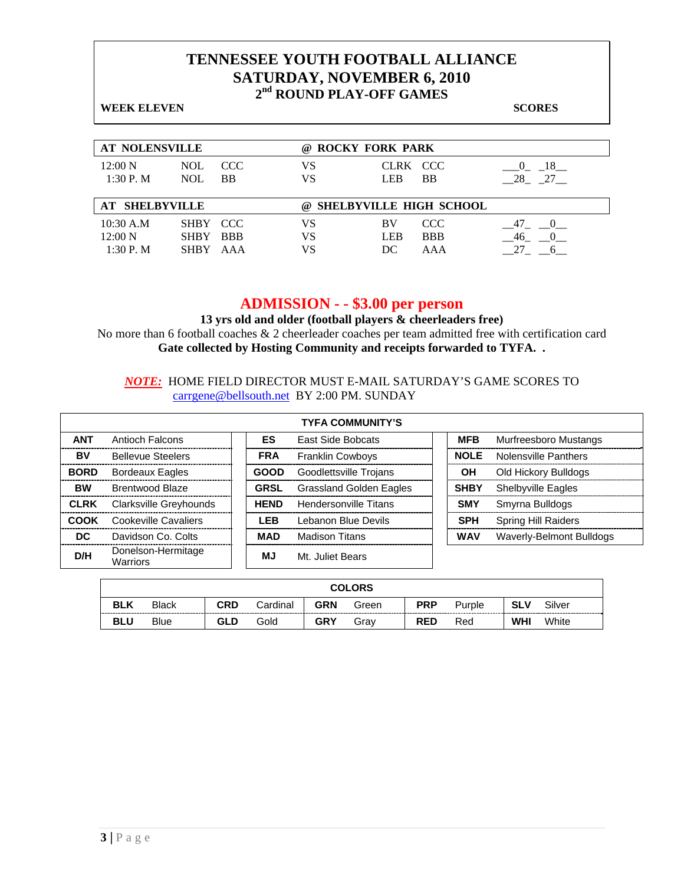| <b>WEEK ELEVEN</b>                          |                                                             |                |                                |                                 | <b>SCORES</b>                 |
|---------------------------------------------|-------------------------------------------------------------|----------------|--------------------------------|---------------------------------|-------------------------------|
| <b>AT NOLENSVILLE</b>                       |                                                             | (a)            | <b>ROCKY FORK PARK</b>         |                                 |                               |
| $12:00\ N$<br>1:30 P. M                     | CCC<br><b>NOL</b><br><b>NOL</b><br><b>BB</b>                | VS<br>VS       | CLRK CCC<br><b>LEB</b>         | <b>BB</b>                       | 18<br>$\theta$<br>$-28$ $-27$ |
| <b>SHELBYVILLE</b>                          |                                                             | $\omega$       | <b>SHELBYVILLE HIGH SCHOOL</b> |                                 |                               |
| $10:30$ A.M<br>$12:00\text{ N}$<br>1:30P. M | SHBY CCC<br><b>BBB</b><br><b>SHBY</b><br><b>SHBY</b><br>AAA | VS<br>VS<br>VS | <b>BV</b><br><b>LEB</b><br>DС  | <b>CCC</b><br><b>BBB</b><br>AAA | 47<br>46                      |

### **ADMISSION - - \$3.00 per person**

**13 yrs old and older (football players & cheerleaders free)**  No more than 6 football coaches & 2 cheerleader coaches per team admitted free with certification card **Gate collected by Hosting Community and receipts forwarded to TYFA. .**

#### *NOTE:* HOME FIELD DIRECTOR MUST E-MAIL SATURDAY'S GAME SCORES TO carrgene@bellsouth.net BY 2:00 PM. SUNDAY

|             |                                |             | <b>TYFA COMMUNITY'S</b>        |             |                            |
|-------------|--------------------------------|-------------|--------------------------------|-------------|----------------------------|
| <b>ANT</b>  | Antioch Falcons                | <b>ES</b>   | <b>East Side Bobcats</b>       | <b>MFB</b>  | Murfreesboro Mustangs      |
| BV          | <b>Bellevue Steelers</b>       | <b>FRA</b>  | <b>Franklin Cowboys</b>        | <b>NOLE</b> | Nolensville Panthers       |
| <b>BORD</b> | Bordeaux Eagles                | <b>GOOD</b> | Goodlettsville Trojans         | ΟH          | Old Hickory Bulldogs       |
| <b>BW</b>   | Brentwood Blaze                | <b>GRSL</b> | <b>Grassland Golden Eagles</b> | <b>SHBY</b> | <b>Shelbyville Eagles</b>  |
| <b>CLRK</b> | Clarksville Greyhounds         | <b>HEND</b> | <b>Hendersonville Titans</b>   | <b>SMY</b>  | Smyrna Bulldogs            |
| <b>COOK</b> | Cookeville Cavaliers           | LEB         | Lebanon Blue Devils            | <b>SPH</b>  | <b>Spring Hill Raiders</b> |
| <b>DC</b>   | Davidson Co. Colts             | <b>MAD</b>  | <b>Madison Titans</b>          | <b>WAV</b>  | Waverly-Belmont Bulldogs   |
| D/H         | Donelson-Hermitage<br>Warriors | ΜJ          | Mt. Juliet Bears               |             |                            |

|            | <b>COLORS</b>                                                                                          |            |      |            |      |            |     |            |       |  |  |  |
|------------|--------------------------------------------------------------------------------------------------------|------------|------|------------|------|------------|-----|------------|-------|--|--|--|
| <b>BLK</b> | <b>CRD</b><br><b>GRN</b><br>Silver<br><b>PRP</b><br>Cardinal<br>SLV<br><b>Black</b><br>Green<br>Purple |            |      |            |      |            |     |            |       |  |  |  |
| <b>BLU</b> | Blue                                                                                                   | <b>GLD</b> | Gold | <b>GRY</b> | Grav | <b>RED</b> | Red | <b>WHI</b> | White |  |  |  |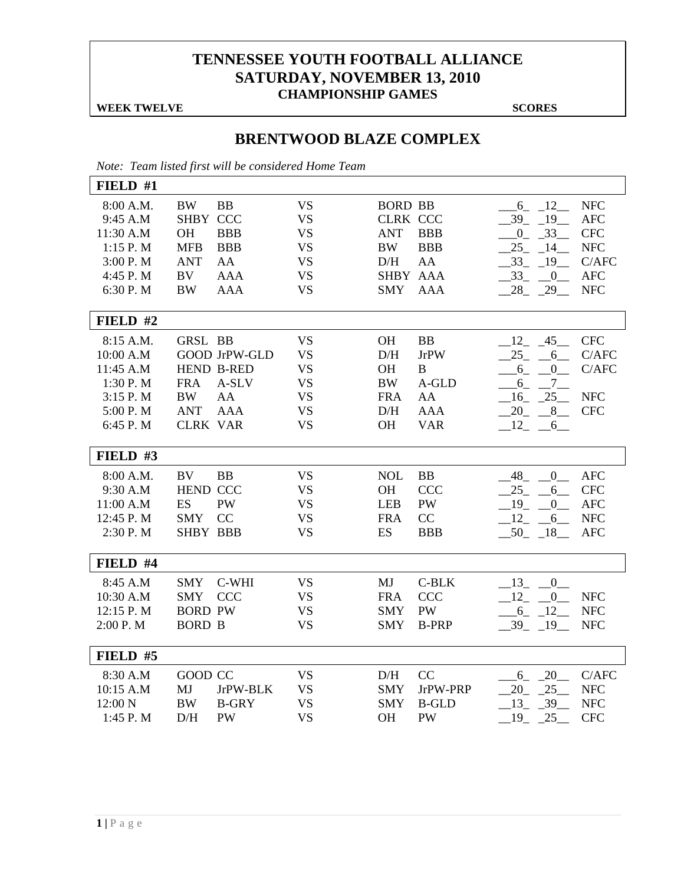### **TENNESSEE YOUTH FOOTBALL ALLIANCE SATURDAY, NOVEMBER 13, 2010 CHAMPIONSHIP GAMES**

**WEEK TWELVE** SCORES

### **BRENTWOOD BLAZE COMPLEX**

*Note: Team listed first will be considered Home Team* 

| FIELD #1                                                                            |                                                                                   |                                                                         |                                                                                         |                                                                                               |                                                                          |                                                                                                                      |                                                                                           |
|-------------------------------------------------------------------------------------|-----------------------------------------------------------------------------------|-------------------------------------------------------------------------|-----------------------------------------------------------------------------------------|-----------------------------------------------------------------------------------------------|--------------------------------------------------------------------------|----------------------------------------------------------------------------------------------------------------------|-------------------------------------------------------------------------------------------|
| 8:00 A.M.<br>9:45 A.M<br>11:30 A.M<br>1:15 P. M<br>3:00 P.M<br>4:45 P.M<br>6:30 P.M | <b>BW</b><br>SHBY CCC<br><b>OH</b><br><b>MFB</b><br><b>ANT</b><br>BV<br><b>BW</b> | <b>BB</b><br><b>BBB</b><br><b>BBB</b><br>AA<br><b>AAA</b><br><b>AAA</b> | <b>VS</b><br><b>VS</b><br><b>VS</b><br><b>VS</b><br><b>VS</b><br><b>VS</b><br><b>VS</b> | <b>BORD BB</b><br><b>CLRK CCC</b><br><b>ANT</b><br><b>BW</b><br>D/H<br>SHBY AAA<br><b>SMY</b> | <b>BBB</b><br><b>BBB</b><br>AA<br><b>AAA</b>                             | $-6$ $-12$<br>19<br>39<br>$-33$<br>$\overline{0}$<br>25<br>14<br>33<br>19<br>$33_{-}$<br>$\overline{0}$<br>$28 - 29$ | <b>NFC</b><br><b>AFC</b><br><b>CFC</b><br><b>NFC</b><br>C/AFC<br><b>AFC</b><br><b>NFC</b> |
| FIELD #2                                                                            |                                                                                   |                                                                         |                                                                                         |                                                                                               |                                                                          |                                                                                                                      |                                                                                           |
| 8:15 A.M.<br>10:00 A.M<br>11:45 A.M<br>1:30 P.M<br>3:15 P.M<br>5:00 P.M<br>6:45 P.M | <b>GRSL BB</b><br><b>FRA</b><br><b>BW</b><br><b>ANT</b><br><b>CLRK VAR</b>        | <b>GOOD JrPW-GLD</b><br><b>HEND B-RED</b><br>A-SLV<br>AA<br><b>AAA</b>  | <b>VS</b><br><b>VS</b><br><b>VS</b><br><b>VS</b><br><b>VS</b><br><b>VS</b><br><b>VS</b> | <b>OH</b><br>D/H<br>OH<br><b>BW</b><br><b>FRA</b><br>D/H<br><b>OH</b>                         | <b>BB</b><br><b>JrPW</b><br>B<br>A-GLD<br>AA<br><b>AAA</b><br><b>VAR</b> | $-12$ , $-45$<br>$25 -$<br>6<br>$-6$ $-$<br>$\mathbf{0}$<br>$7_{-}$<br>6<br>$-16$ $-25$<br>8<br>20<br>12<br>6        | <b>CFC</b><br>C/AFC<br>C/AFC<br><b>NFC</b><br><b>CFC</b>                                  |
| FIELD #3                                                                            |                                                                                   |                                                                         |                                                                                         |                                                                                               |                                                                          |                                                                                                                      |                                                                                           |
| 8:00 A.M.<br>9:30 A.M<br>11:00 A.M<br>12:45 P.M<br>2:30 P.M                         | BV<br><b>HEND CCC</b><br><b>ES</b><br><b>SMY</b><br><b>SHBY BBB</b>               | <b>BB</b><br><b>PW</b><br>CC                                            | <b>VS</b><br><b>VS</b><br><b>VS</b><br><b>VS</b><br><b>VS</b>                           | <b>NOL</b><br>OH<br><b>LEB</b><br><b>FRA</b><br>ES                                            | BB<br><b>CCC</b><br>PW<br>CC<br><b>BBB</b>                               | 48 0<br>25<br>$6_{-}$<br>19<br>$\mathbf{0}$<br>$-12$ $-$<br>6<br>$-50$ $-18$                                         | <b>AFC</b><br><b>CFC</b><br><b>AFC</b><br><b>NFC</b><br><b>AFC</b>                        |
| FIELD #4                                                                            |                                                                                   |                                                                         |                                                                                         |                                                                                               |                                                                          |                                                                                                                      |                                                                                           |
| 8:45 A.M<br>10:30 A.M<br>12:15 P.M<br>2:00 P.M                                      | <b>SMY</b><br><b>SMY</b><br><b>BORD PW</b><br><b>BORD B</b>                       | C-WHI<br><b>CCC</b>                                                     | <b>VS</b><br><b>VS</b><br><b>VS</b><br><b>VS</b>                                        | MJ<br><b>FRA</b><br><b>SMY</b><br><b>SMY</b>                                                  | C-BLK<br><b>CCC</b><br>PW<br><b>B-PRP</b>                                | 13 0<br>$-12$ -<br>$\overline{0}$<br>$-6 - 12$<br>$-39$ $-19$                                                        | <b>NFC</b><br><b>NFC</b><br><b>NFC</b>                                                    |
| FIELD #5                                                                            |                                                                                   |                                                                         |                                                                                         |                                                                                               |                                                                          |                                                                                                                      |                                                                                           |
| 8:30 A.M<br>10:15 A.M<br>12:00 N<br>1:45 P.M                                        | GOOD CC<br>MJ<br><b>BW</b><br>D/H                                                 | JrPW-BLK<br><b>B-GRY</b><br><b>PW</b>                                   | <b>VS</b><br><b>VS</b><br><b>VS</b><br><b>VS</b>                                        | D/H<br><b>SMY</b><br><b>SMY</b><br><b>OH</b>                                                  | CC<br>JrPW-PRP<br><b>B-GLD</b><br>PW                                     | 6 20<br>25<br>20<br>39<br>$-13$ $-$<br>25<br>$-19$ $-$                                                               | C/AFC<br><b>NFC</b><br><b>NFC</b><br><b>CFC</b>                                           |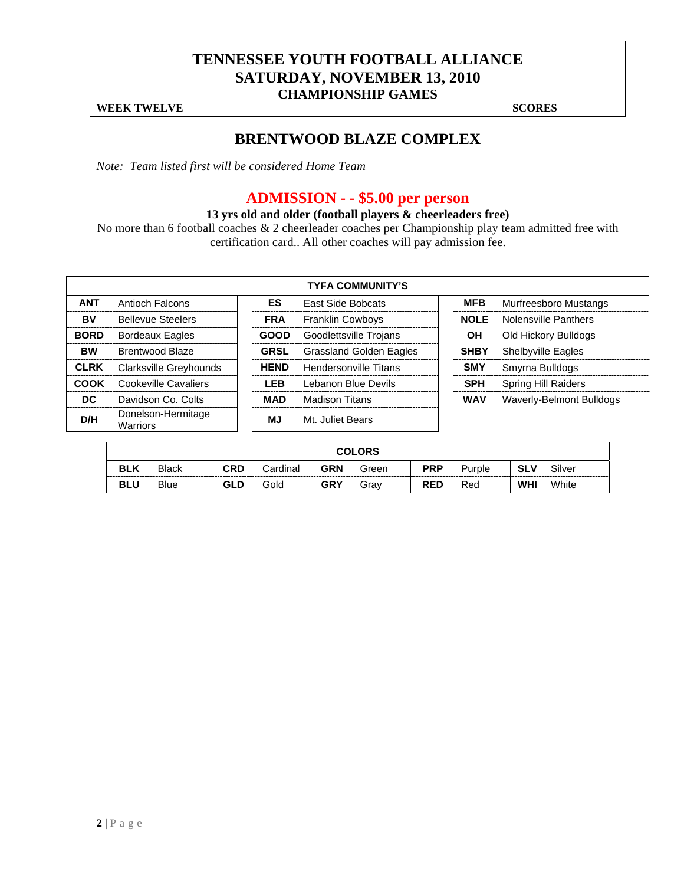### **TENNESSEE YOUTH FOOTBALL ALLIANCE SATURDAY, NOVEMBER 13, 2010 CHAMPIONSHIP GAMES**

**WEEK TWELVE** SCORES

### **BRENTWOOD BLAZE COMPLEX**

*Note: Team listed first will be considered Home Team* 

## **ADMISSION - - \$5.00 per person**

### **13 yrs old and older (football players & cheerleaders free)**

No more than 6 football coaches & 2 cheerleader coaches per Championship play team admitted free with certification card.. All other coaches will pay admission fee.

|             | <b>TYFA COMMUNITY'S</b>        |  |             |                                |  |             |                             |  |  |  |  |  |  |  |
|-------------|--------------------------------|--|-------------|--------------------------------|--|-------------|-----------------------------|--|--|--|--|--|--|--|
| <b>ANT</b>  | Antioch Falcons                |  | ES          | <b>East Side Bobcats</b>       |  | <b>MFB</b>  | Murfreesboro Mustangs       |  |  |  |  |  |  |  |
| BV          | <b>Bellevue Steelers</b>       |  | <b>FRA</b>  | <b>Franklin Cowboys</b>        |  | <b>NOLE</b> | <b>Nolensville Panthers</b> |  |  |  |  |  |  |  |
| <b>BORD</b> | <b>Bordeaux Eagles</b>         |  | <b>GOOD</b> | Goodlettsville Trojans         |  | OН          | Old Hickory Bulldogs        |  |  |  |  |  |  |  |
| <b>BW</b>   | <b>Brentwood Blaze</b>         |  | <b>GRSL</b> | <b>Grassland Golden Eagles</b> |  | <b>SHBY</b> | <b>Shelbyville Eagles</b>   |  |  |  |  |  |  |  |
| <b>CLRK</b> | Clarksville Greyhounds         |  | <b>HEND</b> | Hendersonville Titans          |  | <b>SMY</b>  | Smyrna Bulldogs             |  |  |  |  |  |  |  |
| COOK        | <b>Cookeville Cavaliers</b>    |  | <b>LEB</b>  | Lebanon Blue Devils            |  | <b>SPH</b>  | <b>Spring Hill Raiders</b>  |  |  |  |  |  |  |  |
| DC.         | Davidson Co. Colts             |  | <b>MAD</b>  | <b>Madison Titans</b>          |  | <b>WAV</b>  | Waverly-Belmont Bulldogs    |  |  |  |  |  |  |  |
| D/H         | Donelson-Hermitage<br>Warriors |  | <b>MJ</b>   | Mt. Juliet Bears               |  |             |                             |  |  |  |  |  |  |  |

|            | <b>COLORS</b>                                                                                          |     |      |            |      |            |     |            |       |  |  |  |
|------------|--------------------------------------------------------------------------------------------------------|-----|------|------------|------|------------|-----|------------|-------|--|--|--|
| <b>BLK</b> | <b>CRD</b><br>GRN<br><b>PRP</b><br><b>SLV</b><br>Silver<br>Cardinal<br><b>Black</b><br>Purple<br>Green |     |      |            |      |            |     |            |       |  |  |  |
| <b>BLU</b> | <b>Blue</b>                                                                                            | GLD | Gold | <b>GRY</b> | Grav | <b>RED</b> | Red | <b>WHI</b> | White |  |  |  |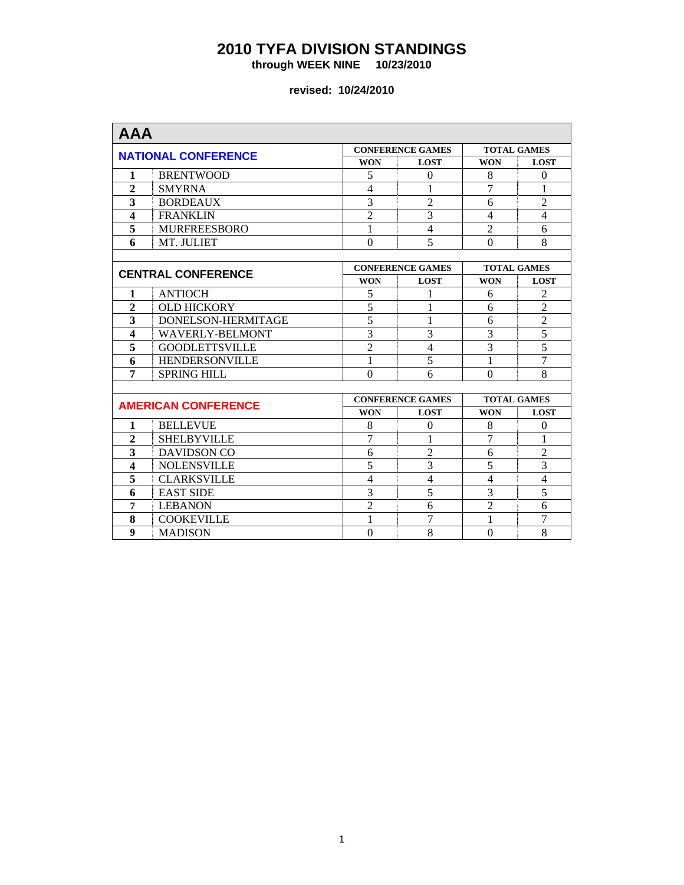**through WEEK NINE 10/23/2010** 

| <b>AAA</b>              |                            |                  |                         |                    |                    |
|-------------------------|----------------------------|------------------|-------------------------|--------------------|--------------------|
|                         |                            |                  | <b>CONFERENCE GAMES</b> |                    | <b>TOTAL GAMES</b> |
|                         | <b>NATIONAL CONFERENCE</b> | <b>WON</b>       | <b>LOST</b>             | <b>WON</b>         | <b>LOST</b>        |
| 1                       | <b>BRENTWOOD</b>           | 5                | $\Omega$                | 8                  | $\theta$           |
| $\overline{2}$          | <b>SMYRNA</b>              | $\overline{4}$   | 1                       | 7                  | 1                  |
| 3                       | <b>BORDEAUX</b>            | 3                | $\overline{2}$          | 6                  | $\overline{2}$     |
| $\overline{\mathbf{4}}$ | <b>FRANKLIN</b>            | $\overline{2}$   | $\overline{3}$          | $\overline{4}$     | $\overline{4}$     |
| 5                       | <b>MURFREESBORO</b>        | 1                | $\overline{4}$          | $\overline{2}$     | 6                  |
| 6                       | MT. JULIET                 | $\mathbf{0}$     | 5                       | $\theta$           | 8                  |
|                         |                            |                  |                         |                    |                    |
|                         | <b>CENTRAL CONFERENCE</b>  |                  | <b>CONFERENCE GAMES</b> |                    | <b>TOTAL GAMES</b> |
|                         |                            | <b>WON</b>       | <b>LOST</b>             | <b>WON</b>         | <b>LOST</b>        |
| 1                       | <b>ANTIOCH</b>             | 5                | 1                       | 6                  | $\overline{2}$     |
| $\overline{2}$          | <b>OLD HICKORY</b>         | $\overline{5}$   | 1                       | 6                  | $\overline{2}$     |
| 3                       | DONELSON-HERMITAGE         | $\overline{5}$   | 1                       | 6                  | $\overline{2}$     |
| $\overline{\mathbf{4}}$ | <b>WAVERLY-BELMONT</b>     | $\overline{3}$   | 3                       | 3                  | $\overline{5}$     |
| 5                       | <b>GOODLETTSVILLE</b>      | $\overline{2}$   | $\overline{4}$          | $\overline{3}$     | $\overline{5}$     |
| 6                       | <b>HENDERSONVILLE</b>      | 1                | 5                       | 1                  | $\overline{7}$     |
| 7                       | <b>SPRING HILL</b>         | $\mathbf{0}$     | 6                       | $\theta$           | 8                  |
|                         |                            |                  |                         |                    |                    |
|                         | <b>AMERICAN CONFERENCE</b> |                  | <b>CONFERENCE GAMES</b> | <b>TOTAL GAMES</b> |                    |
|                         |                            | <b>WON</b>       | <b>LOST</b>             | <b>WON</b>         | <b>LOST</b>        |
| 1                       | <b>BELLEVUE</b>            | 8                | $\theta$                | 8                  | $\theta$           |
| $\overline{2}$          | <b>SHELBYVILLE</b>         | $\overline{7}$   | 1                       | $\overline{7}$     | 1                  |
| 3                       | DAVIDSON CO                | 6                | $\overline{2}$          | 6                  | $\overline{2}$     |
| $\overline{\mathbf{4}}$ | <b>NOLENSVILLE</b>         | 5                | 3                       | 5                  | $\overline{3}$     |
| $\overline{\mathbf{5}}$ | <b>CLARKSVILLE</b>         | $\overline{4}$   | $\overline{4}$          | $\overline{4}$     | $\overline{4}$     |
| 6                       | <b>EAST SIDE</b>           | 3                | 5                       | 3                  | $\overline{5}$     |
| 7                       | <b>LEBANON</b>             | $\overline{2}$   | 6                       | $\overline{2}$     | 6                  |
| 8                       | <b>COOKEVILLE</b>          | 1                | 7                       | 1                  | 7                  |
| 9                       | <b>MADISON</b>             | $\boldsymbol{0}$ | 8                       | $\theta$           | 8                  |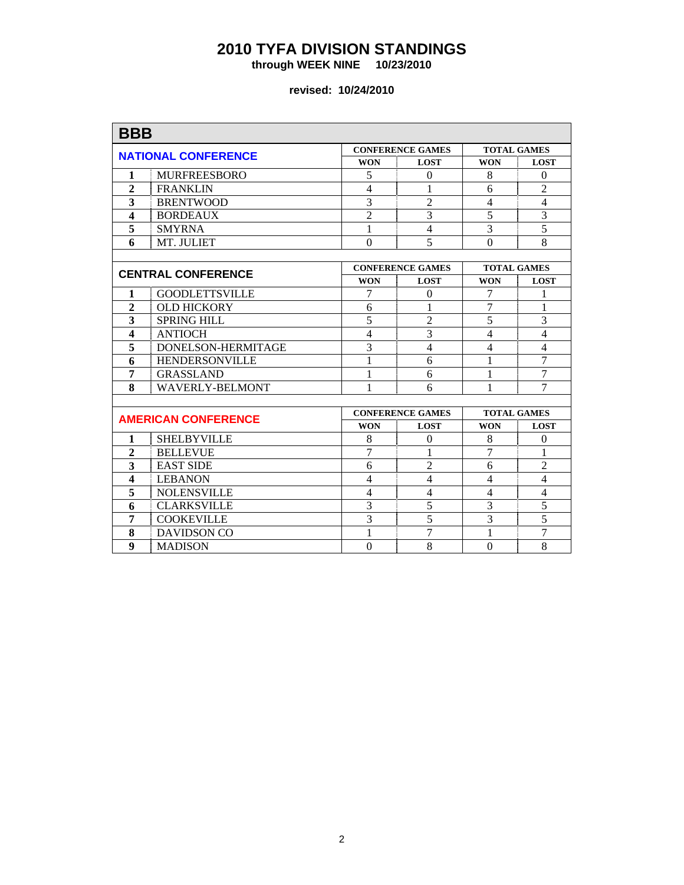**through WEEK NINE 10/23/2010** 

| <b>BBB</b>              |                            |                |                         |                          |                |
|-------------------------|----------------------------|----------------|-------------------------|--------------------------|----------------|
|                         |                            |                | <b>CONFERENCE GAMES</b> | <b>TOTAL GAMES</b>       |                |
|                         | <b>NATIONAL CONFERENCE</b> | <b>WON</b>     | <b>LOST</b>             | <b>WON</b>               | <b>LOST</b>    |
| 1                       | <b>MURFREESBORO</b>        | 5              | $\theta$                | 8                        | $\Omega$       |
| $\overline{2}$          | <b>FRANKLIN</b>            | $\overline{4}$ | 1                       | 6                        | $\overline{2}$ |
| 3                       | <b>BRENTWOOD</b>           | $\overline{3}$ | $\overline{2}$          | $\overline{\mathcal{L}}$ | $\overline{4}$ |
| $\overline{\mathbf{4}}$ | <b>BORDEAUX</b>            | $\overline{2}$ | 3                       | 5                        | $\overline{3}$ |
| 5                       | <b>SMYRNA</b>              | $\mathbf{1}$   | $\overline{4}$          | $\overline{3}$           | $\overline{5}$ |
| 6                       | MT. JULIET                 | $\overline{0}$ | 5                       | $\overline{0}$           | 8              |
|                         |                            |                |                         |                          |                |
|                         | <b>CENTRAL CONFERENCE</b>  |                | <b>CONFERENCE GAMES</b> | <b>TOTAL GAMES</b>       |                |
|                         |                            | <b>WON</b>     | <b>LOST</b>             | <b>WON</b>               | <b>LOST</b>    |
| 1                       | <b>GOODLETTSVILLE</b>      | 7              | $\theta$                | 7                        | 1              |
| $\overline{2}$          | <b>OLD HICKORY</b>         | 6              | 1                       | 7                        | 1              |
| 3                       | <b>SPRING HILL</b>         | $\overline{5}$ | $\overline{2}$          | 5                        | 3              |
| $\overline{\mathbf{4}}$ | <b>ANTIOCH</b>             | $\overline{4}$ | 3                       | $\overline{4}$           | $\overline{4}$ |
| $\overline{\mathbf{5}}$ | DONELSON-HERMITAGE         | 3              | $\overline{4}$          | 4                        | $\overline{4}$ |
| 6                       | <b>HENDERSONVILLE</b>      | 1              | 6                       | 1                        | $\overline{7}$ |
| 7                       | <b>GRASSLAND</b>           | 1              | 6                       | $\mathbf{1}$             | $\overline{7}$ |
| 8                       | <b>WAVERLY-BELMONT</b>     | 1              | 6                       | 1                        | $\overline{7}$ |
|                         |                            |                |                         |                          |                |
|                         | <b>AMERICAN CONFERENCE</b> |                | <b>CONFERENCE GAMES</b> | <b>TOTAL GAMES</b>       |                |
|                         |                            | <b>WON</b>     | <b>LOST</b>             | <b>WON</b>               | <b>LOST</b>    |
| 1                       | <b>SHELBYVILLE</b>         | 8              | $\mathbf{0}$            | 8                        | $\overline{0}$ |
| $\overline{2}$          | <b>BELLEVUE</b>            | $\overline{7}$ | 1                       | 7                        | $\mathbf{1}$   |
| 3                       | <b>EAST SIDE</b>           | 6              | $\overline{2}$          | 6                        | $\overline{2}$ |
| $\overline{\mathbf{4}}$ | <b>LEBANON</b>             | $\overline{4}$ | $\overline{4}$          | $\overline{4}$           | $\overline{4}$ |
| 5                       | <b>NOLENSVILLE</b>         | $\overline{4}$ | $\overline{4}$          | $\overline{4}$           | $\overline{4}$ |
| 6                       | <b>CLARKSVILLE</b>         | 3              | 5                       | 3                        | $\overline{5}$ |
| 7                       | <b>COOKEVILLE</b>          | $\overline{3}$ | $\overline{5}$          | $\overline{3}$           | $\overline{5}$ |
| 8                       | DAVIDSON CO                | 1              | 7                       | 1                        | $\overline{7}$ |
| $\boldsymbol{9}$        | <b>MADISON</b>             | $\Omega$       | 8                       | $\theta$                 | 8              |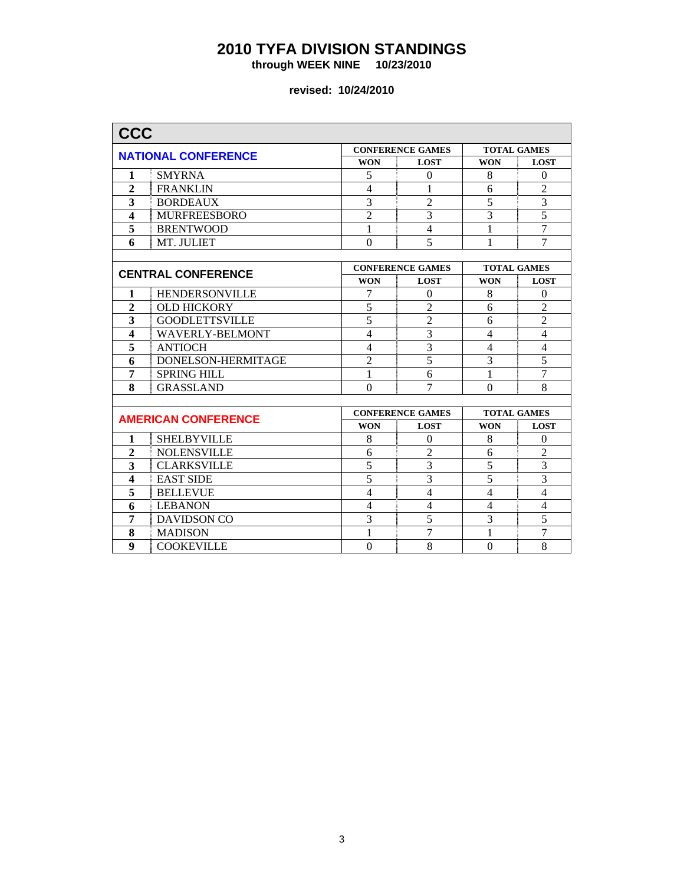**through WEEK NINE 10/23/2010** 

| <b>CCC</b>              |                            |                |                         |                    |                          |
|-------------------------|----------------------------|----------------|-------------------------|--------------------|--------------------------|
|                         |                            |                | <b>CONFERENCE GAMES</b> | <b>TOTAL GAMES</b> |                          |
|                         | <b>NATIONAL CONFERENCE</b> | <b>WON</b>     | <b>LOST</b>             | <b>WON</b>         | <b>LOST</b>              |
| 1                       | <b>SMYRNA</b>              | 5              | $\Omega$                | 8                  | $\Omega$                 |
| $\overline{2}$          | <b>FRANKLIN</b>            | $\overline{4}$ | 1                       | 6                  | $\overline{2}$           |
| 3                       | <b>BORDEAUX</b>            | $\overline{3}$ | $\overline{2}$          | $\overline{5}$     | $\overline{3}$           |
| $\overline{\mathbf{4}}$ | <b>MURFREESBORO</b>        | $\overline{2}$ | 3                       | 3                  | $\overline{5}$           |
| 5                       | <b>BRENTWOOD</b>           | 1              | $\overline{4}$          | 1                  | $\overline{7}$           |
| 6                       | MT. JULIET                 | $\overline{0}$ | 5                       | $\mathbf{1}$       | $\overline{7}$           |
|                         |                            |                |                         |                    |                          |
|                         | <b>CENTRAL CONFERENCE</b>  |                | <b>CONFERENCE GAMES</b> | <b>TOTAL GAMES</b> |                          |
|                         |                            | <b>WON</b>     | <b>LOST</b>             | <b>WON</b>         | <b>LOST</b>              |
| 1                       | HENDERSONVILLE             | 7              | $\mathbf{0}$            | 8                  | $\mathbf{0}$             |
| $\overline{2}$          | <b>OLD HICKORY</b>         | 5              | $\overline{2}$          | 6                  | $\overline{2}$           |
| 3                       | <b>GOODLETTSVILLE</b>      | $\overline{5}$ | $\overline{2}$          | 6                  | $\overline{2}$           |
| $\overline{\mathbf{4}}$ | <b>WAVERLY-BELMONT</b>     | $\overline{4}$ | $\overline{3}$          | $\overline{4}$     | $\overline{4}$           |
| $\overline{\mathbf{5}}$ | <b>ANTIOCH</b>             | $\overline{4}$ | $\overline{3}$          | 4                  | $\overline{\mathcal{L}}$ |
| 6                       | DONELSON-HERMITAGE         | $\overline{2}$ | $\overline{5}$          | $\overline{3}$     | $\overline{5}$           |
| 7                       | <b>SPRING HILL</b>         | 1              | 6                       | $\mathbf{1}$       | $\overline{7}$           |
| 8                       | <b>GRASSLAND</b>           | $\theta$       | $\overline{7}$          | $\Omega$           | 8                        |
|                         |                            |                |                         |                    |                          |
|                         | <b>AMERICAN CONFERENCE</b> |                | <b>CONFERENCE GAMES</b> | <b>TOTAL GAMES</b> |                          |
|                         |                            | <b>WON</b>     | <b>LOST</b>             | <b>WON</b>         | <b>LOST</b>              |
| 1                       | <b>SHELBYVILLE</b>         | 8              | $\Omega$                | 8                  | $\mathbf{0}$             |
| $\overline{2}$          | <b>NOLENSVILLE</b>         | 6              | $\overline{2}$          | 6                  | $\overline{2}$           |
| 3                       | <b>CLARKSVILLE</b>         | 5              | 3                       | 5                  | $\overline{3}$           |
| $\overline{\mathbf{4}}$ | <b>EAST SIDE</b>           | $\overline{5}$ | $\overline{3}$          | 5                  | $\overline{3}$           |
| 5                       | <b>BELLEVUE</b>            | $\overline{4}$ | $\overline{4}$          | 4                  | $\overline{4}$           |
| 6                       | <b>LEBANON</b>             | $\overline{4}$ | $\overline{4}$          | $\overline{4}$     | $\overline{4}$           |
| 7                       | <b>DAVIDSON CO</b>         | $\overline{3}$ | $\overline{5}$          | $\overline{3}$     | 5                        |
| 8                       | <b>MADISON</b>             | 1              | 7                       | 1                  | $\overline{7}$           |
| 9                       | <b>COOKEVILLE</b>          | $\theta$       | 8                       | $\theta$           | 8                        |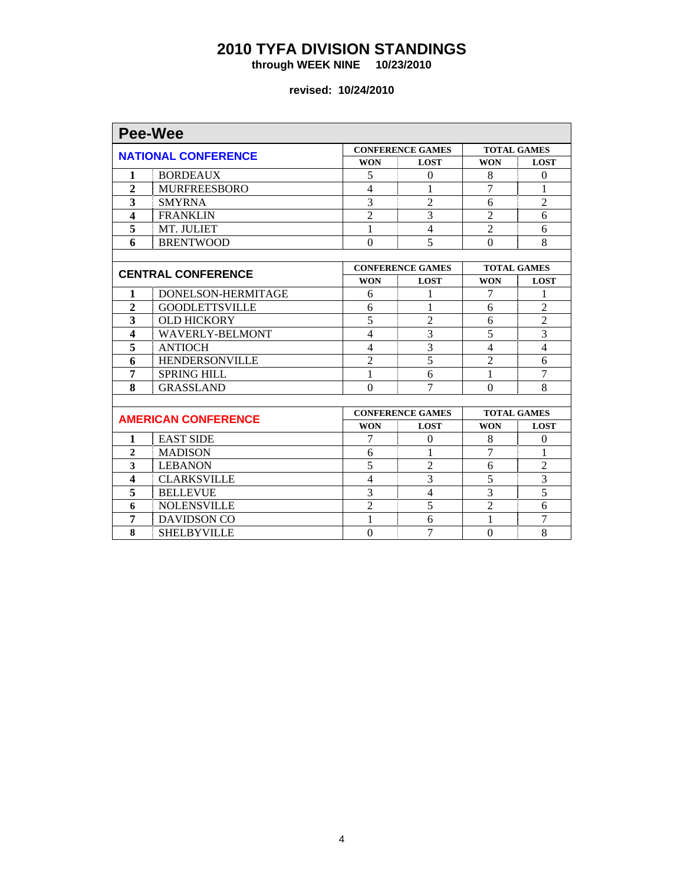**through WEEK NINE 10/23/2010** 

|                         | <b>Pee-Wee</b>             |                          |                         |                    |                    |
|-------------------------|----------------------------|--------------------------|-------------------------|--------------------|--------------------|
|                         |                            |                          | <b>CONFERENCE GAMES</b> |                    | <b>TOTAL GAMES</b> |
|                         | <b>NATIONAL CONFERENCE</b> | <b>WON</b>               | <b>LOST</b>             | <b>WON</b>         | <b>LOST</b>        |
| 1                       | <b>BORDEAUX</b>            | 5                        | $\theta$                | 8                  | $\Omega$           |
| $\overline{2}$          | <b>MURFREESBORO</b>        | $\overline{\mathcal{L}}$ | 1                       | 7                  | 1                  |
| 3                       | <b>SMYRNA</b>              | 3                        | $\overline{2}$          | 6                  | $\overline{2}$     |
| $\overline{\mathbf{4}}$ | <b>FRANKLIN</b>            | $\overline{2}$           | $\overline{3}$          | $\overline{2}$     | 6                  |
| 5                       | MT. JULIET                 | 1                        | $\overline{4}$          | $\overline{2}$     | 6                  |
| 6                       | <b>BRENTWOOD</b>           | $\boldsymbol{0}$         | 5                       | $\theta$           | 8                  |
|                         |                            |                          |                         |                    |                    |
|                         | <b>CENTRAL CONFERENCE</b>  |                          | <b>CONFERENCE GAMES</b> | <b>TOTAL GAMES</b> |                    |
|                         |                            | <b>WON</b>               | <b>LOST</b>             | <b>WON</b>         | <b>LOST</b>        |
| 1                       | DONELSON-HERMITAGE         | 6                        | 1                       | 7                  | 1                  |
| $\overline{2}$          | <b>GOODLETTSVILLE</b>      | 6                        | 1                       | 6                  | $\overline{2}$     |
| 3                       | <b>OLD HICKORY</b>         | $\overline{5}$           | $\overline{2}$          | 6                  | $\overline{2}$     |
| $\overline{\mathbf{4}}$ | <b>WAVERLY-BELMONT</b>     | $\overline{\mathcal{L}}$ | 3                       | 5                  | $\overline{3}$     |
| 5                       | <b>ANTIOCH</b>             | 4                        | 3                       | 4                  | $\overline{4}$     |
| 6                       | <b>HENDERSONVILLE</b>      | $\overline{2}$           | $\overline{5}$          | $\overline{2}$     | 6                  |
| 7                       | <b>SPRING HILL</b>         | 1                        | 6                       | 1                  | $\tau$             |
| 8                       | <b>GRASSLAND</b>           | $\theta$                 | 7                       | $\theta$           | 8                  |
|                         |                            |                          |                         |                    |                    |
|                         | <b>AMERICAN CONFERENCE</b> |                          | <b>CONFERENCE GAMES</b> | <b>TOTAL GAMES</b> |                    |
|                         |                            | <b>WON</b>               | <b>LOST</b>             | <b>WON</b>         | <b>LOST</b>        |
| 1                       | <b>EAST SIDE</b>           | 7                        | $\theta$                | 8                  | $\Omega$           |
| $\overline{2}$          | <b>MADISON</b>             | 6                        | 1                       | 7                  | 1                  |
| 3                       | <b>LEBANON</b>             | 5                        | $\overline{2}$          | 6                  | $\overline{2}$     |
| $\overline{\mathbf{4}}$ | <b>CLARKSVILLE</b>         | $\overline{4}$           | 3                       | $\overline{5}$     | $\overline{3}$     |
| 5                       | <b>BELLEVUE</b>            | 3                        | $\overline{4}$          | 3                  | 5                  |
| 6                       | <b>NOLENSVILLE</b>         | $\overline{c}$           | 5                       | $\overline{2}$     | 6                  |
| 7                       | <b>DAVIDSON CO</b>         | 1                        | 6                       | 1                  | $\tau$             |
| 8                       | <b>SHELBYVILLE</b>         | $\boldsymbol{0}$         | $\overline{7}$          | $\theta$           | 8                  |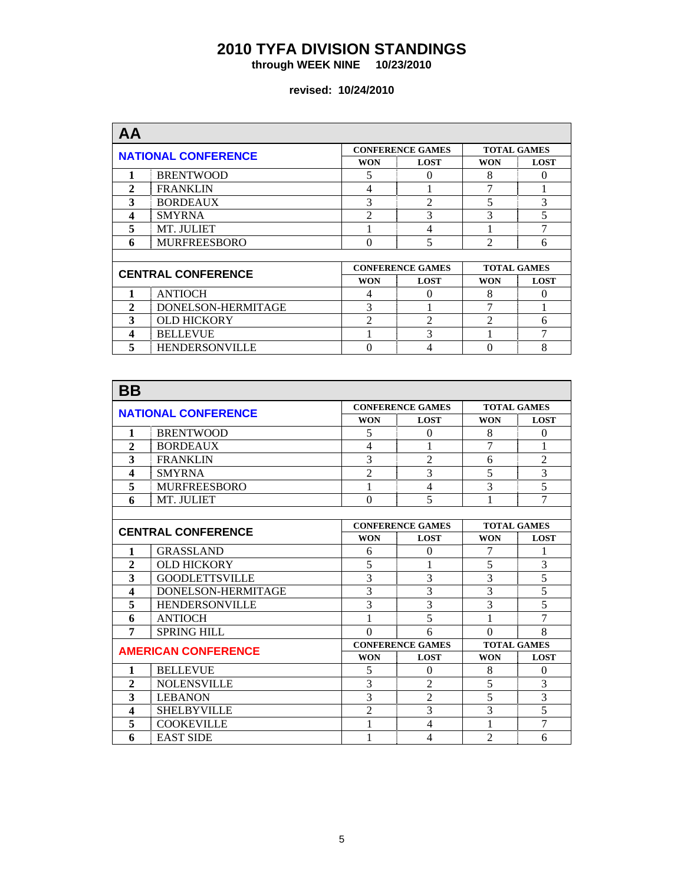**through WEEK NINE 10/23/2010** 

| AA                         |                           |                |                         |                |                    |  |
|----------------------------|---------------------------|----------------|-------------------------|----------------|--------------------|--|
| <b>NATIONAL CONFERENCE</b> |                           |                | <b>CONFERENCE GAMES</b> |                | <b>TOTAL GAMES</b> |  |
|                            |                           | <b>WON</b>     | <b>LOST</b>             | <b>WON</b>     | <b>LOST</b>        |  |
|                            | <b>BRENTWOOD</b>          | 5              | 0                       | 8              | $\Omega$           |  |
| $\mathbf{2}$               | <b>FRANKLIN</b>           | $\overline{4}$ |                         |                |                    |  |
| 3                          | <b>BORDEAUX</b>           | 3              | $\mathfrak{D}$          | 5              | 3                  |  |
| 4                          | <b>SMYRNA</b>             | $\mathfrak{D}$ | 3                       | 3              | 5                  |  |
| 5                          | MT. JULIET                |                | 4                       |                | 7                  |  |
| 6                          | <b>MURFREESBORO</b>       | $\Omega$       | 5                       | $\mathfrak{D}$ | 6                  |  |
|                            |                           |                |                         |                |                    |  |
|                            | <b>CENTRAL CONFERENCE</b> |                | <b>CONFERENCE GAMES</b> |                | <b>TOTAL GAMES</b> |  |
|                            |                           | <b>WON</b>     | <b>LOST</b>             | <b>WON</b>     | <b>LOST</b>        |  |
|                            | <b>ANTIOCH</b>            | 4              | 0                       | 8              | $\Omega$           |  |
| $\mathbf{2}$               | DONELSON-HERMITAGE        | 3              |                         | 7              |                    |  |
| 3                          | <b>OLD HICKORY</b>        | $\mathfrak{D}$ | $\overline{2}$          | $\mathcal{D}$  | 6                  |  |
| 4                          | <b>BELLEVUE</b>           |                | 3                       |                | 7                  |  |
| 5                          | <b>HENDERSONVILLE</b>     | 0              | 4                       | 0              | 8                  |  |

| ΒB                        |                            |                |                         |                    |                |
|---------------------------|----------------------------|----------------|-------------------------|--------------------|----------------|
|                           | <b>NATIONAL CONFERENCE</b> |                | <b>CONFERENCE GAMES</b> | <b>TOTAL GAMES</b> |                |
|                           |                            | <b>WON</b>     | <b>LOST</b>             | <b>WON</b>         | <b>LOST</b>    |
| 1                         | <b>BRENTWOOD</b>           | 5              | $\Omega$                | 8                  | $\theta$       |
| $\overline{2}$            | <b>BORDEAUX</b>            | 4              |                         | 7                  | 1              |
| 3                         | <b>FRANKLIN</b>            | 3              | $\mathfrak{D}$          | 6                  | $\overline{2}$ |
| 4                         | <b>SMYRNA</b>              | $\overline{2}$ | 3                       | 5                  | $\overline{3}$ |
| 5                         | <b>MURFREESBORO</b>        | 1              | $\overline{4}$          | 3                  | $\overline{5}$ |
| 6                         | MT. JULIET                 | $\theta$       | 5                       | 1                  | 7              |
|                           |                            |                |                         |                    |                |
| <b>CENTRAL CONFERENCE</b> |                            |                | <b>CONFERENCE GAMES</b> | <b>TOTAL GAMES</b> |                |
|                           |                            | <b>WON</b>     | <b>LOST</b>             | <b>WON</b>         | <b>LOST</b>    |
| 1                         | <b>GRASSLAND</b>           | 6              | $\theta$                | 7                  | 1              |
| $\mathbf{2}$              | <b>OLD HICKORY</b>         | 5              |                         | 5                  | $\overline{3}$ |
| 3                         | <b>GOODLETTSVILLE</b>      | 3              | 3                       | 3                  | $\overline{5}$ |
| $\overline{\mathbf{4}}$   | DONELSON-HERMITAGE         | 3              | 3                       | 3                  | $\overline{5}$ |
| 5                         | <b>HENDERSONVILLE</b>      | 3              | 3                       | 3                  | $\overline{5}$ |
| 6                         | <b>ANTIOCH</b>             |                | 5                       |                    | $\overline{7}$ |
| 7                         | <b>SPRING HILL</b>         | $\Omega$       | 6                       | $\Omega$           | 8              |
|                           | <b>AMERICAN CONFERENCE</b> |                | <b>CONFERENCE GAMES</b> | <b>TOTAL GAMES</b> |                |
|                           |                            | <b>WON</b>     | <b>LOST</b>             | <b>WON</b>         | <b>LOST</b>    |
| 1                         | <b>BELLEVUE</b>            | 5              | $\theta$                | 8                  | $\theta$       |
| $\mathbf{2}$              | <b>NOLENSVILLE</b>         | 3              | $\mathfrak{D}$          | 5                  | 3              |
| 3                         | <b>LEBANON</b>             | 3              | $\overline{2}$          | 5                  | $\overline{3}$ |
| 4                         | <b>SHELBYVILLE</b>         | $\overline{2}$ | 3                       | 3                  | $\overline{5}$ |
| 5                         | <b>COOKEVILLE</b>          |                | $\overline{4}$          |                    | $\overline{7}$ |
| 6                         | <b>EAST SIDE</b>           | 1              | 4                       | $\overline{2}$     | 6              |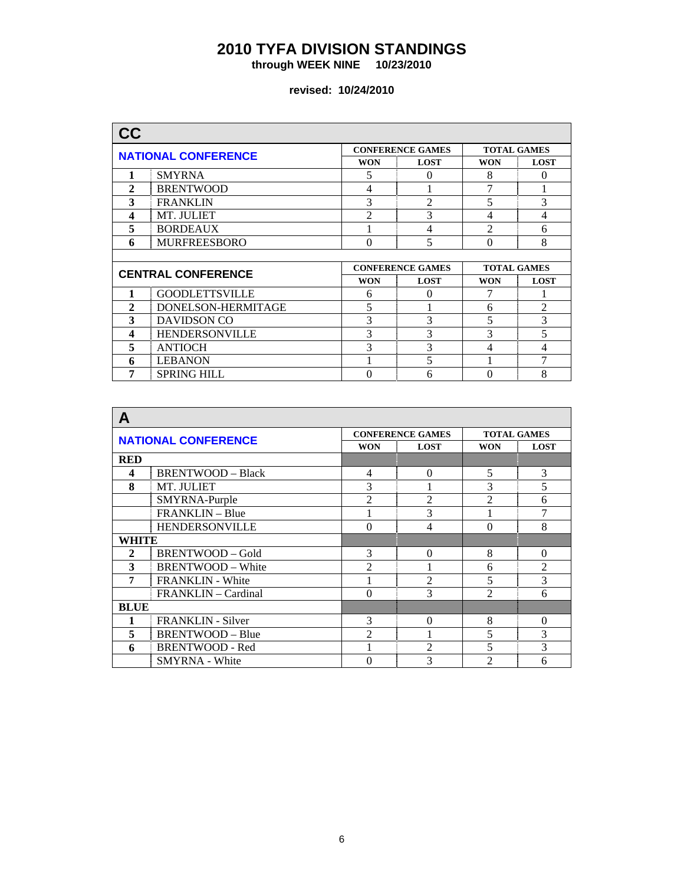**through WEEK NINE 10/23/2010** 

| CC             |                            |                         |                         |                    |                    |
|----------------|----------------------------|-------------------------|-------------------------|--------------------|--------------------|
|                | <b>NATIONAL CONFERENCE</b> |                         | <b>CONFERENCE GAMES</b> |                    | <b>TOTAL GAMES</b> |
|                |                            | <b>WON</b>              | <b>LOST</b>             | <b>WON</b>         | <b>LOST</b>        |
| 1              | <b>SMYRNA</b>              | 5                       | $\theta$                | 8                  | $\Omega$           |
| $\mathbf{2}$   | <b>BRENTWOOD</b>           | $\overline{4}$          |                         | 7                  | 1                  |
| 3              | <b>FRANKLIN</b>            | 3                       | $\overline{2}$          | 5                  | 3                  |
| 4              | MT. JULIET                 | $\overline{c}$          | 3                       | 4                  | 4                  |
| 5              | <b>BORDEAUX</b>            |                         | 4                       | $\overline{c}$     | 6                  |
| 6              | <b>MURFREESBORO</b>        | $\Omega$                | 5                       | $\theta$           | 8                  |
|                |                            |                         |                         |                    |                    |
|                | <b>CENTRAL CONFERENCE</b>  | <b>CONFERENCE GAMES</b> |                         | <b>TOTAL GAMES</b> |                    |
|                |                            | <b>WON</b>              | <b>LOST</b>             | <b>WON</b>         | <b>LOST</b>        |
| 1              | <b>GOODLETTSVILLE</b>      | 6                       | $\Omega$                |                    | -1                 |
| $\overline{2}$ | DONELSON-HERMITAGE         | 5                       |                         | 6                  | $\overline{2}$     |
| 3              | <b>DAVIDSON CO</b>         | 3                       | 3                       | 5                  | 3                  |
| 4              | <b>HENDERSONVILLE</b>      | 3                       | 3                       | 3                  | 5                  |
| 5              | <b>ANTIOCH</b>             | 3                       | 3                       | 4                  | 4                  |
| 6              | <b>LEBANON</b>             |                         | 5                       |                    | 7                  |
|                |                            |                         |                         |                    |                    |

| A            |                            |                |                         |                |                    |
|--------------|----------------------------|----------------|-------------------------|----------------|--------------------|
|              | <b>NATIONAL CONFERENCE</b> |                | <b>CONFERENCE GAMES</b> |                | <b>TOTAL GAMES</b> |
|              |                            | <b>WON</b>     | <b>LOST</b>             | <b>WON</b>     | <b>LOST</b>        |
| <b>RED</b>   |                            |                |                         |                |                    |
| 4            | <b>BRENTWOOD - Black</b>   | 4              | $\Omega$                | 5              | 3                  |
| 8            | MT. JULIET                 | 3              |                         | 3              | 5                  |
|              | SMYRNA-Purple              | $\mathfrak{D}$ | $\mathfrak{D}$          | $\mathfrak{D}$ | 6                  |
|              | FRANKLIN - Blue            |                | 3                       |                | 7                  |
|              | <b>HENDERSONVILLE</b>      | $\Omega$       | $\overline{4}$          | $\theta$       | 8                  |
| WHITE        |                            |                |                         |                |                    |
| $\mathbf{2}$ | <b>BRENTWOOD-Gold</b>      | 3              | $\Omega$                | 8              | $\Omega$           |
| 3            | <b>BRENTWOOD - White</b>   | $\overline{2}$ |                         | 6              | $\overline{2}$     |
| 7            | <b>FRANKLIN - White</b>    |                | $\overline{2}$          | 5              | 3                  |
|              | FRANKLIN – Cardinal        | $\Omega$       | 3                       | $\mathfrak{D}$ | 6                  |
| <b>BLUE</b>  |                            |                |                         |                |                    |
| 1            | <b>FRANKLIN</b> - Silver   | 3              | $\theta$                | 8              | $\Omega$           |
| 5            | BRENTWOOD - Blue           | $\mathfrak{D}$ |                         | 5              | 3                  |
| 6            | <b>BRENTWOOD - Red</b>     |                | $\overline{2}$          | 5              | 3                  |
|              | <b>SMYRNA</b> - White      | $\theta$       | 3                       | 2              | 6                  |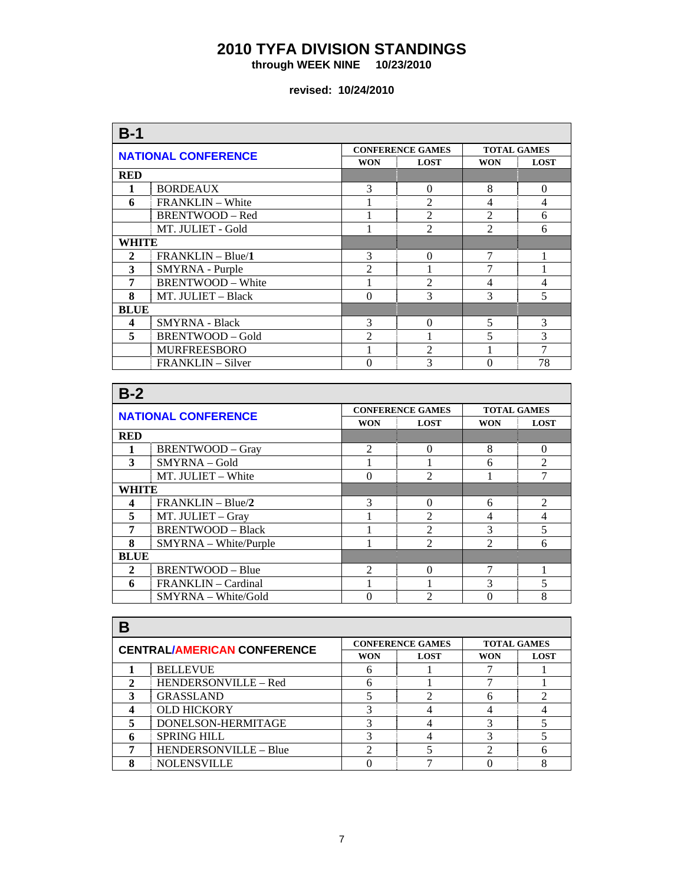**through WEEK NINE 10/23/2010** 

| $B-1$          |                            |                |                         |                    |                |
|----------------|----------------------------|----------------|-------------------------|--------------------|----------------|
|                | <b>NATIONAL CONFERENCE</b> |                | <b>CONFERENCE GAMES</b> | <b>TOTAL GAMES</b> |                |
|                |                            | <b>WON</b>     | <b>LOST</b>             | <b>WON</b>         | <b>LOST</b>    |
| <b>RED</b>     |                            |                |                         |                    |                |
| 1              | <b>BORDEAUX</b>            | 3              | $\theta$                | 8                  | $\Omega$       |
| 6              | <b>FRANKLIN</b> – White    |                | $\mathfrak{D}$          | 4                  | $\overline{4}$ |
|                | BRENTWOOD - Red            |                | $\mathfrak{D}$          | $\overline{2}$     | 6              |
|                | MT. JULIET - Gold          |                | $\mathfrak{D}$          | $\mathfrak{D}$     | 6              |
| WHITE          |                            |                |                         |                    |                |
| 2              | $FRANKLIN-Blue/1$          | 3              | $\Omega$                | 7                  |                |
| 3              | SMYRNA - Purple            | $\overline{2}$ |                         |                    |                |
| $\overline{7}$ | <b>BRENTWOOD - White</b>   |                | $\mathfrak{D}$          | 4                  | $\overline{4}$ |
| 8              | MT. JULIET - Black         | $\Omega$       | 3                       | 3                  | 5              |
| <b>BLUE</b>    |                            |                |                         |                    |                |
| 4              | <b>SMYRNA - Black</b>      | 3              | $\Omega$                | 5                  | 3              |
| 5              | <b>BRENTWOOD - Gold</b>    | $\overline{2}$ |                         | $\overline{5}$     | 3              |
|                | <b>MURFREESBORO</b>        |                | $\mathfrak{D}$          |                    | $\overline{7}$ |
|                | FRANKLIN - Silver          | 0              | 3                       | 0                  | 78             |

| $B-2$                      |                          |                             |                             |                    |                |
|----------------------------|--------------------------|-----------------------------|-----------------------------|--------------------|----------------|
| <b>NATIONAL CONFERENCE</b> |                          |                             | <b>CONFERENCE GAMES</b>     | <b>TOTAL GAMES</b> |                |
|                            |                          | <b>WON</b>                  | <b>LOST</b>                 | <b>WON</b>         | <b>LOST</b>    |
| <b>RED</b>                 |                          |                             |                             |                    |                |
|                            | <b>BRENTWOOD - Gray</b>  | $\overline{2}$              | $\Omega$                    | 8                  | $\Omega$       |
| 3                          | SMYRNA - Gold            |                             |                             | 6                  | $\mathfrak{D}$ |
|                            | MT. JULIET - White       | $\Omega$                    | $\mathfrak{D}$              |                    | 7              |
| WHITE                      |                          |                             |                             |                    |                |
| 4                          | FRANKLIN - Blue/2        | 3                           | $\Omega$                    | 6                  | $\mathfrak{D}$ |
| 5                          | MT. JULIET - Gray        |                             | $\mathfrak{D}$              | 4                  | 4              |
| 7                          | <b>BRENTWOOD - Black</b> |                             | $\mathcal{D}_{\mathcal{A}}$ | 3                  | 5              |
| 8                          | $SMYRNA - White/Purple$  |                             | $\mathfrak{D}$              | $\mathfrak{D}$     | 6              |
| <b>BLUE</b>                |                          |                             |                             |                    |                |
| $\mathbf{2}$               | BRENTWOOD - Blue         | $\mathcal{D}_{\mathcal{A}}$ | 0                           | 7                  |                |
| 6                          | FRANKLIN - Cardinal      |                             |                             | 3                  | 5              |
|                            | SMYRNA - White/Gold      |                             | $\mathcal{D}_{\mathcal{L}}$ |                    | 8              |

|               |                                    |   | <b>CONFERENCE GAMES</b> |            | <b>TOTAL GAMES</b> |
|---------------|------------------------------------|---|-------------------------|------------|--------------------|
|               | <b>CENTRAL/AMERICAN CONFERENCE</b> |   | <b>LOST</b>             | <b>WON</b> | <b>LOST</b>        |
|               | <b>BELLEVUE</b>                    |   |                         |            |                    |
| $\mathcal{P}$ | HENDERSONVILLE - Red               |   |                         |            |                    |
| 3             | <b>GRASSLAND</b>                   |   |                         |            |                    |
|               | <b>OLD HICKORY</b>                 |   |                         |            |                    |
|               | DONELSON-HERMITAGE                 |   |                         |            |                    |
|               | <b>SPRING HILL</b>                 |   |                         |            |                    |
|               | HENDERSONVILLE - Blue              | ◠ |                         |            | h                  |
|               | <b>NOLENSVILLE</b>                 |   |                         |            |                    |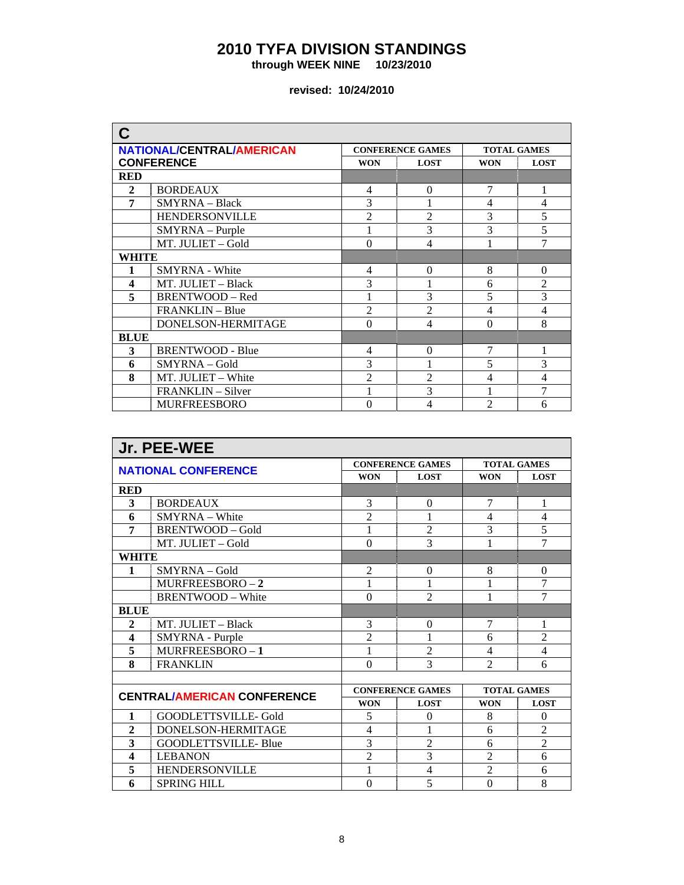**through WEEK NINE 10/23/2010** 

| C                       |                                  |                |                         |                    |                |  |  |
|-------------------------|----------------------------------|----------------|-------------------------|--------------------|----------------|--|--|
|                         | <b>NATIONAL/CENTRAL/AMERICAN</b> |                | <b>CONFERENCE GAMES</b> | <b>TOTAL GAMES</b> |                |  |  |
|                         | <b>CONFERENCE</b>                | <b>WON</b>     | <b>LOST</b>             | <b>WON</b>         | <b>LOST</b>    |  |  |
| <b>RED</b>              |                                  |                |                         |                    |                |  |  |
| $\mathbf{2}$            | <b>BORDEAUX</b>                  | 4              | $\Omega$                | 7                  | 1              |  |  |
| 7                       | <b>SMYRNA</b> - Black            | 3              |                         | 4                  | $\overline{4}$ |  |  |
|                         | <b>HENDERSONVILLE</b>            | $\overline{2}$ | $\overline{2}$          | 3                  | 5              |  |  |
|                         | SMYRNA - Purple                  |                | 3                       | 3                  | 5              |  |  |
|                         | MT. JULIET - Gold                | $\theta$       | 4                       |                    | 7              |  |  |
| WHITE                   |                                  |                |                         |                    |                |  |  |
| 1                       | <b>SMYRNA</b> - White            | $\overline{4}$ | $\Omega$                | 8                  | $\overline{0}$ |  |  |
| $\overline{\mathbf{4}}$ | MT. JULIET - Black               | 3              |                         | 6                  | $\overline{2}$ |  |  |
| 5                       | <b>BRENTWOOD - Red</b>           |                | 3                       | 5                  | 3              |  |  |
|                         | FRANKLIN - Blue                  | $\overline{2}$ | $\overline{2}$          | 4                  | 4              |  |  |
|                         | DONELSON-HERMITAGE               | $\Omega$       | $\overline{4}$          | $\Omega$           | 8              |  |  |
| <b>BLUE</b>             |                                  |                |                         |                    |                |  |  |
| 3                       | <b>BRENTWOOD - Blue</b>          | $\overline{4}$ | $\Omega$                | 7                  | 1              |  |  |
| 6                       | SMYRNA - Gold                    | 3              |                         | 5                  | 3              |  |  |
| 8                       | MT. JULIET - White               | $\overline{c}$ | $\overline{2}$          | 4                  | 4              |  |  |
|                         | FRANKLIN – Silver                |                | 3                       |                    | 7              |  |  |
|                         | <b>MURFREESBORO</b>              | $\Omega$       | 4                       | $\mathfrak{D}$     | 6              |  |  |

| Jr. PEE-WEE                        |                          |                         |                |                    |                |  |  |  |  |
|------------------------------------|--------------------------|-------------------------|----------------|--------------------|----------------|--|--|--|--|
| <b>NATIONAL CONFERENCE</b>         |                          | <b>CONFERENCE GAMES</b> |                | <b>TOTAL GAMES</b> |                |  |  |  |  |
|                                    |                          | <b>WON</b>              | <b>LOST</b>    | <b>WON</b>         | <b>LOST</b>    |  |  |  |  |
| <b>RED</b>                         |                          |                         |                |                    |                |  |  |  |  |
| 3                                  | <b>BORDEAUX</b>          | 3                       | $\Omega$       | 7                  | 1              |  |  |  |  |
| 6                                  | SMYRNA - White           | $\overline{2}$          |                | $\overline{4}$     | $\overline{4}$ |  |  |  |  |
| 7                                  | BRENTWOOD - Gold         | 1                       | $\overline{2}$ | 3                  | 5              |  |  |  |  |
|                                    | MT. JULIET - Gold        | $\theta$                | $\overline{3}$ | 1                  | 7              |  |  |  |  |
| WHITE                              |                          |                         |                |                    |                |  |  |  |  |
| $\mathbf{1}$                       | $SMYRNA - Gold$          | $\overline{2}$          | $\Omega$       | 8                  | $\Omega$       |  |  |  |  |
|                                    | $MURFREESBORO-2$         | 1                       | 1              | 1                  | 7              |  |  |  |  |
|                                    | <b>BRENTWOOD - White</b> | $\theta$                | $\overline{2}$ | 1                  | 7              |  |  |  |  |
| <b>BLUE</b>                        |                          |                         |                |                    |                |  |  |  |  |
| $\mathbf{2}$                       | MT. JULIET - Black       | 3                       | $\theta$       | 7                  | 1              |  |  |  |  |
| $\overline{\mathbf{4}}$            | SMYRNA - Purple          | $\overline{2}$          | 1              | 6                  | $\overline{2}$ |  |  |  |  |
| 5                                  | MURFREESBORO-1           | 1                       | $\overline{2}$ | $\overline{4}$     | $\overline{4}$ |  |  |  |  |
| 8                                  | <b>FRANKLIN</b>          | $\theta$                | 3              | $\overline{2}$     | 6              |  |  |  |  |
|                                    |                          |                         |                |                    |                |  |  |  |  |
| <b>CENTRAL/AMERICAN CONFERENCE</b> |                          | <b>CONFERENCE GAMES</b> |                | <b>TOTAL GAMES</b> |                |  |  |  |  |
|                                    |                          | <b>WON</b>              | <b>LOST</b>    | <b>WON</b>         | <b>LOST</b>    |  |  |  |  |
| 1                                  | GOODLETTSVILLE- Gold     | 5                       | $\theta$       | 8                  | $\Omega$       |  |  |  |  |
| $\mathbf{2}$                       | DONELSON-HERMITAGE       | 4                       |                | 6                  | $\overline{2}$ |  |  |  |  |
| 3                                  | GOODLETTSVILLE- Blue     | 3                       | $\overline{2}$ | 6                  | $\overline{2}$ |  |  |  |  |
| 4                                  | <b>LEBANON</b>           | $\overline{2}$          | 3              | $\overline{2}$     | 6              |  |  |  |  |
| 5                                  | <b>HENDERSONVILLE</b>    | 1                       | $\overline{4}$ | $\overline{2}$     | 6              |  |  |  |  |
| 6                                  | <b>SPRING HILL</b>       | $\Omega$                | 5              | $\theta$           | 8              |  |  |  |  |